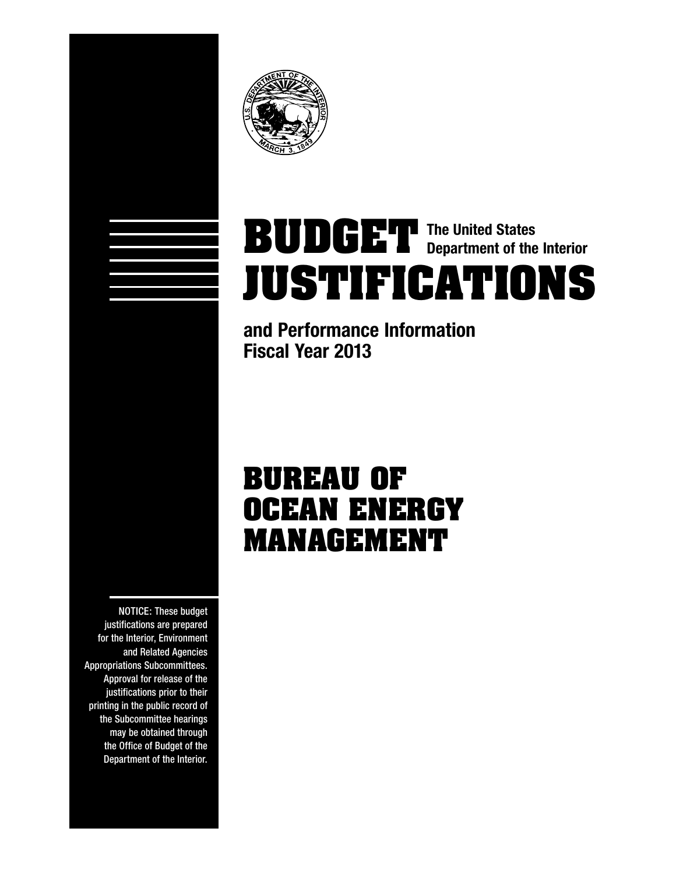

# **BUDGET The United States JUSTIFICATIONS Department of the Interior**

# **and Performance Information Fiscal Year 2013**

# **BUREAU OF OCEAN ENERGY MANAGEMENT**

NOTICE: These budget justifications are prepared for the Interior, Environment and Related Agencies Appropriations Subcommittees. Approval for release of the justifications prior to their printing in the public record of the Subcommittee hearings may be obtained through the Office of Budget of the Department of the Interior.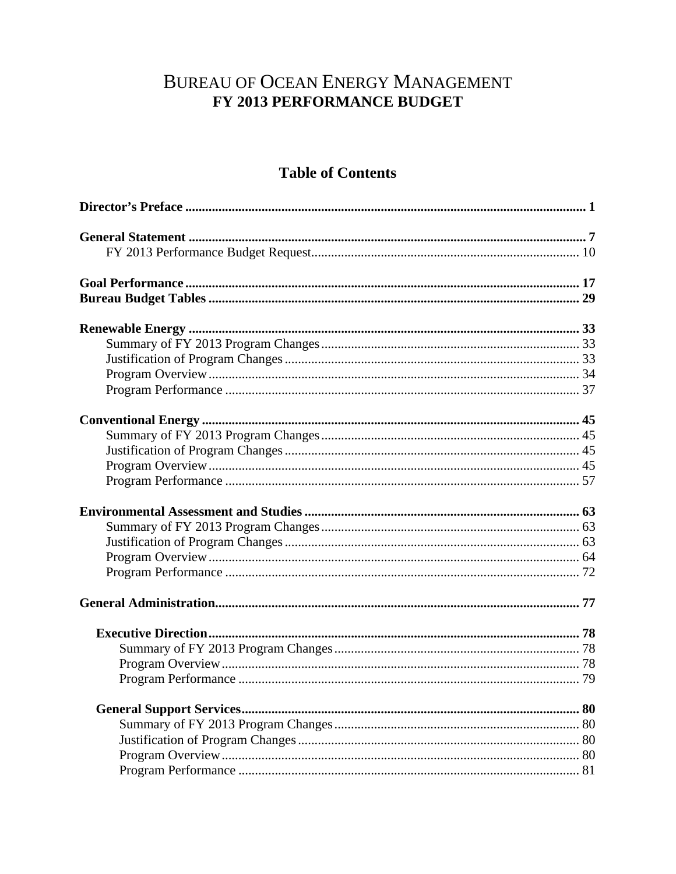# BUREAU OF OCEAN ENERGY MANAGEMENT FY 2013 PERFORMANCE BUDGET

# **Table of Contents**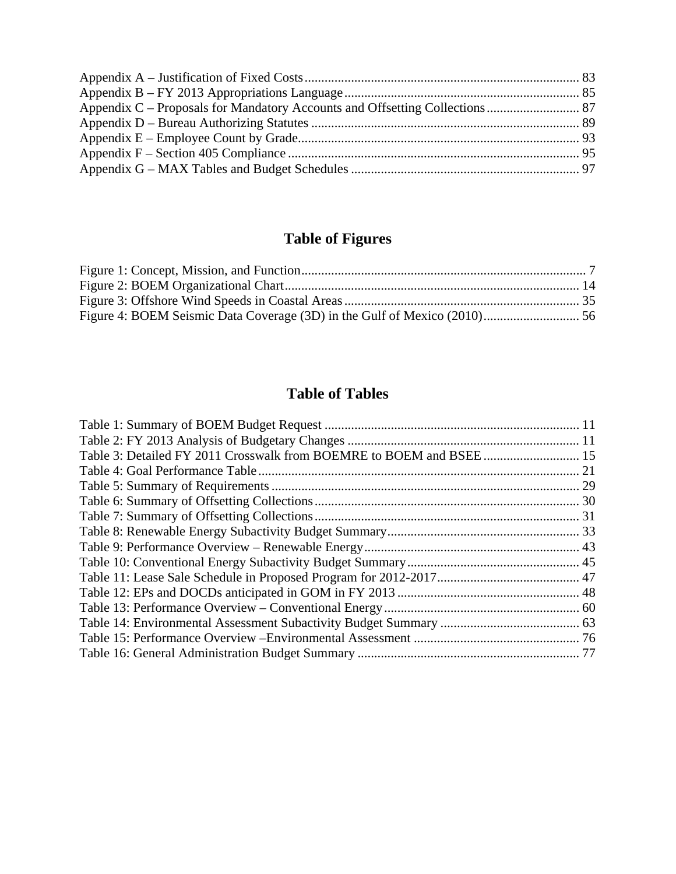# **Table of Figures**

# **Table of Tables**

| Table 3: Detailed FY 2011 Crosswalk from BOEMRE to BOEM and BSEE  15 |  |
|----------------------------------------------------------------------|--|
|                                                                      |  |
|                                                                      |  |
|                                                                      |  |
|                                                                      |  |
|                                                                      |  |
|                                                                      |  |
|                                                                      |  |
|                                                                      |  |
|                                                                      |  |
|                                                                      |  |
|                                                                      |  |
|                                                                      |  |
|                                                                      |  |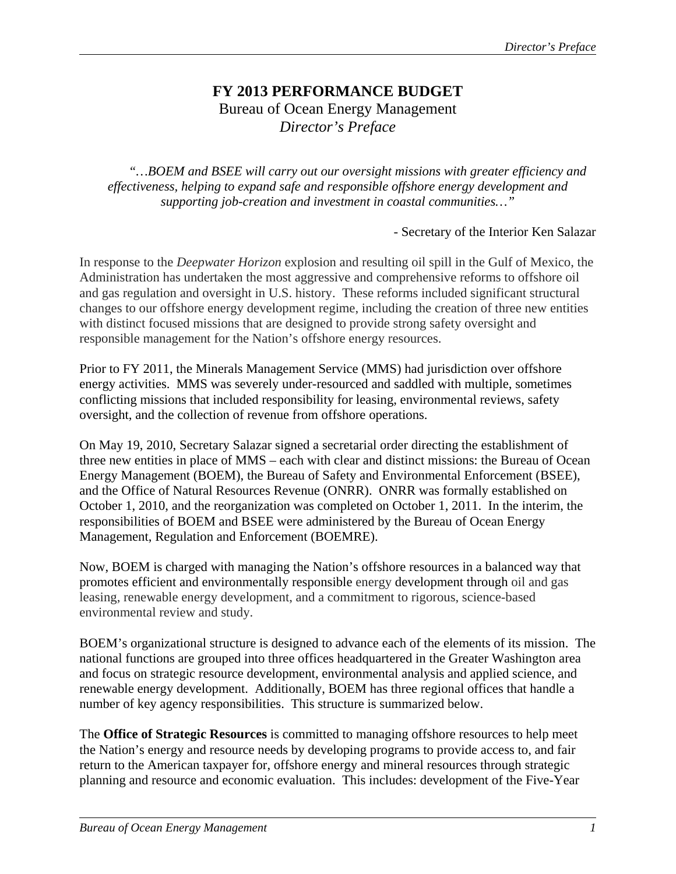## **FY 2013 PERFORMANCE BUDGET**  Bureau of Ocean Energy Management *Director's Preface*

*"…BOEM and BSEE will carry out our oversight missions with greater efficiency and effectiveness, helping to expand safe and responsible offshore energy development and supporting job-creation and investment in coastal communities…"* 

- Secretary of the Interior Ken Salazar

In response to the *Deepwater Horizon* explosion and resulting oil spill in the Gulf of Mexico, the Administration has undertaken the most aggressive and comprehensive reforms to offshore oil and gas regulation and oversight in U.S. history. These reforms included significant structural changes to our offshore energy development regime, including the creation of three new entities with distinct focused missions that are designed to provide strong safety oversight and responsible management for the Nation's offshore energy resources.

Prior to FY 2011, the Minerals Management Service (MMS) had jurisdiction over offshore energy activities. MMS was severely under-resourced and saddled with multiple, sometimes conflicting missions that included responsibility for leasing, environmental reviews, safety oversight, and the collection of revenue from offshore operations.

On May 19, 2010, Secretary Salazar signed a secretarial order directing the establishment of three new entities in place of MMS – each with clear and distinct missions: the Bureau of Ocean Energy Management (BOEM), the Bureau of Safety and Environmental Enforcement (BSEE), and the Office of Natural Resources Revenue (ONRR). ONRR was formally established on October 1, 2010, and the reorganization was completed on October 1, 2011. In the interim, the responsibilities of BOEM and BSEE were administered by the Bureau of Ocean Energy Management, Regulation and Enforcement (BOEMRE).

Now, BOEM is charged with managing the Nation's offshore resources in a balanced way that promotes efficient and environmentally responsible energy development through oil and gas leasing, renewable energy development, and a commitment to rigorous, science-based environmental review and study.

BOEM's organizational structure is designed to advance each of the elements of its mission. The national functions are grouped into three offices headquartered in the Greater Washington area and focus on strategic resource development, environmental analysis and applied science, and renewable energy development. Additionally, BOEM has three regional offices that handle a number of key agency responsibilities. This structure is summarized below.

The **Office of Strategic Resources** is committed to managing offshore resources to help meet the Nation's energy and resource needs by developing programs to provide access to, and fair return to the American taxpayer for, offshore energy and mineral resources through strategic planning and resource and economic evaluation. This includes: development of the Five-Year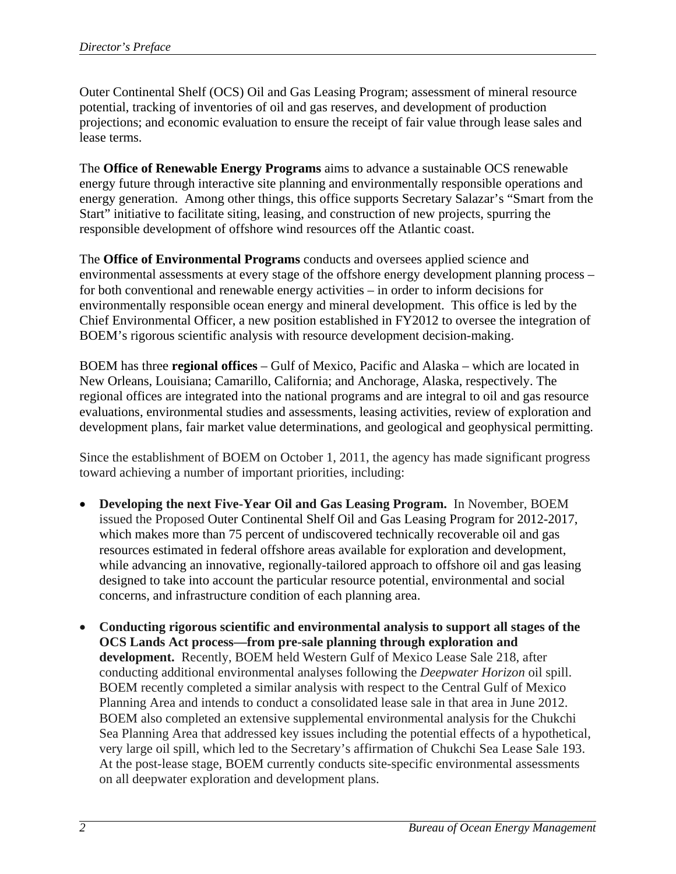Outer Continental Shelf (OCS) Oil and Gas Leasing Program; assessment of mineral resource potential, tracking of inventories of oil and gas reserves, and development of production projections; and economic evaluation to ensure the receipt of fair value through lease sales and lease terms.

The **Office of Renewable Energy Programs** aims to advance a sustainable OCS renewable energy future through interactive site planning and environmentally responsible operations and energy generation. Among other things, this office supports Secretary Salazar's "Smart from the Start" initiative to facilitate siting, leasing, and construction of new projects, spurring the responsible development of offshore wind resources off the Atlantic coast.

The **Office of Environmental Programs** conducts and oversees applied science and environmental assessments at every stage of the offshore energy development planning process – for both conventional and renewable energy activities – in order to inform decisions for environmentally responsible ocean energy and mineral development. This office is led by the Chief Environmental Officer, a new position established in FY2012 to oversee the integration of BOEM's rigorous scientific analysis with resource development decision-making.

BOEM has three **regional offices** – Gulf of Mexico, Pacific and Alaska – which are located in New Orleans, Louisiana; Camarillo, California; and Anchorage, Alaska, respectively. The regional offices are integrated into the national programs and are integral to oil and gas resource evaluations, environmental studies and assessments, leasing activities, review of exploration and development plans, fair market value determinations, and geological and geophysical permitting.

Since the establishment of BOEM on October 1, 2011, the agency has made significant progress toward achieving a number of important priorities, including:

- **Developing the next Five-Year Oil and Gas Leasing Program.** In November, BOEM issued the Proposed Outer Continental Shelf Oil and Gas Leasing Program for 2012-2017, which makes more than 75 percent of undiscovered technically recoverable oil and gas resources estimated in federal offshore areas available for exploration and development, while advancing an innovative, regionally-tailored approach to offshore oil and gas leasing designed to take into account the particular resource potential, environmental and social concerns, and infrastructure condition of each planning area.
- **Conducting rigorous scientific and environmental analysis to support all stages of the OCS Lands Act process—from pre-sale planning through exploration and development.** Recently, BOEM held Western Gulf of Mexico Lease Sale 218, after conducting additional environmental analyses following the *Deepwater Horizon* oil spill. BOEM recently completed a similar analysis with respect to the Central Gulf of Mexico Planning Area and intends to conduct a consolidated lease sale in that area in June 2012. BOEM also completed an extensive supplemental environmental analysis for the Chukchi Sea Planning Area that addressed key issues including the potential effects of a hypothetical, very large oil spill, which led to the Secretary's affirmation of Chukchi Sea Lease Sale 193. At the post-lease stage, BOEM currently conducts site-specific environmental assessments on all deepwater exploration and development plans.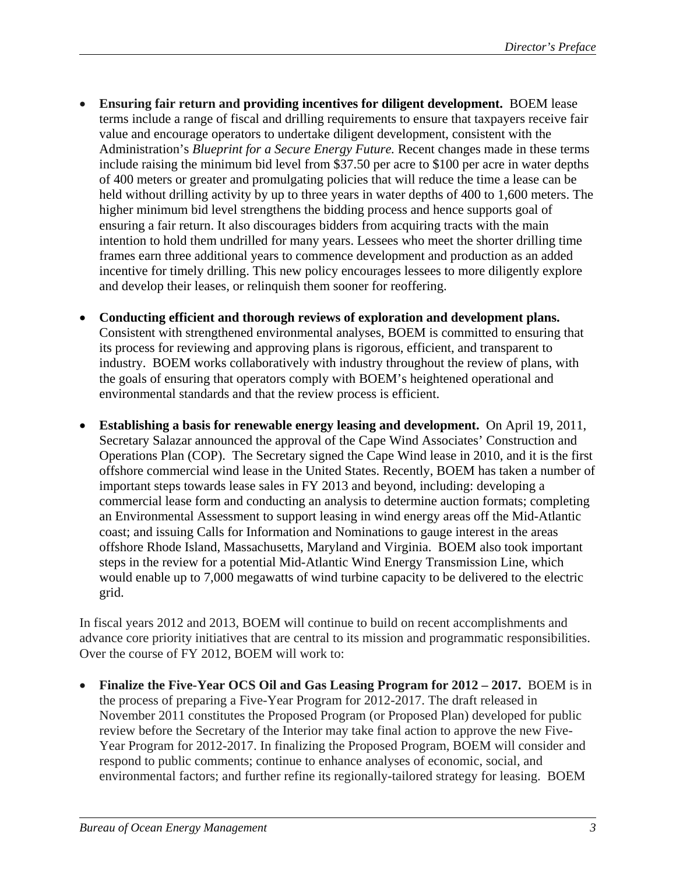- **Ensuring fair return and providing incentives for diligent development.** BOEM lease terms include a range of fiscal and drilling requirements to ensure that taxpayers receive fair value and encourage operators to undertake diligent development, consistent with the Administration's *Blueprint for a Secure Energy Future.* Recent changes made in these terms include raising the minimum bid level from \$37.50 per acre to \$100 per acre in water depths of 400 meters or greater and promulgating policies that will reduce the time a lease can be held without drilling activity by up to three years in water depths of 400 to 1,600 meters. The higher minimum bid level strengthens the bidding process and hence supports goal of ensuring a fair return. It also discourages bidders from acquiring tracts with the main intention to hold them undrilled for many years. Lessees who meet the shorter drilling time frames earn three additional years to commence development and production as an added incentive for timely drilling. This new policy encourages lessees to more diligently explore and develop their leases, or relinquish them sooner for reoffering.
- **Conducting efficient and thorough reviews of exploration and development plans.**  Consistent with strengthened environmental analyses, BOEM is committed to ensuring that its process for reviewing and approving plans is rigorous, efficient, and transparent to industry. BOEM works collaboratively with industry throughout the review of plans, with the goals of ensuring that operators comply with BOEM's heightened operational and environmental standards and that the review process is efficient.
- **Establishing a basis for renewable energy leasing and development.** On April 19, 2011, Secretary Salazar announced the approval of the Cape Wind Associates' Construction and Operations Plan (COP). The Secretary signed the Cape Wind lease in 2010, and it is the first offshore commercial wind lease in the United States. Recently, BOEM has taken a number of important steps towards lease sales in FY 2013 and beyond, including: developing a commercial lease form and conducting an analysis to determine auction formats; completing an Environmental Assessment to support leasing in wind energy areas off the Mid-Atlantic coast; and issuing Calls for Information and Nominations to gauge interest in the areas offshore Rhode Island, Massachusetts, Maryland and Virginia. BOEM also took important steps in the review for a potential Mid-Atlantic Wind Energy Transmission Line, which would enable up to 7,000 megawatts of wind turbine capacity to be delivered to the electric grid.

In fiscal years 2012 and 2013, BOEM will continue to build on recent accomplishments and advance core priority initiatives that are central to its mission and programmatic responsibilities. Over the course of FY 2012, BOEM will work to:

**Finalize the Five-Year OCS Oil and Gas Leasing Program for 2012 – 2017.** BOEM is in the process of preparing a Five-Year Program for 2012-2017. The draft released in November 2011 constitutes the Proposed Program (or Proposed Plan) developed for public review before the Secretary of the Interior may take final action to approve the new Five-Year Program for 2012-2017. In finalizing the Proposed Program, BOEM will consider and respond to public comments; continue to enhance analyses of economic, social, and environmental factors; and further refine its regionally-tailored strategy for leasing. BOEM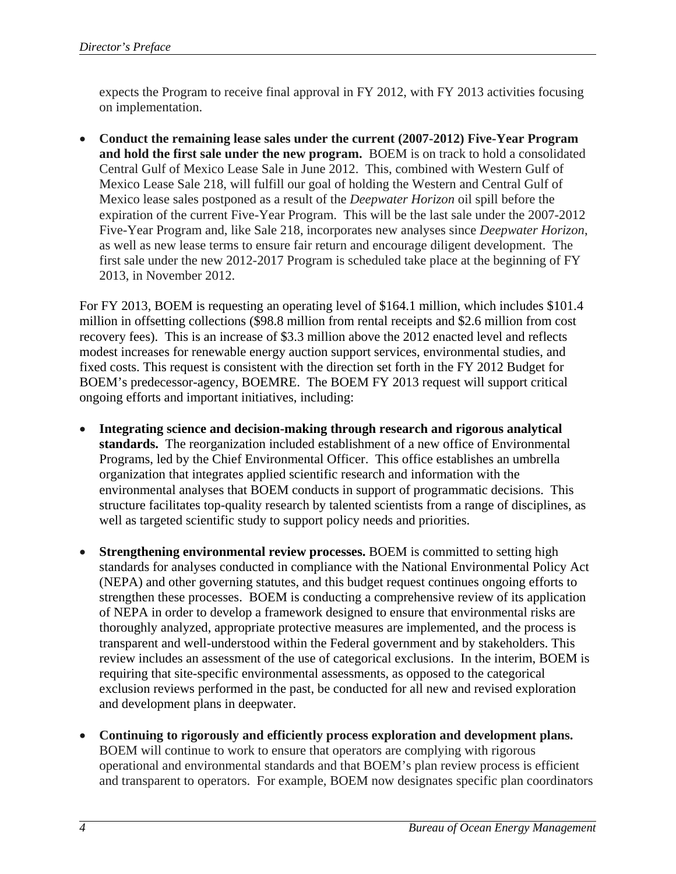expects the Program to receive final approval in FY 2012, with FY 2013 activities focusing on implementation.

 **Conduct the remaining lease sales under the current (2007-2012) Five-Year Program and hold the first sale under the new program.** BOEM is on track to hold a consolidated Central Gulf of Mexico Lease Sale in June 2012. This, combined with Western Gulf of Mexico Lease Sale 218, will fulfill our goal of holding the Western and Central Gulf of Mexico lease sales postponed as a result of the *Deepwater Horizon* oil spill before the expiration of the current Five-Year Program. This will be the last sale under the 2007-2012 Five-Year Program and, like Sale 218, incorporates new analyses since *Deepwater Horizon*, as well as new lease terms to ensure fair return and encourage diligent development. The first sale under the new 2012-2017 Program is scheduled take place at the beginning of FY 2013, in November 2012.

For FY 2013, BOEM is requesting an operating level of \$164.1 million, which includes \$101.4 million in offsetting collections (\$98.8 million from rental receipts and \$2.6 million from cost recovery fees). This is an increase of \$3.3 million above the 2012 enacted level and reflects modest increases for renewable energy auction support services, environmental studies, and fixed costs. This request is consistent with the direction set forth in the FY 2012 Budget for BOEM's predecessor-agency, BOEMRE. The BOEM FY 2013 request will support critical ongoing efforts and important initiatives, including:

- **Integrating science and decision-making through research and rigorous analytical standards.** The reorganization included establishment of a new office of Environmental Programs, led by the Chief Environmental Officer. This office establishes an umbrella organization that integrates applied scientific research and information with the environmental analyses that BOEM conducts in support of programmatic decisions. This structure facilitates top-quality research by talented scientists from a range of disciplines, as well as targeted scientific study to support policy needs and priorities.
- **Strengthening environmental review processes.** BOEM is committed to setting high standards for analyses conducted in compliance with the National Environmental Policy Act (NEPA) and other governing statutes, and this budget request continues ongoing efforts to strengthen these processes. BOEM is conducting a comprehensive review of its application of NEPA in order to develop a framework designed to ensure that environmental risks are thoroughly analyzed, appropriate protective measures are implemented, and the process is transparent and well-understood within the Federal government and by stakeholders. This review includes an assessment of the use of categorical exclusions. In the interim, BOEM is requiring that site-specific environmental assessments, as opposed to the categorical exclusion reviews performed in the past, be conducted for all new and revised exploration and development plans in deepwater.
- **Continuing to rigorously and efficiently process exploration and development plans.**  BOEM will continue to work to ensure that operators are complying with rigorous operational and environmental standards and that BOEM's plan review process is efficient and transparent to operators. For example, BOEM now designates specific plan coordinators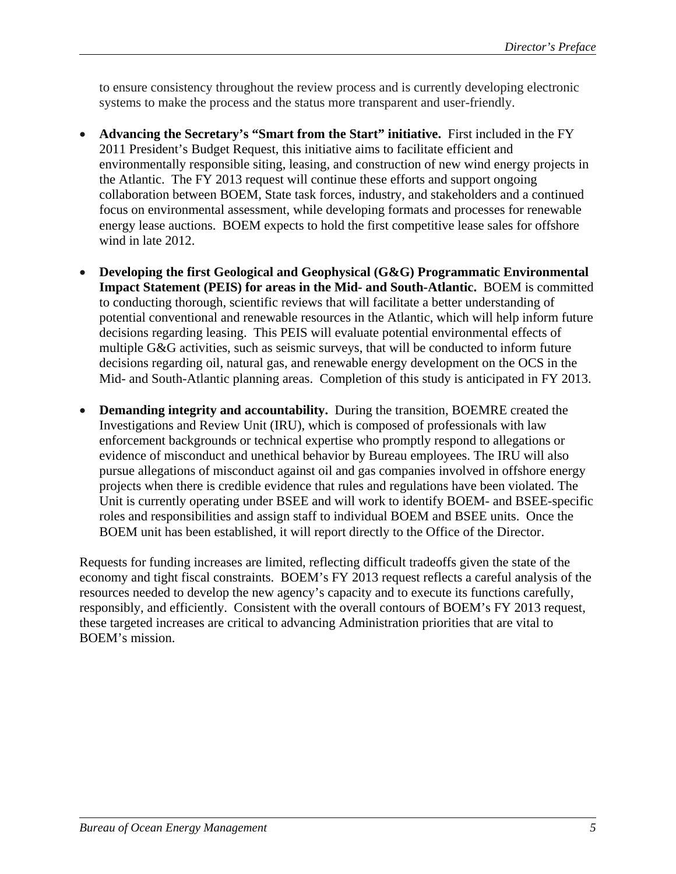to ensure consistency throughout the review process and is currently developing electronic systems to make the process and the status more transparent and user-friendly.

- **Advancing the Secretary's "Smart from the Start" initiative.** First included in the FY 2011 President's Budget Request, this initiative aims to facilitate efficient and environmentally responsible siting, leasing, and construction of new wind energy projects in the Atlantic. The FY 2013 request will continue these efforts and support ongoing collaboration between BOEM, State task forces, industry, and stakeholders and a continued focus on environmental assessment, while developing formats and processes for renewable energy lease auctions. BOEM expects to hold the first competitive lease sales for offshore wind in late 2012.
- **Developing the first Geological and Geophysical (G&G) Programmatic Environmental Impact Statement (PEIS) for areas in the Mid- and South-Atlantic.** BOEM is committed to conducting thorough, scientific reviews that will facilitate a better understanding of potential conventional and renewable resources in the Atlantic, which will help inform future decisions regarding leasing. This PEIS will evaluate potential environmental effects of multiple G&G activities, such as seismic surveys, that will be conducted to inform future decisions regarding oil, natural gas, and renewable energy development on the OCS in the Mid- and South-Atlantic planning areas. Completion of this study is anticipated in FY 2013.
- **Demanding integrity and accountability.** During the transition, BOEMRE created the Investigations and Review Unit (IRU), which is composed of professionals with law enforcement backgrounds or technical expertise who promptly respond to allegations or evidence of misconduct and unethical behavior by Bureau employees. The IRU will also pursue allegations of misconduct against oil and gas companies involved in offshore energy projects when there is credible evidence that rules and regulations have been violated. The Unit is currently operating under BSEE and will work to identify BOEM- and BSEE-specific roles and responsibilities and assign staff to individual BOEM and BSEE units. Once the BOEM unit has been established, it will report directly to the Office of the Director.

Requests for funding increases are limited, reflecting difficult tradeoffs given the state of the economy and tight fiscal constraints. BOEM's FY 2013 request reflects a careful analysis of the resources needed to develop the new agency's capacity and to execute its functions carefully, responsibly, and efficiently. Consistent with the overall contours of BOEM's FY 2013 request, these targeted increases are critical to advancing Administration priorities that are vital to BOEM's mission.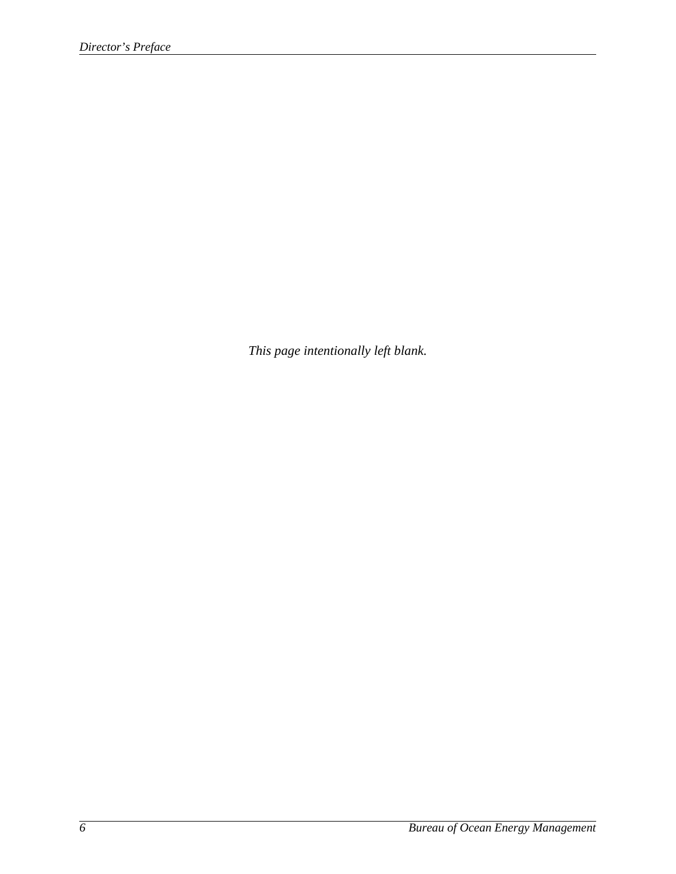*This page intentionally left blank.*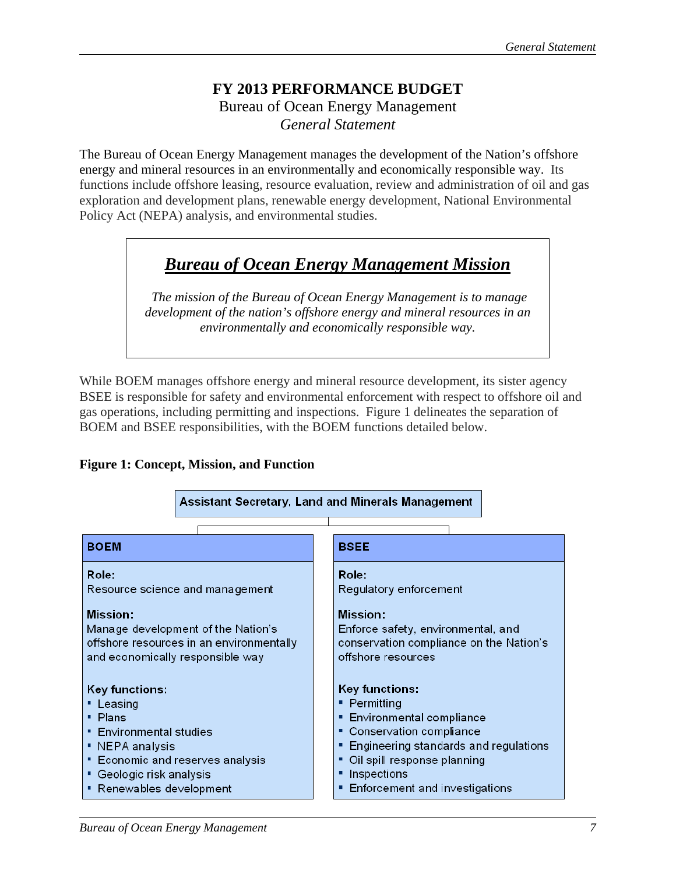## **FY 2013 PERFORMANCE BUDGET**  Bureau of Ocean Energy Management *General Statement*

The Bureau of Ocean Energy Management manages the development of the Nation's offshore energy and mineral resources in an environmentally and economically responsible way. Its functions include offshore leasing, resource evaluation, review and administration of oil and gas exploration and development plans, renewable energy development, National Environmental Policy Act (NEPA) analysis, and environmental studies.

# *Bureau of Ocean Energy Management Mission*

 *The mission of the Bureau of Ocean Energy Management is to manage development of the nation's offshore energy and mineral resources in an environmentally and economically responsible way.* 

While BOEM manages offshore energy and mineral resource development, its sister agency BSEE is responsible for safety and environmental enforcement with respect to offshore oil and gas operations, including permitting and inspections. Figure 1 delineates the separation of BOEM and BSEE responsibilities, with the BOEM functions detailed below.

|                                          | <b>Assistant Secretary, Land and Minerals Management</b> |
|------------------------------------------|----------------------------------------------------------|
|                                          |                                                          |
| <b>BOEM</b>                              | <b>BSEE</b>                                              |
| Role:                                    | Role:                                                    |
| Resource science and management          | Regulatory enforcement                                   |
| Mission:                                 | Mission:                                                 |
| Manage development of the Nation's       | Enforce safety, environmental, and                       |
| offshore resources in an environmentally | conservation compliance on the Nation's                  |
| and economically responsible way         | offshore resources                                       |
| <b>Key functions:</b>                    | <b>Key functions:</b>                                    |
| ▪ Leasing                                | • Permitting                                             |
| • Plans                                  | ■ Environmental compliance                               |
| Environmental studies                    | Conservation compliance                                  |
| • NEPA analysis                          | Engineering standards and regulations                    |
| <b>Economic and reserves analysis</b>    | Oil spill response planning                              |
| ■ Geologic risk analysis                 | Inspections                                              |
| • Renewables development                 | Enforcement and investigations                           |

#### **Figure 1: Concept, Mission, and Function**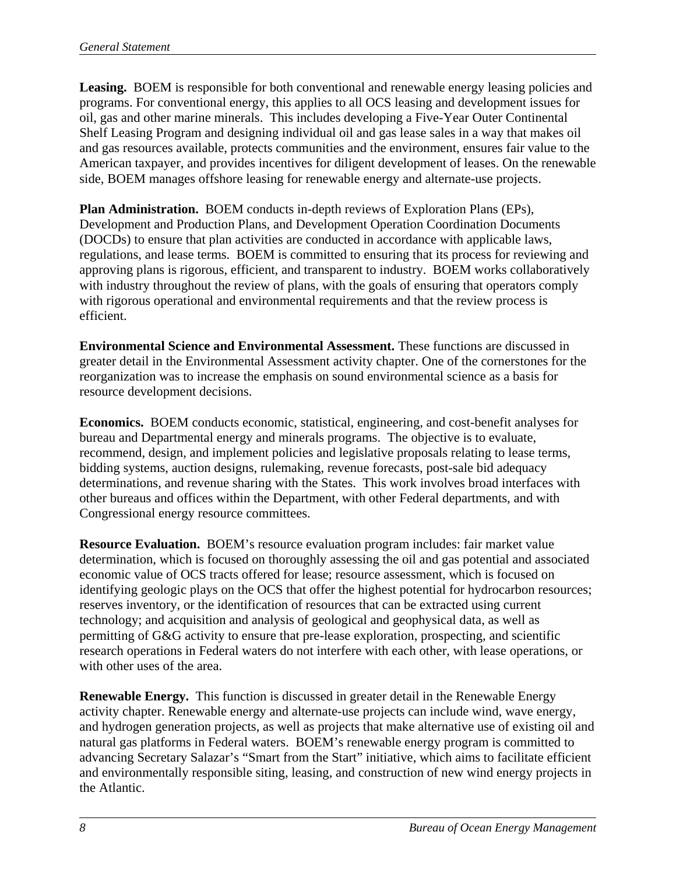Leasing. BOEM is responsible for both conventional and renewable energy leasing policies and programs. For conventional energy, this applies to all OCS leasing and development issues for oil, gas and other marine minerals. This includes developing a Five-Year Outer Continental Shelf Leasing Program and designing individual oil and gas lease sales in a way that makes oil and gas resources available, protects communities and the environment, ensures fair value to the American taxpayer, and provides incentives for diligent development of leases. On the renewable side, BOEM manages offshore leasing for renewable energy and alternate-use projects.

**Plan Administration.** BOEM conducts in-depth reviews of Exploration Plans (EPs), Development and Production Plans, and Development Operation Coordination Documents (DOCDs) to ensure that plan activities are conducted in accordance with applicable laws, regulations, and lease terms. BOEM is committed to ensuring that its process for reviewing and approving plans is rigorous, efficient, and transparent to industry. BOEM works collaboratively with industry throughout the review of plans, with the goals of ensuring that operators comply with rigorous operational and environmental requirements and that the review process is efficient.

**Environmental Science and Environmental Assessment.** These functions are discussed in greater detail in the Environmental Assessment activity chapter. One of the cornerstones for the reorganization was to increase the emphasis on sound environmental science as a basis for resource development decisions.

**Economics.** BOEM conducts economic, statistical, engineering, and cost-benefit analyses for bureau and Departmental energy and minerals programs. The objective is to evaluate, recommend, design, and implement policies and legislative proposals relating to lease terms, bidding systems, auction designs, rulemaking, revenue forecasts, post-sale bid adequacy determinations, and revenue sharing with the States. This work involves broad interfaces with other bureaus and offices within the Department, with other Federal departments, and with Congressional energy resource committees.

**Resource Evaluation.** BOEM's resource evaluation program includes: fair market value determination, which is focused on thoroughly assessing the oil and gas potential and associated economic value of OCS tracts offered for lease; resource assessment, which is focused on identifying geologic plays on the OCS that offer the highest potential for hydrocarbon resources; reserves inventory, or the identification of resources that can be extracted using current technology; and acquisition and analysis of geological and geophysical data, as well as permitting of G&G activity to ensure that pre-lease exploration, prospecting, and scientific research operations in Federal waters do not interfere with each other, with lease operations, or with other uses of the area.

**Renewable Energy.** This function is discussed in greater detail in the Renewable Energy activity chapter. Renewable energy and alternate-use projects can include wind, wave energy, and hydrogen generation projects, as well as projects that make alternative use of existing oil and natural gas platforms in Federal waters. BOEM's renewable energy program is committed to advancing Secretary Salazar's "Smart from the Start" initiative, which aims to facilitate efficient and environmentally responsible siting, leasing, and construction of new wind energy projects in the Atlantic.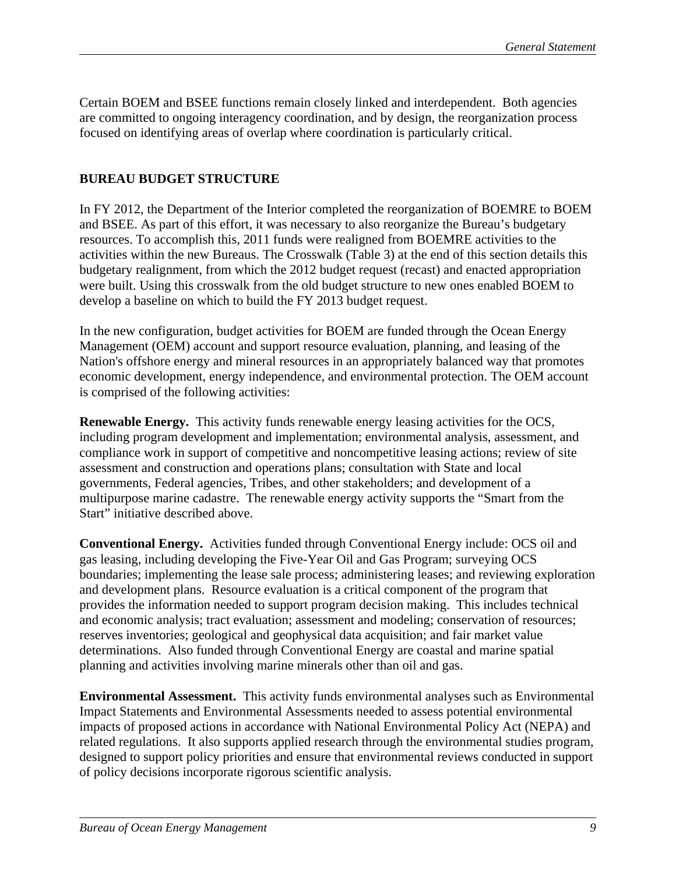Certain BOEM and BSEE functions remain closely linked and interdependent. Both agencies are committed to ongoing interagency coordination, and by design, the reorganization process focused on identifying areas of overlap where coordination is particularly critical.

#### **BUREAU BUDGET STRUCTURE**

In FY 2012, the Department of the Interior completed the reorganization of BOEMRE to BOEM and BSEE. As part of this effort, it was necessary to also reorganize the Bureau's budgetary resources. To accomplish this, 2011 funds were realigned from BOEMRE activities to the activities within the new Bureaus. The Crosswalk (Table 3) at the end of this section details this budgetary realignment, from which the 2012 budget request (recast) and enacted appropriation were built. Using this crosswalk from the old budget structure to new ones enabled BOEM to develop a baseline on which to build the FY 2013 budget request.

In the new configuration, budget activities for BOEM are funded through the Ocean Energy Management (OEM) account and support resource evaluation, planning, and leasing of the Nation's offshore energy and mineral resources in an appropriately balanced way that promotes economic development, energy independence, and environmental protection. The OEM account is comprised of the following activities:

**Renewable Energy.** This activity funds renewable energy leasing activities for the OCS, including program development and implementation; environmental analysis, assessment, and compliance work in support of competitive and noncompetitive leasing actions; review of site assessment and construction and operations plans; consultation with State and local governments, Federal agencies, Tribes, and other stakeholders; and development of a multipurpose marine cadastre. The renewable energy activity supports the "Smart from the Start" initiative described above.

**Conventional Energy.** Activities funded through Conventional Energy include: OCS oil and gas leasing, including developing the Five-Year Oil and Gas Program; surveying OCS boundaries; implementing the lease sale process; administering leases; and reviewing exploration and development plans. Resource evaluation is a critical component of the program that provides the information needed to support program decision making. This includes technical and economic analysis; tract evaluation; assessment and modeling; conservation of resources; reserves inventories; geological and geophysical data acquisition; and fair market value determinations. Also funded through Conventional Energy are coastal and marine spatial planning and activities involving marine minerals other than oil and gas.

**Environmental Assessment.** This activity funds environmental analyses such as Environmental Impact Statements and Environmental Assessments needed to assess potential environmental impacts of proposed actions in accordance with National Environmental Policy Act (NEPA) and related regulations. It also supports applied research through the environmental studies program, designed to support policy priorities and ensure that environmental reviews conducted in support of policy decisions incorporate rigorous scientific analysis.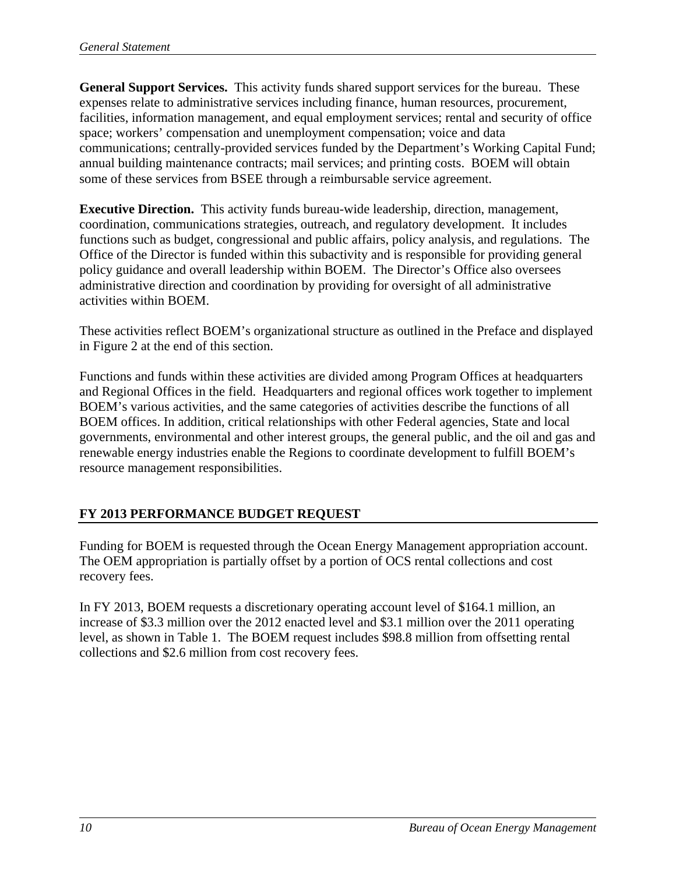**General Support Services.** This activity funds shared support services for the bureau. These expenses relate to administrative services including finance, human resources, procurement, facilities, information management, and equal employment services; rental and security of office space; workers' compensation and unemployment compensation; voice and data communications; centrally-provided services funded by the Department's Working Capital Fund; annual building maintenance contracts; mail services; and printing costs. BOEM will obtain some of these services from BSEE through a reimbursable service agreement.

**Executive Direction.** This activity funds bureau-wide leadership, direction, management, coordination, communications strategies, outreach, and regulatory development. It includes functions such as budget, congressional and public affairs, policy analysis, and regulations. The Office of the Director is funded within this subactivity and is responsible for providing general policy guidance and overall leadership within BOEM. The Director's Office also oversees administrative direction and coordination by providing for oversight of all administrative activities within BOEM.

These activities reflect BOEM's organizational structure as outlined in the Preface and displayed in Figure 2 at the end of this section.

Functions and funds within these activities are divided among Program Offices at headquarters and Regional Offices in the field. Headquarters and regional offices work together to implement BOEM's various activities, and the same categories of activities describe the functions of all BOEM offices. In addition, critical relationships with other Federal agencies, State and local governments, environmental and other interest groups, the general public, and the oil and gas and renewable energy industries enable the Regions to coordinate development to fulfill BOEM's resource management responsibilities.

## **FY 2013 PERFORMANCE BUDGET REQUEST**

Funding for BOEM is requested through the Ocean Energy Management appropriation account. The OEM appropriation is partially offset by a portion of OCS rental collections and cost recovery fees.

In FY 2013, BOEM requests a discretionary operating account level of \$164.1 million, an increase of \$3.3 million over the 2012 enacted level and \$3.1 million over the 2011 operating level, as shown in Table 1. The BOEM request includes \$98.8 million from offsetting rental collections and \$2.6 million from cost recovery fees.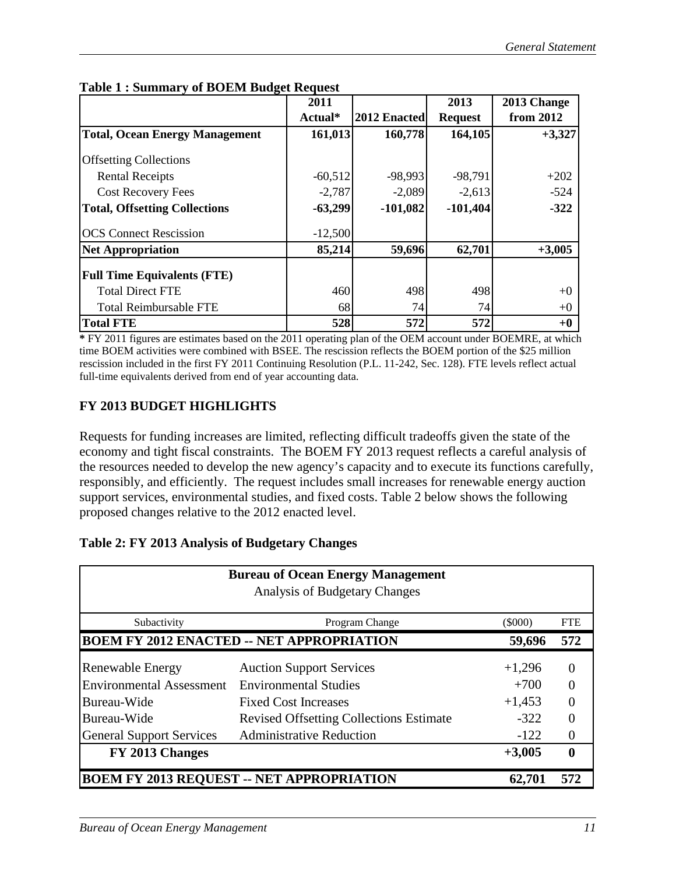|                                       | 2011      |              | 2013           | 2013 Change |
|---------------------------------------|-----------|--------------|----------------|-------------|
|                                       | Actual*   | 2012 Enacted | <b>Request</b> | from 2012   |
| <b>Total, Ocean Energy Management</b> | 161,013   | 160,778      | 164,105        | $+3,327$    |
| <b>Offsetting Collections</b>         |           |              |                |             |
| <b>Rental Receipts</b>                | $-60,512$ | $-98,993$    | $-98,791$      | $+202$      |
| <b>Cost Recovery Fees</b>             | $-2,787$  | $-2,089$     | $-2,613$       | $-524$      |
| <b>Total, Offsetting Collections</b>  | $-63,299$ | $-101,082$   | $-101,404$     | $-322$      |
| <b>OCS</b> Connect Rescission         | $-12,500$ |              |                |             |
| <b>Net Appropriation</b>              | 85,214    | 59,696       | 62,701         | $+3,005$    |
| <b>Full Time Equivalents (FTE)</b>    |           |              |                |             |
| <b>Total Direct FTE</b>               | 460       | 498          | 498            | $+0$        |
| <b>Total Reimbursable FTE</b>         | 68        | 74           | 74             | $+0$        |
| <b>Total FTE</b>                      | 528       | 572          | 572            | $+0$        |

| <b>Table 1: Summary of BOEM Budget Request</b> |
|------------------------------------------------|
|------------------------------------------------|

**\*** FY 2011 figures are estimates based on the 2011 operating plan of the OEM account under BOEMRE, at which time BOEM activities were combined with BSEE. The rescission reflects the BOEM portion of the \$25 million rescission included in the first FY 2011 Continuing Resolution (P.L. 11-242, Sec. 128). FTE levels reflect actual full-time equivalents derived from end of year accounting data.

## **FY 2013 BUDGET HIGHLIGHTS**

Requests for funding increases are limited, reflecting difficult tradeoffs given the state of the economy and tight fiscal constraints. The BOEM FY 2013 request reflects a careful analysis of the resources needed to develop the new agency's capacity and to execute its functions carefully, responsibly, and efficiently. The request includes small increases for renewable energy auction support services, environmental studies, and fixed costs. Table 2 below shows the following proposed changes relative to the 2012 enacted level.

|  |  |  | Table 2: FY 2013 Analysis of Budgetary Changes |  |
|--|--|--|------------------------------------------------|--|
|--|--|--|------------------------------------------------|--|

|                                 | <b>Bureau of Ocean Energy Management</b><br>Analysis of Budgetary Changes |           |            |
|---------------------------------|---------------------------------------------------------------------------|-----------|------------|
| Subactivity                     | Program Change                                                            | $(\$000)$ | <b>FTE</b> |
|                                 | <b>BOEM FY 2012 ENACTED -- NET APPROPRIATION</b>                          | 59,696    | 572        |
| <b>Renewable Energy</b>         | <b>Auction Support Services</b>                                           | $+1,296$  | $\Omega$   |
| <b>Environmental Assessment</b> | <b>Environmental Studies</b>                                              | $+700$    | $\Omega$   |
| Bureau-Wide                     | <b>Fixed Cost Increases</b>                                               | $+1,453$  | $\Omega$   |
| Bureau-Wide                     | <b>Revised Offsetting Collections Estimate</b>                            | $-322$    | $\Omega$   |
| <b>General Support Services</b> | <b>Administrative Reduction</b>                                           | $-122$    | $\Omega$   |
| FY 2013 Changes                 |                                                                           | $+3,005$  |            |
|                                 | <b>BOEM FY 2013 REQUEST -- NET APPROPRIATION</b>                          | 62,701    | 572        |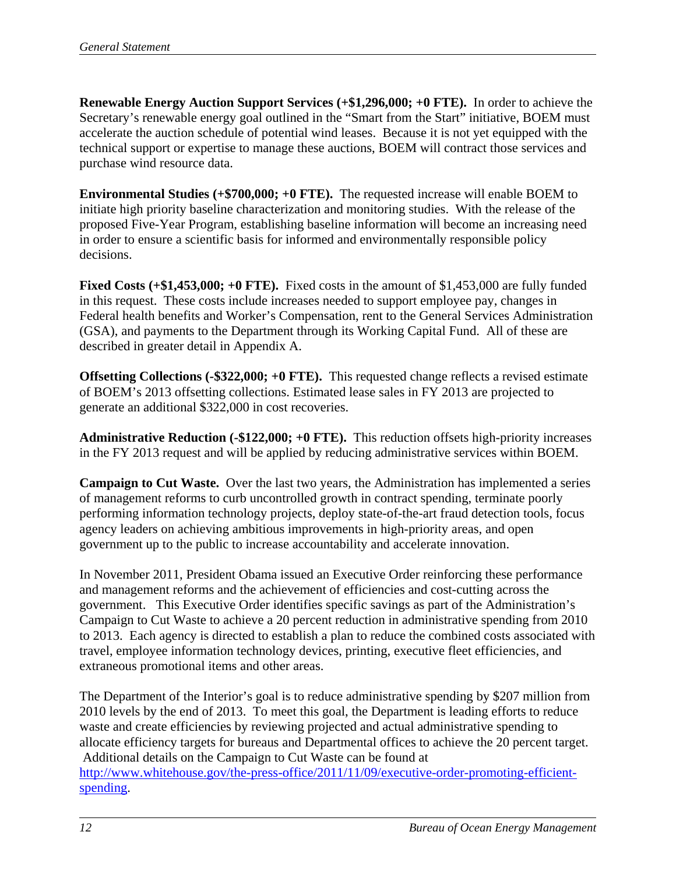**Renewable Energy Auction Support Services (+\$1,296,000; +0 FTE).** In order to achieve the Secretary's renewable energy goal outlined in the "Smart from the Start" initiative, BOEM must accelerate the auction schedule of potential wind leases. Because it is not yet equipped with the technical support or expertise to manage these auctions, BOEM will contract those services and purchase wind resource data.

**Environmental Studies (+\$700,000; +0 FTE).** The requested increase will enable BOEM to initiate high priority baseline characterization and monitoring studies. With the release of the proposed Five-Year Program, establishing baseline information will become an increasing need in order to ensure a scientific basis for informed and environmentally responsible policy decisions.

Fixed Costs (+\$1,453,000; +0 FTE). Fixed costs in the amount of \$1,453,000 are fully funded in this request. These costs include increases needed to support employee pay, changes in Federal health benefits and Worker's Compensation, rent to the General Services Administration (GSA), and payments to the Department through its Working Capital Fund. All of these are described in greater detail in Appendix A.

**Offsetting Collections (-\$322,000; +0 FTE).** This requested change reflects a revised estimate of BOEM's 2013 offsetting collections. Estimated lease sales in FY 2013 are projected to generate an additional \$322,000 in cost recoveries.

**Administrative Reduction (-\$122,000; +0 FTE).** This reduction offsets high-priority increases in the FY 2013 request and will be applied by reducing administrative services within BOEM.

**Campaign to Cut Waste.** Over the last two years, the Administration has implemented a series of management reforms to curb uncontrolled growth in contract spending, terminate poorly performing information technology projects, deploy state-of-the-art fraud detection tools, focus agency leaders on achieving ambitious improvements in high-priority areas, and open government up to the public to increase accountability and accelerate innovation.

In November 2011, President Obama issued an Executive Order reinforcing these performance and management reforms and the achievement of efficiencies and cost-cutting across the government. This Executive Order identifies specific savings as part of the Administration's Campaign to Cut Waste to achieve a 20 percent reduction in administrative spending from 2010 to 2013. Each agency is directed to establish a plan to reduce the combined costs associated with travel, employee information technology devices, printing, executive fleet efficiencies, and extraneous promotional items and other areas.

The Department of the Interior's goal is to reduce administrative spending by \$207 million from 2010 levels by the end of 2013. To meet this goal, the Department is leading efforts to reduce waste and create efficiencies by reviewing projected and actual administrative spending to allocate efficiency targets for bureaus and Departmental offices to achieve the 20 percent target. Additional details on the Campaign to Cut Waste can be found at [http://www.whitehouse.gov/the-press-office/2011/11/09/executive-order-promoting-efficient](http://www.whitehouse.gov/the-press-office/2011/11/09/executive-order-promoting-efficient-spending)[spending](http://www.whitehouse.gov/the-press-office/2011/11/09/executive-order-promoting-efficient-spending).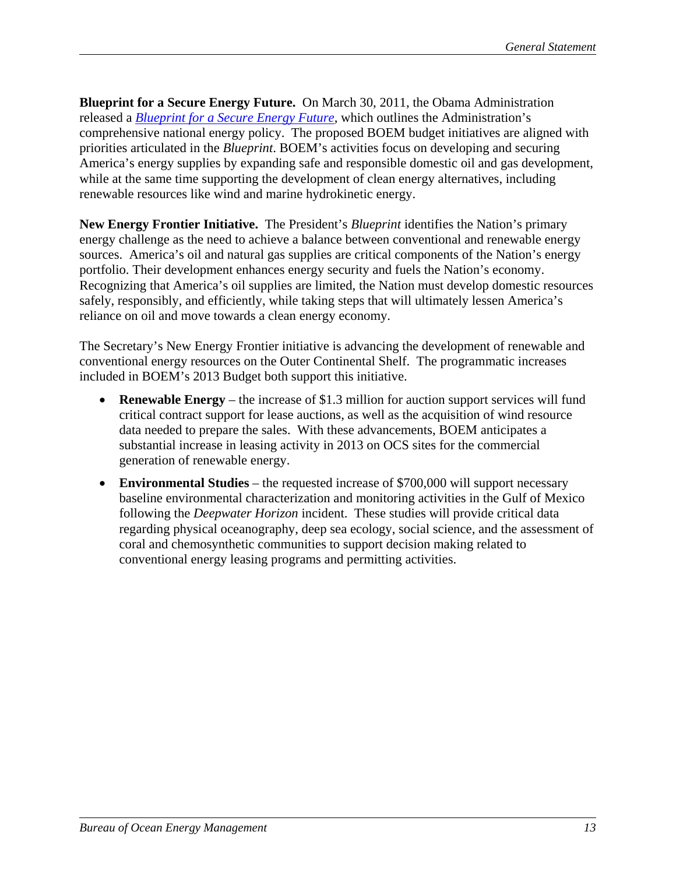**Blueprint for a Secure Energy Future.** On March 30, 2011, the Obama Administration released a *[Blueprint for a Secure Energy Future](http://www.whitehouse.gov/sites/default/files/blueprint_secure_energy_future.pdf)*, which outlines the Administration's comprehensive national energy policy. The proposed BOEM budget initiatives are aligned with priorities articulated in the *Blueprint*. BOEM's activities focus on developing and securing America's energy supplies by expanding safe and responsible domestic oil and gas development, while at the same time supporting the development of clean energy alternatives, including renewable resources like wind and marine hydrokinetic energy.

**New Energy Frontier Initiative.** The President's *Blueprint* identifies the Nation's primary energy challenge as the need to achieve a balance between conventional and renewable energy sources. America's oil and natural gas supplies are critical components of the Nation's energy portfolio. Their development enhances energy security and fuels the Nation's economy. Recognizing that America's oil supplies are limited, the Nation must develop domestic resources safely, responsibly, and efficiently, while taking steps that will ultimately lessen America's reliance on oil and move towards a clean energy economy.

The Secretary's New Energy Frontier initiative is advancing the development of renewable and conventional energy resources on the Outer Continental Shelf. The programmatic increases included in BOEM's 2013 Budget both support this initiative.

- **Renewable Energy** the increase of \$1.3 million for auction support services will fund critical contract support for lease auctions, as well as the acquisition of wind resource data needed to prepare the sales. With these advancements, BOEM anticipates a substantial increase in leasing activity in 2013 on OCS sites for the commercial generation of renewable energy.
- **Environmental Studies** the requested increase of \$700,000 will support necessary baseline environmental characterization and monitoring activities in the Gulf of Mexico following the *Deepwater Horizon* incident. These studies will provide critical data regarding physical oceanography, deep sea ecology, social science, and the assessment of coral and chemosynthetic communities to support decision making related to conventional energy leasing programs and permitting activities.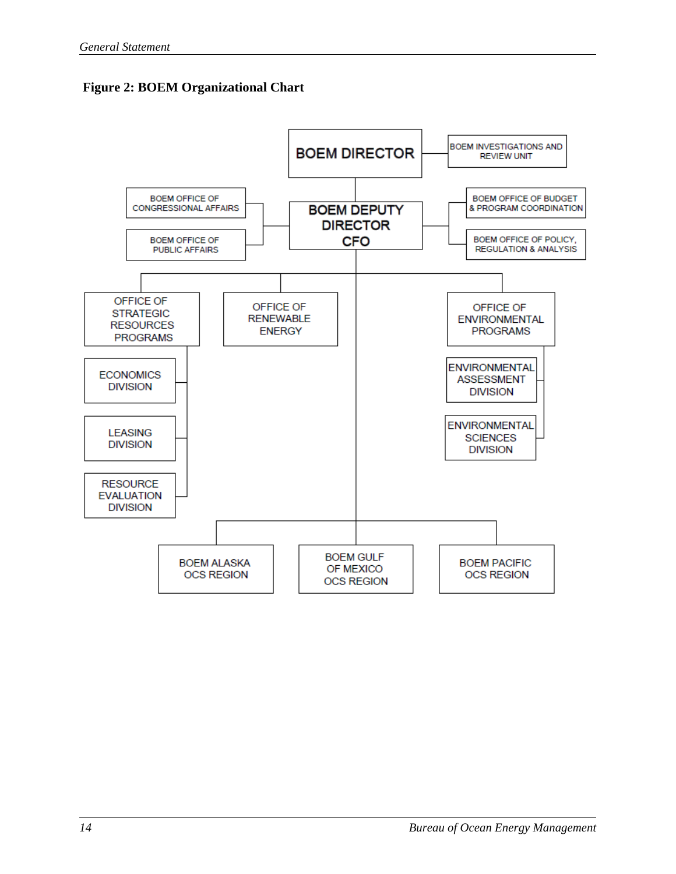

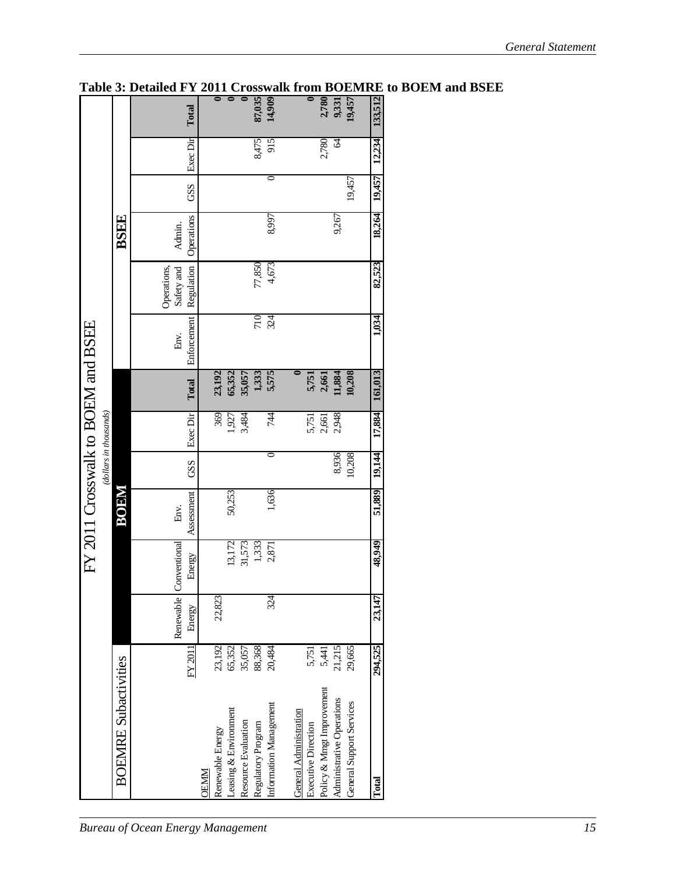|                               |         |           |              | FY 2011 Crosswalk to BOEM and BSEE |         |                        |         |             |                           |            |        |          |           |
|-------------------------------|---------|-----------|--------------|------------------------------------|---------|------------------------|---------|-------------|---------------------------|------------|--------|----------|-----------|
|                               |         |           |              |                                    |         | (dollars in thousands) |         |             |                           |            |        |          |           |
| <b>BOEMRE Subactivities</b>   |         |           |              | <b>NAIOSI</b>                      |         |                        |         |             |                           | BSEE       |        |          |           |
|                               |         |           |              |                                    |         |                        |         |             |                           |            |        |          |           |
|                               |         | Renewable | Conventional | Env.                               |         |                        |         | Env.        | Safety and<br>Operations, | Admin.     |        |          |           |
|                               | FY 2011 | Energy    | Energy       | Assessment                         | GSS     | Exec Dir               | Total   | Enforcement | Regulation                | Operations | GSS    | Exec Dir | Total     |
| MMRIC                         |         |           |              |                                    |         |                        |         |             |                           |            |        |          |           |
| Renewable Energy              | 23,192  | 22,823    |              |                                    |         | 369                    | 23,192  |             |                           |            |        |          |           |
| Leasing & Environment         | 65,352  |           | 13,172       | 50,253                             |         | 1,927                  | 65,352  |             |                           |            |        |          |           |
| Resource Evaluation           | 35,057  |           | 31,573       |                                    |         | 3,484                  | 35,057  |             |                           |            |        |          |           |
| Regulatory Program            | 88,368  |           | 1,333        |                                    |         |                        | 1,333   | 710         | 77,850                    |            |        | 8,475    | 87,035    |
| Information Management        | 20,484  | 324       | 2,871        | 1,636                              | $\circ$ | 74                     | 5,575   | 324         | 4,673                     | 8,997      | 0      | 915      | 14,909    |
| <b>General Administration</b> |         |           |              |                                    |         |                        |         |             |                           |            |        |          |           |
| <b>Executive Direction</b>    | 5,751   |           |              |                                    |         | 5,751                  | 5,751   |             |                           |            |        |          | $\bullet$ |
| Policy & Mmgt Improvement     | 5,441   |           |              |                                    |         | 2,661                  | 2,661   |             |                           |            |        | 2,780    | 2,780     |
| Administrative Operations     | 21,215  |           |              |                                    | 8,936   | 2,948                  | 11,884  |             |                           | 9,267      |        | 2        | 9,331     |
| General Support Services      | 29,665  |           |              |                                    | 10,208  |                        | 10,208  |             |                           |            | 19,457 |          | 19,457    |
| Total                         | 294,525 | 23,147    | 48,949       | 51,889                             | 19,144  | 17,884                 | 161,013 | 1,034       | 82,523                    | 18,264     | 19,457 | 12,234   | 133,512   |

**Table 3: Detailed FY 2011 Crosswalk from BOEMRE to BOEM and BSEE**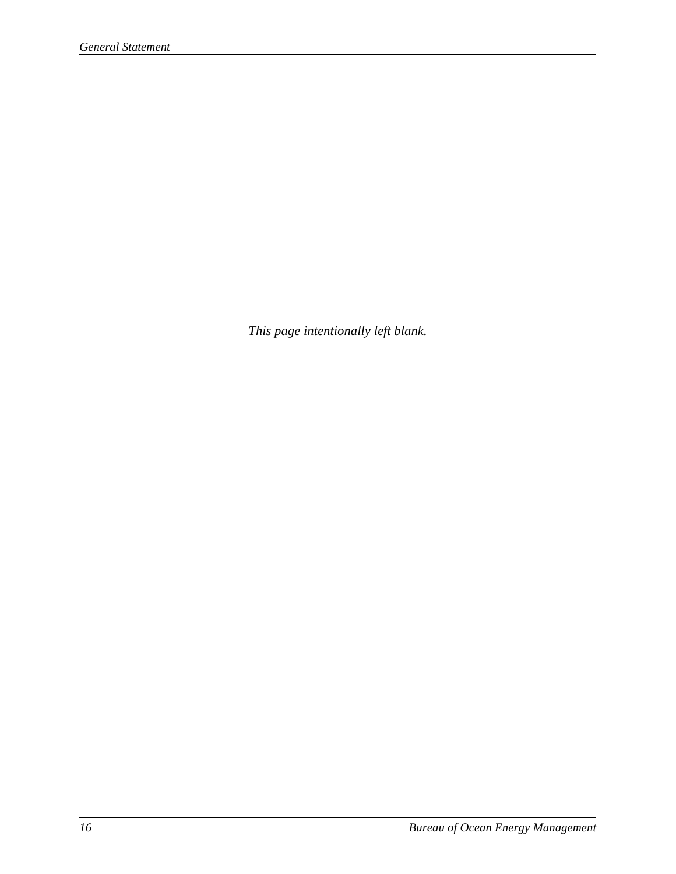*This page intentionally left blank.*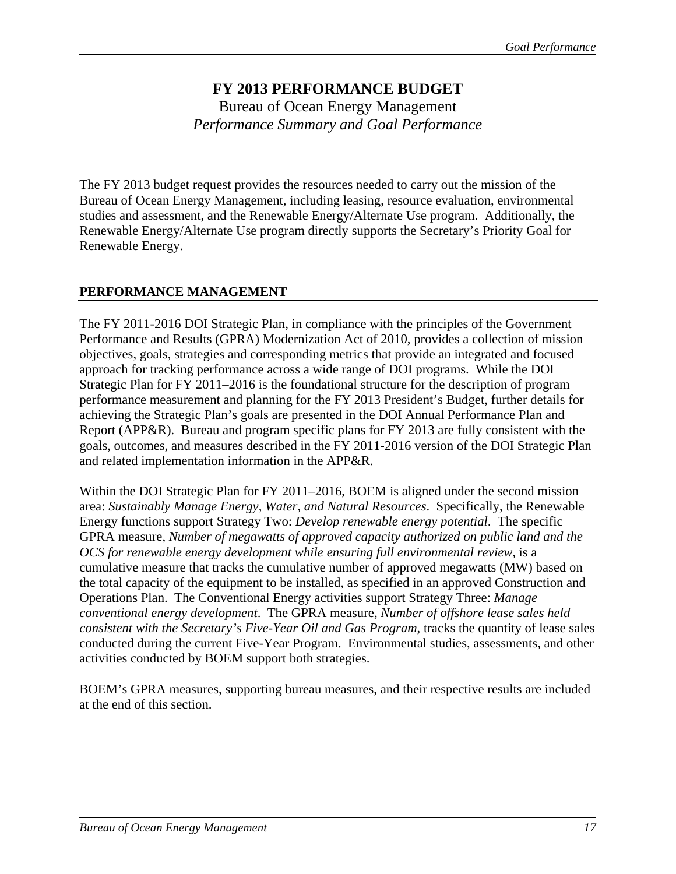## **FY 2013 PERFORMANCE BUDGET**

Bureau of Ocean Energy Management *Performance Summary and Goal Performance* 

The FY 2013 budget request provides the resources needed to carry out the mission of the Bureau of Ocean Energy Management, including leasing, resource evaluation, environmental studies and assessment, and the Renewable Energy/Alternate Use program. Additionally, the Renewable Energy/Alternate Use program directly supports the Secretary's Priority Goal for Renewable Energy.

#### **PERFORMANCE MANAGEMENT**

The FY 2011-2016 DOI Strategic Plan, in compliance with the principles of the Government Performance and Results (GPRA) Modernization Act of 2010, provides a collection of mission objectives, goals, strategies and corresponding metrics that provide an integrated and focused approach for tracking performance across a wide range of DOI programs. While the DOI Strategic Plan for FY 2011–2016 is the foundational structure for the description of program performance measurement and planning for the FY 2013 President's Budget, further details for achieving the Strategic Plan's goals are presented in the DOI Annual Performance Plan and Report (APP&R). Bureau and program specific plans for FY 2013 are fully consistent with the goals, outcomes, and measures described in the FY 2011-2016 version of the DOI Strategic Plan and related implementation information in the APP&R.

Within the DOI Strategic Plan for FY 2011–2016, BOEM is aligned under the second mission area: *Sustainably Manage Energy, Water, and Natural Resources*. Specifically, the Renewable Energy functions support Strategy Two: *Develop renewable energy potential*. The specific GPRA measure, *Number of megawatts of approved capacity authorized on public land and the OCS for renewable energy development while ensuring full environmental review*, is a cumulative measure that tracks the cumulative number of approved megawatts (MW) based on the total capacity of the equipment to be installed, as specified in an approved Construction and Operations Plan. The Conventional Energy activities support Strategy Three: *Manage conventional energy development*. The GPRA measure, *Number of offshore lease sales held consistent with the Secretary's Five-Year Oil and Gas Program*, tracks the quantity of lease sales conducted during the current Five-Year Program. Environmental studies, assessments, and other activities conducted by BOEM support both strategies.

BOEM's GPRA measures, supporting bureau measures, and their respective results are included at the end of this section.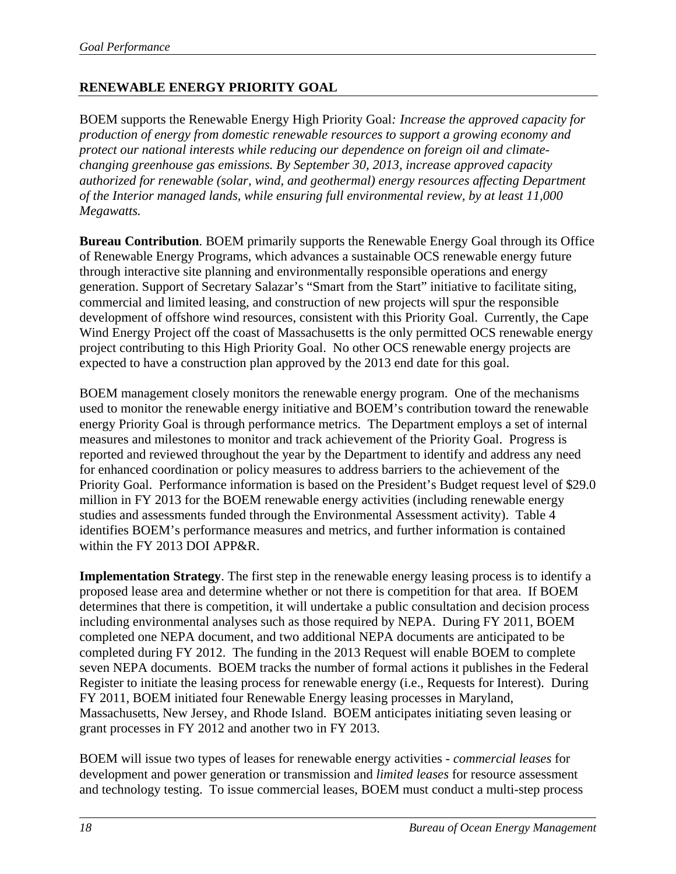### **RENEWABLE ENERGY PRIORITY GOAL**

BOEM supports the Renewable Energy High Priority Goal*: Increase the approved capacity for production of energy from domestic renewable resources to support a growing economy and protect our national interests while reducing our dependence on foreign oil and climatechanging greenhouse gas emissions. By September 30, 2013, increase approved capacity authorized for renewable (solar, wind, and geothermal) energy resources affecting Department of the Interior managed lands, while ensuring full environmental review, by at least 11,000 Megawatts.* 

**Bureau Contribution**. BOEM primarily supports the Renewable Energy Goal through its Office of Renewable Energy Programs, which advances a sustainable OCS renewable energy future through interactive site planning and environmentally responsible operations and energy generation. Support of Secretary Salazar's "Smart from the Start" initiative to facilitate siting, commercial and limited leasing, and construction of new projects will spur the responsible development of offshore wind resources, consistent with this Priority Goal. Currently, the Cape Wind Energy Project off the coast of Massachusetts is the only permitted OCS renewable energy project contributing to this High Priority Goal. No other OCS renewable energy projects are expected to have a construction plan approved by the 2013 end date for this goal.

BOEM management closely monitors the renewable energy program. One of the mechanisms used to monitor the renewable energy initiative and BOEM's contribution toward the renewable energy Priority Goal is through performance metrics. The Department employs a set of internal measures and milestones to monitor and track achievement of the Priority Goal. Progress is reported and reviewed throughout the year by the Department to identify and address any need for enhanced coordination or policy measures to address barriers to the achievement of the Priority Goal. Performance information is based on the President's Budget request level of \$29.0 million in FY 2013 for the BOEM renewable energy activities (including renewable energy studies and assessments funded through the Environmental Assessment activity). Table 4 identifies BOEM's performance measures and metrics, and further information is contained within the FY 2013 DOI APP&R.

**Implementation Strategy**. The first step in the renewable energy leasing process is to identify a proposed lease area and determine whether or not there is competition for that area. If BOEM determines that there is competition, it will undertake a public consultation and decision process including environmental analyses such as those required by NEPA. During FY 2011, BOEM completed one NEPA document, and two additional NEPA documents are anticipated to be completed during FY 2012. The funding in the 2013 Request will enable BOEM to complete seven NEPA documents. BOEM tracks the number of formal actions it publishes in the Federal Register to initiate the leasing process for renewable energy (i.e., Requests for Interest). During FY 2011, BOEM initiated four Renewable Energy leasing processes in Maryland, Massachusetts, New Jersey, and Rhode Island. BOEM anticipates initiating seven leasing or grant processes in FY 2012 and another two in FY 2013.

BOEM will issue two types of leases for renewable energy activities - *commercial leases* for development and power generation or transmission and *limited leases* for resource assessment and technology testing. To issue commercial leases, BOEM must conduct a multi-step process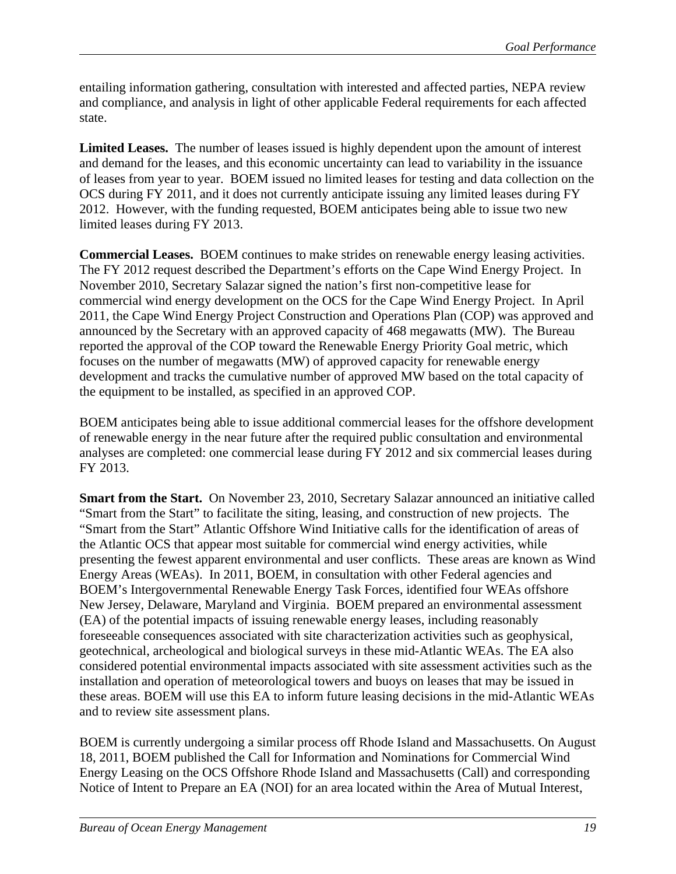entailing information gathering, consultation with interested and affected parties, NEPA review and compliance, and analysis in light of other applicable Federal requirements for each affected state.

**Limited Leases.** The number of leases issued is highly dependent upon the amount of interest and demand for the leases, and this economic uncertainty can lead to variability in the issuance of leases from year to year. BOEM issued no limited leases for testing and data collection on the OCS during FY 2011, and it does not currently anticipate issuing any limited leases during FY 2012. However, with the funding requested, BOEM anticipates being able to issue two new limited leases during FY 2013.

**Commercial Leases.** BOEM continues to make strides on renewable energy leasing activities. The FY 2012 request described the Department's efforts on the Cape Wind Energy Project. In November 2010, Secretary Salazar signed the nation's first non-competitive lease for commercial wind energy development on the OCS for the Cape Wind Energy Project. In April 2011, the Cape Wind Energy Project Construction and Operations Plan (COP) was approved and announced by the Secretary with an approved capacity of 468 megawatts (MW). The Bureau reported the approval of the COP toward the Renewable Energy Priority Goal metric, which focuses on the number of megawatts (MW) of approved capacity for renewable energy development and tracks the cumulative number of approved MW based on the total capacity of the equipment to be installed, as specified in an approved COP.

BOEM anticipates being able to issue additional commercial leases for the offshore development of renewable energy in the near future after the required public consultation and environmental analyses are completed: one commercial lease during FY 2012 and six commercial leases during FY 2013.

**Smart from the Start.** On November 23, 2010, Secretary Salazar announced an initiative called "Smart from the Start" to facilitate the siting, leasing, and construction of new projects. The "Smart from the Start" Atlantic Offshore Wind Initiative calls for the identification of areas of the Atlantic OCS that appear most suitable for commercial wind energy activities, while presenting the fewest apparent environmental and user conflicts. These areas are known as Wind Energy Areas (WEAs). In 2011, BOEM, in consultation with other Federal agencies and BOEM's Intergovernmental Renewable Energy Task Forces, identified four WEAs offshore New Jersey, Delaware, Maryland and Virginia. BOEM prepared an environmental assessment (EA) of the potential impacts of issuing renewable energy leases, including reasonably foreseeable consequences associated with site characterization activities such as geophysical, geotechnical, archeological and biological surveys in these mid-Atlantic WEAs. The EA also considered potential environmental impacts associated with site assessment activities such as the installation and operation of meteorological towers and buoys on leases that may be issued in these areas. BOEM will use this EA to inform future leasing decisions in the mid-Atlantic WEAs and to review site assessment plans.

BOEM is currently undergoing a similar process off Rhode Island and Massachusetts. On August 18, 2011, BOEM published the Call for Information and Nominations for Commercial Wind Energy Leasing on the OCS Offshore Rhode Island and Massachusetts (Call) and corresponding Notice of Intent to Prepare an EA (NOI) for an area located within the Area of Mutual Interest,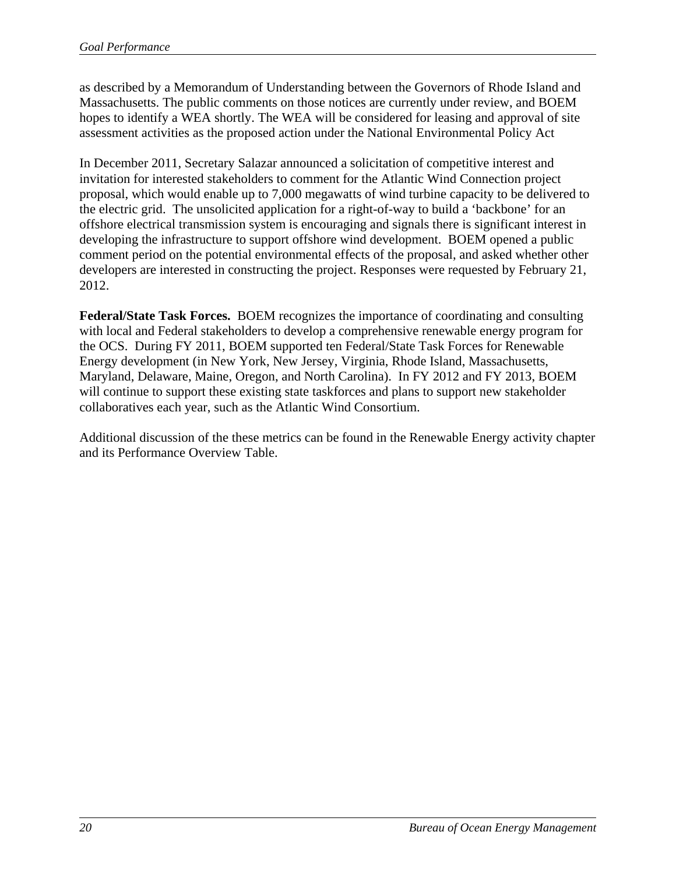as described by a Memorandum of Understanding between the Governors of Rhode Island and Massachusetts. The public comments on those notices are currently under review, and BOEM hopes to identify a WEA shortly. The WEA will be considered for leasing and approval of site assessment activities as the proposed action under the National Environmental Policy Act

In December 2011, Secretary Salazar announced a solicitation of competitive interest and invitation for interested stakeholders to comment for the Atlantic Wind Connection project proposal, which would enable up to 7,000 megawatts of wind turbine capacity to be delivered to the electric grid. The unsolicited application for a right-of-way to build a 'backbone' for an offshore electrical transmission system is encouraging and signals there is significant interest in developing the infrastructure to support offshore wind development. BOEM opened a public comment period on the potential environmental effects of the proposal, and asked whether other developers are interested in constructing the project. Responses were requested by February 21, 2012.

**Federal/State Task Forces.** BOEM recognizes the importance of coordinating and consulting with local and Federal stakeholders to develop a comprehensive renewable energy program for the OCS. During FY 2011, BOEM supported ten Federal/State Task Forces for Renewable Energy development (in New York, New Jersey, Virginia, Rhode Island, Massachusetts, Maryland, Delaware, Maine, Oregon, and North Carolina). In FY 2012 and FY 2013, BOEM will continue to support these existing state taskforces and plans to support new stakeholder collaboratives each year, such as the Atlantic Wind Consortium.

Additional discussion of the these metrics can be found in the Renewable Energy activity chapter and its Performance Overview Table.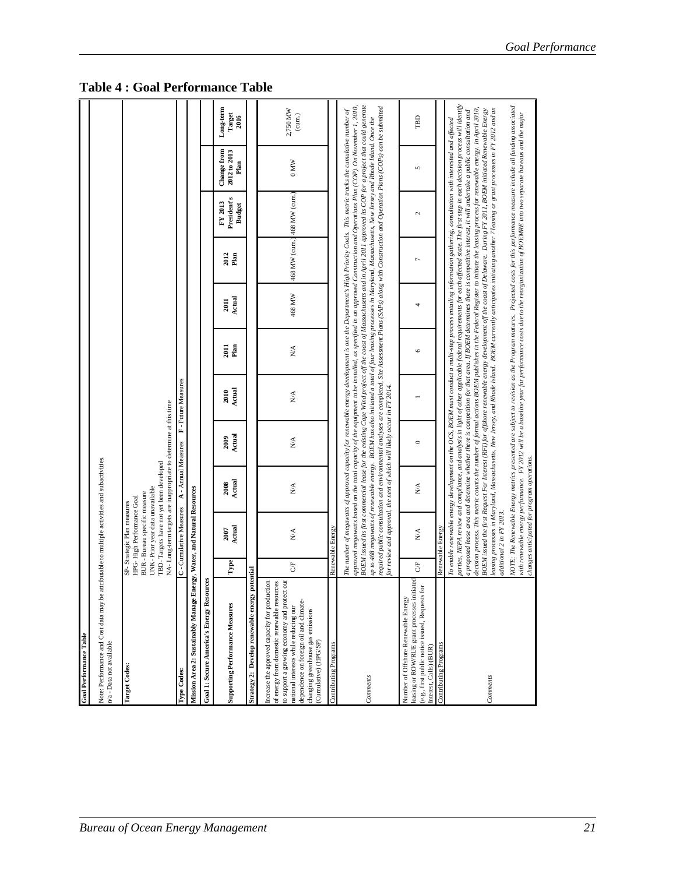**Table 4 : Goal Performance Table** 

|                                          | <b>Goal Performance Table</b>                                                                                                                                                                                                                                                                 |              |                                                                                                                             |                                             |                                                                          |                |              |                |                                                                                                                                                                                                                                                                                                                                                                                                                                                                                                                                                                                                                                                                                                                                                                                                                                                                                                                                                                                                                                                                                                                                                                                                                                                                                                                                                                                                                                     |                                         |                                     |                                        |
|------------------------------------------|-----------------------------------------------------------------------------------------------------------------------------------------------------------------------------------------------------------------------------------------------------------------------------------------------|--------------|-----------------------------------------------------------------------------------------------------------------------------|---------------------------------------------|--------------------------------------------------------------------------|----------------|--------------|----------------|-------------------------------------------------------------------------------------------------------------------------------------------------------------------------------------------------------------------------------------------------------------------------------------------------------------------------------------------------------------------------------------------------------------------------------------------------------------------------------------------------------------------------------------------------------------------------------------------------------------------------------------------------------------------------------------------------------------------------------------------------------------------------------------------------------------------------------------------------------------------------------------------------------------------------------------------------------------------------------------------------------------------------------------------------------------------------------------------------------------------------------------------------------------------------------------------------------------------------------------------------------------------------------------------------------------------------------------------------------------------------------------------------------------------------------------|-----------------------------------------|-------------------------------------|----------------------------------------|
|                                          | Note: Performance and Cost data may be attributable to multiple activities and subactivities.<br>n/a - Data not available                                                                                                                                                                     |              |                                                                                                                             |                                             |                                                                          |                |              |                |                                                                                                                                                                                                                                                                                                                                                                                                                                                                                                                                                                                                                                                                                                                                                                                                                                                                                                                                                                                                                                                                                                                                                                                                                                                                                                                                                                                                                                     |                                         |                                     |                                        |
| <b>Bureau of Ocean Energy Management</b> | Target Codes:                                                                                                                                                                                                                                                                                 |              | UNK-Prior year data unavailable<br>BUR - Bureau specific measure<br>HPG-High Performance Goal<br>SP-Strategic Plan measures | TBD-Targets have not yet been developed     | NA-Long-term targets are inappropriate to determine at this time         |                |              |                |                                                                                                                                                                                                                                                                                                                                                                                                                                                                                                                                                                                                                                                                                                                                                                                                                                                                                                                                                                                                                                                                                                                                                                                                                                                                                                                                                                                                                                     |                                         |                                     |                                        |
|                                          | lype Codes                                                                                                                                                                                                                                                                                    |              | C - Cumulative Measures                                                                                                     |                                             | $A - A$ nnual Measures $F - F$ uture Measures                            |                |              |                |                                                                                                                                                                                                                                                                                                                                                                                                                                                                                                                                                                                                                                                                                                                                                                                                                                                                                                                                                                                                                                                                                                                                                                                                                                                                                                                                                                                                                                     |                                         |                                     |                                        |
|                                          | Mission Area 2: Sustainably Manage                                                                                                                                                                                                                                                            |              | Energy, Water, and Natural Resources                                                                                        |                                             |                                                                          |                |              |                |                                                                                                                                                                                                                                                                                                                                                                                                                                                                                                                                                                                                                                                                                                                                                                                                                                                                                                                                                                                                                                                                                                                                                                                                                                                                                                                                                                                                                                     |                                         |                                     |                                        |
|                                          | ources<br>Goal 1: Secure America's Energy Res                                                                                                                                                                                                                                                 |              |                                                                                                                             |                                             |                                                                          |                |              |                |                                                                                                                                                                                                                                                                                                                                                                                                                                                                                                                                                                                                                                                                                                                                                                                                                                                                                                                                                                                                                                                                                                                                                                                                                                                                                                                                                                                                                                     |                                         |                                     |                                        |
|                                          | <b>Supporting Performance Measures</b>                                                                                                                                                                                                                                                        | ${\bf Type}$ | Actual<br>2007                                                                                                              | Actual<br>2008                              | Actual<br>2009                                                           | Actual<br>2010 | 2011<br>Plan | Actual<br>2011 | $2012$<br>Plan                                                                                                                                                                                                                                                                                                                                                                                                                                                                                                                                                                                                                                                                                                                                                                                                                                                                                                                                                                                                                                                                                                                                                                                                                                                                                                                                                                                                                      | President's<br>FY 2013<br><b>Budget</b> | Change from<br>2012 to 2013<br>Plan | Long-term<br>Target<br>2016            |
|                                          | Strategy 2: Develop renewable energy                                                                                                                                                                                                                                                          | potential    |                                                                                                                             |                                             |                                                                          |                |              |                |                                                                                                                                                                                                                                                                                                                                                                                                                                                                                                                                                                                                                                                                                                                                                                                                                                                                                                                                                                                                                                                                                                                                                                                                                                                                                                                                                                                                                                     |                                         |                                     |                                        |
|                                          | to support a growing economy and protect our<br>Increase the approved capacity for production<br>of energy from domestic renewable resources<br>dependence on foreign oil and climate-<br>national interests while reducing our<br>changing greenhouse gas emissions<br>(Cumulative) (HPG/SP) | 5F           | N/A                                                                                                                         | N/A                                         | N/A                                                                      | N/A            | N/A          | 468 MW         |                                                                                                                                                                                                                                                                                                                                                                                                                                                                                                                                                                                                                                                                                                                                                                                                                                                                                                                                                                                                                                                                                                                                                                                                                                                                                                                                                                                                                                     | 468 MW (cum.) 468 MW (cum.)             | 0 MW                                | 2,750 MW<br>$\left(\text{cum.}\right)$ |
|                                          | Contributing Programs                                                                                                                                                                                                                                                                         |              | Renewable Energy                                                                                                            |                                             |                                                                          |                |              |                |                                                                                                                                                                                                                                                                                                                                                                                                                                                                                                                                                                                                                                                                                                                                                                                                                                                                                                                                                                                                                                                                                                                                                                                                                                                                                                                                                                                                                                     |                                         |                                     |                                        |
|                                          | Comments                                                                                                                                                                                                                                                                                      |              |                                                                                                                             |                                             | for review and approval, the next of which will likely occur in FY 2014. |                |              |                | BOEM issued its first commercial lease for the existing Cape Wind project off the coast of Massachusetts and in April 2011 approved its COP for a project that could generate<br>required public consultation and environmental analyses are completed, Site Assessment Plans (SAPs) along with Construction and Operation Plans (COPs) can be submitted<br>approved megawatts based on the total capacity of the equipment to be installed, as specified in an approved Construction and Operations Plan (COP). On November 1, 2010.<br>The number of megawatts of approved capacity for renewable energy development is one the Department's High Priority Goals. This metric tracks the cumulative number of<br>up to 468 megawatts of renewable energy.  BOEM has also initiated a total of four leasing processes in Maryland, Massachusetts, New Jersey and Rhode Island. Once the                                                                                                                                                                                                                                                                                                                                                                                                                                                                                                                                            |                                         |                                     |                                        |
|                                          | leasing or ROW/RUE grant processes initiated<br>(e.g., first public notice issued, Requests for<br>Number of Offshore Renewable Energy<br>Interest, Calls) (BUR)                                                                                                                              | 5            | ${\bf N} {\mathbb A}$                                                                                                       | ₹                                           | $\circ$                                                                  |                | 6            | 4              | $\overline{ }$                                                                                                                                                                                                                                                                                                                                                                                                                                                                                                                                                                                                                                                                                                                                                                                                                                                                                                                                                                                                                                                                                                                                                                                                                                                                                                                                                                                                                      | $\sim$                                  | 5                                   | TBD                                    |
|                                          | Contributing Programs                                                                                                                                                                                                                                                                         |              | Renewable Energy                                                                                                            |                                             |                                                                          |                |              |                |                                                                                                                                                                                                                                                                                                                                                                                                                                                                                                                                                                                                                                                                                                                                                                                                                                                                                                                                                                                                                                                                                                                                                                                                                                                                                                                                                                                                                                     |                                         |                                     |                                        |
|                                          | Comments                                                                                                                                                                                                                                                                                      |              | additional 2 in FY 2013.                                                                                                    | changes anticipated for program operations. |                                                                          |                |              |                | parties, NEPA review and compliance, and analysis in light of other applicable federal requirements for each affected state. The first step in each decision process will identify<br>NOTE: The Renewable Energy metrics presented are subject to revision as the Program matures. Projected costs for this performance measure include all funding associated<br>leasing processes in Maryland, Massachusetts, New Jersey, and Rhode Island. BOEM currently anticipates initiating another 7 leasing or grant processes in FY 2012 and an<br>decision process. This metric counts the number of formal actions BOEM publishes in the Federal Register to initiate the leasing process for renewable energy. In April 2010,<br>BOEM issued the first Request For Interest (RFI) for offshore renewable energy development of the coast of Delaware. During FY 2011, BOEM initiated Renewable Energy<br>a proposed lease area and determine whether there is competition for that area. If BOEM determines there is competitive interest, it will undertake a public consultation and<br>with renewable energy performance. FY 2012 will be a baseline year for performance costs due to the reorganization of BOEMRE into wo separate bureaus and the major<br>To enable renewable energy development on the OCS, BOEM must conduct a multi-step process entailing information gathering, consultation with interested and affected |                                         |                                     |                                        |
| 21                                       |                                                                                                                                                                                                                                                                                               |              |                                                                                                                             |                                             |                                                                          |                |              |                |                                                                                                                                                                                                                                                                                                                                                                                                                                                                                                                                                                                                                                                                                                                                                                                                                                                                                                                                                                                                                                                                                                                                                                                                                                                                                                                                                                                                                                     |                                         |                                     |                                        |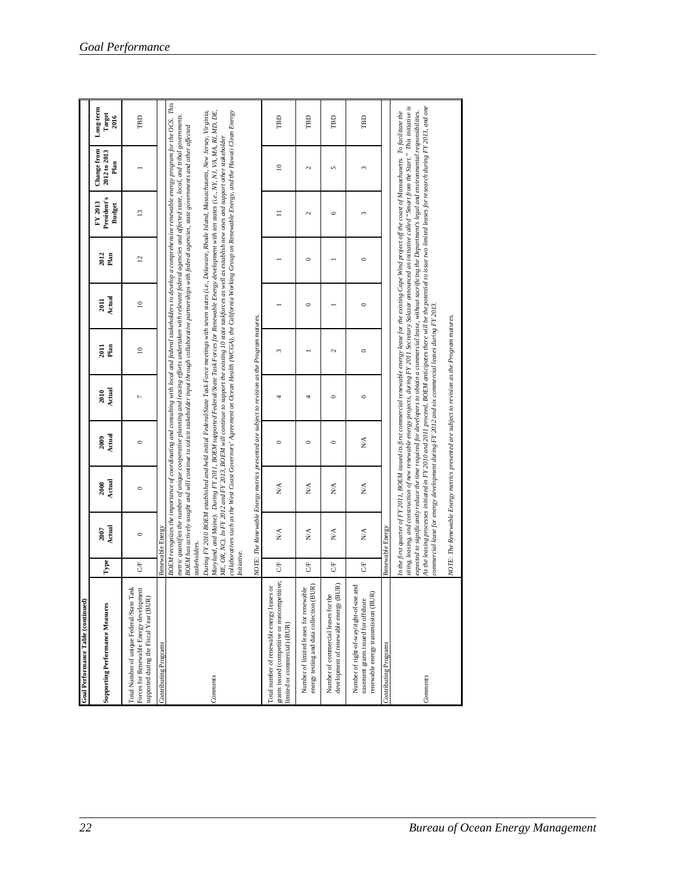| 22                                       | Goal Performance Table (continued)                                                                                                  |             |                         |                         |                |                          |                                                                                                                                                                                                                                                                                                                                                                                                                                                                                                                                                                                                                                                                                                                                                                                                                                                                                                                                                                                                                                                                                                                                                                                                                           |                          |                          |                                         |                                     |                             |
|------------------------------------------|-------------------------------------------------------------------------------------------------------------------------------------|-------------|-------------------------|-------------------------|----------------|--------------------------|---------------------------------------------------------------------------------------------------------------------------------------------------------------------------------------------------------------------------------------------------------------------------------------------------------------------------------------------------------------------------------------------------------------------------------------------------------------------------------------------------------------------------------------------------------------------------------------------------------------------------------------------------------------------------------------------------------------------------------------------------------------------------------------------------------------------------------------------------------------------------------------------------------------------------------------------------------------------------------------------------------------------------------------------------------------------------------------------------------------------------------------------------------------------------------------------------------------------------|--------------------------|--------------------------|-----------------------------------------|-------------------------------------|-----------------------------|
|                                          | <b>Supporting Performance Measures</b>                                                                                              | Type        | Actual<br>2007          | Actual<br>2008          | Actual<br>2009 | Actual<br>2010           | 2011<br>Plan                                                                                                                                                                                                                                                                                                                                                                                                                                                                                                                                                                                                                                                                                                                                                                                                                                                                                                                                                                                                                                                                                                                                                                                                              | Actual<br>2011           | $2012$<br>Plan           | President's<br>FY 2013<br><b>Budget</b> | Change from<br>2012 to 2013<br>Plan | Long-term<br>Target<br>2016 |
|                                          | Total Number of unique Federal/State Task<br>Forces for Renewable Energy development<br>supported during the Fiscal Year (BUR)      | 5           | $\circ$                 | $\circ$                 | $\circ$        | $\overline{\phantom{a}}$ | $\overline{\phantom{0}}$                                                                                                                                                                                                                                                                                                                                                                                                                                                                                                                                                                                                                                                                                                                                                                                                                                                                                                                                                                                                                                                                                                                                                                                                  | $\overline{a}$           | 12                       | $\overline{13}$                         | $\overline{\phantom{0}}$            | TBD                         |
|                                          | Contributing Programs                                                                                                               |             | Renewable Energy        |                         |                |                          |                                                                                                                                                                                                                                                                                                                                                                                                                                                                                                                                                                                                                                                                                                                                                                                                                                                                                                                                                                                                                                                                                                                                                                                                                           |                          |                          |                                         |                                     |                             |
|                                          | Comments                                                                                                                            | Initiative. | stakeholders.           |                         |                |                          | BOEM recognizes the importance of coordinating and consulting with local and federal stakeholders to develop a comprehensive renewable energy program for the OCS. This<br>collaboratives such as the West Coast Governors' Agreement on Ocean Health (WCGA), the California Working Group on Renewable Energy, and the Hawaii Clean Energy<br>During FY 2010 BOEM established and held initial Federal/State Task Force meetings with seven states (i.e., Delaware, Rhode Island, Massachusetts, New Jersey, Virginia,<br>Maryland, and Maine). During FY 2011, BOEM supported Federal/State Task Forces for Renewable Energy development with ten states (i.e., NY, NJ, VA, MA, RJ, ND, DE,<br>metric quantifies the number of unique cooperative planning and leasing efforts undertaken with relevant federal agencies and affected state, local, and tribal governments.<br>BOEM has actively sought and will continue to solicit stakeholder input through collaborative parnerships with federal agencies, state governments and other affected<br>ME, OR, NC). In FY 2012 and FY 2013, BOEM will continue to support the existing 10 state taskforces as well as establish new ones and support other stakeholder |                          |                          |                                         |                                     |                             |
|                                          |                                                                                                                                     |             |                         |                         |                |                          | NOTE: The Renewable Energy metrics presented are subject to revision as the Program matures.                                                                                                                                                                                                                                                                                                                                                                                                                                                                                                                                                                                                                                                                                                                                                                                                                                                                                                                                                                                                                                                                                                                              |                          |                          |                                         |                                     |                             |
|                                          | grants issued (competitive or noncompetitive;<br>Total number of renewable energy leases or<br>limited or commercial) (BUR)         | 5F          | N/A                     | N/A                     | $\circ$        | 4                        | 3                                                                                                                                                                                                                                                                                                                                                                                                                                                                                                                                                                                                                                                                                                                                                                                                                                                                                                                                                                                                                                                                                                                                                                                                                         | -                        | -                        | $\equiv$                                | $\overline{\phantom{0}}$            | TВD                         |
|                                          | energy testing and data collection (BUR)<br>$\overline{e}$<br>Number of limited leases for renewab                                  | 5           | N/A                     | N/A                     | $\circ$        | 4                        | $\overline{ }$                                                                                                                                                                                                                                                                                                                                                                                                                                                                                                                                                                                                                                                                                                                                                                                                                                                                                                                                                                                                                                                                                                                                                                                                            | $\circ$                  | $\circ$                  | $\sim$                                  | $\sim$                              | TВD                         |
|                                          | $\widetilde{\mathbb{E}}$<br>Number of commercial leases for the<br>development of renewable energy (BI                              | 5           | N/A                     | ₹                       | $\circ$        | $\circ$                  | $\sim$                                                                                                                                                                                                                                                                                                                                                                                                                                                                                                                                                                                                                                                                                                                                                                                                                                                                                                                                                                                                                                                                                                                                                                                                                    | $\overline{\phantom{0}}$ | $\overline{\phantom{0}}$ | 6                                       | 5                                   | TBD                         |
|                                          | $\overline{a}$<br>renewable energy transmission (BUR)<br>Number of right-of-way/right-of-use<br>easement grants issued for offshore | 5           | $\mathbf{N}/\mathbf{A}$ | $\mathbf{N}/\mathbf{A}$ | ΧŅ.            | $\circ$                  | $\circ$                                                                                                                                                                                                                                                                                                                                                                                                                                                                                                                                                                                                                                                                                                                                                                                                                                                                                                                                                                                                                                                                                                                                                                                                                   | $\circ$                  | $\circ$                  | 3                                       | $\epsilon$                          | TВD                         |
|                                          | Contributing Programs                                                                                                               |             | Renewable Energy        |                         |                |                          |                                                                                                                                                                                                                                                                                                                                                                                                                                                                                                                                                                                                                                                                                                                                                                                                                                                                                                                                                                                                                                                                                                                                                                                                                           |                          |                          |                                         |                                     |                             |
|                                          | Comments                                                                                                                            |             |                         |                         |                |                          | As the leasing processes initiated in FY 2010 and 2011 proceed, BOEM anticipates there will be the potential to issue two limited leases for research during FY 2013, and one<br>sting, leasing, and construction of new renewable energy projects, during FY 2011 Secretary Salazar announced an initiative called "Smart from the Start." This initiative is<br>expected to significantly reduce the time required for developers to obtain a commercial lease, without sacrificing the Department's legal and environmental responsibilities.<br>In the first quarter of FY 2011, BOEM issued its first commercial renewable energy lease for the existing Cape Wind project off the coast of Massachusetts. To facilitate the<br>commercial lease for energy development during FY 2012 and six commercial leases during FY 2013.<br>NOTE: The Renewable Energy metrics presented are subject to revision as the Program matures.                                                                                                                                                                                                                                                                                     |                          |                          |                                         |                                     |                             |
| <b>Bureau of Ocean Energy Management</b> |                                                                                                                                     |             |                         |                         |                |                          |                                                                                                                                                                                                                                                                                                                                                                                                                                                                                                                                                                                                                                                                                                                                                                                                                                                                                                                                                                                                                                                                                                                                                                                                                           |                          |                          |                                         |                                     |                             |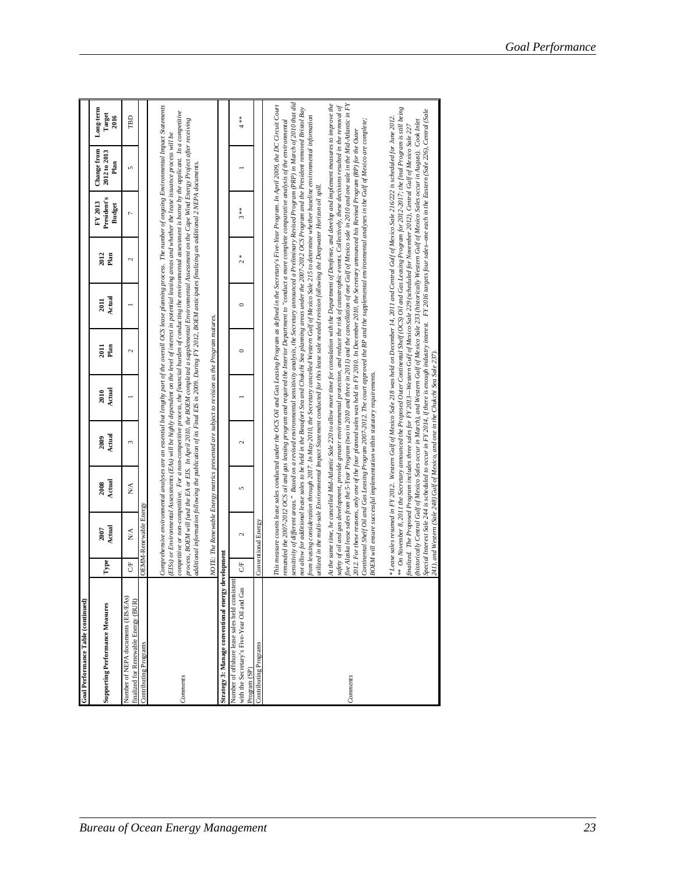|                                          | <b>Goal Performance Table (continued)</b>                                              |                |                              |                                                                                                                                                                |                  |                |                                                                                                                                                        |                |               |                                         |                                                                                                                                                                                                                                                                                                                                                                                                                                                                                                                                                                                                                                                                                                                                                                                                                                                                                                                                                                                                                                                                                                                                                                                                                                                                                                                                                                                                                                                                                                                                                                                                                                                                                                                                                                                                                                                                                                                                                                                                                                                                                                                                                                                                                                                                                                                                                                                                                                                                                                                                                                                                                                                                    |                               |
|------------------------------------------|----------------------------------------------------------------------------------------|----------------|------------------------------|----------------------------------------------------------------------------------------------------------------------------------------------------------------|------------------|----------------|--------------------------------------------------------------------------------------------------------------------------------------------------------|----------------|---------------|-----------------------------------------|--------------------------------------------------------------------------------------------------------------------------------------------------------------------------------------------------------------------------------------------------------------------------------------------------------------------------------------------------------------------------------------------------------------------------------------------------------------------------------------------------------------------------------------------------------------------------------------------------------------------------------------------------------------------------------------------------------------------------------------------------------------------------------------------------------------------------------------------------------------------------------------------------------------------------------------------------------------------------------------------------------------------------------------------------------------------------------------------------------------------------------------------------------------------------------------------------------------------------------------------------------------------------------------------------------------------------------------------------------------------------------------------------------------------------------------------------------------------------------------------------------------------------------------------------------------------------------------------------------------------------------------------------------------------------------------------------------------------------------------------------------------------------------------------------------------------------------------------------------------------------------------------------------------------------------------------------------------------------------------------------------------------------------------------------------------------------------------------------------------------------------------------------------------------------------------------------------------------------------------------------------------------------------------------------------------------------------------------------------------------------------------------------------------------------------------------------------------------------------------------------------------------------------------------------------------------------------------------------------------------------------------------------------------------|-------------------------------|
|                                          | <b>Supporting Performance Measures</b>                                                 | Type           | Actual<br>2007               | $\frac{2008}{\text{Actual}}$                                                                                                                                   | $2009$<br>Actual | Actual<br>2010 | Plan<br>2011                                                                                                                                           | Actual<br>2011 | Plan<br>2012  | President's<br>FY 2013<br><b>Budget</b> | Change from<br>2012 to 2013<br>Plan                                                                                                                                                                                                                                                                                                                                                                                                                                                                                                                                                                                                                                                                                                                                                                                                                                                                                                                                                                                                                                                                                                                                                                                                                                                                                                                                                                                                                                                                                                                                                                                                                                                                                                                                                                                                                                                                                                                                                                                                                                                                                                                                                                                                                                                                                                                                                                                                                                                                                                                                                                                                                                | $Long-term$<br>Target<br>2016 |
|                                          | Number of NEPA documents (EIS/EAs)<br>finalized for Renewable Energy (BUR)             | 5              | OEMM-Renewable Energy<br>N/A | N/A                                                                                                                                                            | ω                |                | Z                                                                                                                                                      |                | $\mathcal{L}$ |                                         | 5                                                                                                                                                                                                                                                                                                                                                                                                                                                                                                                                                                                                                                                                                                                                                                                                                                                                                                                                                                                                                                                                                                                                                                                                                                                                                                                                                                                                                                                                                                                                                                                                                                                                                                                                                                                                                                                                                                                                                                                                                                                                                                                                                                                                                                                                                                                                                                                                                                                                                                                                                                                                                                                                  | TBD                           |
| <b>Bureau of Ocean Energy Management</b> | Contributing Programs<br>Comments                                                      |                |                              |                                                                                                                                                                |                  |                | additional information following the publication of its Final EIS in 2009. During FY 2012, BOEM anticipates finalizing an additional 2 NEPA documents. |                |               |                                         | Comprehensive environmental analyses are an essential but lengthy part of the overall OCS lease planning process. The number of ongoing Environmental Impact Statements<br>competitive or non-competitive. For a non-competitive process, the financial burden of conducting the environmental assessment is borne by the applicant. In a competitive<br>process, BOEM will fund the EA or EIS. In April 2010, the BOEM completed a supplemental Environmental Assessment on the Cape Wind Energy Project after receiving<br>(EISs) or Environmental Assessments (EAs) will be highly dependent on the level of interest in potential leasing areas and whether the lease issuance process will be                                                                                                                                                                                                                                                                                                                                                                                                                                                                                                                                                                                                                                                                                                                                                                                                                                                                                                                                                                                                                                                                                                                                                                                                                                                                                                                                                                                                                                                                                                                                                                                                                                                                                                                                                                                                                                                                                                                                                                 |                               |
|                                          |                                                                                        |                |                              |                                                                                                                                                                |                  |                | NOTE: The Renewable Energy metrics presented are subject to revision as the Program matures.                                                           |                |               |                                         |                                                                                                                                                                                                                                                                                                                                                                                                                                                                                                                                                                                                                                                                                                                                                                                                                                                                                                                                                                                                                                                                                                                                                                                                                                                                                                                                                                                                                                                                                                                                                                                                                                                                                                                                                                                                                                                                                                                                                                                                                                                                                                                                                                                                                                                                                                                                                                                                                                                                                                                                                                                                                                                                    |                               |
|                                          | Number of offshore lease sales held consistent<br>Strategy 3: Manage conventional ener | gy development |                              |                                                                                                                                                                |                  |                |                                                                                                                                                        |                |               |                                         |                                                                                                                                                                                                                                                                                                                                                                                                                                                                                                                                                                                                                                                                                                                                                                                                                                                                                                                                                                                                                                                                                                                                                                                                                                                                                                                                                                                                                                                                                                                                                                                                                                                                                                                                                                                                                                                                                                                                                                                                                                                                                                                                                                                                                                                                                                                                                                                                                                                                                                                                                                                                                                                                    |                               |
|                                          | .as<br>with the Secretary's Five-Year Oil and G<br>Program (SP)                        | 5              | $\mathbf{c}$                 | 5                                                                                                                                                              | $\mathcal{L}$    |                | $\circ$                                                                                                                                                | $\circ$        | $\frac{1}{2}$ | $3**$                                   |                                                                                                                                                                                                                                                                                                                                                                                                                                                                                                                                                                                                                                                                                                                                                                                                                                                                                                                                                                                                                                                                                                                                                                                                                                                                                                                                                                                                                                                                                                                                                                                                                                                                                                                                                                                                                                                                                                                                                                                                                                                                                                                                                                                                                                                                                                                                                                                                                                                                                                                                                                                                                                                                    | $4**$                         |
|                                          | Contributing Programs                                                                  |                | Conventional Energy          |                                                                                                                                                                |                  |                |                                                                                                                                                        |                |               |                                         |                                                                                                                                                                                                                                                                                                                                                                                                                                                                                                                                                                                                                                                                                                                                                                                                                                                                                                                                                                                                                                                                                                                                                                                                                                                                                                                                                                                                                                                                                                                                                                                                                                                                                                                                                                                                                                                                                                                                                                                                                                                                                                                                                                                                                                                                                                                                                                                                                                                                                                                                                                                                                                                                    |                               |
|                                          | Comments                                                                               |                |                              | 241), and Western (Sale 248) Gulf of Mexico, and one in the Chukchi Sea Sale 237)<br>BOEM will ensure successful implementation within statutory requirements. |                  |                | utilized in the multi-sale Environmental Impact Statement conducted for this lease sale needed revision following the Deepwater Horizon oil spill.     |                |               |                                         | sensitivity of different areas." Based on a revised environmental sensitivity analysis, the Secretary announced a Preliminary Revised Program (PRP) in March of 2010 that did<br>five Alaska lease sales from the 5-Year Program (two in 2010 and three in 2011) and the cancellation of one Gulf of Mexico sale in 2010 and one sale in the Mid-Atlantic in FY<br>At the same time, he cancelled Mid-Atlantic Sale 220 to allow more time for consulation with the Department of Denfense, and develop and implement measures to improve the<br>This measure counts lease sales conducted under the OCS Oil and Gas Leasing Program as defined in the Secretary's Five-Year Program. In April 2009, the DC Circuit Court<br>safety of oil and gas development, provide greater environmental protection, and reduce the risk of catastrophic events. Collectively, these decisions resulted in the removal of<br>not allow for additional lease sales to be held in the Beaufort Sea and Chukchi Sea planning areas under the 2007-2012 OCS Program and the President removed Bristol Bay<br>** On November 8, 2011 the Secretary amounced the Proposed Outer Continental Shelf (OCS) Oil and Gas Leasing Program for 2012-2017; the final Program is still being<br>Special Interest Sale 244 is scheduled to occur in FY 2014, if there is enough industry interest. FY 2016 targets four sales-one each in the Eastern (Sale 226), Central (Sale<br>from leasing consideration through 2017. In May 2010, the Secretary cancelled Western Gulf of Mexico Sale 215 to determine whether baseline environmental information<br>* Lease sales resumed in FY 2012. Western Gulf of Mexico Sale 218 was held on December 14. 2011 and Central Gulf of Mexico Sale 216/222 is scheduled for June 2012.<br>Continental Shelf Oil and Gas Leasing Program 2007-2012. The court approved the RP and the supplemental emvironmental analyses in the Gulf of Mexico are complete;<br>remanded the 2007-2012 OCS oil and gas leasing program and required the Interior Department to "conduct a more complete comparative analysis of the environmental<br>(historically Central Gulf of Mexico Sales occur in March), and Western Gulf of Mexico Sale 233 (historically Western Gulf of Mexico Sales occur in August). Cook Inlet<br>finalized. The Proposed Program includes three sales for FY 2013—Western Gulf of Mexico Sule 229 (scheduled for November 2012), Central Gulf of Mexico Sule 227<br>2012. For these reasons, only one of the four planned sales was held in FY 2010. In December 2010, the Secretary announced his Revised Program (RP) for the Outer |                               |
|                                          |                                                                                        |                |                              |                                                                                                                                                                |                  |                |                                                                                                                                                        |                |               |                                         |                                                                                                                                                                                                                                                                                                                                                                                                                                                                                                                                                                                                                                                                                                                                                                                                                                                                                                                                                                                                                                                                                                                                                                                                                                                                                                                                                                                                                                                                                                                                                                                                                                                                                                                                                                                                                                                                                                                                                                                                                                                                                                                                                                                                                                                                                                                                                                                                                                                                                                                                                                                                                                                                    |                               |
| 23                                       |                                                                                        |                |                              |                                                                                                                                                                |                  |                |                                                                                                                                                        |                |               |                                         |                                                                                                                                                                                                                                                                                                                                                                                                                                                                                                                                                                                                                                                                                                                                                                                                                                                                                                                                                                                                                                                                                                                                                                                                                                                                                                                                                                                                                                                                                                                                                                                                                                                                                                                                                                                                                                                                                                                                                                                                                                                                                                                                                                                                                                                                                                                                                                                                                                                                                                                                                                                                                                                                    |                               |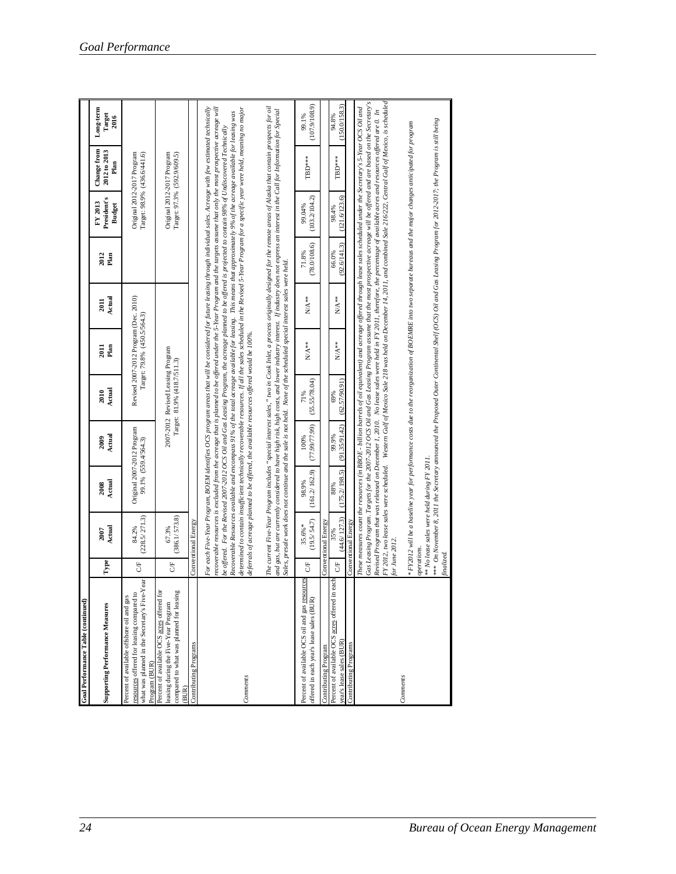| 24                                       | Goal Performance Table (continued)                                                                                                                       |                           |                        |                                             |                                                                                                                                                                                                                                                                                                                                                                                                                                                                                                                                                                                                                                                                                                                                                                                                                                                                                                                                                                                         |                                                                  |                                                                      |                      |                       |                                         |                                                           |                             |
|------------------------------------------|----------------------------------------------------------------------------------------------------------------------------------------------------------|---------------------------|------------------------|---------------------------------------------|-----------------------------------------------------------------------------------------------------------------------------------------------------------------------------------------------------------------------------------------------------------------------------------------------------------------------------------------------------------------------------------------------------------------------------------------------------------------------------------------------------------------------------------------------------------------------------------------------------------------------------------------------------------------------------------------------------------------------------------------------------------------------------------------------------------------------------------------------------------------------------------------------------------------------------------------------------------------------------------------|------------------------------------------------------------------|----------------------------------------------------------------------|----------------------|-----------------------|-----------------------------------------|-----------------------------------------------------------|-----------------------------|
|                                          | <b>Supporting Performance Measures</b>                                                                                                                   | Type                      | Actual<br>2007         | Actual<br>2008                              | Actual<br>2009                                                                                                                                                                                                                                                                                                                                                                                                                                                                                                                                                                                                                                                                                                                                                                                                                                                                                                                                                                          | Actual<br>2010                                                   | $\sum_{\text{Plan}}$                                                 | Actual<br>2011       | Plan<br>2012          | President's<br>FY 2013<br><b>Budget</b> | Change from<br>2012 to 2013<br>Plan                       | Long-term<br>Target<br>2016 |
|                                          | what was planned in the Secretary's Five-Year<br>resources offered for leasing compared to<br>Percent of available offshore oil and gas<br>Program (BUR) | CF                        | (228.5/271.3)<br>84.2% | 99.1% (559.4/564.3)                         | Original 2007-2012 Program                                                                                                                                                                                                                                                                                                                                                                                                                                                                                                                                                                                                                                                                                                                                                                                                                                                                                                                                                              |                                                                  | Revised 2007-2012 Program (Dec. 2010)<br>Target: 79.8% (450.5/564.3) |                      |                       |                                         | Original 2012-2017 Program<br>Target: 98.9% (436.6/441.6) |                             |
|                                          | compared to what was planned for leasing<br>Percent of available OCS acres offered fo<br>leasing during the Five-Year Program<br>(BUR)                   | 5                         | (386.1/573.8)<br>67.3% |                                             |                                                                                                                                                                                                                                                                                                                                                                                                                                                                                                                                                                                                                                                                                                                                                                                                                                                                                                                                                                                         | 2007-2012 Revised Leasing Program<br>Target: 81.9% (418.7/511.3) |                                                                      |                      |                       |                                         | Target: 97.3% (592.9/609.5)<br>Original 2012-2017 Program |                             |
|                                          | Contributing Programs                                                                                                                                    |                           | Conventional Energy    |                                             |                                                                                                                                                                                                                                                                                                                                                                                                                                                                                                                                                                                                                                                                                                                                                                                                                                                                                                                                                                                         |                                                                  |                                                                      |                      |                       |                                         |                                                           |                             |
|                                          | Comments                                                                                                                                                 |                           |                        |                                             | For each Five-Year Program, BOEM identifes: OCS program areas that will be considered for future leasing through individual sales. Acreage with few estimated technically<br>recoverable resources is excluded from the acreage that is planned to be offered under the 5-Year Program and the targets assume that only the most prospective acreage will<br>determined to contain insufficient technically recoverable resources. If all the sales scheduled in the Revised 5-Year Program for a specific year were held, meaning no major<br>Recoverable Resources available and encompass 91% of the total acreage available for leasing. This means that approximately 9% of the acreage available for leasing was<br>be offered. For the Revised 2007-2012 OCS Oil and Gas Leasing Program, the acreage planned to be offered is projected to contain 98% of Undiscovered Technically<br>deferrals of acreage planned to be offered, the available resources offered would be 100% |                                                                  |                                                                      |                      |                       |                                         |                                                           |                             |
|                                          |                                                                                                                                                          |                           |                        |                                             | The current Five-Year Program includes "special interest sales," two in Cook Inlet, a process originally designed for the remote areas of Alaska that contain prospects for oil<br>and gas, but are currently considered to have high risk, high costs, and lower industry interest. If industry does not express an interest in the Call for Information for Special<br>Sales, presale work does not continue and the sale is not held. None of the scheduled special interest sales were held.                                                                                                                                                                                                                                                                                                                                                                                                                                                                                        |                                                                  |                                                                      |                      |                       |                                         |                                                           |                             |
|                                          | ources<br>Percent of available OCS oil and gas reso<br>offered in each year's lease sales (BUR)                                                          | 5F                        | (19.5/54.7)<br>35.6%*  | (161.2/162.9)<br>98.9%                      | (77.9977.99)<br>100%                                                                                                                                                                                                                                                                                                                                                                                                                                                                                                                                                                                                                                                                                                                                                                                                                                                                                                                                                                    | (55.55/78.04)<br>71%                                             | $N/\mathrm{A}^{**}$                                                  | $N/\mathrm{A}^{***}$ | (78.0/108.6)<br>71.8% | (103.2/104.2)<br>99.04%                 | TBD***                                                    | (107.9/108.9)<br>99.1%      |
|                                          | Contributing Program                                                                                                                                     |                           | Conventional Energy    |                                             |                                                                                                                                                                                                                                                                                                                                                                                                                                                                                                                                                                                                                                                                                                                                                                                                                                                                                                                                                                                         |                                                                  |                                                                      |                      |                       |                                         |                                                           |                             |
|                                          | each<br>Percent of available OCS acres offered in<br>year's lease sales (BUR)                                                                            | 5                         | (44.6/127.3)<br>35%    | (175.2/198.5)<br>88%                        | (91.35/91.42)<br>99.9%                                                                                                                                                                                                                                                                                                                                                                                                                                                                                                                                                                                                                                                                                                                                                                                                                                                                                                                                                                  | (62.57/90.91)<br>69%                                             | $N/\mathrm{A}^{**}$                                                  | $N/\mathbf{A}^{**}$  | (92.6/141.3)<br>66.0% | (121.6/123.6)<br>98.4%                  | TBD***                                                    | (150.0/158.3)<br>94.8%      |
|                                          | Contributing Programs                                                                                                                                    |                           | Conventional Energy    |                                             |                                                                                                                                                                                                                                                                                                                                                                                                                                                                                                                                                                                                                                                                                                                                                                                                                                                                                                                                                                                         |                                                                  |                                                                      |                      |                       |                                         |                                                           |                             |
|                                          |                                                                                                                                                          | for June 2012.            |                        |                                             | FY 2012, two lease sales were scheduled.   Western Gulf of Mexico Sale 218 was held on December 14, 2011, and combined Sale 216/222, Central Gulf of Mexico, is scheduled<br>Gas Leasing Program. Targets for the 2007-2012 OCS Oil and Gas Leasing Program assume that the most prospective acreage will be offered and are based on the Secretary's<br>These measures count the resources (in BBOE - billion barrels of oil equivalent) and acreage offered through lease sales scheduled under the Secretary's 5-Year OCS Oil and<br>Revised Program that was released on December 1, 2010. No lease sales were held in FY 2011, therefore, the percentage of available acres and resources offered are 0. In                                                                                                                                                                                                                                                                        |                                                                  |                                                                      |                      |                       |                                         |                                                           |                             |
|                                          | Comments                                                                                                                                                 |                           |                        |                                             | * FY2012 will be a baseline year for performance costs due to the reorganization of BOEMRE into two separate bureaus and the major changes anticipated for program                                                                                                                                                                                                                                                                                                                                                                                                                                                                                                                                                                                                                                                                                                                                                                                                                      |                                                                  |                                                                      |                      |                       |                                         |                                                           |                             |
|                                          |                                                                                                                                                          | operations.<br>finalized. |                        | ** No lease sales were held during FY 2011. | **** On November 8, 2011 the Secretary announced the Proposed Outer Continental Shelf (OCS) Oli and Gas Leasing Program for 2012-2017; the Program is still being                                                                                                                                                                                                                                                                                                                                                                                                                                                                                                                                                                                                                                                                                                                                                                                                                       |                                                                  |                                                                      |                      |                       |                                         |                                                           |                             |
| <b>Bureau of Ocean Energy Management</b> |                                                                                                                                                          |                           |                        |                                             |                                                                                                                                                                                                                                                                                                                                                                                                                                                                                                                                                                                                                                                                                                                                                                                                                                                                                                                                                                                         |                                                                  |                                                                      |                      |                       |                                         |                                                           |                             |
|                                          |                                                                                                                                                          |                           |                        |                                             |                                                                                                                                                                                                                                                                                                                                                                                                                                                                                                                                                                                                                                                                                                                                                                                                                                                                                                                                                                                         |                                                                  |                                                                      |                      |                       |                                         |                                                           |                             |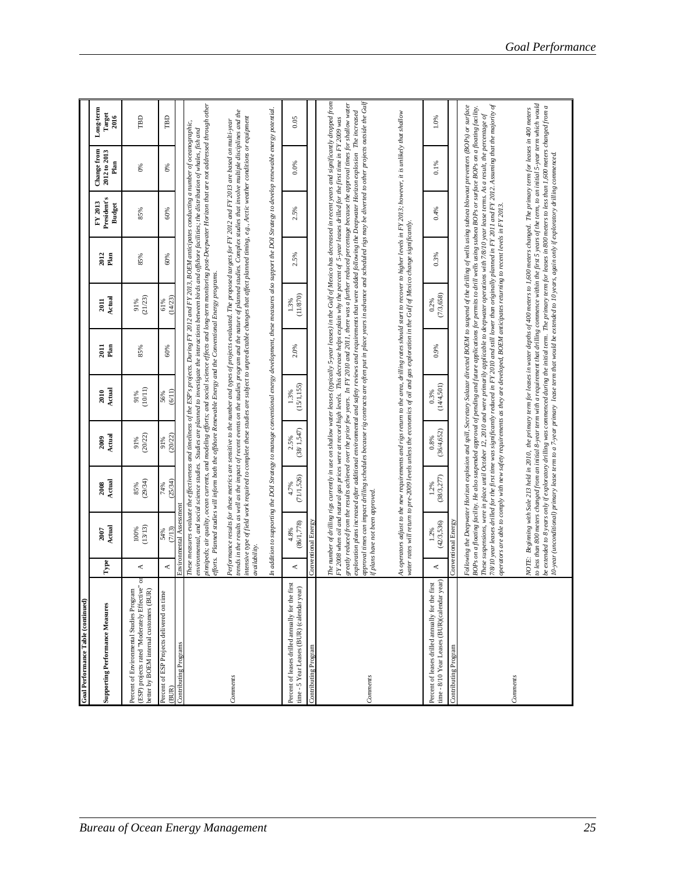|                                          | Goal Performance Table (continued)                                                                                                    |               |                                           |                                                                                                                                                                                                                                                                                                                                                                                                                                                                                                                                                                                                                                                                                                                                                                                                                                                                                                 |                     |                     |              |                    |                |                                         |                                         |                             |
|------------------------------------------|---------------------------------------------------------------------------------------------------------------------------------------|---------------|-------------------------------------------|-------------------------------------------------------------------------------------------------------------------------------------------------------------------------------------------------------------------------------------------------------------------------------------------------------------------------------------------------------------------------------------------------------------------------------------------------------------------------------------------------------------------------------------------------------------------------------------------------------------------------------------------------------------------------------------------------------------------------------------------------------------------------------------------------------------------------------------------------------------------------------------------------|---------------------|---------------------|--------------|--------------------|----------------|-----------------------------------------|-----------------------------------------|-----------------------------|
|                                          | <b>Supporting Performance Measures</b>                                                                                                | ${\rm Type}$  | Actual<br>2007                            | Actual<br>2008                                                                                                                                                                                                                                                                                                                                                                                                                                                                                                                                                                                                                                                                                                                                                                                                                                                                                  | Actual<br>2009      | Actual<br>2010      | 2011<br>Plan | Actual<br>2011     | $2012$<br>Plan | President's<br>FY 2013<br><b>Budget</b> | Change from<br>$2012$ to $2013$<br>Plan | Long-term<br>Target<br>2016 |
|                                          | (ESP) projects rated "Moderately Effective" or<br>better by BOEM internal customers (BUR)<br>Percent of Environmental Studies Program | ∢             | (13/13)<br>100%                           | (29/34)<br>85%                                                                                                                                                                                                                                                                                                                                                                                                                                                                                                                                                                                                                                                                                                                                                                                                                                                                                  | (20/22)<br>91%      | (10/11)<br>91%      | 85%          | (21/23)<br>91%     | 85%            | 85%                                     | $6\%$                                   | TBD                         |
|                                          | Percent of ESP Projects delivered on time<br>Contributing Programs<br>(BUR)                                                           | 4             | Environmental Assessment<br>(7/13)<br>54% | (25/34)<br>74%                                                                                                                                                                                                                                                                                                                                                                                                                                                                                                                                                                                                                                                                                                                                                                                                                                                                                  | (20/22)<br>91%      | (6/11)<br>56%       | 60%          | (14/23)<br>61%     | 60%            | 60%                                     | 6%                                      | TBD                         |
|                                          |                                                                                                                                       |               |                                           | pinnipeds; air quality, ocean currents, and modeling efforts; and social science effects and long-term monitoring post-Deepwater Horizon that are not addressed through other<br>These measures evaluate the effectiveness and timeliness of the ESP's projects. During FY 2012 and FY 2013, BOEM anticipates conducting a number of oceanographic,<br>environmental, and social science studies. Studies are planned to investigate the interactions between birds and offshore facilities; the distribution of whales, fish and<br>efforts. Planned studies will inform both the offshore Renewable Energy and the Conventional Energy programs.                                                                                                                                                                                                                                              |                     |                     |              |                    |                |                                         |                                         |                             |
| <b>Bureau of Ocean Energy Management</b> | Comments                                                                                                                              | availability. |                                           | trends in the results as well as the impact of recent events on the studies program and the nature of planned studies. Complex studies that involve multiple disciplines and the<br>intensive type of field work required to complete these studies are subject to unpredictable changes that affect planned timing, e.g., Arctic weather conditions or equipment<br>Performance results for these metrics are sensitive to the number and types of projects evaluated. The proposed argets for FY 2013 and FY 2013 are based on multi-year                                                                                                                                                                                                                                                                                                                                                     |                     |                     |              |                    |                |                                         |                                         |                             |
|                                          |                                                                                                                                       |               |                                           | In addition to supporting the DOI Strategy to manage conventional energy development, these measures also support the DOI Strategy to develop renewable energy potential.                                                                                                                                                                                                                                                                                                                                                                                                                                                                                                                                                                                                                                                                                                                       |                     |                     |              |                    |                |                                         |                                         |                             |
|                                          | first<br>time - 5 Year Leases (BUR) (calendar year)<br>Percent of leases drilled annually for the                                     | ≺             | (86/1, 778)<br>4.8%                       | (71/1,526)<br>4.7%                                                                                                                                                                                                                                                                                                                                                                                                                                                                                                                                                                                                                                                                                                                                                                                                                                                                              | (38/1, 547)<br>2.5% | (15/1, 155)<br>1.3% | 2.0%         | (11/870)<br>1.3%   | 2.5%           | 2.5%                                    | 0.0%                                    | 0.05                        |
|                                          | Contributing Program                                                                                                                  |               | Conventional Energy                       |                                                                                                                                                                                                                                                                                                                                                                                                                                                                                                                                                                                                                                                                                                                                                                                                                                                                                                 |                     |                     |              |                    |                |                                         |                                         |                             |
|                                          | Comments                                                                                                                              |               | if plans have not been approved.          | approval times can impact drilling schedules because rig contracts are often put in place years in advance and scheduled rigs may be diverted to other projects outside the Gulf<br>The number of drilling rigs currently in use on shallow water leases (typically 5-year leases) in the Gulf of Mexico has decreased in recent years and significantly dropped from<br>greatly reduced from the results achieved over the prior few years. In FY 2010 and 2011, there was a further reduced percentage because the approval times for shallow water<br>FY 2008 when oil and natural gas prices were at record high levels. This decrease helps explain why the percent of 5-year leases drilled for the first time in FY 2009 was<br>exploration plans increased after additional environmental and safety reviews and requirements that were added following the Deepwater Horizon explosion |                     |                     |              |                    |                |                                         |                                         | The increased               |
|                                          |                                                                                                                                       |               |                                           | As operators adjust to the new requirements and rigs return to the area, drilling rates should start to recover to higher levels in FY 2013; however, it is unlikely that shallow<br>water rates will return to pre-2009 levels unless the economics of oil and gas exploration in the Gulf of Mexico change significantly.                                                                                                                                                                                                                                                                                                                                                                                                                                                                                                                                                                     |                     |                     |              |                    |                |                                         |                                         |                             |
|                                          | year)<br>first<br>Percent of leases drilled annually for the<br>ime - 8/10 Year Leases (BUR) (calendar                                | ∢             | (42/3,536)<br>1.2%                        | (38/3,277)<br>1.2%                                                                                                                                                                                                                                                                                                                                                                                                                                                                                                                                                                                                                                                                                                                                                                                                                                                                              | 36/4,652<br>0.8%    | (14/4, 501)<br>0.3% | 0.9%         | (7/3, 658)<br>0.2% | 0.3%           | 0.4%                                    | 0.1%                                    | 1.0%                        |
|                                          | Contributing Program                                                                                                                  |               | Conventional Energy                       |                                                                                                                                                                                                                                                                                                                                                                                                                                                                                                                                                                                                                                                                                                                                                                                                                                                                                                 |                     |                     |              |                    |                |                                         |                                         |                             |
|                                          |                                                                                                                                       |               |                                           | 7/8/10 year leases drilled for the first time was significantly reduced in FY 2010 and still lower than originally planned in FY 2011 and FY 2012. Assuming that the majority of<br>Following the Deepwater Horizon explosion and spill, Secretary Salazar directed BOEM to suspend of the drilling of wells using subsea blowout preventers (BOPs) or surface<br>BOPs on a floating facility. He also suspended approval of pending and future applications for permits to drill wells using subsea BOPs or surface BOPs on a floating facility.<br>These suspensions, were in place until October 12, 2010 and were primarily applicable to deepwater operations with 7/8/10 year lease terms. As a result, the percentage of<br>operators are able to comply with new safety requirements as they are developed, BOEM anticipates returning to recent levels in FY 2013.                     |                     |                     |              |                    |                |                                         |                                         |                             |
|                                          | Comments                                                                                                                              |               |                                           |                                                                                                                                                                                                                                                                                                                                                                                                                                                                                                                                                                                                                                                                                                                                                                                                                                                                                                 |                     |                     |              |                    |                |                                         |                                         |                             |
|                                          |                                                                                                                                       |               |                                           | to less than 800 meters changed from an initial 8-year term with a requirement that drilling commence within the first 5 years of the term, to an initial 5-year term which would<br>be extended to 8 years only if exploratory drilling was commenced during the initial term. The primary term for leases in 800 meters to less than 1,600 meters changed from a<br>NOTE: Beginning with Sale 213 held in 2010, the primary term for leases in water depths of 400 meters to 1,600 meters changed. The primary term for leases in 400 meters<br>10-year (unconditional) primary lease term to a 7-year primary lease term that would be extended to 10 years, again only if exploratory drilling commenced.                                                                                                                                                                                   |                     |                     |              |                    |                |                                         |                                         |                             |
| 25                                       |                                                                                                                                       |               |                                           |                                                                                                                                                                                                                                                                                                                                                                                                                                                                                                                                                                                                                                                                                                                                                                                                                                                                                                 |                     |                     |              |                    |                |                                         |                                         |                             |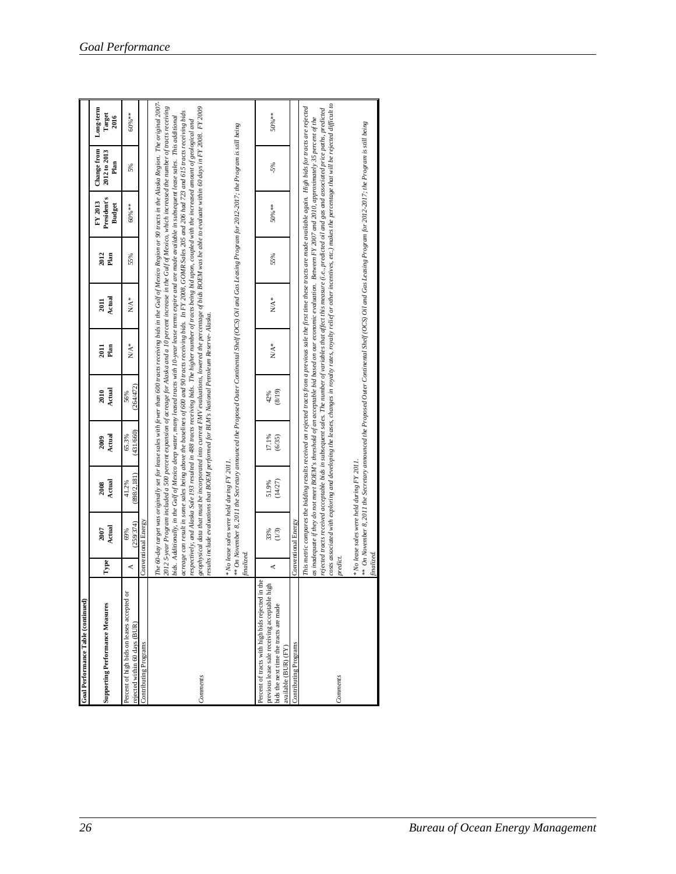| 26                                       | Goal Performance Table (continued)                                                                                                                                    |              |                                         |                                            |                                                                                                                                                                                                                                                                                                                                                                                                                                                                                                                                                                                                                                                                                                                                                                                                                                                                                                                                                                                                                                                                                                                                                                                  |                  |                           |                |              |                                         |                                     |                                     |
|------------------------------------------|-----------------------------------------------------------------------------------------------------------------------------------------------------------------------|--------------|-----------------------------------------|--------------------------------------------|----------------------------------------------------------------------------------------------------------------------------------------------------------------------------------------------------------------------------------------------------------------------------------------------------------------------------------------------------------------------------------------------------------------------------------------------------------------------------------------------------------------------------------------------------------------------------------------------------------------------------------------------------------------------------------------------------------------------------------------------------------------------------------------------------------------------------------------------------------------------------------------------------------------------------------------------------------------------------------------------------------------------------------------------------------------------------------------------------------------------------------------------------------------------------------|------------------|---------------------------|----------------|--------------|-----------------------------------------|-------------------------------------|-------------------------------------|
|                                          | <b>Supporting Performance Measures</b>                                                                                                                                | ${\bf Type}$ | $2007$<br>Actual                        | $\frac{2008}{\text{Actual}}$               | $\begin{array}{c} 2009 \\ \text{Actual} \end{array}$                                                                                                                                                                                                                                                                                                                                                                                                                                                                                                                                                                                                                                                                                                                                                                                                                                                                                                                                                                                                                                                                                                                             | Actual<br>2010   | 2011<br>Plan              | Actual<br>2011 | 2012<br>Plan | President's<br>FY 2013<br><b>Budget</b> | Change from<br>2012 to 2013<br>Plan | Long-term<br>${\bf Target}$<br>2016 |
|                                          | Percent of high bids on leases accepted on<br>rejected within 60 days (BUR)<br><b>Contributing Programs</b>                                                           | $\prec$      | Conventional Energy<br>(259/374)<br>69% | (898/2,181)<br>41.2%                       | 431/660)<br>65.3%                                                                                                                                                                                                                                                                                                                                                                                                                                                                                                                                                                                                                                                                                                                                                                                                                                                                                                                                                                                                                                                                                                                                                                | (264/472)<br>56% | $\sum_{i=1}^{N}$          | $N/A^*$        | 55%          | $60%$ **                                | 5%                                  | $60%$ **                            |
|                                          | Comments                                                                                                                                                              |              |                                         |                                            | The 60-day target was originally set for lease sales with fewer than 600 tracts receiving bids in the Gulf of Mexico Region or 90 tracts in the Alaska Region. The original 2007<br>2012 5-year Program included a 500 percent expansion of acreage for Alaska and a 10 percent increase in the Gulf of Mexico, which increased the number of tracts receiving<br>geophysical data that must be incorporated into current FMV evaluations, lowered the percentage of bids BOEM was be able to evaluate within 60 days in FY 2008. FY 2009<br>acreage can result in some sales being above the baselines of 600 and 90 tracts receiving bids. In FY 2008, GOMR Sales 205 and 206 had 723 and 615 tracts receiving bids<br>bids. Additionally, in the Gulf of Mexico deep water, many leased tracts with 10-year lease terms expire and are made available in subsequent lease sales. This additional<br>respectively, and Alaska Sale 193 resulted in 488 tracts receiving bids. The higher number of tracts being bid upon, coupled with the increased amount of geological and<br>results include evaluations that BOEM performed for BLM's National Petroleum Reserve- Alaska. |                  |                           |                |              |                                         |                                     |                                     |
|                                          |                                                                                                                                                                       | finalized.   |                                         | * No lease sales were held during FY 2011. | ** On November 8, 2011 the Secretary announced the Proposed Outer Continental Shelf(OCS) Oil and Gas Leasing Program for 2012-2017; the Program is still being                                                                                                                                                                                                                                                                                                                                                                                                                                                                                                                                                                                                                                                                                                                                                                                                                                                                                                                                                                                                                   |                  |                           |                |              |                                         |                                     |                                     |
|                                          | n the<br>previous lease sale receiving acceptable high<br>Percent of tracts with high bids rejected<br>bids the next time the tracts are made<br>available (BUR) (FY) | ≺            | (1/3)<br>33%                            | (14/27)<br>51.9%                           | 17.1%<br>(6/35)                                                                                                                                                                                                                                                                                                                                                                                                                                                                                                                                                                                                                                                                                                                                                                                                                                                                                                                                                                                                                                                                                                                                                                  | (8/19)<br>42%    | $\mathbb{N}/\mathbb{A}^*$ | $N/A^*$        | 55%          | 50% **                                  | $-5%$                               | $50\%$ **                           |
|                                          | Contributing Programs                                                                                                                                                 |              | Conventional Energy                     |                                            |                                                                                                                                                                                                                                                                                                                                                                                                                                                                                                                                                                                                                                                                                                                                                                                                                                                                                                                                                                                                                                                                                                                                                                                  |                  |                           |                |              |                                         |                                     |                                     |
|                                          | Comments                                                                                                                                                              | predict.     |                                         |                                            | costs associated with exploring and developing the leases, changes in royalty rates, royalty relief or other incentives, etc.) makes the percentage that will be rejected difficult to<br>This metric compares the bilding results received on rejected tracts from a previous sale the first time these tracts are made available again. High bids for tracts are rejected<br>rejected tracts received acceptable bids in subsequent sales. The number of variables that affect this measure (i.e., predicted oil and gas and associated price paths, predicted<br>as inadequate if they do not meet BOEM's threshold of an acceptable bid based on our economic evaluation. Between FY 2007 and 2010, approximately 35 percent of the                                                                                                                                                                                                                                                                                                                                                                                                                                          |                  |                           |                |              |                                         |                                     |                                     |
|                                          |                                                                                                                                                                       | finalized    |                                         | * No lease sales were held during FY 2011. | ** On November 8, 2011 the Secretary announced the Proposed Outer Continental Shelf (OCS) Oil and Gas Leasing Program for 2012-2017; the Program is still being                                                                                                                                                                                                                                                                                                                                                                                                                                                                                                                                                                                                                                                                                                                                                                                                                                                                                                                                                                                                                  |                  |                           |                |              |                                         |                                     |                                     |
| <b>Bureau of Ocean Energy Management</b> |                                                                                                                                                                       |              |                                         |                                            |                                                                                                                                                                                                                                                                                                                                                                                                                                                                                                                                                                                                                                                                                                                                                                                                                                                                                                                                                                                                                                                                                                                                                                                  |                  |                           |                |              |                                         |                                     |                                     |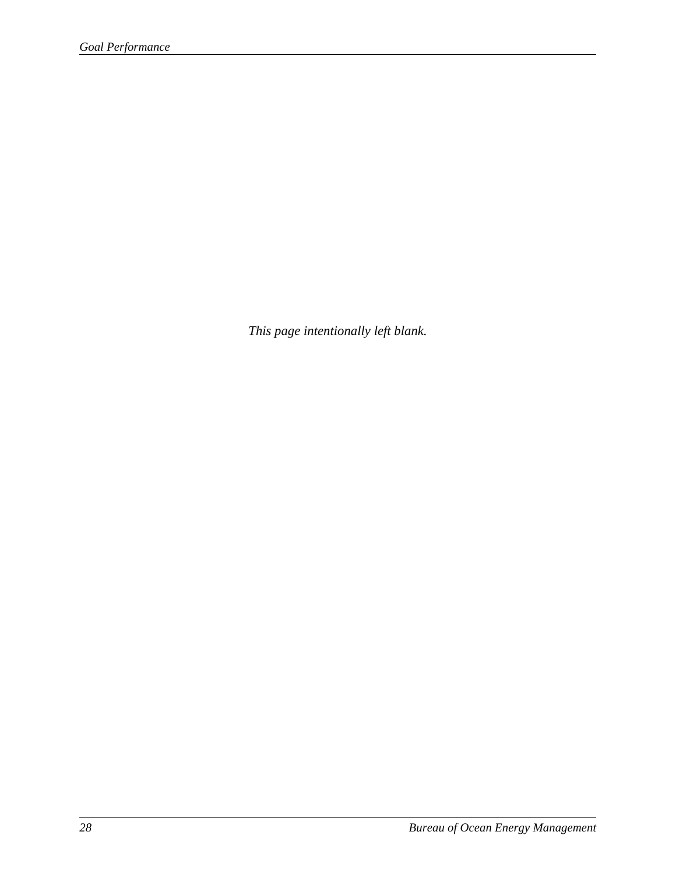*This page intentionally left blank.*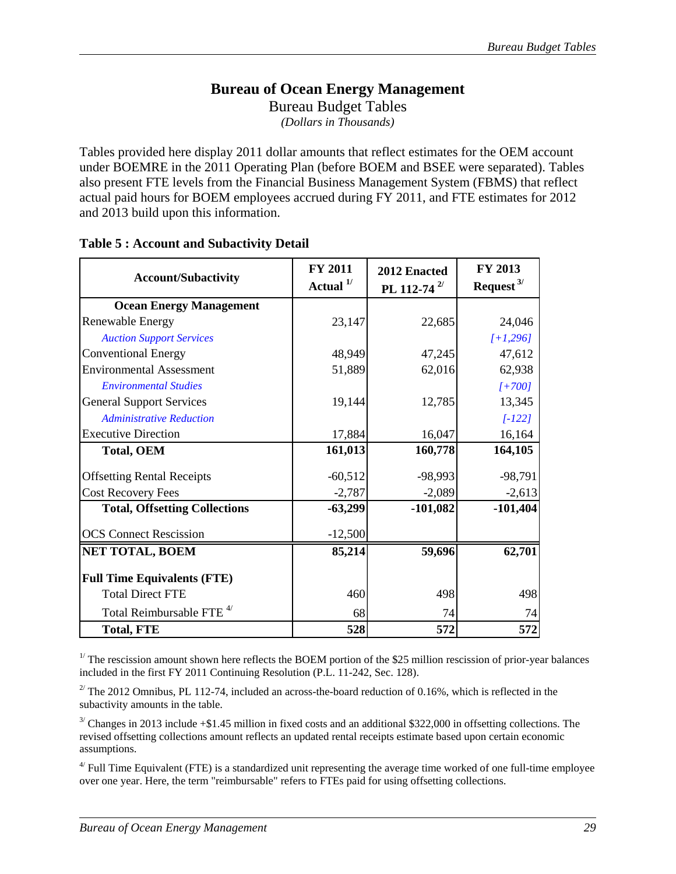## **Bureau of Ocean Energy Management**

Bureau Budget Tables

*(Dollars in Thousands)* 

Tables provided here display 2011 dollar amounts that reflect estimates for the OEM account under BOEMRE in the 2011 Operating Plan (before BOEM and BSEE were separated). Tables also present FTE levels from the Financial Business Management System (FBMS) that reflect actual paid hours for BOEM employees accrued during FY 2011, and FTE estimates for 2012 and 2013 build upon this information.

| <b>Account/Subactivity</b>           | <b>FY 2011</b><br>Actual $1/$ | 2012 Enacted<br>PL 112-74 $^{2/}$ | FY 2013<br>Request $3/$ |
|--------------------------------------|-------------------------------|-----------------------------------|-------------------------|
| <b>Ocean Energy Management</b>       |                               |                                   |                         |
| Renewable Energy                     | 23,147                        | 22,685                            | 24,046                  |
| <b>Auction Support Services</b>      |                               |                                   | $[-1, 296]$             |
| <b>Conventional Energy</b>           | 48,949                        | 47,245                            | 47,612                  |
| <b>Environmental Assessment</b>      | 51,889                        | 62,016                            | 62,938                  |
| <b>Environmental Studies</b>         |                               |                                   | $[+700]$                |
| <b>General Support Services</b>      | 19,144                        | 12,785                            | 13,345                  |
| <b>Administrative Reduction</b>      |                               |                                   | $[-122]$                |
| <b>Executive Direction</b>           | 17,884                        | 16,047                            | 16,164                  |
| <b>Total, OEM</b>                    | 161,013                       | 160,778                           | 164,105                 |
| <b>Offsetting Rental Receipts</b>    | $-60,512$                     | -98,993                           | $-98,791$               |
| <b>Cost Recovery Fees</b>            | $-2,787$                      | $-2,089$                          | $-2,613$                |
| <b>Total, Offsetting Collections</b> | $-63,299$                     | $-101,082$                        | $-101,404$              |
| <b>OCS</b> Connect Rescission        | $-12,500$                     |                                   |                         |
| <b>NET TOTAL, BOEM</b>               | 85,214                        | 59,696                            | 62,701                  |
| <b>Full Time Equivalents (FTE)</b>   |                               |                                   |                         |
| <b>Total Direct FTE</b>              | 460                           | 498                               | 498                     |
| Total Reimbursable FTE <sup>4/</sup> | 68                            | 74                                | 74                      |
| <b>Total, FTE</b>                    | 528                           | 572                               | 572                     |

#### **Table 5 : Account and Subactivity Detail**

 $1/$  The rescission amount shown here reflects the BOEM portion of the \$25 million rescission of prior-year balances included in the first FY 2011 Continuing Resolution (P.L. 11-242, Sec. 128).

 $^{2}$  The 2012 Omnibus, PL 112-74, included an across-the-board reduction of 0.16%, which is reflected in the subactivity amounts in the table.

 $3/$  Changes in 2013 include  $+$ \$1.45 million in fixed costs and an additional \$322,000 in offsetting collections. The revised offsetting collections amount reflects an updated rental receipts estimate based upon certain economic assumptions.

 $4$  Full Time Equivalent (FTE) is a standardized unit representing the average time worked of one full-time employee over one year. Here, the term "reimbursable" refers to FTEs paid for using offsetting collections.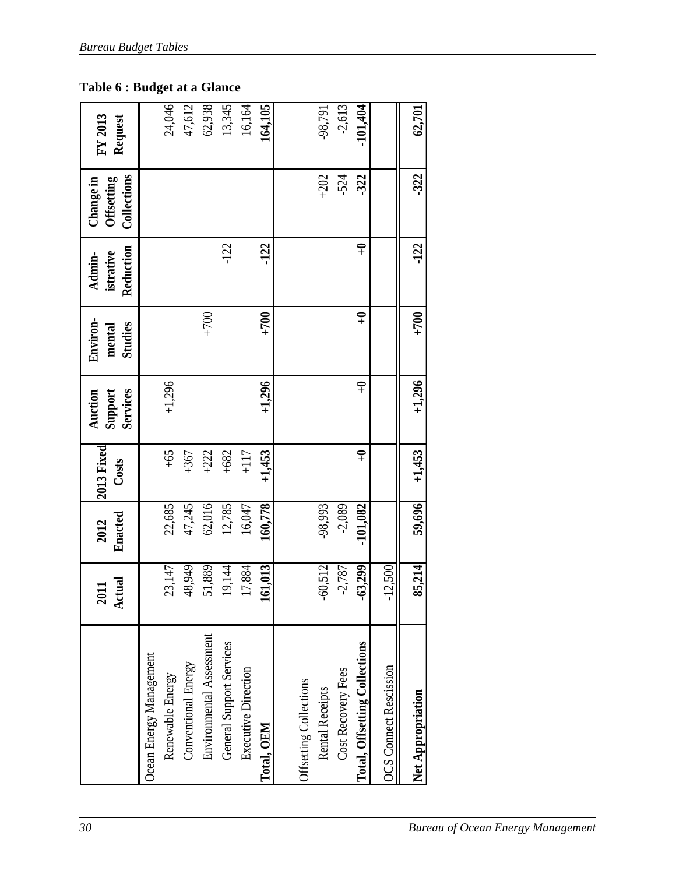**Table 6 : Budget at a Glance** 

|                               | Actual<br>2011 | Enacted<br>2012 | 2013 Fixed<br>Costs     | Services<br>Support<br>Auction | Environ-<br><b>Studies</b><br>mental | Reduction<br>istrative<br>Admin- | Collections<br>Offsetting<br>Change in | FY 2013<br>Request |
|-------------------------------|----------------|-----------------|-------------------------|--------------------------------|--------------------------------------|----------------------------------|----------------------------------------|--------------------|
| Ocean Energy Management       |                |                 |                         |                                |                                      |                                  |                                        |                    |
| Renewable Energy              | 23,147         | 22,685          | $-65$                   | $+1,296$                       |                                      |                                  |                                        | 24,046             |
| Conventional Energy           | 48,949         | 47,245          | $+367$                  |                                |                                      |                                  |                                        | 47,612             |
| Environmental Assessment      | 51,889         | 62,016          | $+222$                  |                                | $+700$                               |                                  |                                        | 62,938             |
| General Support Services      | 19,144         | 12,785          | $+682$                  |                                |                                      | $-122$                           |                                        | 13,345             |
| <b>Executive Direction</b>    | 17,884         | 16,047          | $+117$                  |                                |                                      |                                  |                                        | 16,164             |
| Total, OEM                    | [61,013]       | 160,778         | $+1,453$                | $+1,296$                       | $+700$                               | -122                             |                                        | 164,105            |
|                               |                |                 |                         |                                |                                      |                                  |                                        |                    |
| Offsetting Collections        |                |                 |                         |                                |                                      |                                  |                                        |                    |
| Rental Receipts               | $-60,512$      | $-98,993$       |                         |                                |                                      |                                  | $+202$                                 | $-98,791$          |
| Cost Recovery Fees            | $-2,787$       | $-2,089$        |                         |                                |                                      |                                  | $-524$                                 | $-2,613$           |
| Total, Offsetting Collections | $-63,299$      | $-101,082$      | $\widehat{\mathcal{F}}$ | $\widehat{\mathcal{F}}$        | $\widehat{\mathcal{F}}$              | $\widehat{+}$                    | -322                                   | $-101,404$         |
| <b>OCS</b> Connect Rescission | $-12,500$      |                 |                         |                                |                                      |                                  |                                        |                    |
| Net Appropriation             | 85,214         | 59,696          | $+1,453$                | $+1,296$                       | $+700$                               | $-122$                           | -322                                   | 62,701             |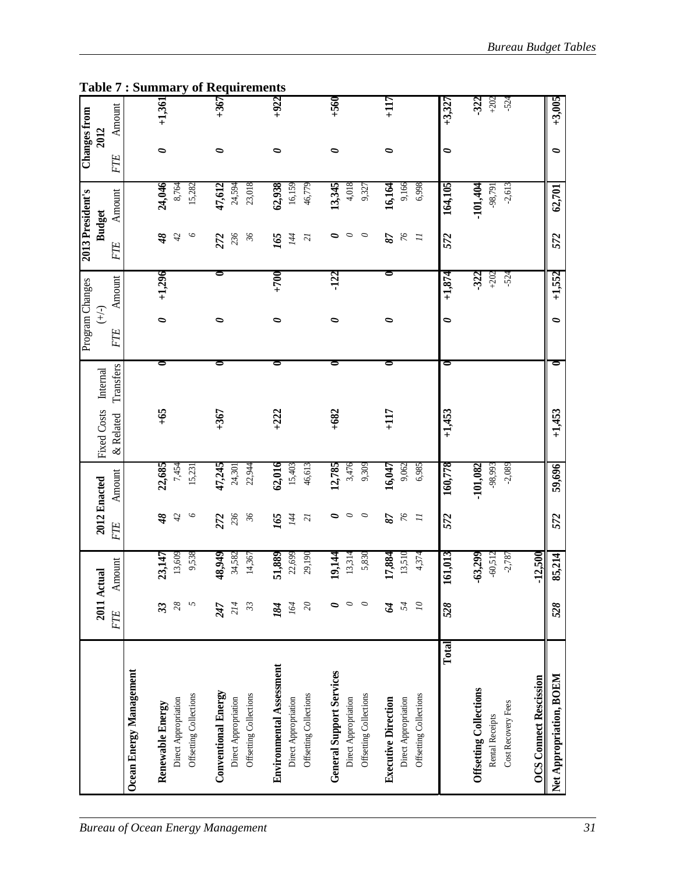|                                                             |           | <b>Table 7: Summary</b> |                            |                      |                        |                            |                      |                               | of Requirements                 |                      |                        |                                 |                      |                        |                            |                           |                          |           |                               |                 |                    |                               |                         |
|-------------------------------------------------------------|-----------|-------------------------|----------------------------|----------------------|------------------------|----------------------------|----------------------|-------------------------------|---------------------------------|----------------------|------------------------|---------------------------------|----------------------|------------------------|----------------------------|---------------------------|--------------------------|-----------|-------------------------------|-----------------|--------------------|-------------------------------|-------------------------|
| <b>Changes</b> from<br>2012                                 | Amount    |                         | $+1,361$                   |                      |                        | $+367$                     |                      |                               | $+922$                          |                      |                        | $+560$                          |                      |                        | $+117$                     |                           |                          | $+3,327$  | $-322$                        | $+202$          | $-524$             |                               | $+3,005$                |
|                                                             | $FTE$     |                         | $\bullet$                  |                      |                        | $\bullet$                  |                      |                               | $\bullet$                       |                      |                        | $\bullet$                       |                      |                        | $\bullet$                  |                           |                          | 0         |                               |                 |                    |                               | $\bullet$               |
|                                                             | Amount    |                         | 24,046                     | 8,764                | 15,282                 | 47,612                     | 24,594               | 23,018                        | 62,938                          | 16,159               | 46,779                 | 13,345                          | 4,018                | 9,327                  | 16,164                     | 9,166                     | 6,998                    | 164,105   | $-101,404$                    | $-98,791$       | $-2,613$           |                               | 62,701                  |
| 2013 President's<br><b>Budget</b>                           | $FTE$     |                         | $\boldsymbol{\mathscr{F}}$ | 42                   | $\circ$                | 272                        | 236                  | $\mathcal{L}$                 | 165                             | 144                  | 21                     | $\bullet$                       | $\circ$              | $\circ$                | 87                         | $\beta$                   | $\overline{1}$           | 572       |                               |                 |                    |                               | 572                     |
|                                                             | Amount    |                         | $+1,296$                   |                      |                        | $\bullet$                  |                      |                               | $+700$                          |                      |                        | $-122$                          |                      |                        | $\bullet$                  |                           |                          | $+1,874$  | $-322$                        | $+202$          | $-524$             |                               | $+1,552$                |
| Program Changes<br>$\begin{pmatrix} -1 \\ +1 \end{pmatrix}$ | FTE       |                         | $\bullet$                  |                      |                        | $\bullet$                  |                      |                               | $\bullet$                       |                      |                        | $\bullet$                       |                      |                        | $\bullet$                  |                           |                          | $\bullet$ |                               |                 |                    |                               | $\bullet$               |
| Internal                                                    | Transfers |                         | $\bullet$                  |                      |                        | $\bullet$                  |                      |                               | $\bullet$                       |                      |                        | $\bullet$                       |                      |                        | $\bullet$                  |                           |                          | $\bullet$ |                               |                 |                    |                               | 0                       |
| <b>Fixed Costs</b>                                          | & Related |                         | $\frac{59}{7}$             |                      |                        | $+367$                     |                      |                               | $+222$                          |                      |                        | $+682$                          |                      |                        | $+117$                     |                           |                          | $+1,453$  |                               |                 |                    |                               | $+1,453$                |
|                                                             | Amount    |                         | 22,685                     | 7,454                | 15,231                 | 47,245                     | 24,301               | 22,944                        | 62,016                          | 15,403               | 46,613                 | 12,785                          | 3,476                | 9,309                  | 16,047                     | 9,062                     | 6,985                    | 160,778   | $-101,082$                    | $-98,993$       | $-2,089$           |                               | 59,696                  |
| 2012 Enacted                                                | FTE       |                         | 48                         | 42                   | $\circ$                | 272                        | 236                  | $\mathfrak{z}_{\mathfrak{c}}$ | 165                             | 144                  | 21                     | $\bullet$                       | $\circ$              | $\circ$                | 87                         | $\widetilde{\mathcal{H}}$ | $\overline{1}$           | 572       |                               |                 |                    |                               | 572                     |
|                                                             | Amount    |                         | 23,147                     | 13,609               | 9,538                  | 8,949<br>4                 | 34,582               | 14,367                        | 51,889                          | 22,699               | 29,190                 | 9,144                           | 13,314               | 5,830                  | 7,884                      | 13,510                    | 4,374                    | 161,013   | $-63,299$                     | $-60,512$       | $-2,787$           | $-12,500$                     | 85,214                  |
| 2011 Actual                                                 | FTE       |                         | 33                         | 28                   | 5                      | 247                        | 214                  | 33                            | 184                             | 164                  | $20\,$                 | ∘                               | $\circ$              | $\circ$                | 2                          | 54                        | $\overline{\mathcal{L}}$ | 528       |                               |                 |                    |                               | 528                     |
|                                                             |           | Ocean Energy Management | Renewable Energy           | Direct Appropriation | Offsetting Collections | <b>Conventional Energy</b> | Direct Appropriation | Offsetting Collections        | <b>Environmental Assessment</b> | Direct Appropriation | Offsetting Collections | <b>General Support Services</b> | Direct Appropriation | Offsetting Collections | <b>Executive Direction</b> | Direct Appropriation      | Offsetting Collections   | Total     | <b>Offsetting Collections</b> | Rental Receipts | Cost Recovery Fees | <b>OCS Connect Rescission</b> | Net Appropriation, BOEM |

*Bureau of Ocean Energy Management 31*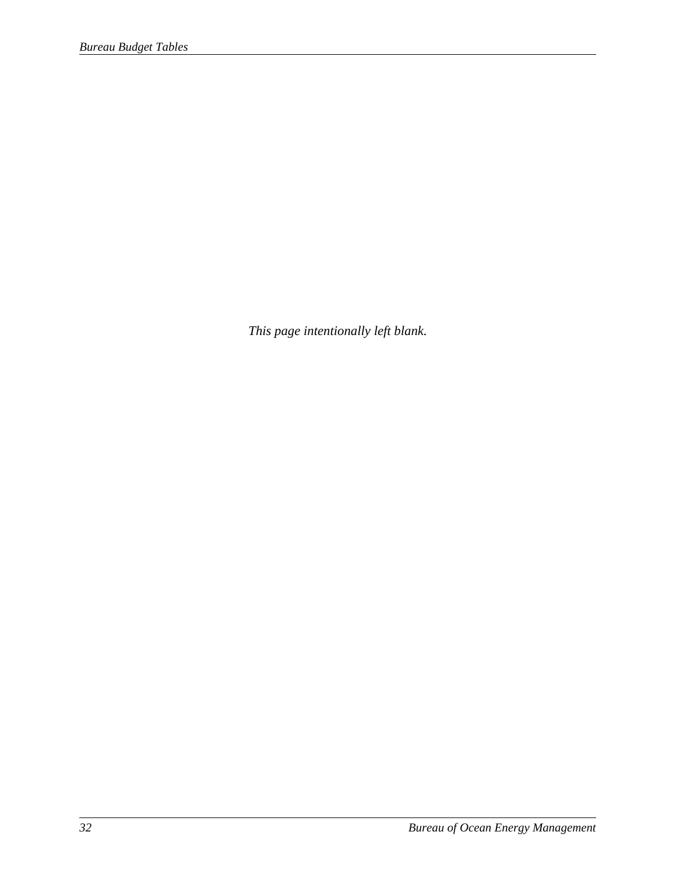*This page intentionally left blank.*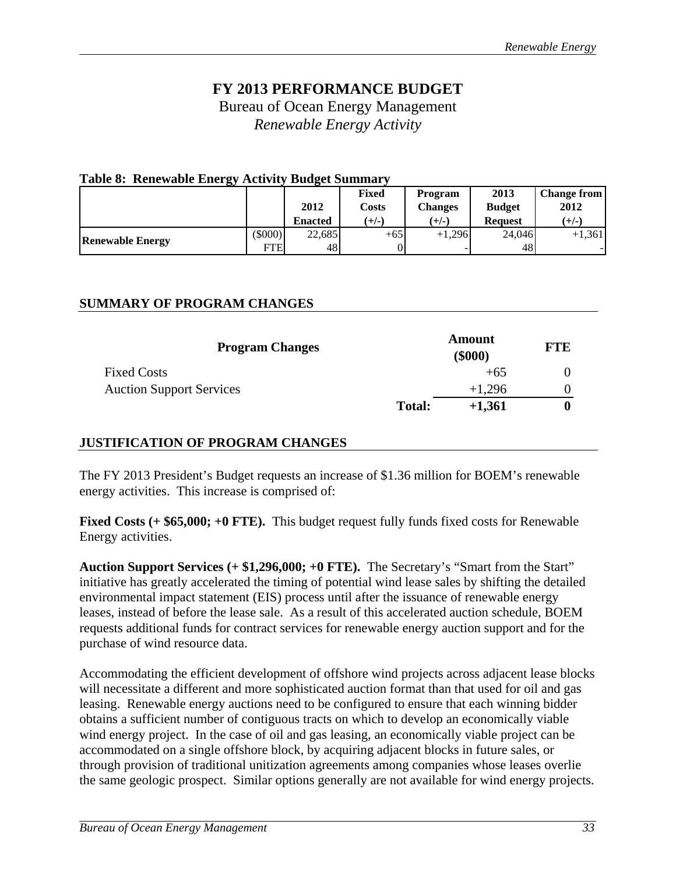## **FY 2013 PERFORMANCE BUDGET**

## Bureau of Ocean Energy Management *Renewable Energy Activity*

| Table 8: Renewable Energy Activity Budget Summary |  |  |
|---------------------------------------------------|--|--|
|                                                   |  |  |

|                         |                |                | <b>Fixed</b> | Program        | 2013           | <b>Change from</b> |
|-------------------------|----------------|----------------|--------------|----------------|----------------|--------------------|
|                         |                | 2012           | Costs        | <b>Changes</b> | <b>Budget</b>  | 2012               |
|                         |                | <b>Enacted</b> | $(+/-)$      | $(+/-)$        | <b>Request</b> | $(+/-)$            |
| <b>Renewable Energy</b> | $($ \$000) $ $ | 22.685         | $+65$        | $+1.296$       | 24,046         | $+1,361$           |
|                         | FTE            | 48             |              |                | 481            |                    |

#### **SUMMARY OF PROGRAM CHANGES**

| <b>Program Changes</b>          |               | <b>Amount</b><br>$(\$000)$ | <b>FTE</b> |
|---------------------------------|---------------|----------------------------|------------|
| <b>Fixed Costs</b>              |               | $+65$                      |            |
| <b>Auction Support Services</b> |               | $+1,296$                   |            |
|                                 | <b>Total:</b> | $+1,361$                   |            |

#### **JUSTIFICATION OF PROGRAM CHANGES**

The FY 2013 President's Budget requests an increase of \$1.36 million for BOEM's renewable energy activities. This increase is comprised of:

**Fixed Costs (+ \$65,000; +0 FTE).** This budget request fully funds fixed costs for Renewable Energy activities.

**Auction Support Services (+ \$1,296,000; +0 FTE).** The Secretary's "Smart from the Start" initiative has greatly accelerated the timing of potential wind lease sales by shifting the detailed environmental impact statement (EIS) process until after the issuance of renewable energy leases, instead of before the lease sale. As a result of this accelerated auction schedule, BOEM requests additional funds for contract services for renewable energy auction support and for the purchase of wind resource data.

Accommodating the efficient development of offshore wind projects across adjacent lease blocks will necessitate a different and more sophisticated auction format than that used for oil and gas leasing. Renewable energy auctions need to be configured to ensure that each winning bidder obtains a sufficient number of contiguous tracts on which to develop an economically viable wind energy project. In the case of oil and gas leasing, an economically viable project can be accommodated on a single offshore block, by acquiring adjacent blocks in future sales, or through provision of traditional unitization agreements among companies whose leases overlie the same geologic prospect. Similar options generally are not available for wind energy projects.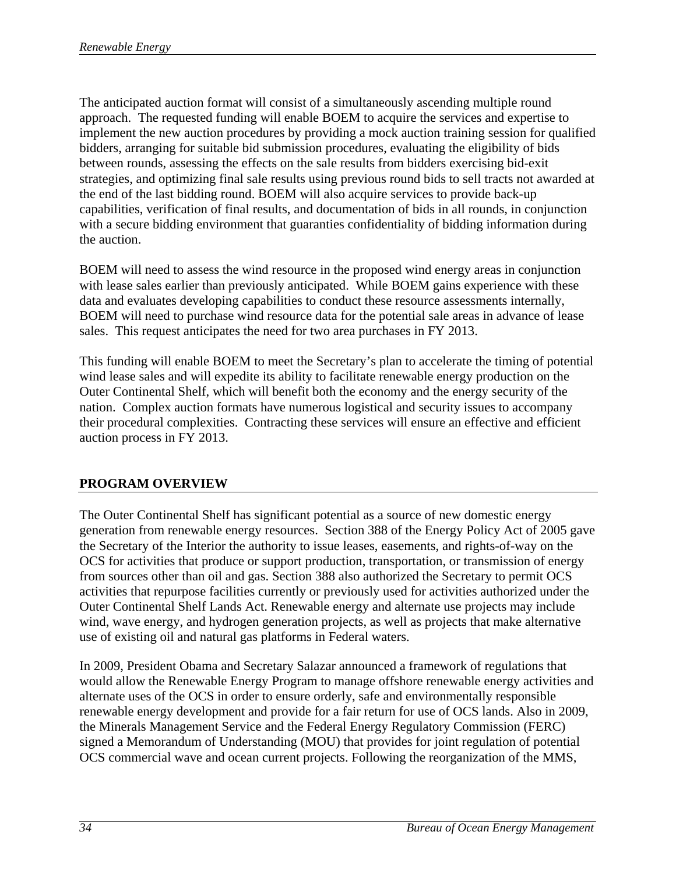The anticipated auction format will consist of a simultaneously ascending multiple round approach. The requested funding will enable BOEM to acquire the services and expertise to implement the new auction procedures by providing a mock auction training session for qualified bidders, arranging for suitable bid submission procedures, evaluating the eligibility of bids between rounds, assessing the effects on the sale results from bidders exercising bid-exit strategies, and optimizing final sale results using previous round bids to sell tracts not awarded at the end of the last bidding round. BOEM will also acquire services to provide back-up capabilities, verification of final results, and documentation of bids in all rounds, in conjunction with a secure bidding environment that guaranties confidentiality of bidding information during the auction.

BOEM will need to assess the wind resource in the proposed wind energy areas in conjunction with lease sales earlier than previously anticipated. While BOEM gains experience with these data and evaluates developing capabilities to conduct these resource assessments internally, BOEM will need to purchase wind resource data for the potential sale areas in advance of lease sales. This request anticipates the need for two area purchases in FY 2013.

This funding will enable BOEM to meet the Secretary's plan to accelerate the timing of potential wind lease sales and will expedite its ability to facilitate renewable energy production on the Outer Continental Shelf, which will benefit both the economy and the energy security of the nation. Complex auction formats have numerous logistical and security issues to accompany their procedural complexities. Contracting these services will ensure an effective and efficient auction process in FY 2013.

## **PROGRAM OVERVIEW**

The Outer Continental Shelf has significant potential as a source of new domestic energy generation from renewable energy resources. Section 388 of the Energy Policy Act of 2005 gave the Secretary of the Interior the authority to issue leases, easements, and rights-of-way on the OCS for activities that produce or support production, transportation, or transmission of energy from sources other than oil and gas. Section 388 also authorized the Secretary to permit OCS activities that repurpose facilities currently or previously used for activities authorized under the Outer Continental Shelf Lands Act. Renewable energy and alternate use projects may include wind, wave energy, and hydrogen generation projects, as well as projects that make alternative use of existing oil and natural gas platforms in Federal waters.

In 2009, President Obama and Secretary Salazar announced a framework of regulations that would allow the Renewable Energy Program to manage offshore renewable energy activities and alternate uses of the OCS in order to ensure orderly, safe and environmentally responsible renewable energy development and provide for a fair return for use of OCS lands. Also in 2009, the Minerals Management Service and the Federal Energy Regulatory Commission (FERC) signed a Memorandum of Understanding (MOU) that provides for joint regulation of potential OCS commercial wave and ocean current projects. Following the reorganization of the MMS,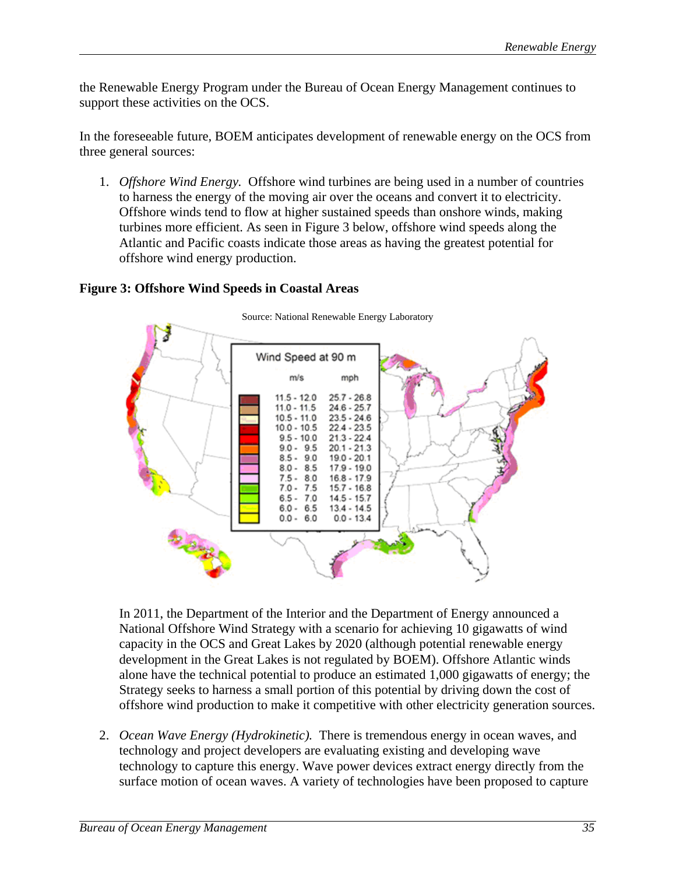the Renewable Energy Program under the Bureau of Ocean Energy Management continues to support these activities on the OCS.

In the foreseeable future, BOEM anticipates development of renewable energy on the OCS from three general sources:

1. *Offshore Wind Energy.* Offshore wind turbines are being used in a number of countries to harness the energy of the moving air over the oceans and convert it to electricity. Offshore winds tend to flow at higher sustained speeds than onshore winds, making turbines more efficient. As seen in Figure 3 below, offshore wind speeds along the Atlantic and Pacific coasts indicate those areas as having the greatest potential for offshore wind energy production.

#### **Figure 3: Offshore Wind Speeds in Coastal Areas**



In 2011, the Department of the Interior and the Department of Energy announced a National Offshore Wind Strategy with a scenario for achieving 10 gigawatts of wind capacity in the OCS and Great Lakes by 2020 (although potential renewable energy development in the Great Lakes is not regulated by BOEM). Offshore Atlantic winds alone have the technical potential to produce an estimated 1,000 gigawatts of energy; the Strategy seeks to harness a small portion of this potential by driving down the cost of offshore wind production to make it competitive with other electricity generation sources.

2. *Ocean Wave Energy (Hydrokinetic).*There is tremendous energy in ocean waves, and technology and project developers are evaluating existing and developing wave technology to capture this energy. Wave power devices extract energy directly from the surface motion of ocean waves. A variety of technologies have been proposed to capture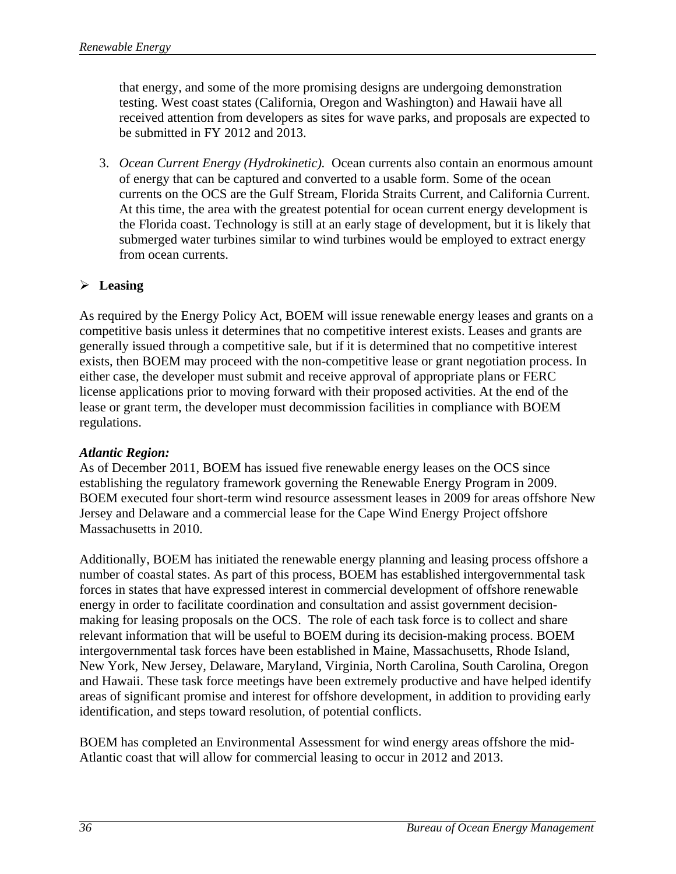that energy, and some of the more promising designs are undergoing demonstration testing. West coast states (California, Oregon and Washington) and Hawaii have all received attention from developers as sites for wave parks, and proposals are expected to be submitted in FY 2012 and 2013.

3. *Ocean Current Energy (Hydrokinetic).* Ocean currents also contain an enormous amount of energy that can be captured and converted to a usable form. Some of the ocean currents on the OCS are the Gulf Stream, Florida Straits Current, and California Current. At this time, the area with the greatest potential for ocean current energy development is the Florida coast. Technology is still at an early stage of development, but it is likely that submerged water turbines similar to wind turbines would be employed to extract energy from ocean currents.

#### **Leasing**

As required by the Energy Policy Act, BOEM will issue renewable energy leases and grants on a competitive basis unless it determines that no competitive interest exists. Leases and grants are generally issued through a competitive sale, but if it is determined that no competitive interest exists, then BOEM may proceed with the non-competitive lease or grant negotiation process. In either case, the developer must submit and receive approval of appropriate plans or FERC license applications prior to moving forward with their proposed activities. At the end of the lease or grant term, the developer must decommission facilities in compliance with BOEM regulations.

#### *Atlantic Region:*

As of December 2011, BOEM has issued five renewable energy leases on the OCS since establishing the regulatory framework governing the Renewable Energy Program in 2009. BOEM executed four short-term wind resource assessment leases in 2009 for areas offshore New Jersey and Delaware and a commercial lease for the Cape Wind Energy Project offshore Massachusetts in 2010.

Additionally, BOEM has initiated the renewable energy planning and leasing process offshore a number of coastal states. As part of this process, BOEM has established intergovernmental task forces in states that have expressed interest in commercial development of offshore renewable energy in order to facilitate coordination and consultation and assist government decisionmaking for leasing proposals on the OCS. The role of each task force is to collect and share relevant information that will be useful to BOEM during its decision-making process. BOEM intergovernmental task forces have been established in Maine, Massachusetts, Rhode Island, New York, New Jersey, Delaware, Maryland, Virginia, North Carolina, South Carolina, Oregon and Hawaii. These task force meetings have been extremely productive and have helped identify areas of significant promise and interest for offshore development, in addition to providing early identification, and steps toward resolution, of potential conflicts.

BOEM has completed an Environmental Assessment for wind energy areas offshore the mid-Atlantic coast that will allow for commercial leasing to occur in 2012 and 2013.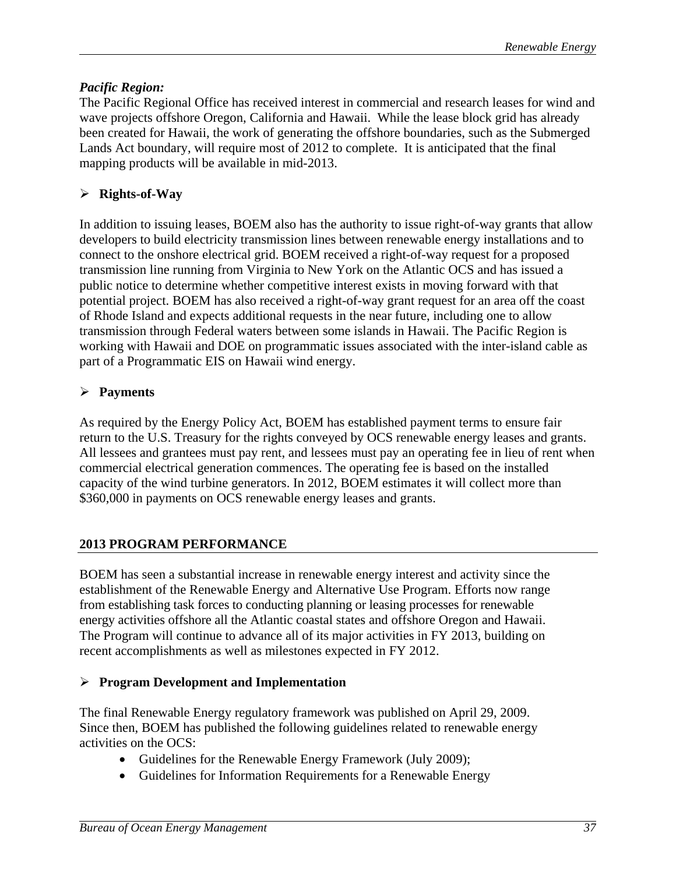#### *Pacific Region:*

The Pacific Regional Office has received interest in commercial and research leases for wind and wave projects offshore Oregon, California and Hawaii. While the lease block grid has already been created for Hawaii, the work of generating the offshore boundaries, such as the Submerged Lands Act boundary, will require most of 2012 to complete. It is anticipated that the final mapping products will be available in mid-2013.

## **Rights-of-Way**

In addition to issuing leases, BOEM also has the authority to issue right-of-way grants that allow developers to build electricity transmission lines between renewable energy installations and to connect to the onshore electrical grid. BOEM received a right-of-way request for a proposed transmission line running from Virginia to New York on the Atlantic OCS and has issued a public notice to determine whether competitive interest exists in moving forward with that potential project. BOEM has also received a right-of-way grant request for an area off the coast of Rhode Island and expects additional requests in the near future, including one to allow transmission through Federal waters between some islands in Hawaii. The Pacific Region is working with Hawaii and DOE on programmatic issues associated with the inter-island cable as part of a Programmatic EIS on Hawaii wind energy.

## **Payments**

As required by the Energy Policy Act, BOEM has established payment terms to ensure fair return to the U.S. Treasury for the rights conveyed by OCS renewable energy leases and grants. All lessees and grantees must pay rent, and lessees must pay an operating fee in lieu of rent when commercial electrical generation commences. The operating fee is based on the installed capacity of the wind turbine generators. In 2012, BOEM estimates it will collect more than \$360,000 in payments on OCS renewable energy leases and grants.

## **2013 PROGRAM PERFORMANCE**

BOEM has seen a substantial increase in renewable energy interest and activity since the establishment of the Renewable Energy and Alternative Use Program. Efforts now range from establishing task forces to conducting planning or leasing processes for renewable energy activities offshore all the Atlantic coastal states and offshore Oregon and Hawaii. The Program will continue to advance all of its major activities in FY 2013, building on recent accomplishments as well as milestones expected in FY 2012.

#### **Program Development and Implementation**

The final Renewable Energy regulatory framework was published on April 29, 2009. Since then, BOEM has published the following guidelines related to renewable energy activities on the OCS:

- Guidelines for the Renewable Energy Framework (July 2009);
- Guidelines for Information Requirements for a Renewable Energy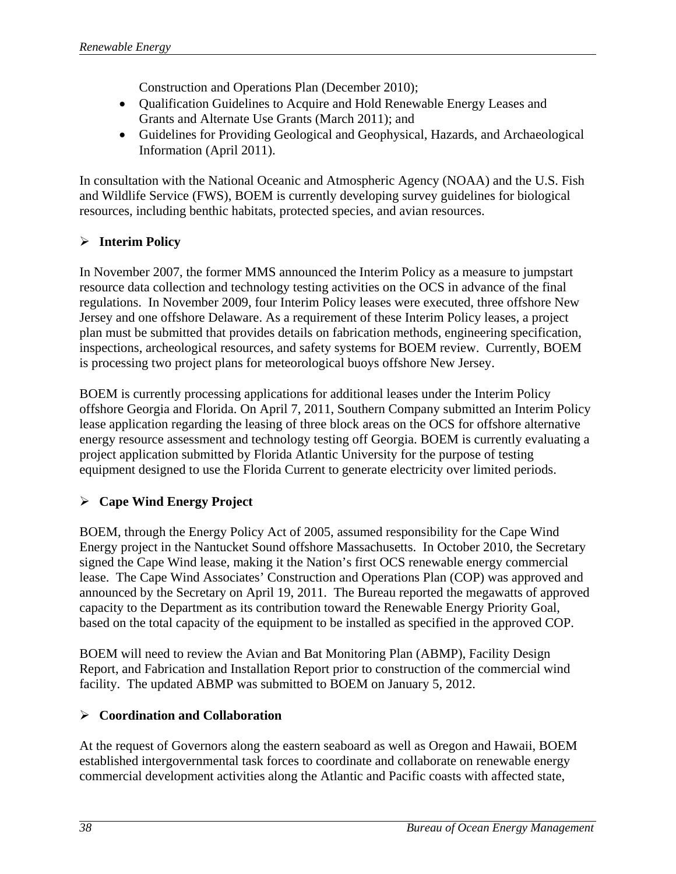Construction and Operations Plan (December 2010);

- Qualification Guidelines to Acquire and Hold Renewable Energy Leases and Grants and Alternate Use Grants (March 2011); and
- Guidelines for Providing Geological and Geophysical, Hazards, and Archaeological Information (April 2011).

In consultation with the National Oceanic and Atmospheric Agency (NOAA) and the U.S. Fish and Wildlife Service (FWS), BOEM is currently developing survey guidelines for biological resources, including benthic habitats, protected species, and avian resources.

## **Interim Policy**

In November 2007, the former MMS announced the Interim Policy as a measure to jumpstart resource data collection and technology testing activities on the OCS in advance of the final regulations. In November 2009, four Interim Policy leases were executed, three offshore New Jersey and one offshore Delaware. As a requirement of these Interim Policy leases, a project plan must be submitted that provides details on fabrication methods, engineering specification, inspections, archeological resources, and safety systems for BOEM review. Currently, BOEM is processing two project plans for meteorological buoys offshore New Jersey.

BOEM is currently processing applications for additional leases under the Interim Policy offshore Georgia and Florida. On April 7, 2011, Southern Company submitted an Interim Policy lease application regarding the leasing of three block areas on the OCS for offshore alternative energy resource assessment and technology testing off Georgia. BOEM is currently evaluating a project application submitted by Florida Atlantic University for the purpose of testing equipment designed to use the Florida Current to generate electricity over limited periods.

## **Cape Wind Energy Project**

BOEM, through the Energy Policy Act of 2005, assumed responsibility for the Cape Wind Energy project in the Nantucket Sound offshore Massachusetts. In October 2010, the Secretary signed the Cape Wind lease, making it the Nation's first OCS renewable energy commercial lease. The Cape Wind Associates' Construction and Operations Plan (COP) was approved and announced by the Secretary on April 19, 2011. The Bureau reported the megawatts of approved capacity to the Department as its contribution toward the Renewable Energy Priority Goal, based on the total capacity of the equipment to be installed as specified in the approved COP.

BOEM will need to review the Avian and Bat Monitoring Plan (ABMP), Facility Design Report, and Fabrication and Installation Report prior to construction of the commercial wind facility. The updated ABMP was submitted to BOEM on January 5, 2012.

## **Coordination and Collaboration**

At the request of Governors along the eastern seaboard as well as Oregon and Hawaii, BOEM established intergovernmental task forces to coordinate and collaborate on renewable energy commercial development activities along the Atlantic and Pacific coasts with affected state,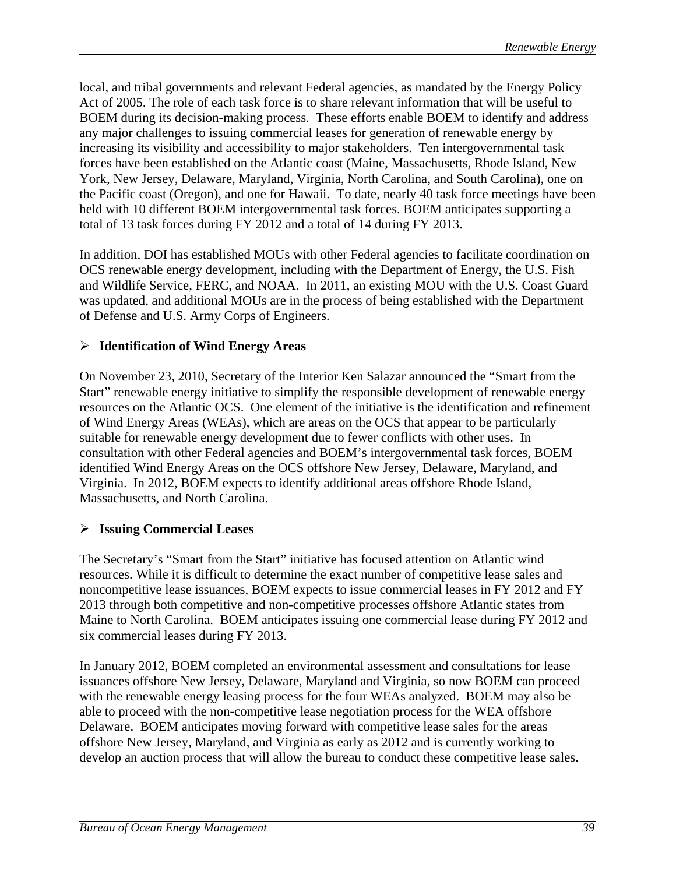local, and tribal governments and relevant Federal agencies, as mandated by the Energy Policy Act of 2005. The role of each task force is to share relevant information that will be useful to BOEM during its decision-making process. These efforts enable BOEM to identify and address any major challenges to issuing commercial leases for generation of renewable energy by increasing its visibility and accessibility to major stakeholders. Ten intergovernmental task forces have been established on the Atlantic coast (Maine, Massachusetts, Rhode Island, New York, New Jersey, Delaware, Maryland, Virginia, North Carolina, and South Carolina), one on the Pacific coast (Oregon), and one for Hawaii. To date, nearly 40 task force meetings have been held with 10 different BOEM intergovernmental task forces. BOEM anticipates supporting a total of 13 task forces during FY 2012 and a total of 14 during FY 2013.

In addition, DOI has established MOUs with other Federal agencies to facilitate coordination on OCS renewable energy development, including with the Department of Energy, the U.S. Fish and Wildlife Service, FERC, and NOAA. In 2011, an existing MOU with the U.S. Coast Guard was updated, and additional MOUs are in the process of being established with the Department of Defense and U.S. Army Corps of Engineers.

## **Identification of Wind Energy Areas**

On November 23, 2010, Secretary of the Interior Ken Salazar announced the "Smart from the Start" renewable energy initiative to simplify the responsible development of renewable energy resources on the Atlantic OCS. One element of the initiative is the identification and refinement of Wind Energy Areas (WEAs), which are areas on the OCS that appear to be particularly suitable for renewable energy development due to fewer conflicts with other uses. In consultation with other Federal agencies and BOEM's intergovernmental task forces, BOEM identified Wind Energy Areas on the OCS offshore New Jersey, Delaware, Maryland, and Virginia. In 2012, BOEM expects to identify additional areas offshore Rhode Island, Massachusetts, and North Carolina.

#### **Issuing Commercial Leases**

The Secretary's "Smart from the Start" initiative has focused attention on Atlantic wind resources. While it is difficult to determine the exact number of competitive lease sales and noncompetitive lease issuances, BOEM expects to issue commercial leases in FY 2012 and FY 2013 through both competitive and non-competitive processes offshore Atlantic states from Maine to North Carolina. BOEM anticipates issuing one commercial lease during FY 2012 and six commercial leases during FY 2013.

In January 2012, BOEM completed an environmental assessment and consultations for lease issuances offshore New Jersey, Delaware, Maryland and Virginia, so now BOEM can proceed with the renewable energy leasing process for the four WEAs analyzed. BOEM may also be able to proceed with the non-competitive lease negotiation process for the WEA offshore Delaware. BOEM anticipates moving forward with competitive lease sales for the areas offshore New Jersey, Maryland, and Virginia as early as 2012 and is currently working to develop an auction process that will allow the bureau to conduct these competitive lease sales.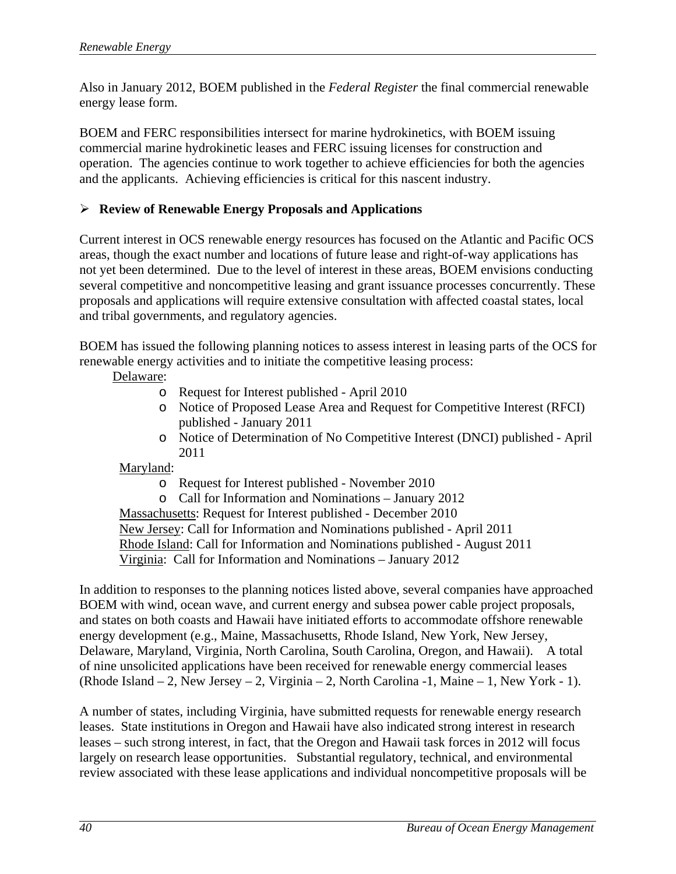Also in January 2012, BOEM published in the *Federal Register* the final commercial renewable energy lease form.

BOEM and FERC responsibilities intersect for marine hydrokinetics, with BOEM issuing commercial marine hydrokinetic leases and FERC issuing licenses for construction and operation. The agencies continue to work together to achieve efficiencies for both the agencies and the applicants. Achieving efficiencies is critical for this nascent industry.

## **Review of Renewable Energy Proposals and Applications**

Current interest in OCS renewable energy resources has focused on the Atlantic and Pacific OCS areas, though the exact number and locations of future lease and right-of-way applications has not yet been determined. Due to the level of interest in these areas, BOEM envisions conducting several competitive and noncompetitive leasing and grant issuance processes concurrently. These proposals and applications will require extensive consultation with affected coastal states, local and tribal governments, and regulatory agencies.

BOEM has issued the following planning notices to assess interest in leasing parts of the OCS for renewable energy activities and to initiate the competitive leasing process:

#### Delaware:

- o Request for Interest published April 2010
- o Notice of Proposed Lease Area and Request for Competitive Interest (RFCI) published - January 2011
- o Notice of Determination of No Competitive Interest (DNCI) published April 2011

Maryland:

- o Request for Interest published November 2010
- o Call for Information and Nominations January 2012

Massachusetts: Request for Interest published - December 2010 New Jersey: Call for Information and Nominations published - April 2011 Rhode Island: Call for Information and Nominations published - August 2011 Virginia: Call for Information and Nominations – January 2012

In addition to responses to the planning notices listed above, several companies have approached BOEM with wind, ocean wave, and current energy and subsea power cable project proposals, and states on both coasts and Hawaii have initiated efforts to accommodate offshore renewable energy development (e.g., Maine, Massachusetts, Rhode Island, New York, New Jersey, Delaware, Maryland, Virginia, North Carolina, South Carolina, Oregon, and Hawaii). A total of nine unsolicited applications have been received for renewable energy commercial leases (Rhode Island – 2, New Jersey – 2, Virginia – 2, North Carolina -1, Maine – 1, New York - 1).

A number of states, including Virginia, have submitted requests for renewable energy research leases. State institutions in Oregon and Hawaii have also indicated strong interest in research leases – such strong interest, in fact, that the Oregon and Hawaii task forces in 2012 will focus largely on research lease opportunities. Substantial regulatory, technical, and environmental review associated with these lease applications and individual noncompetitive proposals will be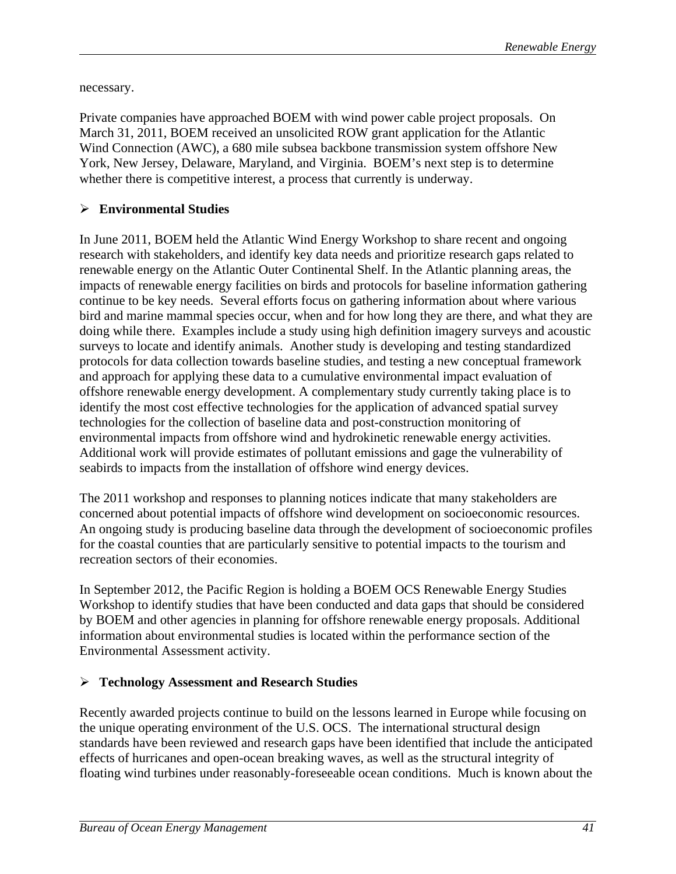necessary.

Private companies have approached BOEM with wind power cable project proposals. On March 31, 2011, BOEM received an unsolicited ROW grant application for the Atlantic Wind Connection (AWC), a 680 mile subsea backbone transmission system offshore New York, New Jersey, Delaware, Maryland, and Virginia. BOEM's next step is to determine whether there is competitive interest, a process that currently is underway.

#### **Environmental Studies**

In June 2011, BOEM held the Atlantic Wind Energy Workshop to share recent and ongoing research with stakeholders, and identify key data needs and prioritize research gaps related to renewable energy on the Atlantic Outer Continental Shelf. In the Atlantic planning areas, the impacts of renewable energy facilities on birds and protocols for baseline information gathering continue to be key needs. Several efforts focus on gathering information about where various bird and marine mammal species occur, when and for how long they are there, and what they are doing while there. Examples include a study using high definition imagery surveys and acoustic surveys to locate and identify animals. Another study is developing and testing standardized protocols for data collection towards baseline studies, and testing a new conceptual framework and approach for applying these data to a cumulative environmental impact evaluation of offshore renewable energy development. A complementary study currently taking place is to identify the most cost effective technologies for the application of advanced spatial survey technologies for the collection of baseline data and post-construction monitoring of environmental impacts from offshore wind and hydrokinetic renewable energy activities. Additional work will provide estimates of pollutant emissions and gage the vulnerability of seabirds to impacts from the installation of offshore wind energy devices.

The 2011 workshop and responses to planning notices indicate that many stakeholders are concerned about potential impacts of offshore wind development on socioeconomic resources. An ongoing study is producing baseline data through the development of socioeconomic profiles for the coastal counties that are particularly sensitive to potential impacts to the tourism and recreation sectors of their economies.

In September 2012, the Pacific Region is holding a BOEM OCS Renewable Energy Studies Workshop to identify studies that have been conducted and data gaps that should be considered by BOEM and other agencies in planning for offshore renewable energy proposals. Additional information about environmental studies is located within the performance section of the Environmental Assessment activity.

#### **Technology Assessment and Research Studies**

Recently awarded projects continue to build on the lessons learned in Europe while focusing on the unique operating environment of the U.S. OCS. The international structural design standards have been reviewed and research gaps have been identified that include the anticipated effects of hurricanes and open-ocean breaking waves, as well as the structural integrity of floating wind turbines under reasonably-foreseeable ocean conditions. Much is known about the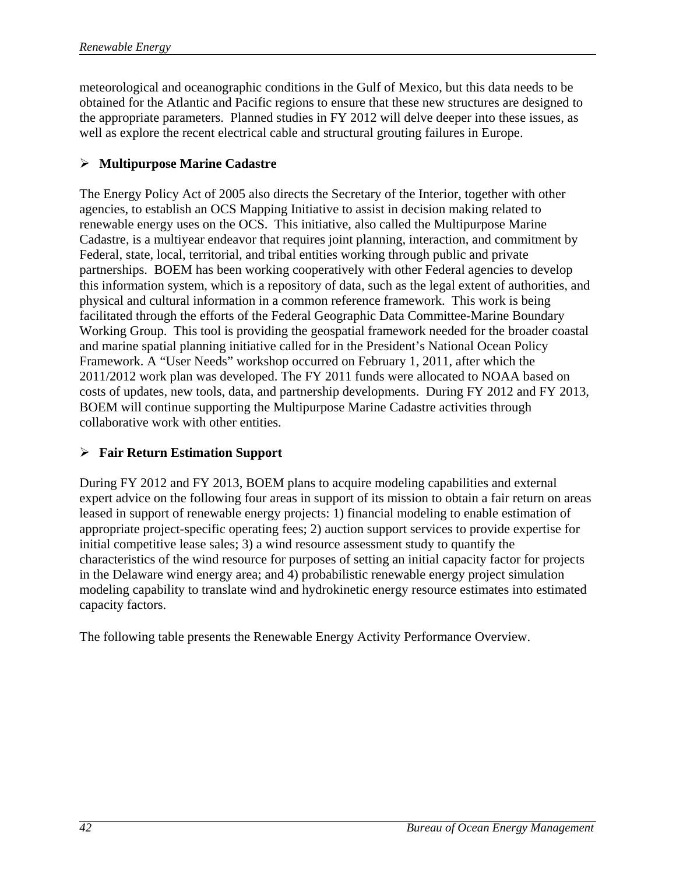meteorological and oceanographic conditions in the Gulf of Mexico, but this data needs to be obtained for the Atlantic and Pacific regions to ensure that these new structures are designed to the appropriate parameters. Planned studies in FY 2012 will delve deeper into these issues, as well as explore the recent electrical cable and structural grouting failures in Europe.

## **Multipurpose Marine Cadastre**

The Energy Policy Act of 2005 also directs the Secretary of the Interior, together with other agencies, to establish an OCS Mapping Initiative to assist in decision making related to renewable energy uses on the OCS. This initiative, also called the Multipurpose Marine Cadastre, is a multiyear endeavor that requires joint planning, interaction, and commitment by Federal, state, local, territorial, and tribal entities working through public and private partnerships. BOEM has been working cooperatively with other Federal agencies to develop this information system, which is a repository of data, such as the legal extent of authorities, and physical and cultural information in a common reference framework. This work is being facilitated through the efforts of the Federal Geographic Data Committee-Marine Boundary Working Group. This tool is providing the geospatial framework needed for the broader coastal and marine spatial planning initiative called for in the President's National Ocean Policy Framework. A "User Needs" workshop occurred on February 1, 2011, after which the 2011/2012 work plan was developed. The FY 2011 funds were allocated to NOAA based on costs of updates, new tools, data, and partnership developments. During FY 2012 and FY 2013, BOEM will continue supporting the Multipurpose Marine Cadastre activities through collaborative work with other entities.

## **Fair Return Estimation Support**

During FY 2012 and FY 2013, BOEM plans to acquire modeling capabilities and external expert advice on the following four areas in support of its mission to obtain a fair return on areas leased in support of renewable energy projects: 1) financial modeling to enable estimation of appropriate project-specific operating fees; 2) auction support services to provide expertise for initial competitive lease sales; 3) a wind resource assessment study to quantify the characteristics of the wind resource for purposes of setting an initial capacity factor for projects in the Delaware wind energy area; and 4) probabilistic renewable energy project simulation modeling capability to translate wind and hydrokinetic energy resource estimates into estimated capacity factors.

The following table presents the Renewable Energy Activity Performance Overview.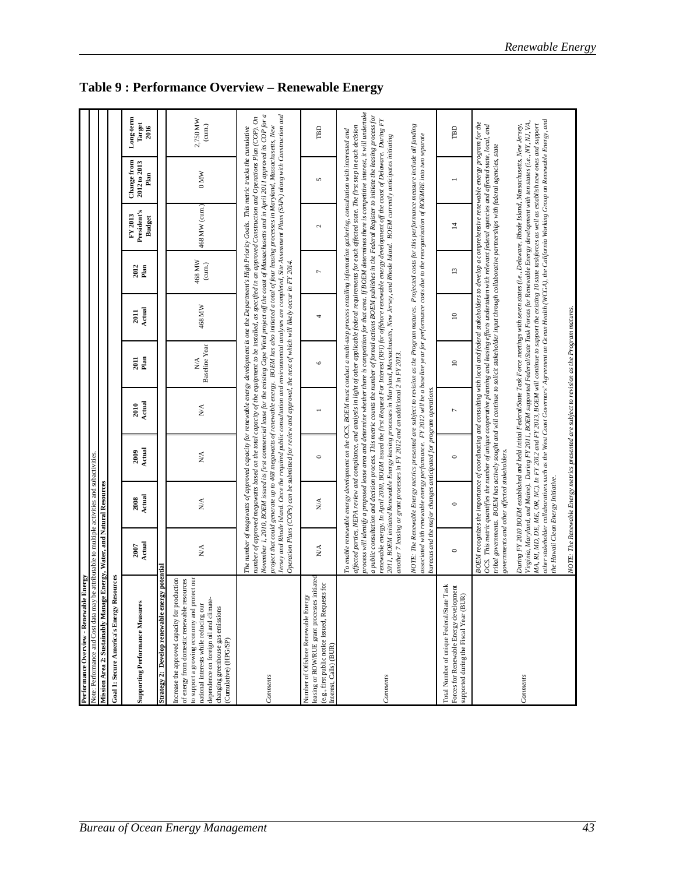|                                          | Note: Performance and Cost data may be attributable to multiple activities and subactivities.<br>Performance Overview - Renewable Energy                                                                                                                                                      |                                                                                 |                         |                              |                         |                                                                                                                  |                |                          |                                                                                                                                                                                                                                                                                                                                                                                                                                                                                                                                                                                                                                                                                                                                                                                                                                                                                                                                                                                                                            |                                     |                             |
|------------------------------------------|-----------------------------------------------------------------------------------------------------------------------------------------------------------------------------------------------------------------------------------------------------------------------------------------------|---------------------------------------------------------------------------------|-------------------------|------------------------------|-------------------------|------------------------------------------------------------------------------------------------------------------|----------------|--------------------------|----------------------------------------------------------------------------------------------------------------------------------------------------------------------------------------------------------------------------------------------------------------------------------------------------------------------------------------------------------------------------------------------------------------------------------------------------------------------------------------------------------------------------------------------------------------------------------------------------------------------------------------------------------------------------------------------------------------------------------------------------------------------------------------------------------------------------------------------------------------------------------------------------------------------------------------------------------------------------------------------------------------------------|-------------------------------------|-----------------------------|
|                                          | Mission Area 2: Sustainably Manage Energy, Water, and Natural Resources                                                                                                                                                                                                                       |                                                                                 |                         |                              |                         |                                                                                                                  |                |                          |                                                                                                                                                                                                                                                                                                                                                                                                                                                                                                                                                                                                                                                                                                                                                                                                                                                                                                                                                                                                                            |                                     |                             |
|                                          | Resources<br>Goal 1: Secure America's Energy                                                                                                                                                                                                                                                  |                                                                                 |                         |                              |                         |                                                                                                                  |                |                          |                                                                                                                                                                                                                                                                                                                                                                                                                                                                                                                                                                                                                                                                                                                                                                                                                                                                                                                                                                                                                            |                                     |                             |
|                                          | <b>Supporting Performance Measures</b>                                                                                                                                                                                                                                                        | Actual<br>2007                                                                  | <b>Actual</b><br>2008   | Actual<br>2009               | Actual<br>2010          | Plan<br>2011                                                                                                     | Actual<br>2011 | Plan<br>2012             | President's<br>FY 2013<br><b>Budget</b>                                                                                                                                                                                                                                                                                                                                                                                                                                                                                                                                                                                                                                                                                                                                                                                                                                                                                                                                                                                    | Change from<br>2012 to 2013<br>Plan | Long-term<br>Target<br>2016 |
|                                          | ergy potential<br>Strategy 2: Develop renewable en                                                                                                                                                                                                                                            |                                                                                 |                         |                              |                         |                                                                                                                  |                |                          |                                                                                                                                                                                                                                                                                                                                                                                                                                                                                                                                                                                                                                                                                                                                                                                                                                                                                                                                                                                                                            |                                     |                             |
| <b>Bureau of Ocean Energy Management</b> | to support a growing economy and protect our<br>Increase the approved capacity for production<br>of energy from domestic renewable resources<br>lependence on foreign oil and climate-<br>national interests while reducing our<br>changing greenhouse gas emissions<br>(Cumulative) (HPG/SP) | $\stackrel{\triangle}{\approx}$                                                 | $\mathbf{N} \mathbf{A}$ | $\stackrel{\triangle}{\geq}$ | $\mathbf{N}/\mathbf{A}$ | <b>Baseline Year</b><br>N/A                                                                                      | 468 MW         | 468 MW<br>$({\rm cum.})$ | 468 MW (cum.)                                                                                                                                                                                                                                                                                                                                                                                                                                                                                                                                                                                                                                                                                                                                                                                                                                                                                                                                                                                                              | $0\,\mathrm{MW}$                    | 2,750 MW<br>(cum.)          |
|                                          | Comments                                                                                                                                                                                                                                                                                      |                                                                                 |                         |                              |                         | Operation Plans (COPs) can be submitted for review and approval, the next of which will likely occur in FY 2014. |                |                          | Jersey and Rhode Island. Once the required public consultation and environmental analyses are completed, Site Assessment Plans (SAPs) along with Construction and<br>November 1, 2010, BOEM issued its first commercial lease for the existing Cape Wind project off the coast of Massachusetts and in April 2011 approved its COP for a<br>number of approved megawatts based on the total capacity of the equipment to be installed, as specified in an approved Construction and Operations Plan (COP). On<br>project that could generate up to 468 megawatts of renewable energy.  BOEM has also initiated a total of four leasing processes in Maryland, Massachusetts, New<br>The number of megawatts of approved capacity for renewable energy development is one the Department's High Priority Goals. This metric tracks the cumulative                                                                                                                                                                           |                                     |                             |
|                                          | leasing or ROW/RUE grant processes initiated<br>(e.g., first public notice issued, Requests for<br>LS <sub>2</sub><br>Number of Offshore Renewable Ener<br>Interest, Calls) (BUR)                                                                                                             | $\stackrel{\triangle}{\approx}$                                                 | $\mathbb{N}\mathbb{A}$  | $\circ$                      |                         | 6                                                                                                                | 4              | $\overline{a}$           | $\mathbf{c}$                                                                                                                                                                                                                                                                                                                                                                                                                                                                                                                                                                                                                                                                                                                                                                                                                                                                                                                                                                                                               | 5                                   | TBD                         |
|                                          | Comments                                                                                                                                                                                                                                                                                      | another 7 leasing or grant processes in FY 2012 and an additional 2 in FY 2013. |                         |                              |                         |                                                                                                                  |                |                          | process will identify a proposed lease area and determine whether there is competition for that area. If BOEM determines there is competitive interest, it will undertake<br>a public consultation and decision process. This metric counts the number of formal actions BOEM publishes in the Federal Register to initiate the leasing process for<br>renewable energy. In April 2010, BOEM issued the first Request For Interest (RFI) for offshore renewable energy development off the coast of Delaware. During FY<br>affected parties, NEPA review and compliance, and analysis in light of other applicable federal requirements for each affected state. The first step in each decision<br>To enable renewable energy development on the OCS, BOEM must conduct a multi-step process entailing information gathering, consultation with interested and<br>2011, BOEM initiated Renewable Energy leasing processes in Maryland, Massachusetts, New Jersey, and Rhode Island. BOEM currently anticipates initiating |                                     |                             |
|                                          |                                                                                                                                                                                                                                                                                               | bureaus and the major changes anticipated for program operations.               |                         |                              |                         |                                                                                                                  |                |                          | NOTE: The Renewable Energy metrics presented are subject to revision as the Program matures. Projected costs for this performance measure include all funding<br>associated with renewable energy performance. FY 2012 will be a baseline year for performance costs due to the reorganization of BOEMRE into two separate                                                                                                                                                                                                                                                                                                                                                                                                                                                                                                                                                                                                                                                                                                 |                                     |                             |
|                                          | te Task<br>Forces for Renewable Energy development<br>$\mathbb{R}$<br>supported during the Fiscal Year (BL<br>Total Number of unique Federal/Star                                                                                                                                             | $\circ$                                                                         | $\circ$                 | $\circ$                      | $\overline{ }$          | $\approx$                                                                                                        | $\approx$      | 13                       | 4                                                                                                                                                                                                                                                                                                                                                                                                                                                                                                                                                                                                                                                                                                                                                                                                                                                                                                                                                                                                                          |                                     | TBD                         |
|                                          |                                                                                                                                                                                                                                                                                               | governments and other affected stakeholders.                                    |                         |                              |                         |                                                                                                                  |                |                          | BOEM recognizes the importance of coordinating and consulting with local and federal stakeholders to develop a comprehensive renewable energy program for the<br>OCS. This metric quantifies the number of unique cooperative planning and leasing efforts undertaken with relevant federal agencies and affected state, local, and<br>rtibal governments. BOEM has actively sought and will continue to solicit stakeholder input through collaborative partnerships with federal agencies, state                                                                                                                                                                                                                                                                                                                                                                                                                                                                                                                         |                                     |                             |
|                                          | Comments                                                                                                                                                                                                                                                                                      | the Hawaii Clean Energy Initiative.                                             |                         |                              |                         |                                                                                                                  |                |                          | other stakeholder collaboratives such as the West Coast Governors' Agreement on Ocean Health (WCGA), the California Working Group on Renewable Energy, and<br>Virginia, Maryland, and Maine). During FY 2011, BOEM supported Federal/State Task Forces for Renewable Energy development with ten states (i.e., NY, NJ, VA,<br>MA, RI, MD, DE, ME, OR, NC). In FY 2012 and FY 2013. BOEN will continue to support the existing 10 state taskforces as well as establish new ones and support<br>During FY 2010 BOEM established and held initial Federal/State Task Force meetings with seven states (i.e., Delaware, Nhode Island, Massachusetts, New Jersey,                                                                                                                                                                                                                                                                                                                                                              |                                     |                             |
|                                          |                                                                                                                                                                                                                                                                                               |                                                                                 |                         |                              |                         | NOTE: The Renewable Energy metrics presented are subject to revision as the Program matures.                     |                |                          |                                                                                                                                                                                                                                                                                                                                                                                                                                                                                                                                                                                                                                                                                                                                                                                                                                                                                                                                                                                                                            |                                     |                             |
| 43                                       |                                                                                                                                                                                                                                                                                               |                                                                                 |                         |                              |                         |                                                                                                                  |                |                          |                                                                                                                                                                                                                                                                                                                                                                                                                                                                                                                                                                                                                                                                                                                                                                                                                                                                                                                                                                                                                            |                                     |                             |

|  | Table 9 : Performance Overview - Renewable Energy |  |  |  |
|--|---------------------------------------------------|--|--|--|
|--|---------------------------------------------------|--|--|--|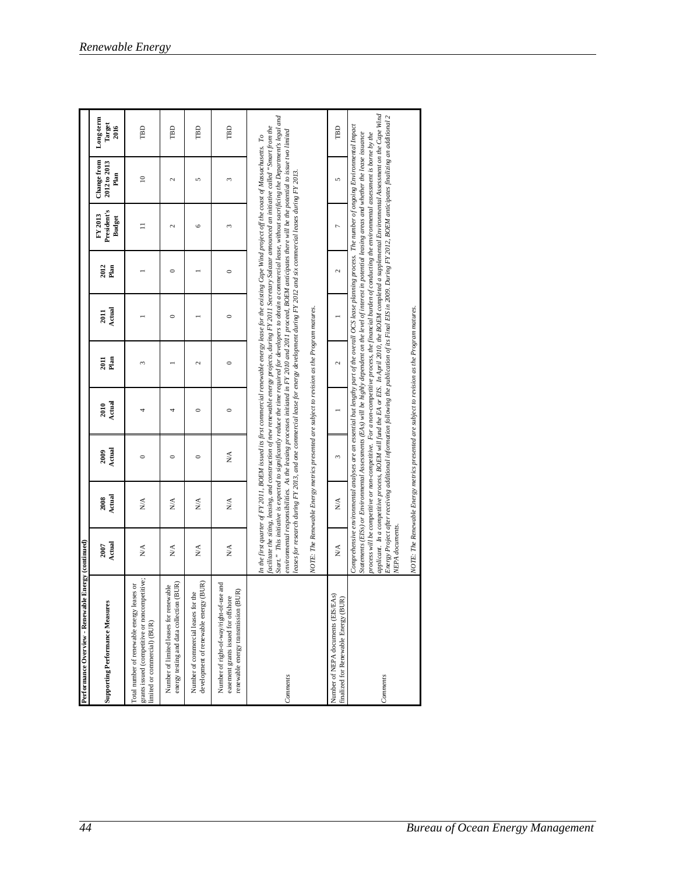| 44                                       | Performance Overview - Renewable Energy (continued)                                                                         |                                                                                                                                                                                                                                                                                                                                                                                                                                                                                                                                                                                                                                                                                               |                |                |                |                                                                                                                                                                                                                                                                                                               |                          |                          |                                         |                                         |                             |
|------------------------------------------|-----------------------------------------------------------------------------------------------------------------------------|-----------------------------------------------------------------------------------------------------------------------------------------------------------------------------------------------------------------------------------------------------------------------------------------------------------------------------------------------------------------------------------------------------------------------------------------------------------------------------------------------------------------------------------------------------------------------------------------------------------------------------------------------------------------------------------------------|----------------|----------------|----------------|---------------------------------------------------------------------------------------------------------------------------------------------------------------------------------------------------------------------------------------------------------------------------------------------------------------|--------------------------|--------------------------|-----------------------------------------|-----------------------------------------|-----------------------------|
|                                          | <b>Supporting Performance Measures</b>                                                                                      | Actual<br>2007                                                                                                                                                                                                                                                                                                                                                                                                                                                                                                                                                                                                                                                                                | Actual<br>2008 | Actual<br>2009 | Actual<br>2010 | Plan<br>2011                                                                                                                                                                                                                                                                                                  | Actual<br>2011           | Plan<br>2012             | President's<br>FY 2013<br><b>Budget</b> | Change from<br>$2012$ to $2013$<br>Plan | Long-term<br>Target<br>2016 |
|                                          | grants issued (competitive or noncompetitive;<br>limited or commercial) (BUR)<br>Total number of renewable energy leases or | N/A                                                                                                                                                                                                                                                                                                                                                                                                                                                                                                                                                                                                                                                                                           | X)<br>A        | $\circ$        | 4              | $\epsilon$                                                                                                                                                                                                                                                                                                    |                          | -                        | $\equiv$                                | $\overline{\phantom{0}}$                | TBD                         |
|                                          | (BUR)<br>Number of limited leases for renewable<br>energy testing and data collection                                       | NA.                                                                                                                                                                                                                                                                                                                                                                                                                                                                                                                                                                                                                                                                                           | X)<br>X        | $\circ$        | 4              | $\rightarrow$                                                                                                                                                                                                                                                                                                 | $\circ$                  | $\circ$                  | $\mathbf{C}$                            | $\mathcal{L}$                           | Э                           |
|                                          | $\sqrt{BUR}$<br>Number of commercial leases for the<br>development of renewable energy                                      | ΝA                                                                                                                                                                                                                                                                                                                                                                                                                                                                                                                                                                                                                                                                                            | N/A            | $\circ$        | $\circ$        | $\mathcal{L}_{\mathcal{A}}$                                                                                                                                                                                                                                                                                   | $\overline{\phantom{0}}$ | $\overline{\phantom{0}}$ | $\circ$                                 | 5                                       | TBD                         |
|                                          | Number of right-of-way/right-of-use and<br>renewable energy transmission (BUR)<br>easement grants issued for offshore       | N/A                                                                                                                                                                                                                                                                                                                                                                                                                                                                                                                                                                                                                                                                                           | X)<br>X        | ₹              | $\circ$        | $\circ$                                                                                                                                                                                                                                                                                                       | $\circ$                  | $\circ$                  | 3                                       | 3                                       | TBD                         |
|                                          | Comments                                                                                                                    | Start." This initiative is expected to significantly reduce the time required for developers to obtain a commercial lease, without sacrificing the Department's legal and<br>facilitate the siting, leasing, and construction of new renewable energy projects, during FY 2011 Secretary Salazar announced an initiative called "Smart from the<br>environmental responsibilities. As the leasing processes initiated in FY 2010 and 2011 proceed, BOEM anticipates there will be the potential to issue two limited                                                                                                                                                                          |                |                |                | In the first quarter of FY 2011, BOEM issued its first commercial renewable energy lease for the existing Cape Wind project off the coast of Massachusetts. To<br>eases for research during FY 2013, and one commercial lease for energy development during FY 2012 and six commercial leases during FY 2013. |                          |                          |                                         |                                         |                             |
|                                          |                                                                                                                             | NOTE: The Renewable Energy metrics presented are subject to revision as the Program matures.                                                                                                                                                                                                                                                                                                                                                                                                                                                                                                                                                                                                  |                |                |                |                                                                                                                                                                                                                                                                                                               |                          |                          |                                         |                                         |                             |
|                                          | Number of NEPA documents (EIS/EAs)<br>$\widehat{\mathbf{R}}$<br>finalized for Renewable Energy (BU                          | N/A                                                                                                                                                                                                                                                                                                                                                                                                                                                                                                                                                                                                                                                                                           | X)<br>A        | $\tilde{\xi}$  |                | $\sim$                                                                                                                                                                                                                                                                                                        |                          | $\sim$                   | $\overline{ }$                          | $\sqrt{2}$                              | TBD                         |
|                                          | Comments                                                                                                                    | applicant. In a competitive process, BOEM will fund the EA or EIS. In April 2010, the BOEM completed a supplemental Environmental Assessment on the Cape Wind<br>Energy Project after receiving additional information following the publication of its Final EIS in 2009. During FY 2012, BOEM anticipates finalizing an additional 2<br>Comprehensive environmental analyses are an essential but lengthy part of the overall OCS lease planning process. The number of ongoing Environmental Impact<br>Statements (EISs) or Environmental Assessments (EAs) will be highly dependent on the level of interest in potential leasing areas and whether the lease issuance<br>NEPA documents. |                |                |                | process will be competitive or non-competitive. For a non-competitive process, the financial burden of conducting the environmental assessment is borne by the                                                                                                                                                |                          |                          |                                         |                                         |                             |
|                                          |                                                                                                                             | NOTE: The Renewable Energy metrics presented are subject to revision as the Program matures.                                                                                                                                                                                                                                                                                                                                                                                                                                                                                                                                                                                                  |                |                |                |                                                                                                                                                                                                                                                                                                               |                          |                          |                                         |                                         |                             |
| <b>Bureau of Ocean Energy Management</b> |                                                                                                                             |                                                                                                                                                                                                                                                                                                                                                                                                                                                                                                                                                                                                                                                                                               |                |                |                |                                                                                                                                                                                                                                                                                                               |                          |                          |                                         |                                         |                             |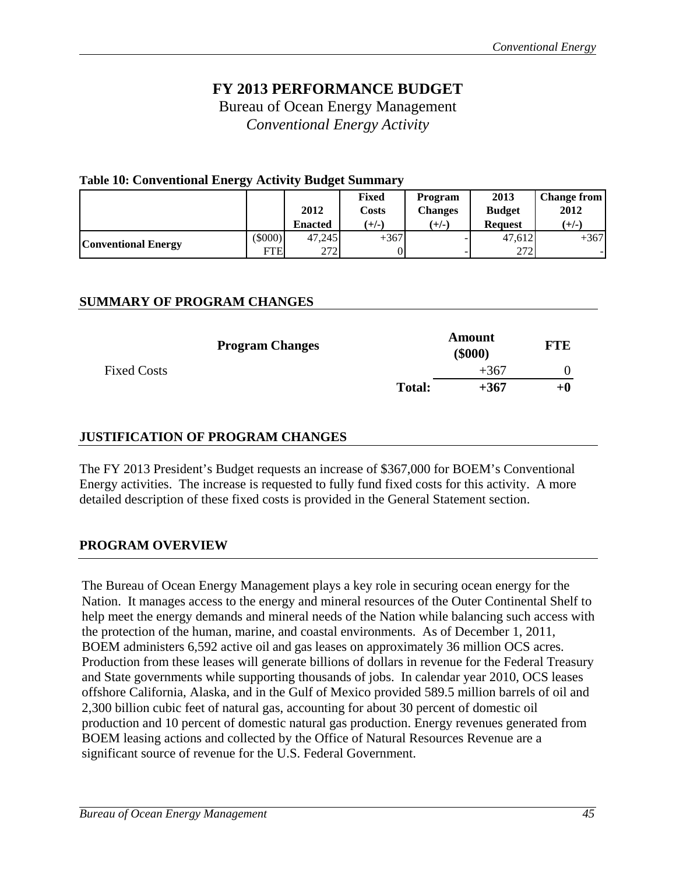# **FY 2013 PERFORMANCE BUDGET**

## Bureau of Ocean Energy Management *Conventional Energy Activity*

#### **Table 10: Conventional Energy Activity Budget Summary**

|                            |                |                | <b>Fixed</b> | Program        | 2013           | <b>Change from</b> |
|----------------------------|----------------|----------------|--------------|----------------|----------------|--------------------|
|                            |                | 2012           | Costs        | <b>Changes</b> | <b>Budget</b>  | 2012               |
|                            |                | <b>Enacted</b> | $(+/-)$      | $(+/-)$        | <b>Request</b> | $(+/-)$            |
|                            | $($ \$000) $ $ | 47.245         | $+367$       |                | 47.612         | $+367$             |
| <b>Conventional Energy</b> | <b>FTE</b>     | 272            |              |                | 272            |                    |

#### **SUMMARY OF PROGRAM CHANGES**

|                    | <b>Program Changes</b> |               | Amount<br>$($ \$000 $)$ | <b>FTE</b> |
|--------------------|------------------------|---------------|-------------------------|------------|
| <b>Fixed Costs</b> |                        |               | +367                    |            |
|                    |                        | <b>Total:</b> | $+367$                  | $+0$       |

#### **JUSTIFICATION OF PROGRAM CHANGES**

The FY 2013 President's Budget requests an increase of \$367,000 for BOEM's Conventional Energy activities. The increase is requested to fully fund fixed costs for this activity. A more detailed description of these fixed costs is provided in the General Statement section.

#### **PROGRAM OVERVIEW**

The Bureau of Ocean Energy Management plays a key role in securing ocean energy for the Nation. It manages access to the energy and mineral resources of the Outer Continental Shelf to help meet the energy demands and mineral needs of the Nation while balancing such access with the protection of the human, marine, and coastal environments. As of December 1, 2011, BOEM administers 6,592 active oil and gas leases on approximately 36 million OCS acres. Production from these leases will generate billions of dollars in revenue for the Federal Treasury and State governments while supporting thousands of jobs. In calendar year 2010, OCS leases offshore California, Alaska, and in the Gulf of Mexico provided 589.5 million barrels of oil and 2,300 billion cubic feet of natural gas, accounting for about 30 percent of domestic oil production and 10 percent of domestic natural gas production. Energy revenues generated from BOEM leasing actions and collected by the Office of Natural Resources Revenue are a significant source of revenue for the U.S. Federal Government.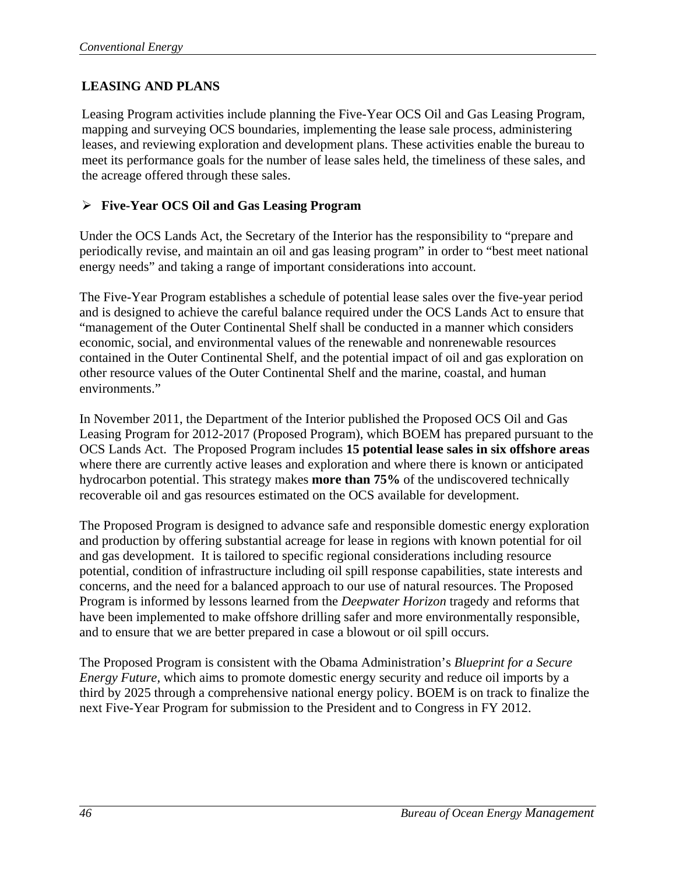## **LEASING AND PLANS**

Leasing Program activities include planning the Five-Year OCS Oil and Gas Leasing Program, mapping and surveying OCS boundaries, implementing the lease sale process, administering leases, and reviewing exploration and development plans. These activities enable the bureau to meet its performance goals for the number of lease sales held, the timeliness of these sales, and the acreage offered through these sales.

#### **Five-Year OCS Oil and Gas Leasing Program**

Under the OCS Lands Act, the Secretary of the Interior has the responsibility to "prepare and periodically revise, and maintain an oil and gas leasing program" in order to "best meet national energy needs" and taking a range of important considerations into account.

The Five-Year Program establishes a schedule of potential lease sales over the five-year period and is designed to achieve the careful balance required under the OCS Lands Act to ensure that "management of the Outer Continental Shelf shall be conducted in a manner which considers economic, social, and environmental values of the renewable and nonrenewable resources contained in the Outer Continental Shelf, and the potential impact of oil and gas exploration on other resource values of the Outer Continental Shelf and the marine, coastal, and human environments."

In November 2011, the Department of the Interior published the Proposed OCS Oil and Gas Leasing Program for 2012-2017 (Proposed Program), which BOEM has prepared pursuant to the OCS Lands Act. The Proposed Program includes **15 potential lease sales in six offshore areas**  where there are currently active leases and exploration and where there is known or anticipated hydrocarbon potential. This strategy makes **more than 75%** of the undiscovered technically recoverable oil and gas resources estimated on the OCS available for development.

The Proposed Program is designed to advance safe and responsible domestic energy exploration and production by offering substantial acreage for lease in regions with known potential for oil and gas development. It is tailored to specific regional considerations including resource potential, condition of infrastructure including oil spill response capabilities, state interests and concerns, and the need for a balanced approach to our use of natural resources. The Proposed Program is informed by lessons learned from the *Deepwater Horizon* tragedy and reforms that have been implemented to make offshore drilling safer and more environmentally responsible, and to ensure that we are better prepared in case a blowout or oil spill occurs.

The Proposed Program is consistent with the Obama Administration's *Blueprint for a Secure Energy Future,* which aims to promote domestic energy security and reduce oil imports by a third by 2025 through a comprehensive national energy policy. BOEM is on track to finalize the next Five-Year Program for submission to the President and to Congress in FY 2012.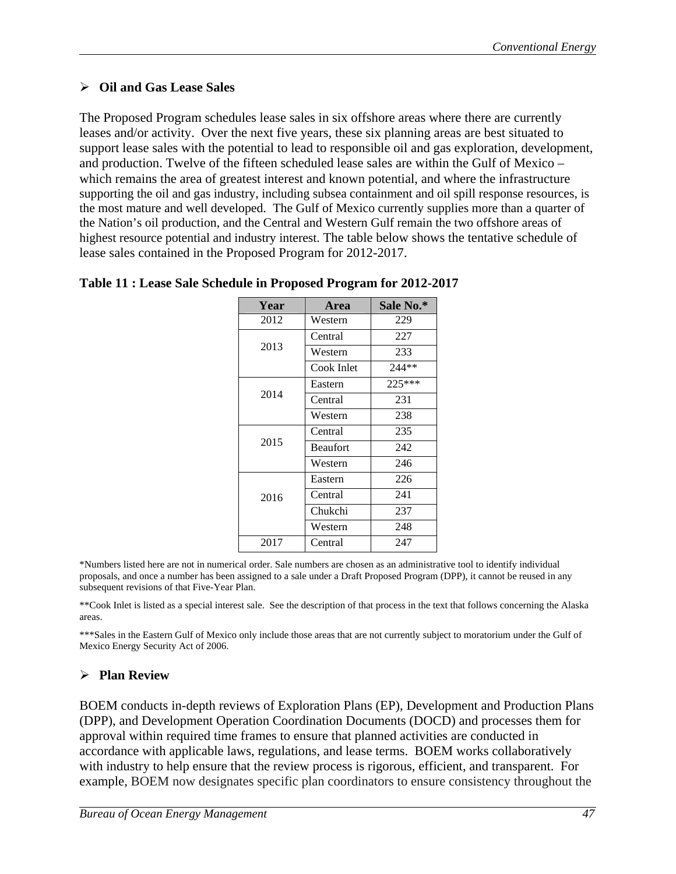#### **Oil and Gas Lease Sales**

The Proposed Program schedules lease sales in six offshore areas where there are currently leases and/or activity. Over the next five years, these six planning areas are best situated to support lease sales with the potential to lead to responsible oil and gas exploration, development, and production. Twelve of the fifteen scheduled lease sales are within the Gulf of Mexico – which remains the area of greatest interest and known potential, and where the infrastructure supporting the oil and gas industry, including subsea containment and oil spill response resources, is the most mature and well developed. The Gulf of Mexico currently supplies more than a quarter of the Nation's oil production, and the Central and Western Gulf remain the two offshore areas of highest resource potential and industry interest. The table below shows the tentative schedule of lease sales contained in the Proposed Program for 2012-2017.

| Year | Area            | Sale No.* |
|------|-----------------|-----------|
| 2012 | Western         | 229       |
|      | Central         | 227       |
| 2013 | Western         | 233       |
|      | Cook Inlet      | $244**$   |
|      | Eastern         | $225***$  |
| 2014 | Central         | 231       |
|      | Western         | 238       |
|      | Central         | 235       |
| 2015 | <b>Beaufort</b> | 242       |
|      | Western         | 246       |
|      | Eastern         | 226       |
| 2016 | Central         | 241       |
|      | Chukchi         | 237       |
|      | Western         | 248       |
| 2017 | Central         | 247       |

#### **Table 11 : Lease Sale Schedule in Proposed Program for 2012-2017**

\*Numbers listed here are not in numerical order. Sale numbers are chosen as an administrative tool to identify individual proposals, and once a number has been assigned to a sale under a Draft Proposed Program (DPP), it cannot be reused in any subsequent revisions of that Five-Year Plan.

\*\*Cook Inlet is listed as a special interest sale. See the description of that process in the text that follows concerning the Alaska areas.

\*\*\*Sales in the Eastern Gulf of Mexico only include those areas that are not currently subject to moratorium under the Gulf of Mexico Energy Security Act of 2006.

#### **Plan Review**

BOEM conducts in-depth reviews of Exploration Plans (EP), Development and Production Plans (DPP), and Development Operation Coordination Documents (DOCD) and processes them for approval within required time frames to ensure that planned activities are conducted in accordance with applicable laws, regulations, and lease terms. BOEM works collaboratively with industry to help ensure that the review process is rigorous, efficient, and transparent. For example, BOEM now designates specific plan coordinators to ensure consistency throughout the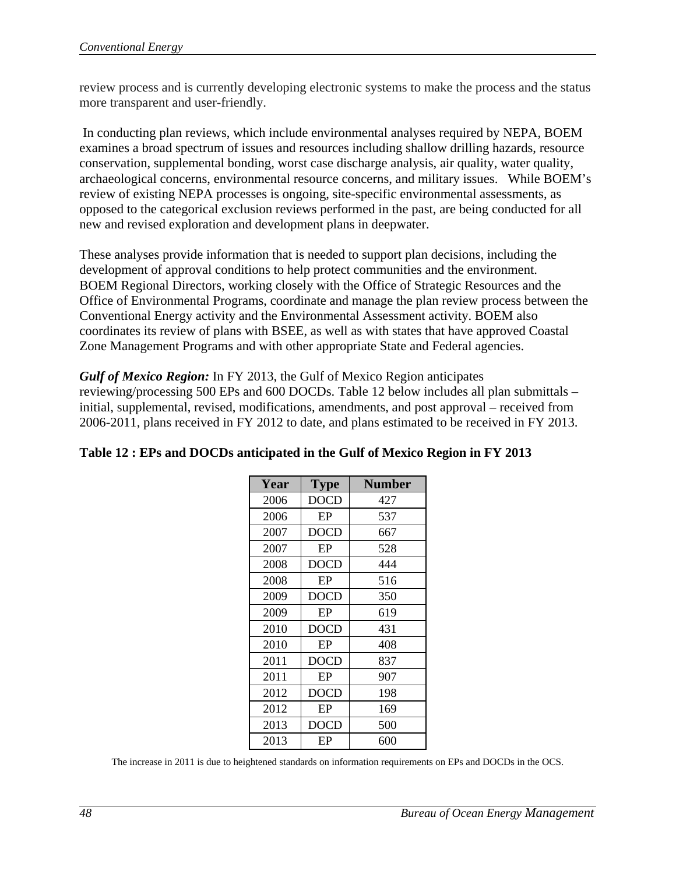review process and is currently developing electronic systems to make the process and the status more transparent and user-friendly.

 In conducting plan reviews, which include environmental analyses required by NEPA, BOEM examines a broad spectrum of issues and resources including shallow drilling hazards, resource conservation, supplemental bonding, worst case discharge analysis, air quality, water quality, archaeological concerns, environmental resource concerns, and military issues. While BOEM's review of existing NEPA processes is ongoing, site-specific environmental assessments, as opposed to the categorical exclusion reviews performed in the past, are being conducted for all new and revised exploration and development plans in deepwater.

These analyses provide information that is needed to support plan decisions, including the development of approval conditions to help protect communities and the environment. BOEM Regional Directors, working closely with the Office of Strategic Resources and the Office of Environmental Programs, coordinate and manage the plan review process between the Conventional Energy activity and the Environmental Assessment activity. BOEM also coordinates its review of plans with BSEE, as well as with states that have approved Coastal Zone Management Programs and with other appropriate State and Federal agencies.

*Gulf of Mexico Region:* In FY 2013, the Gulf of Mexico Region anticipates reviewing/processing 500 EPs and 600 DOCDs. Table 12 below includes all plan submittals – initial, supplemental, revised, modifications, amendments, and post approval – received from 2006-2011, plans received in FY 2012 to date, and plans estimated to be received in FY 2013.

| Year | <b>Type</b> | <b>Number</b> |
|------|-------------|---------------|
| 2006 | <b>DOCD</b> | 427           |
| 2006 | EP          | 537           |
| 2007 | <b>DOCD</b> | 667           |
| 2007 | EP          | 528           |
| 2008 | <b>DOCD</b> | 444           |
| 2008 | EP          | 516           |
| 2009 | <b>DOCD</b> | 350           |
| 2009 | EP          | 619           |
| 2010 | <b>DOCD</b> | 431           |
| 2010 | EP          | 408           |
| 2011 | <b>DOCD</b> | 837           |
| 2011 | EP          | 907           |
| 2012 | <b>DOCD</b> | 198           |
| 2012 | EP          | 169           |
| 2013 | <b>DOCD</b> | 500           |
| 2013 | EP          | 600           |

## **Table 12 : EPs and DOCDs anticipated in the Gulf of Mexico Region in FY 2013**

The increase in 2011 is due to heightened standards on information requirements on EPs and DOCDs in the OCS.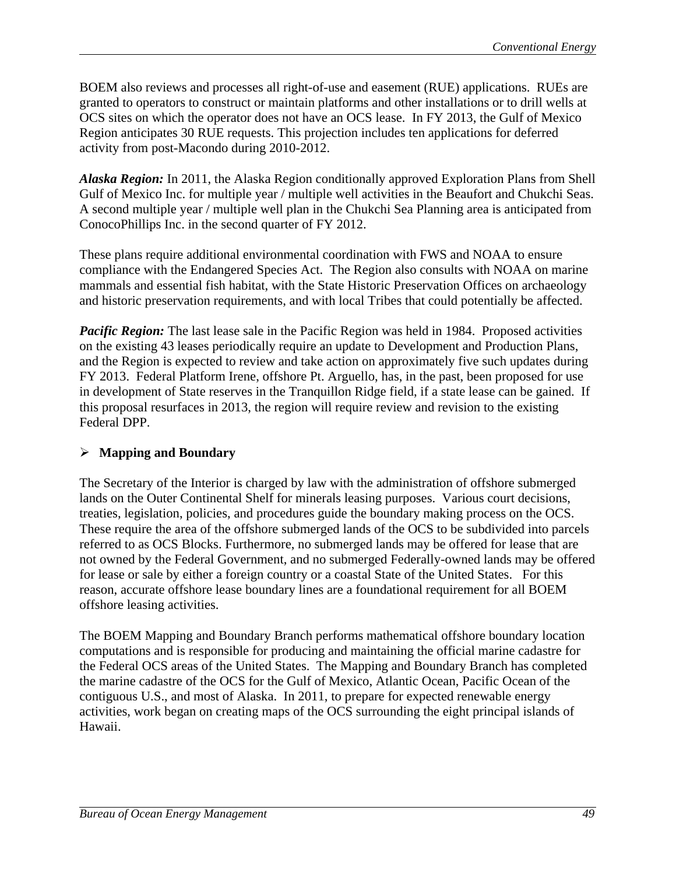BOEM also reviews and processes all right-of-use and easement (RUE) applications. RUEs are granted to operators to construct or maintain platforms and other installations or to drill wells at OCS sites on which the operator does not have an OCS lease. In FY 2013, the Gulf of Mexico Region anticipates 30 RUE requests. This projection includes ten applications for deferred activity from post-Macondo during 2010-2012.

*Alaska Region:* In 2011, the Alaska Region conditionally approved Exploration Plans from Shell Gulf of Mexico Inc. for multiple year / multiple well activities in the Beaufort and Chukchi Seas. A second multiple year / multiple well plan in the Chukchi Sea Planning area is anticipated from ConocoPhillips Inc. in the second quarter of FY 2012.

These plans require additional environmental coordination with FWS and NOAA to ensure compliance with the Endangered Species Act. The Region also consults with NOAA on marine mammals and essential fish habitat, with the State Historic Preservation Offices on archaeology and historic preservation requirements, and with local Tribes that could potentially be affected.

*Pacific Region:* The last lease sale in the Pacific Region was held in 1984. Proposed activities on the existing 43 leases periodically require an update to Development and Production Plans, and the Region is expected to review and take action on approximately five such updates during FY 2013. Federal Platform Irene, offshore Pt. Arguello, has, in the past, been proposed for use in development of State reserves in the Tranquillon Ridge field, if a state lease can be gained. If this proposal resurfaces in 2013, the region will require review and revision to the existing Federal DPP.

## **Mapping and Boundary**

The Secretary of the Interior is charged by law with the administration of offshore submerged lands on the Outer Continental Shelf for minerals leasing purposes. Various court decisions, treaties, legislation, policies, and procedures guide the boundary making process on the OCS. These require the area of the offshore submerged lands of the OCS to be subdivided into parcels referred to as OCS Blocks. Furthermore, no submerged lands may be offered for lease that are not owned by the Federal Government, and no submerged Federally-owned lands may be offered for lease or sale by either a foreign country or a coastal State of the United States. For this reason, accurate offshore lease boundary lines are a foundational requirement for all BOEM offshore leasing activities.

The BOEM Mapping and Boundary Branch performs mathematical offshore boundary location computations and is responsible for producing and maintaining the official marine cadastre for the Federal OCS areas of the United States. The Mapping and Boundary Branch has completed the marine cadastre of the OCS for the Gulf of Mexico, Atlantic Ocean, Pacific Ocean of the contiguous U.S., and most of Alaska. In 2011, to prepare for expected renewable energy activities, work began on creating maps of the OCS surrounding the eight principal islands of Hawaii.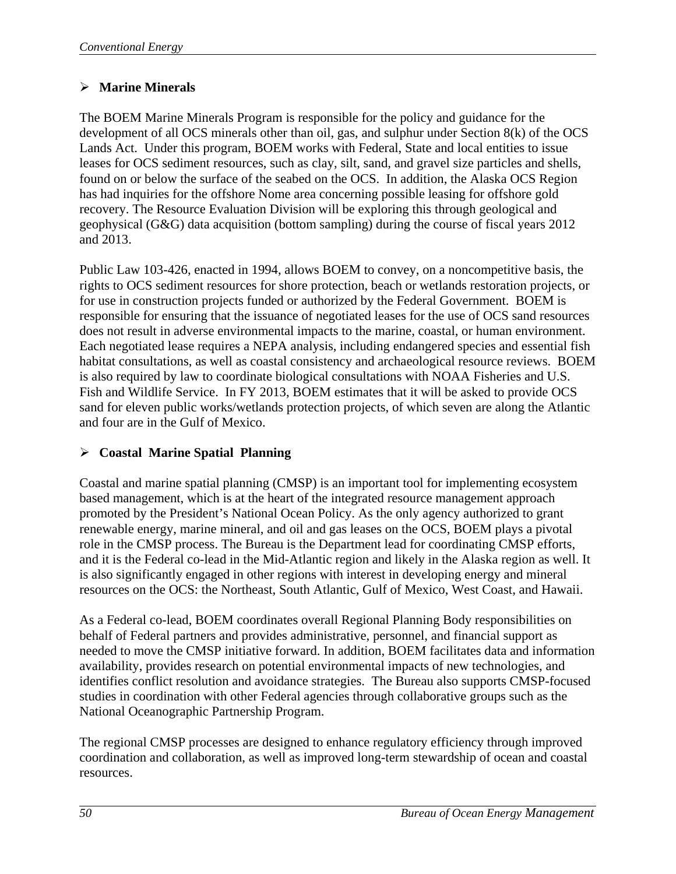## **Marine Minerals**

The BOEM Marine Minerals Program is responsible for the policy and guidance for the development of all OCS minerals other than oil, gas, and sulphur under Section 8(k) of the OCS Lands Act. Under this program, BOEM works with Federal, State and local entities to issue leases for OCS sediment resources, such as clay, silt, sand, and gravel size particles and shells, found on or below the surface of the seabed on the OCS. In addition, the Alaska OCS Region has had inquiries for the offshore Nome area concerning possible leasing for offshore gold recovery. The Resource Evaluation Division will be exploring this through geological and geophysical (G&G) data acquisition (bottom sampling) during the course of fiscal years 2012 and 2013.

Public Law 103-426, enacted in 1994, allows BOEM to convey, on a noncompetitive basis, the rights to OCS sediment resources for shore protection, beach or wetlands restoration projects, or for use in construction projects funded or authorized by the Federal Government. BOEM is responsible for ensuring that the issuance of negotiated leases for the use of OCS sand resources does not result in adverse environmental impacts to the marine, coastal, or human environment. Each negotiated lease requires a NEPA analysis, including endangered species and essential fish habitat consultations, as well as coastal consistency and archaeological resource reviews. BOEM is also required by law to coordinate biological consultations with NOAA Fisheries and U.S. Fish and Wildlife Service. In FY 2013, BOEM estimates that it will be asked to provide OCS sand for eleven public works/wetlands protection projects, of which seven are along the Atlantic and four are in the Gulf of Mexico.

## **Coastal Marine Spatial Planning**

Coastal and marine spatial planning (CMSP) is an important tool for implementing ecosystem based management, which is at the heart of the integrated resource management approach promoted by the President's National Ocean Policy. As the only agency authorized to grant renewable energy, marine mineral, and oil and gas leases on the OCS, BOEM plays a pivotal role in the CMSP process. The Bureau is the Department lead for coordinating CMSP efforts, and it is the Federal co-lead in the Mid-Atlantic region and likely in the Alaska region as well. It is also significantly engaged in other regions with interest in developing energy and mineral resources on the OCS: the Northeast, South Atlantic, Gulf of Mexico, West Coast, and Hawaii.

As a Federal co-lead, BOEM coordinates overall Regional Planning Body responsibilities on behalf of Federal partners and provides administrative, personnel, and financial support as needed to move the CMSP initiative forward. In addition, BOEM facilitates data and information availability, provides research on potential environmental impacts of new technologies, and identifies conflict resolution and avoidance strategies. The Bureau also supports CMSP-focused studies in coordination with other Federal agencies through collaborative groups such as the National Oceanographic Partnership Program.

The regional CMSP processes are designed to enhance regulatory efficiency through improved coordination and collaboration, as well as improved long-term stewardship of ocean and coastal resources.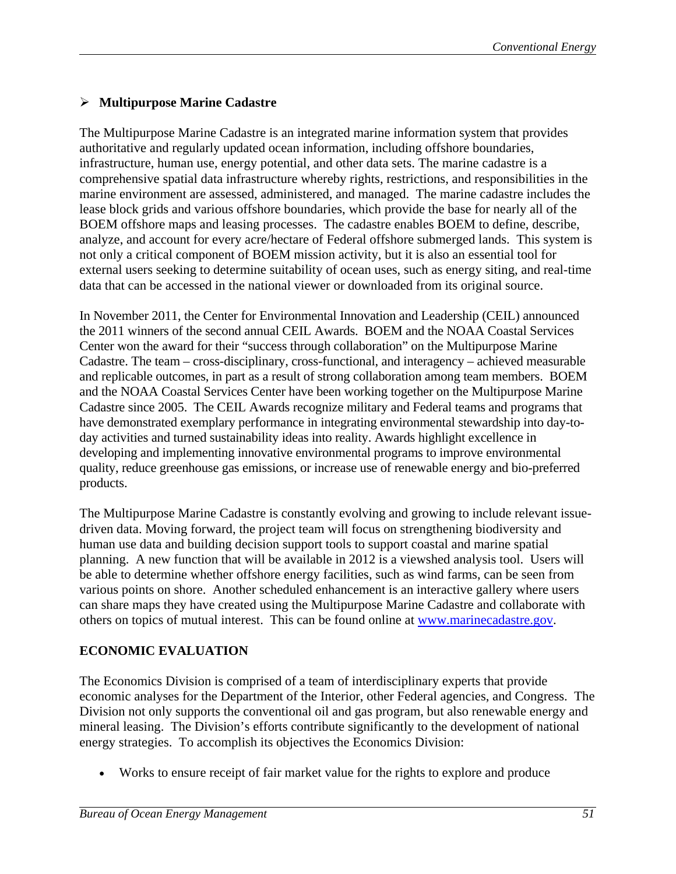## **Multipurpose Marine Cadastre**

The Multipurpose Marine Cadastre is an integrated marine information system that provides authoritative and regularly updated ocean information, including offshore boundaries, infrastructure, human use, energy potential, and other data sets. The marine cadastre is a comprehensive spatial data infrastructure whereby rights, restrictions, and responsibilities in the marine environment are assessed, administered, and managed. The marine cadastre includes the lease block grids and various offshore boundaries, which provide the base for nearly all of the BOEM offshore maps and leasing processes. The cadastre enables BOEM to define, describe, analyze, and account for every acre/hectare of Federal offshore submerged lands. This system is not only a critical component of BOEM mission activity, but it is also an essential tool for external users seeking to determine suitability of ocean uses, such as energy siting, and real-time data that can be accessed in the national viewer or downloaded from its original source.

In November 2011, the Center for Environmental Innovation and Leadership (CEIL) announced the 2011 winners of the second annual CEIL Awards. BOEM and the NOAA Coastal Services Center won the award for their "success through collaboration" on the Multipurpose Marine Cadastre. The team – cross-disciplinary, cross-functional, and interagency – achieved measurable and replicable outcomes, in part as a result of strong collaboration among team members. BOEM and the NOAA Coastal Services Center have been working together on the Multipurpose Marine Cadastre since 2005. The CEIL Awards recognize military and Federal teams and programs that have demonstrated exemplary performance in integrating environmental stewardship into day-today activities and turned sustainability ideas into reality. Awards highlight excellence in developing and implementing innovative environmental programs to improve environmental quality, reduce greenhouse gas emissions, or increase use of renewable energy and bio-preferred products.

The Multipurpose Marine Cadastre is constantly evolving and growing to include relevant issuedriven data. Moving forward, the project team will focus on strengthening biodiversity and human use data and building decision support tools to support coastal and marine spatial planning. A new function that will be available in 2012 is a viewshed analysis tool. Users will be able to determine whether offshore energy facilities, such as wind farms, can be seen from various points on shore. Another scheduled enhancement is an interactive gallery where users can share maps they have created using the Multipurpose Marine Cadastre and collaborate with others on topics of mutual interest. This can be found online at [www.marinecadastre.gov](http://www.marinecadastre.gov/).

## **ECONOMIC EVALUATION**

The Economics Division is comprised of a team of interdisciplinary experts that provide economic analyses for the Department of the Interior, other Federal agencies, and Congress. The Division not only supports the conventional oil and gas program, but also renewable energy and mineral leasing. The Division's efforts contribute significantly to the development of national energy strategies. To accomplish its objectives the Economics Division:

Works to ensure receipt of fair market value for the rights to explore and produce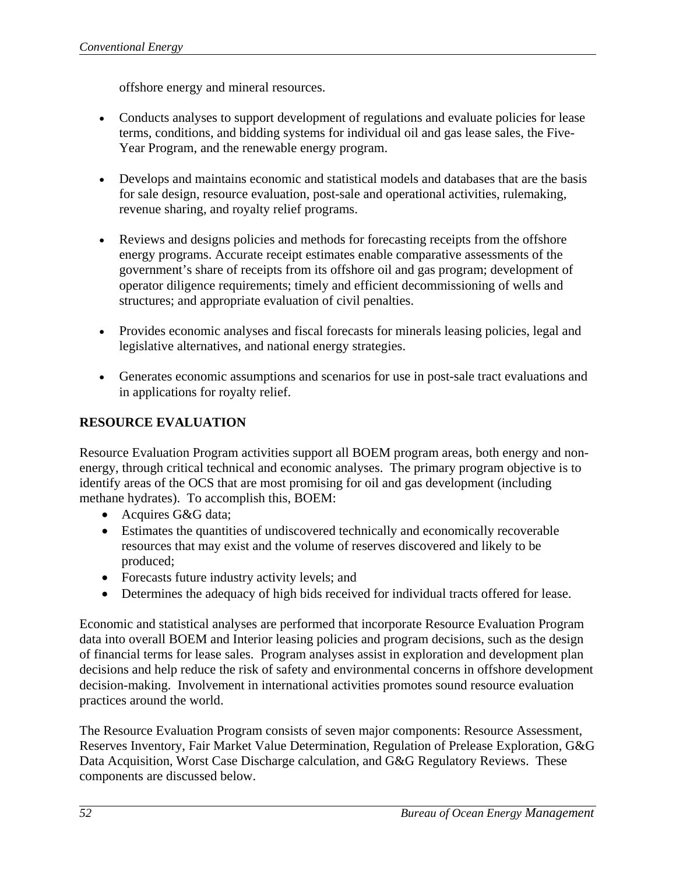offshore energy and mineral resources.

- Conducts analyses to support development of regulations and evaluate policies for lease terms, conditions, and bidding systems for individual oil and gas lease sales, the Five-Year Program, and the renewable energy program.
- Develops and maintains economic and statistical models and databases that are the basis for sale design, resource evaluation, post-sale and operational activities, rulemaking, revenue sharing, and royalty relief programs.
- Reviews and designs policies and methods for forecasting receipts from the offshore energy programs. Accurate receipt estimates enable comparative assessments of the government's share of receipts from its offshore oil and gas program; development of operator diligence requirements; timely and efficient decommissioning of wells and structures; and appropriate evaluation of civil penalties.
- Provides economic analyses and fiscal forecasts for minerals leasing policies, legal and legislative alternatives, and national energy strategies.
- Generates economic assumptions and scenarios for use in post-sale tract evaluations and in applications for royalty relief.

## **RESOURCE EVALUATION**

Resource Evaluation Program activities support all BOEM program areas, both energy and nonenergy, through critical technical and economic analyses. The primary program objective is to identify areas of the OCS that are most promising for oil and gas development (including methane hydrates). To accomplish this, BOEM:

- Acquires G&G data;
- Estimates the quantities of undiscovered technically and economically recoverable resources that may exist and the volume of reserves discovered and likely to be produced;
- Forecasts future industry activity levels; and
- Determines the adequacy of high bids received for individual tracts offered for lease.

Economic and statistical analyses are performed that incorporate Resource Evaluation Program data into overall BOEM and Interior leasing policies and program decisions, such as the design of financial terms for lease sales. Program analyses assist in exploration and development plan decisions and help reduce the risk of safety and environmental concerns in offshore development decision-making. Involvement in international activities promotes sound resource evaluation practices around the world.

The Resource Evaluation Program consists of seven major components: Resource Assessment, Reserves Inventory, Fair Market Value Determination, Regulation of Prelease Exploration, G&G Data Acquisition, Worst Case Discharge calculation, and G&G Regulatory Reviews. These components are discussed below.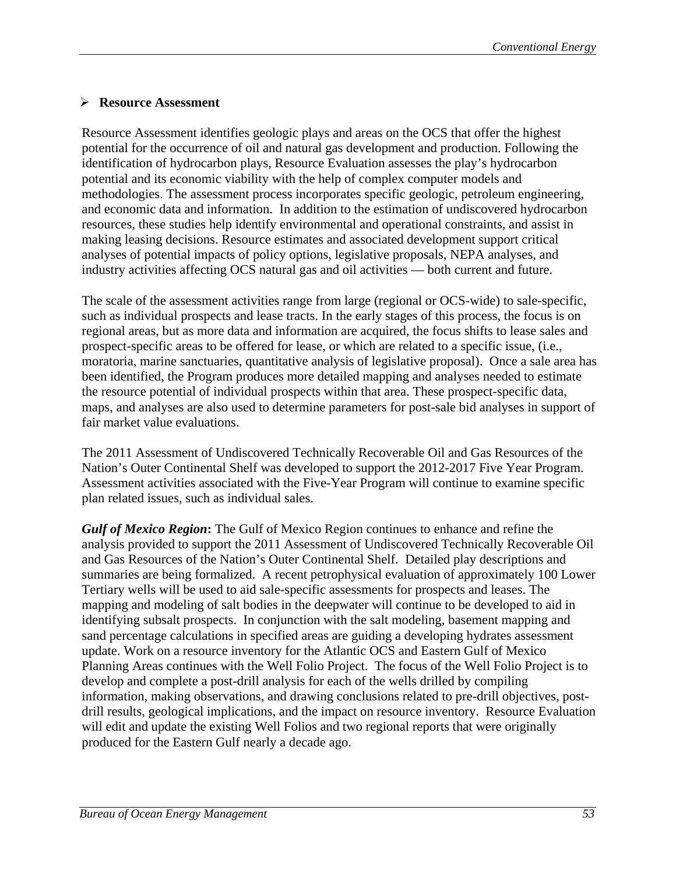#### **Resource Assessment**

Resource Assessment identifies geologic plays and areas on the OCS that offer the highest potential for the occurrence of oil and natural gas development and production. Following the identification of hydrocarbon plays, Resource Evaluation assesses the play's hydrocarbon potential and its economic viability with the help of complex computer models and methodologies. The assessment process incorporates specific geologic, petroleum engineering, and economic data and information. In addition to the estimation of undiscovered hydrocarbon resources, these studies help identify environmental and operational constraints, and assist in making leasing decisions. Resource estimates and associated development support critical analyses of potential impacts of policy options, legislative proposals, NEPA analyses, and industry activities affecting OCS natural gas and oil activities — both current and future.

The scale of the assessment activities range from large (regional or OCS-wide) to sale-specific, such as individual prospects and lease tracts. In the early stages of this process, the focus is on regional areas, but as more data and information are acquired, the focus shifts to lease sales and prospect-specific areas to be offered for lease, or which are related to a specific issue, (i.e., moratoria, marine sanctuaries, quantitative analysis of legislative proposal). Once a sale area has been identified, the Program produces more detailed mapping and analyses needed to estimate the resource potential of individual prospects within that area. These prospect-specific data, maps, and analyses are also used to determine parameters for post-sale bid analyses in support of fair market value evaluations.

The 2011 Assessment of Undiscovered Technically Recoverable Oil and Gas Resources of the Nation's Outer Continental Shelf was developed to support the 2012-2017 Five Year Program. Assessment activities associated with the Five-Year Program will continue to examine specific plan related issues, such as individual sales.

*Gulf of Mexico Region***:** The Gulf of Mexico Region continues to enhance and refine the analysis provided to support the 2011 Assessment of Undiscovered Technically Recoverable Oil and Gas Resources of the Nation's Outer Continental Shelf. Detailed play descriptions and summaries are being formalized. A recent petrophysical evaluation of approximately 100 Lower Tertiary wells will be used to aid sale-specific assessments for prospects and leases. The mapping and modeling of salt bodies in the deepwater will continue to be developed to aid in identifying subsalt prospects. In conjunction with the salt modeling, basement mapping and sand percentage calculations in specified areas are guiding a developing hydrates assessment update. Work on a resource inventory for the Atlantic OCS and Eastern Gulf of Mexico Planning Areas continues with the Well Folio Project. The focus of the Well Folio Project is to develop and complete a post-drill analysis for each of the wells drilled by compiling information, making observations, and drawing conclusions related to pre-drill objectives, postdrill results, geological implications, and the impact on resource inventory. Resource Evaluation will edit and update the existing Well Folios and two regional reports that were originally produced for the Eastern Gulf nearly a decade ago.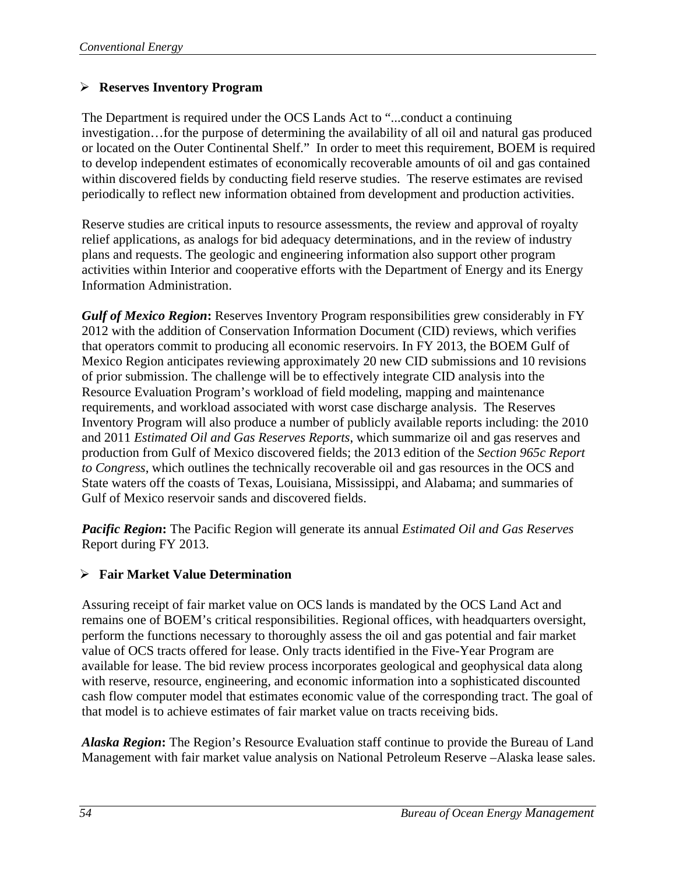## **Reserves Inventory Program**

The Department is required under the OCS Lands Act to "...conduct a continuing investigation…for the purpose of determining the availability of all oil and natural gas produced or located on the Outer Continental Shelf." In order to meet this requirement, BOEM is required to develop independent estimates of economically recoverable amounts of oil and gas contained within discovered fields by conducting field reserve studies. The reserve estimates are revised periodically to reflect new information obtained from development and production activities.

Reserve studies are critical inputs to resource assessments, the review and approval of royalty relief applications, as analogs for bid adequacy determinations, and in the review of industry plans and requests. The geologic and engineering information also support other program activities within Interior and cooperative efforts with the Department of Energy and its Energy Information Administration.

Gulf of Mexico Region: Reserves Inventory Program responsibilities grew considerably in FY 2012 with the addition of Conservation Information Document (CID) reviews, which verifies that operators commit to producing all economic reservoirs. In FY 2013, the BOEM Gulf of Mexico Region anticipates reviewing approximately 20 new CID submissions and 10 revisions of prior submission. The challenge will be to effectively integrate CID analysis into the Resource Evaluation Program's workload of field modeling, mapping and maintenance requirements, and workload associated with worst case discharge analysis. The Reserves Inventory Program will also produce a number of publicly available reports including: the 2010 and 2011 *Estimated Oil and Gas Reserves Reports*, which summarize oil and gas reserves and production from Gulf of Mexico discovered fields; the 2013 edition of the *Section 965c Report to Congress*, which outlines the technically recoverable oil and gas resources in the OCS and State waters off the coasts of Texas, Louisiana, Mississippi, and Alabama; and summaries of Gulf of Mexico reservoir sands and discovered fields.

*Pacific Region***:** The Pacific Region will generate its annual *Estimated Oil and Gas Reserves* Report during FY 2013.

## **Fair Market Value Determination**

Assuring receipt of fair market value on OCS lands is mandated by the OCS Land Act and remains one of BOEM's critical responsibilities. Regional offices, with headquarters oversight, perform the functions necessary to thoroughly assess the oil and gas potential and fair market value of OCS tracts offered for lease. Only tracts identified in the Five-Year Program are available for lease. The bid review process incorporates geological and geophysical data along with reserve, resource, engineering, and economic information into a sophisticated discounted cash flow computer model that estimates economic value of the corresponding tract. The goal of that model is to achieve estimates of fair market value on tracts receiving bids.

*Alaska Region***:** The Region's Resource Evaluation staff continue to provide the Bureau of Land Management with fair market value analysis on National Petroleum Reserve –Alaska lease sales.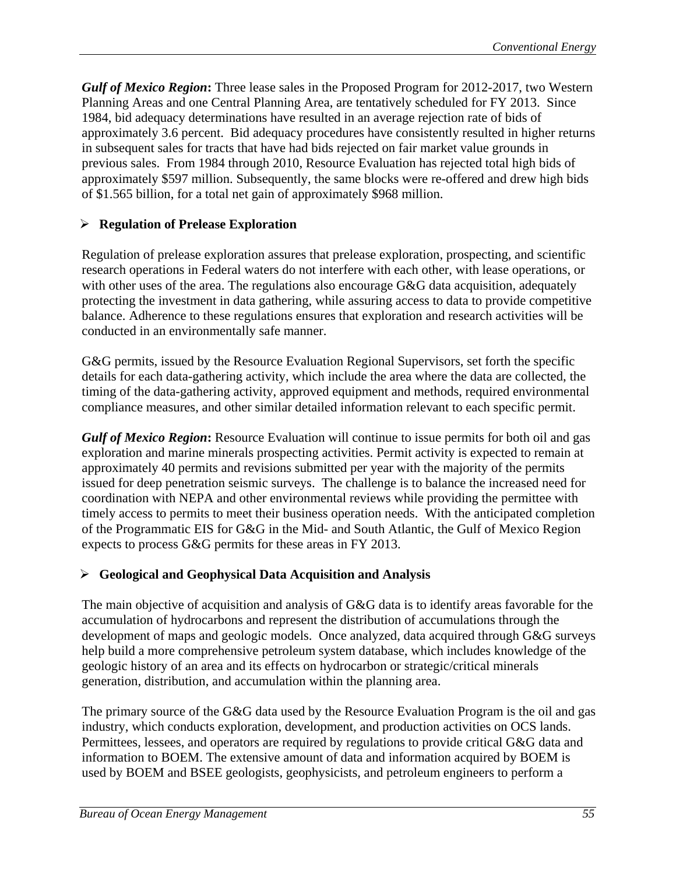*Gulf of Mexico Region***:** Three lease sales in the Proposed Program for 2012-2017, two Western Planning Areas and one Central Planning Area, are tentatively scheduled for FY 2013. Since 1984, bid adequacy determinations have resulted in an average rejection rate of bids of approximately 3.6 percent. Bid adequacy procedures have consistently resulted in higher returns in subsequent sales for tracts that have had bids rejected on fair market value grounds in previous sales. From 1984 through 2010, Resource Evaluation has rejected total high bids of approximately \$597 million. Subsequently, the same blocks were re-offered and drew high bids of \$1.565 billion, for a total net gain of approximately \$968 million.

## **Regulation of Prelease Exploration**

Regulation of prelease exploration assures that prelease exploration, prospecting, and scientific research operations in Federal waters do not interfere with each other, with lease operations, or with other uses of the area. The regulations also encourage G&G data acquisition, adequately protecting the investment in data gathering, while assuring access to data to provide competitive balance. Adherence to these regulations ensures that exploration and research activities will be conducted in an environmentally safe manner.

G&G permits, issued by the Resource Evaluation Regional Supervisors, set forth the specific details for each data-gathering activity, which include the area where the data are collected, the timing of the data-gathering activity, approved equipment and methods, required environmental compliance measures, and other similar detailed information relevant to each specific permit.

*Gulf of Mexico Region***:** Resource Evaluation will continue to issue permits for both oil and gas exploration and marine minerals prospecting activities. Permit activity is expected to remain at approximately 40 permits and revisions submitted per year with the majority of the permits issued for deep penetration seismic surveys. The challenge is to balance the increased need for coordination with NEPA and other environmental reviews while providing the permittee with timely access to permits to meet their business operation needs. With the anticipated completion of the Programmatic EIS for G&G in the Mid- and South Atlantic, the Gulf of Mexico Region expects to process G&G permits for these areas in FY 2013.

#### **Geological and Geophysical Data Acquisition and Analysis**

The main objective of acquisition and analysis of G&G data is to identify areas favorable for the accumulation of hydrocarbons and represent the distribution of accumulations through the development of maps and geologic models. Once analyzed, data acquired through G&G surveys help build a more comprehensive petroleum system database, which includes knowledge of the geologic history of an area and its effects on hydrocarbon or strategic/critical minerals generation, distribution, and accumulation within the planning area.

The primary source of the G&G data used by the Resource Evaluation Program is the oil and gas industry, which conducts exploration, development, and production activities on OCS lands. Permittees, lessees, and operators are required by regulations to provide critical G&G data and information to BOEM. The extensive amount of data and information acquired by BOEM is used by BOEM and BSEE geologists, geophysicists, and petroleum engineers to perform a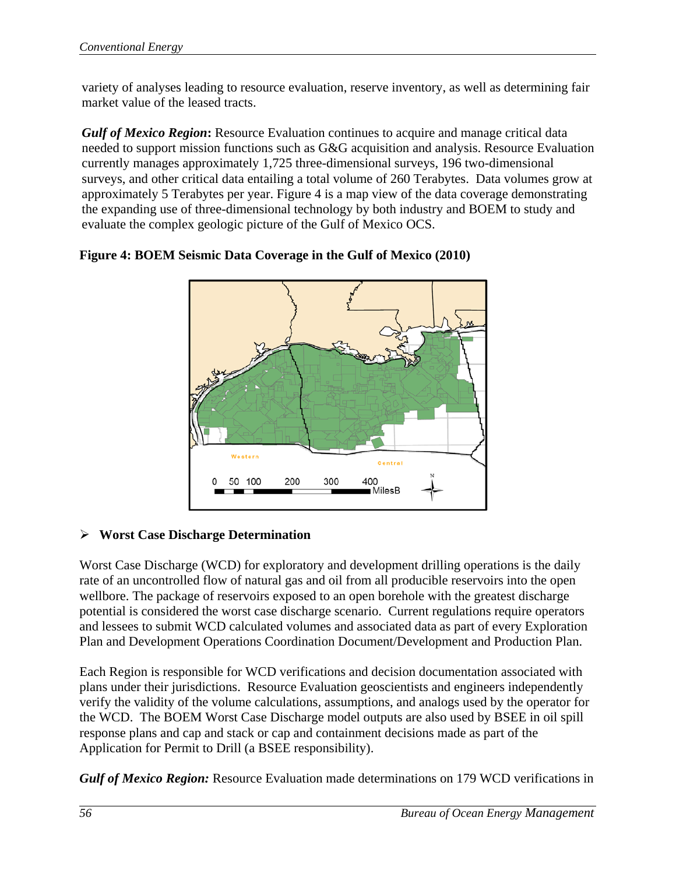variety of analyses leading to resource evaluation, reserve inventory, as well as determining fair market value of the leased tracts.

*Gulf of Mexico Region***:** Resource Evaluation continues to acquire and manage critical data needed to support mission functions such as G&G acquisition and analysis. Resource Evaluation currently manages approximately 1,725 three-dimensional surveys, 196 two-dimensional surveys, and other critical data entailing a total volume of 260 Terabytes. Data volumes grow at approximately 5 Terabytes per year. Figure 4 is a map view of the data coverage demonstrating the expanding use of three-dimensional technology by both industry and BOEM to study and evaluate the complex geologic picture of the Gulf of Mexico OCS.



**Figure 4: BOEM Seismic Data Coverage in the Gulf of Mexico (2010)** 

## **Worst Case Discharge Determination**

Worst Case Discharge (WCD) for exploratory and development drilling operations is the daily rate of an uncontrolled flow of natural gas and oil from all producible reservoirs into the open wellbore. The package of reservoirs exposed to an open borehole with the greatest discharge potential is considered the worst case discharge scenario. Current regulations require operators and lessees to submit WCD calculated volumes and associated data as part of every Exploration Plan and Development Operations Coordination Document/Development and Production Plan.

Each Region is responsible for WCD verifications and decision documentation associated with plans under their jurisdictions. Resource Evaluation geoscientists and engineers independently verify the validity of the volume calculations, assumptions, and analogs used by the operator for the WCD. The BOEM Worst Case Discharge model outputs are also used by BSEE in oil spill response plans and cap and stack or cap and containment decisions made as part of the Application for Permit to Drill (a BSEE responsibility).

*Gulf of Mexico Region:* Resource Evaluation made determinations on 179 WCD verifications in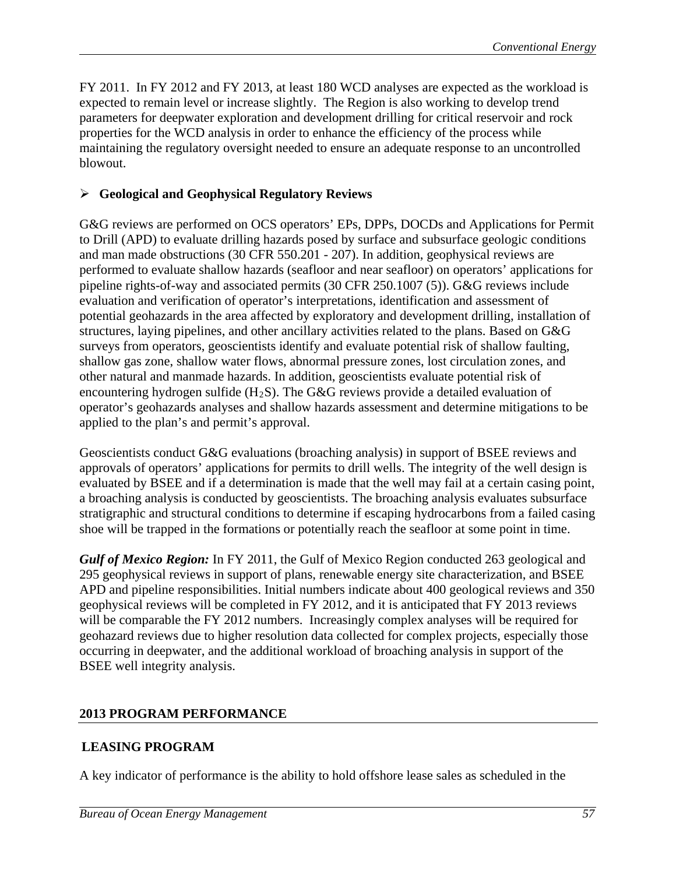FY 2011. In FY 2012 and FY 2013, at least 180 WCD analyses are expected as the workload is expected to remain level or increase slightly. The Region is also working to develop trend parameters for deepwater exploration and development drilling for critical reservoir and rock properties for the WCD analysis in order to enhance the efficiency of the process while maintaining the regulatory oversight needed to ensure an adequate response to an uncontrolled blowout.

#### **Geological and Geophysical Regulatory Reviews**

G&G reviews are performed on OCS operators' EPs, DPPs, DOCDs and Applications for Permit to Drill (APD) to evaluate drilling hazards posed by surface and subsurface geologic conditions and man made obstructions (30 CFR 550.201 - 207). In addition, geophysical reviews are performed to evaluate shallow hazards (seafloor and near seafloor) on operators' applications for pipeline rights-of-way and associated permits (30 CFR 250.1007 (5)). G&G reviews include evaluation and verification of operator's interpretations, identification and assessment of potential geohazards in the area affected by exploratory and development drilling, installation of structures, laying pipelines, and other ancillary activities related to the plans. Based on G&G surveys from operators, geoscientists identify and evaluate potential risk of shallow faulting, shallow gas zone, shallow water flows, abnormal pressure zones, lost circulation zones, and other natural and manmade hazards. In addition, geoscientists evaluate potential risk of encountering hydrogen sulfide  $(H_2S)$ . The G&G reviews provide a detailed evaluation of operator's geohazards analyses and shallow hazards assessment and determine mitigations to be applied to the plan's and permit's approval.

Geoscientists conduct G&G evaluations (broaching analysis) in support of BSEE reviews and approvals of operators' applications for permits to drill wells. The integrity of the well design is evaluated by BSEE and if a determination is made that the well may fail at a certain casing point, a broaching analysis is conducted by geoscientists. The broaching analysis evaluates subsurface stratigraphic and structural conditions to determine if escaping hydrocarbons from a failed casing shoe will be trapped in the formations or potentially reach the seafloor at some point in time.

*Gulf of Mexico Region:* In FY 2011, the Gulf of Mexico Region conducted 263 geological and 295 geophysical reviews in support of plans, renewable energy site characterization, and BSEE APD and pipeline responsibilities. Initial numbers indicate about 400 geological reviews and 350 geophysical reviews will be completed in FY 2012, and it is anticipated that FY 2013 reviews will be comparable the FY 2012 numbers. Increasingly complex analyses will be required for geohazard reviews due to higher resolution data collected for complex projects, especially those occurring in deepwater, and the additional workload of broaching analysis in support of the BSEE well integrity analysis.

## **2013 PROGRAM PERFORMANCE**

## **LEASING PROGRAM**

A key indicator of performance is the ability to hold offshore lease sales as scheduled in the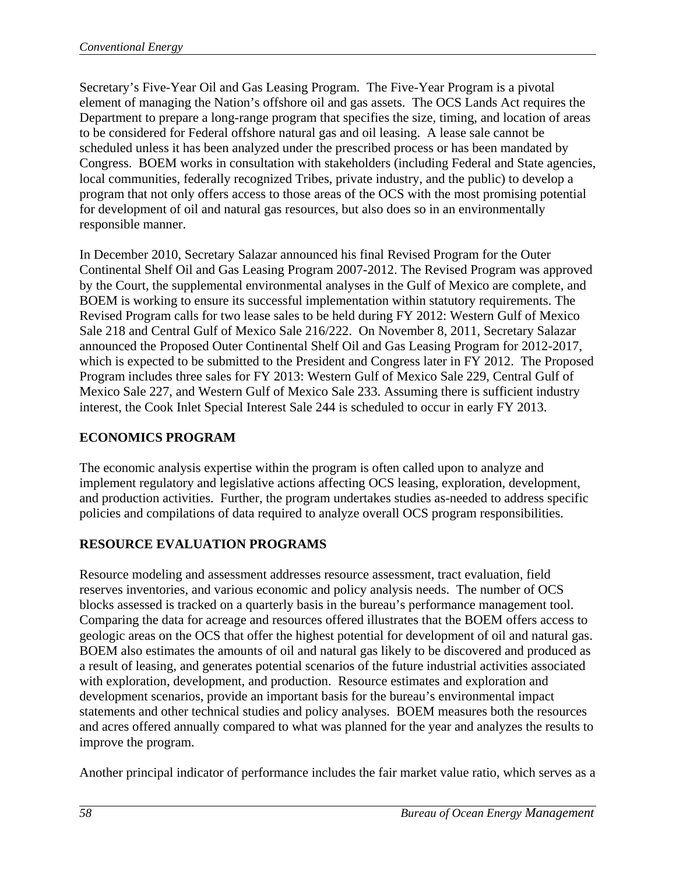Secretary's Five-Year Oil and Gas Leasing Program. The Five-Year Program is a pivotal element of managing the Nation's offshore oil and gas assets. The OCS Lands Act requires the Department to prepare a long-range program that specifies the size, timing, and location of areas to be considered for Federal offshore natural gas and oil leasing. A lease sale cannot be scheduled unless it has been analyzed under the prescribed process or has been mandated by Congress. BOEM works in consultation with stakeholders (including Federal and State agencies, local communities, federally recognized Tribes, private industry, and the public) to develop a program that not only offers access to those areas of the OCS with the most promising potential for development of oil and natural gas resources, but also does so in an environmentally responsible manner.

In December 2010, Secretary Salazar announced his final Revised Program for the Outer Continental Shelf Oil and Gas Leasing Program 2007-2012. The Revised Program was approved by the Court, the supplemental environmental analyses in the Gulf of Mexico are complete, and BOEM is working to ensure its successful implementation within statutory requirements. The Revised Program calls for two lease sales to be held during FY 2012: Western Gulf of Mexico Sale 218 and Central Gulf of Mexico Sale 216/222. On November 8, 2011, Secretary Salazar announced the Proposed Outer Continental Shelf Oil and Gas Leasing Program for 2012-2017, which is expected to be submitted to the President and Congress later in FY 2012. The Proposed Program includes three sales for FY 2013: Western Gulf of Mexico Sale 229, Central Gulf of Mexico Sale 227, and Western Gulf of Mexico Sale 233. Assuming there is sufficient industry interest, the Cook Inlet Special Interest Sale 244 is scheduled to occur in early FY 2013.

## **ECONOMICS PROGRAM**

The economic analysis expertise within the program is often called upon to analyze and implement regulatory and legislative actions affecting OCS leasing, exploration, development, and production activities. Further, the program undertakes studies as-needed to address specific policies and compilations of data required to analyze overall OCS program responsibilities.

## **RESOURCE EVALUATION PROGRAMS**

Resource modeling and assessment addresses resource assessment, tract evaluation, field reserves inventories, and various economic and policy analysis needs. The number of OCS blocks assessed is tracked on a quarterly basis in the bureau's performance management tool. Comparing the data for acreage and resources offered illustrates that the BOEM offers access to geologic areas on the OCS that offer the highest potential for development of oil and natural gas. BOEM also estimates the amounts of oil and natural gas likely to be discovered and produced as a result of leasing, and generates potential scenarios of the future industrial activities associated with exploration, development, and production. Resource estimates and exploration and development scenarios, provide an important basis for the bureau's environmental impact statements and other technical studies and policy analyses. BOEM measures both the resources and acres offered annually compared to what was planned for the year and analyzes the results to improve the program.

Another principal indicator of performance includes the fair market value ratio, which serves as a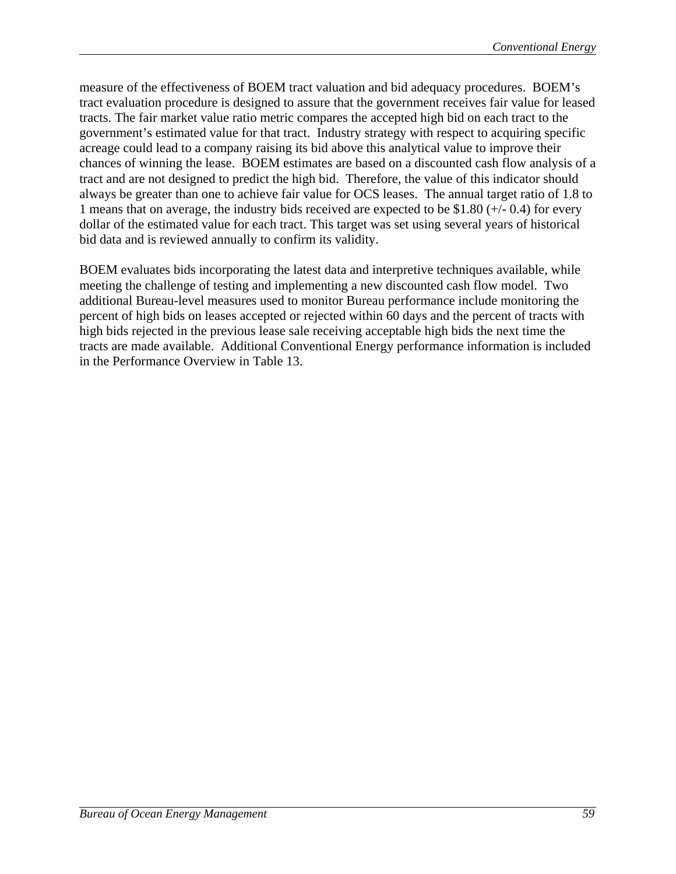measure of the effectiveness of BOEM tract valuation and bid adequacy procedures. BOEM's tract evaluation procedure is designed to assure that the government receives fair value for leased tracts. The fair market value ratio metric compares the accepted high bid on each tract to the government's estimated value for that tract. Industry strategy with respect to acquiring specific acreage could lead to a company raising its bid above this analytical value to improve their chances of winning the lease. BOEM estimates are based on a discounted cash flow analysis of a tract and are not designed to predict the high bid. Therefore, the value of this indicator should always be greater than one to achieve fair value for OCS leases. The annual target ratio of 1.8 to 1 means that on average, the industry bids received are expected to be \$1.80 (+/- 0.4) for every dollar of the estimated value for each tract. This target was set using several years of historical bid data and is reviewed annually to confirm its validity.

BOEM evaluates bids incorporating the latest data and interpretive techniques available, while meeting the challenge of testing and implementing a new discounted cash flow model. Two additional Bureau-level measures used to monitor Bureau performance include monitoring the percent of high bids on leases accepted or rejected within 60 days and the percent of tracts with high bids rejected in the previous lease sale receiving acceptable high bids the next time the tracts are made available. Additional Conventional Energy performance information is included in the Performance Overview in Table 13.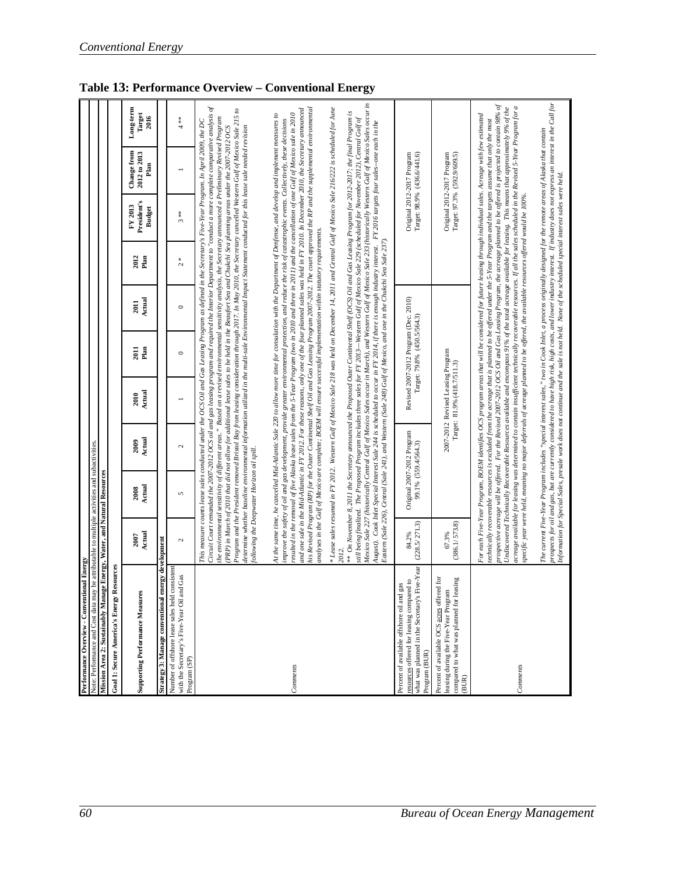| 60                                       | tional Energy<br>Performance Overview - Conventi                                                                                                               |                                                                                                                                                                                                                                                                                                                                                                                                                                                                                                                                                                                                                                                                                                                                                                                                                                                                                                                                                                                                                                              |                                                   |                |                                                                  |                                                                      |                |               |                                         |                                                           |                             |
|------------------------------------------|----------------------------------------------------------------------------------------------------------------------------------------------------------------|----------------------------------------------------------------------------------------------------------------------------------------------------------------------------------------------------------------------------------------------------------------------------------------------------------------------------------------------------------------------------------------------------------------------------------------------------------------------------------------------------------------------------------------------------------------------------------------------------------------------------------------------------------------------------------------------------------------------------------------------------------------------------------------------------------------------------------------------------------------------------------------------------------------------------------------------------------------------------------------------------------------------------------------------|---------------------------------------------------|----------------|------------------------------------------------------------------|----------------------------------------------------------------------|----------------|---------------|-----------------------------------------|-----------------------------------------------------------|-----------------------------|
|                                          | ote: Performance and Cost data may be attributable to multiple activities and subactivities.                                                                   |                                                                                                                                                                                                                                                                                                                                                                                                                                                                                                                                                                                                                                                                                                                                                                                                                                                                                                                                                                                                                                              |                                                   |                |                                                                  |                                                                      |                |               |                                         |                                                           |                             |
|                                          | Mission Area 2: Sustainably Man                                                                                                                                | age Energy, Water, and Natural Resources                                                                                                                                                                                                                                                                                                                                                                                                                                                                                                                                                                                                                                                                                                                                                                                                                                                                                                                                                                                                     |                                                   |                |                                                                  |                                                                      |                |               |                                         |                                                           |                             |
|                                          | Resources<br>Goal 1: Secure America's Energy                                                                                                                   |                                                                                                                                                                                                                                                                                                                                                                                                                                                                                                                                                                                                                                                                                                                                                                                                                                                                                                                                                                                                                                              |                                                   |                |                                                                  |                                                                      |                |               |                                         |                                                           |                             |
|                                          | <b>Supporting Performance Measures</b>                                                                                                                         | Actual<br>2007                                                                                                                                                                                                                                                                                                                                                                                                                                                                                                                                                                                                                                                                                                                                                                                                                                                                                                                                                                                                                               | Actual<br>2008                                    | Actual<br>2009 | Actual<br>2010                                                   | 2011<br>Plan                                                         | Actual<br>2011 | Plan<br>2012  | President's<br>FY 2013<br><b>Budget</b> | Change from<br>2012 to 2013<br>Plan                       | Long-term<br>Target<br>2016 |
|                                          | nergy development<br><b>Strategy 3: Manage conventional</b>                                                                                                    |                                                                                                                                                                                                                                                                                                                                                                                                                                                                                                                                                                                                                                                                                                                                                                                                                                                                                                                                                                                                                                              |                                                   |                |                                                                  |                                                                      |                |               |                                         |                                                           |                             |
|                                          | consistent<br>with the Secretary's Five-Year Oil and Gas<br>Number of offshore lease sales held<br>Program (SP)                                                | $\sim$                                                                                                                                                                                                                                                                                                                                                                                                                                                                                                                                                                                                                                                                                                                                                                                                                                                                                                                                                                                                                                       | $\sqrt{2}$                                        | $\sim$         |                                                                  | $\circ$                                                              | $\circ$        | $\frac{1}{2}$ | $3**$                                   | $\overline{ }$                                            | $4 * A$                     |
|                                          |                                                                                                                                                                | Circuit Court remanded the 2007-2012 OCS oil and gas leasing program and required the Interior Department to "conduct a more complete comparative analysis of<br>Program and the President removed Bristol Bay from leasing consideration through 2017. In May 2010, the Secretary cancelled Western Gulf of Mexico Sale 215 to<br>the environmental sensitivity of different areas." Based on a revised environmental sensitivity analysis, the Secretary announced a Preliminary Revised Program<br>This measure counts lease sales conducted under the OCS Oil and Gas Leasing Program as defined in the Secretary's Five-Year Program. In April 2009, the DC<br>determine whether baseline environmental information utilized in the multi-sale Environmental Impact Statement conducted for this lease sale needed revision<br>(PRP) in March of 2010 that did not allow for additional lease sales to be held in the Beaufort Sea and Chukchi Sea planning areas under the 2007-2012 OCS<br>following the Deepwater Horizon oil spill. |                                                   |                |                                                                  |                                                                      |                |               |                                         |                                                           |                             |
|                                          | Comments                                                                                                                                                       | and one sale in the Mid-Atlantic in FY 2012. For these reasons, only one of the four planned sales was held in FY 2010. In December 2010, the Secretary announced<br>his Revised Program (RP) for the Outer Continental Shelf Oil and Gas Leasing Program 2007-2012. The court approved the RP and the supplemental environmental<br>resulted in the removal of five Alaska lease sales from the 5-Year Program (two in 2010 and three in 2011) and the cancellation of one Gulf of Mexico sale in 2010<br>At the same time, he cancelled Mid-Atlantic Sale 220 to allow more time for consulation with the Department of Denfense, and develop and implement measures to<br>improve the safety of oil and gas development, provide greater environmental protection, and reduce the risk of catastrophic events. Collectively, these decisions<br>analyses in the Gulf of Mexico are complete; BOEM will ensure successful implementation within statutory requirements.                                                                    |                                                   |                |                                                                  |                                                                      |                |               |                                         |                                                           |                             |
|                                          |                                                                                                                                                                | * Lease sales resumed in FY 2012. Western Gulf of Mexico Sale 218 was held on December 14, 2011 and Central Gulf of Mexico Sale 216/222 is scheduled for June                                                                                                                                                                                                                                                                                                                                                                                                                                                                                                                                                                                                                                                                                                                                                                                                                                                                                |                                                   |                |                                                                  |                                                                      |                |               |                                         |                                                           |                             |
|                                          |                                                                                                                                                                | Mexico Sale 227 (historically Central Gulf of Mexico Sales occur in March), and Western Gulf of Mexico Sale 233 (historically Western Gulf of Mexico Sales occur in<br>** On November 8, 2011 the Secretary announced the Proposed Outer Continental Shelf (OCS) Oil and Gas Leasing Program for 2012-2017; the final Program is<br>still being finalized. The Proposed Program includes three sales for FY 2013—Western Gulf of Mexico Sale 229 (scheduled for November 2012), Central Gulf of<br>August). Cook Inter Special Interest Sale 244 is scheduled to occur in FY 2014, if there is enough industry interest. FY 2016 targets four sales-one each in the<br>Eastern (Sale 226), Central (Sale 241), and Western (Sale 248) Gulf of Mexico, and one in the Chukchi Sea Sale 237).<br>2012.                                                                                                                                                                                                                                         |                                                   |                |                                                                  |                                                                      |                |               |                                         |                                                           |                             |
|                                          | Five-Year<br>resources offered for leasing compared to<br>gas<br>Percent of available offshore oil and<br>what was planned in the Secretary's<br>Program (BUR) | (228.5/271.3)<br>84.2%                                                                                                                                                                                                                                                                                                                                                                                                                                                                                                                                                                                                                                                                                                                                                                                                                                                                                                                                                                                                                       | Original 2007-2012 Program<br>99.1% (559.4/564.3) |                |                                                                  | Revised 2007-2012 Program (Dec. 2010)<br>Target: 79.8% (450.5/564.3) |                |               |                                         | Original 2012-2017 Program<br>Target: 98.9% (436.6/441.6) |                             |
|                                          | Percent of available OCS acres offered for<br>compared to what was planned for leasing<br>leasing during the Five-Year Program<br>(BUR)                        | (386.1/573.8)<br>67.3%                                                                                                                                                                                                                                                                                                                                                                                                                                                                                                                                                                                                                                                                                                                                                                                                                                                                                                                                                                                                                       |                                                   |                | 2007-2012 Revised Leasing Program<br>Target: 81.9% (418.7/511.3) |                                                                      |                |               |                                         | Target: 97.3% (592.9/609.5)<br>Original 2012-2017 Program |                             |
| <b>Bureau of Ocean Energy Management</b> | Comments                                                                                                                                                       | prospective acreage will be offered. For the Revised 2007-2012 OCS Oil and Gas Leasing Program, the acreage planned to be offered is projected to contain 98% of<br>acreage available for leasing was determined to contain insufficient technically recoverable resources. If all the sales scheduled in the Revised 5-Year Program for a<br>Undiscovered Technically Recoverable Resources available and encompass 91% of the total acreage available for leasing. This means that approximately 9% of the<br>For each Five-Year Program, BOEM identifies OCS program areas that will be considered for future leasing through individual sales. Acreage with few estimated<br>technically recoverable resources is excluded from the acreage that is planned to be offered under the 5-Year Program and the targets assume that only the most<br>specific year were held, meaning no major deferrals of acreage planned to be offered, the available resources offered would be 100%.                                                     |                                                   |                |                                                                  |                                                                      |                |               |                                         |                                                           |                             |
|                                          |                                                                                                                                                                | prospects for oil and gas, but are currently considered to have high risk, high costs, and lower industry interest. If industry does not express an interest in the Call for<br>The current Five-Year Program includes "special interest sales," two in Cook Inlet, a process originally designed for the remote areas of Alaska that contain<br>Information for Special Sales, presale work does not continue and the sale is not held. None of the scheduled special interest sales were held.                                                                                                                                                                                                                                                                                                                                                                                                                                                                                                                                             |                                                   |                |                                                                  |                                                                      |                |               |                                         |                                                           |                             |
|                                          |                                                                                                                                                                |                                                                                                                                                                                                                                                                                                                                                                                                                                                                                                                                                                                                                                                                                                                                                                                                                                                                                                                                                                                                                                              |                                                   |                |                                                                  |                                                                      |                |               |                                         |                                                           |                             |

# **Table 13: Performance Overview – Conventional Energy**

*Conventional Energy*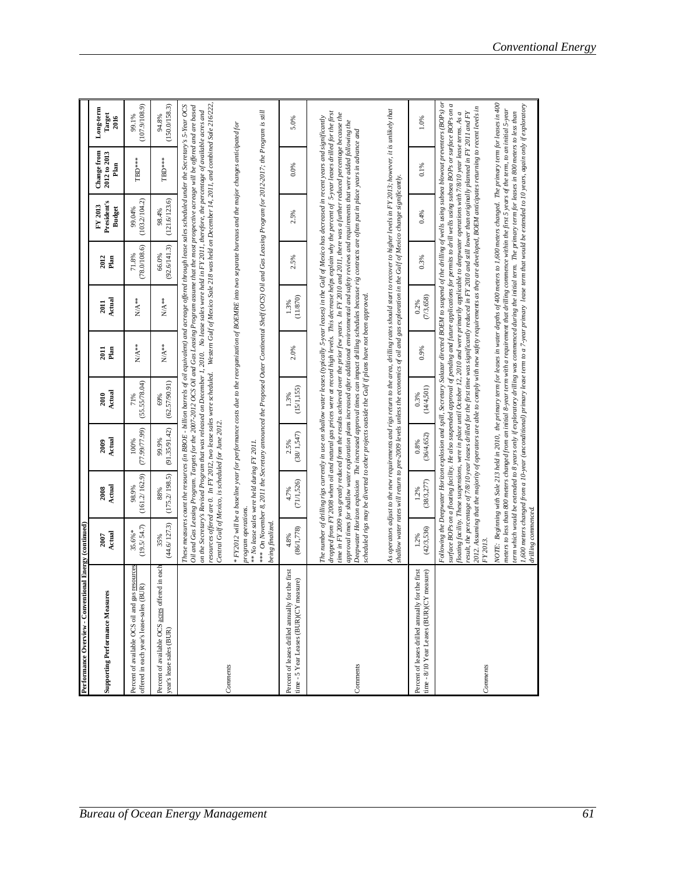| Performance Overview - Conventional Energy (continued)                                                                |                                         |                                                                                                    |                        |                                                                                                                                                                                                                                                      |              |                       |                          |                                         |                                                                                                                                                                                                                                                                                                                                                                                                                                                                                                                                                                                                                                                                                                                                                                                                                                                                                                                                                                                                                                                                                                                                                                                                                                                                                                                                                                                                                                                                                                                                                               |                             |
|-----------------------------------------------------------------------------------------------------------------------|-----------------------------------------|----------------------------------------------------------------------------------------------------|------------------------|------------------------------------------------------------------------------------------------------------------------------------------------------------------------------------------------------------------------------------------------------|--------------|-----------------------|--------------------------|-----------------------------------------|---------------------------------------------------------------------------------------------------------------------------------------------------------------------------------------------------------------------------------------------------------------------------------------------------------------------------------------------------------------------------------------------------------------------------------------------------------------------------------------------------------------------------------------------------------------------------------------------------------------------------------------------------------------------------------------------------------------------------------------------------------------------------------------------------------------------------------------------------------------------------------------------------------------------------------------------------------------------------------------------------------------------------------------------------------------------------------------------------------------------------------------------------------------------------------------------------------------------------------------------------------------------------------------------------------------------------------------------------------------------------------------------------------------------------------------------------------------------------------------------------------------------------------------------------------------|-----------------------------|
| <b>Supporting Performance Measures</b>                                                                                | Actual<br>2007                          | Actual<br>2008                                                                                     | Actual<br>2009         | Actual<br>2010                                                                                                                                                                                                                                       | 2011<br>Plan | <b>Actual</b><br>2011 | 2012<br>P <sub>all</sub> | President's<br>FY 2013<br><b>Budget</b> | Change from<br>2012 to 2013<br>Plan                                                                                                                                                                                                                                                                                                                                                                                                                                                                                                                                                                                                                                                                                                                                                                                                                                                                                                                                                                                                                                                                                                                                                                                                                                                                                                                                                                                                                                                                                                                           | Long-term<br>Target<br>2016 |
| resources<br>$\widehat{\mathbb{E}}$<br>Percent of available OCS oil and gas<br>offered in each year's lease-sales (BI | (19.5/54.7)<br>35.6%*                   | (161.2/162.9)<br>98.9%                                                                             | (77.9977.99)<br>100%   | (55.55/78.04)<br>71%                                                                                                                                                                                                                                 | $N/A^{**}$   | $N/\mathbf{A}^{**}$   | (78.0/108.6)<br>71.8%    | (103.2/104.2)<br>99.04%                 | TBD***                                                                                                                                                                                                                                                                                                                                                                                                                                                                                                                                                                                                                                                                                                                                                                                                                                                                                                                                                                                                                                                                                                                                                                                                                                                                                                                                                                                                                                                                                                                                                        | (107.9/108.9)<br>99.1%      |
| Percent of available OCS acres offered in each<br>year's lease sales (BUR)                                            | (44.6/127.3)<br>35%                     | (175.2/198.5)<br>88%                                                                               | (91.35/91.42)<br>99.9% | (62.57/90.91)<br>69%                                                                                                                                                                                                                                 | $N/A^*$      | $N/A^{**}$            | (92.6/141.3)<br>66.0%    | (121.6/123.6)<br>98.4%                  | TBD***                                                                                                                                                                                                                                                                                                                                                                                                                                                                                                                                                                                                                                                                                                                                                                                                                                                                                                                                                                                                                                                                                                                                                                                                                                                                                                                                                                                                                                                                                                                                                        | (150.0/158.3)<br>94.8%      |
| Comments                                                                                                              | program operations.<br>being finalized. | Central Gulf of Mexico, is scheduled for June 2012.<br>** No lease sales were held during FY 2011. |                        | resources offered are 0. In FY 2012, two lease sales were scheduled.                                                                                                                                                                                 |              |                       |                          |                                         | Western Gulf of Mexico Sale 218 was held on December 14, 2011, and combined Sale 216/222,<br>These measures count the resources (in BBOE - billion barrels of oil equivalent) and acreage offered through lease sales scheduled under the Secretary's 5-Year OCS<br>Oil and Gas Leasing Program. Targets for the 2007-2012 OCS Oil and Gas Leasing Program assume that the most prospective acreage will be offered and are based<br>on the Secretary's Revised Program that was released on December 1, 2010. No lease sales were held in FY 2011, therefore, the percentage of available acres and<br>*** On November 8, 2011 the Secretary announced the Proposed Outer Continental Shelf (OCS) Oil and Gas Leasing Program for 2012-2017; the Program is still<br>* FY2012 will be a baseline year for performance costs due to the reorganization of BOEMRE into two separate bureaus and the major changes anticipated for                                                                                                                                                                                                                                                                                                                                                                                                                                                                                                                                                                                                                              |                             |
| Percent of leases drilled annually for the first<br>time - 5 Year Leases (BUR)(CY measure)                            | (86/1,778)<br>4.8%                      | (71/1,526)<br>4.7%                                                                                 | (38/1, 547)<br>2.5%    | (15/1, 155)<br>1.3%                                                                                                                                                                                                                                  | 2.0%         | (11/870)<br>1.3%      | 2.5%                     | 2.5%                                    | $0.0\%$                                                                                                                                                                                                                                                                                                                                                                                                                                                                                                                                                                                                                                                                                                                                                                                                                                                                                                                                                                                                                                                                                                                                                                                                                                                                                                                                                                                                                                                                                                                                                       | 5.0%                        |
| Comments                                                                                                              |                                         |                                                                                                    |                        | shallow water rates will return to pre-2009 levels unless the economics of oil and gas exploration in the Gulf of Mexico change significantly.<br>scheduled rigs may be diverted to other projects outside the Gulf if plans have not been approved. |              |                       |                          |                                         | As operators adjust to the new requirements and rigs return to the area, drilling rates should start to recover to higher levels in FY 2013; however, it is unlikely that<br>dropped from FY 2008 when oil and natural gas prices were ar record high levels. This decrease helps explain why the percent of 5-year leases drilled for the first<br>time in FY 2009 was greatly reduced from the results achieved over the prior few years. In FY 2010 and 2011, there was a further reduced percentage because the<br>The number of drilling rigs currently in use on shallow water leases (typically 5-year leases) in the Gulf of Mexico has decreased in recent years and significantly<br>approval times for shallow water exploration plans increased after additional environmental and safety reviews and requirements that were added following the<br>Deepwater Horizon explosion. The increased approval times can impact drilling schedules because rig contracts are often put in place years in advance and                                                                                                                                                                                                                                                                                                                                                                                                                                                                                                                                     |                             |
| Percent of leases drilled annually for the first<br>measure)<br>time - 8/10 Year Leases (BUR)(CY                      | (42/3,536)                              | (38/3,277)<br>1.2%                                                                                 | (36/4, 652)<br>0.8%    | (14/4, 501)<br>0.3%                                                                                                                                                                                                                                  | 0.9%         | (7/3, 658)<br>0.2%    | 0.3%                     | 0.4%                                    | 0.1%                                                                                                                                                                                                                                                                                                                                                                                                                                                                                                                                                                                                                                                                                                                                                                                                                                                                                                                                                                                                                                                                                                                                                                                                                                                                                                                                                                                                                                                                                                                                                          | $1.0\%$                     |
| Comments                                                                                                              | drilling commenced.<br>FY 2013.         |                                                                                                    |                        |                                                                                                                                                                                                                                                      |              |                       |                          |                                         | Following the Deepwater Horizon explosion and spill, Secretary Salazar directed BOEM to suspend of the drilling of wells using subsea blowout preventers (BOPs) or<br>surface BOPs on a floating facility. He also suspended approval of pending and future applications for permits to drill wells using subsea BOPs or surface BOPs on a<br>NOTE: Beginning with Sale 213 held in 2010, the primary term for leases in water depths of 400 meters o 1,600 meters changed. The primary term for leases in 400<br>1,600 meters changed from a 10-year (unconditional) primary lease term to a 7-year primary lease term that would be extended to 10 years, again only if exploratory<br>2012. Assuming that the majority of operators are able to comply with new safety requirements as they are developed, BOEM anticipates returning to recent levels in<br>meters to less than 800 meters changed from an initial 8-year term with a requirement that drilling commence within the first 5 years of the term, to an initial 5-year<br>result, the percentage of 7/8/10 year leases drilled for the first time was significantly reduced in FY 2010 and still lower than originally planned in FY 2011 and FY<br>term which would be exended to 8 years only if exploratory drilling was commenced during the initial term. The primary term for leases in 800 meters to less than<br>floating facility. These suspensions, were in place until October 12, 2010 and were primarily applicable to deepwater operations with 7/8/10 year lease terms. As a |                             |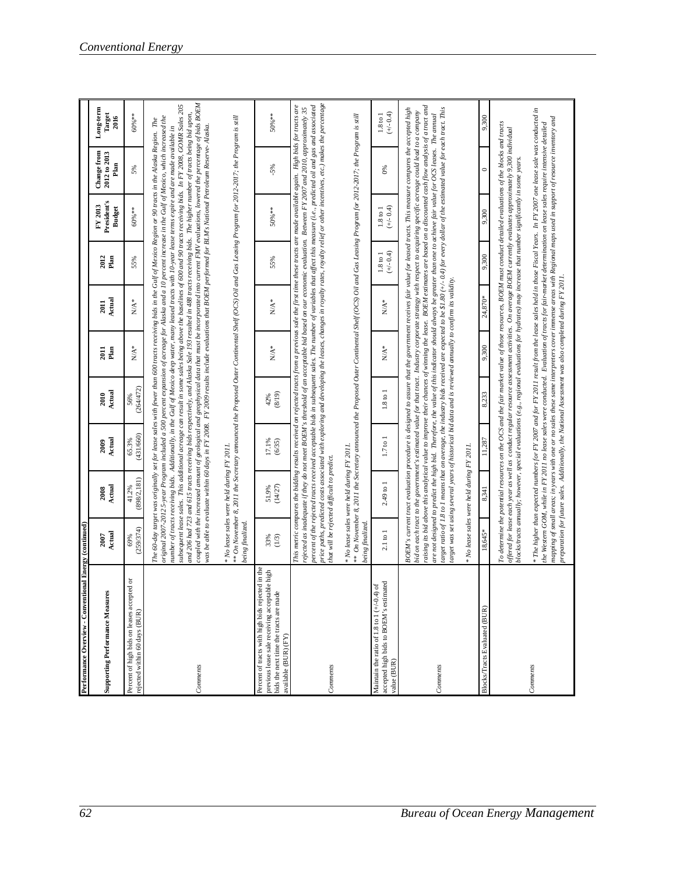| 62                                       | Performance Overview - Convent                                                                                                                                      | ional Energy (continued) |                                             |                                                                                                                                                                                                                                                                                                                                                                                                                                                                                                                                                                                                                                                                                                                                                                                                                                                                                                                                                                                                                                                                                                                                                                                 |                  |              |                           |                            |                                         |                                     |                             |
|------------------------------------------|---------------------------------------------------------------------------------------------------------------------------------------------------------------------|--------------------------|---------------------------------------------|---------------------------------------------------------------------------------------------------------------------------------------------------------------------------------------------------------------------------------------------------------------------------------------------------------------------------------------------------------------------------------------------------------------------------------------------------------------------------------------------------------------------------------------------------------------------------------------------------------------------------------------------------------------------------------------------------------------------------------------------------------------------------------------------------------------------------------------------------------------------------------------------------------------------------------------------------------------------------------------------------------------------------------------------------------------------------------------------------------------------------------------------------------------------------------|------------------|--------------|---------------------------|----------------------------|-----------------------------------------|-------------------------------------|-----------------------------|
|                                          | <b>Supporting Performance Measures</b>                                                                                                                              | Actual<br>2007           | Actual<br>2008                              | Actual<br>2009                                                                                                                                                                                                                                                                                                                                                                                                                                                                                                                                                                                                                                                                                                                                                                                                                                                                                                                                                                                                                                                                                                                                                                  | Actual<br>2010   | Plan<br>2011 | <b>Actual</b><br>2011     | Plan<br>2012               | President's<br>FY 2013<br><b>Budget</b> | Change from<br>2012 to 2013<br>Plan | Long-term<br>Target<br>2016 |
|                                          | Percent of high bids on leases accepted or<br>rejected within 60 days (BUR)                                                                                         | (259/374)<br>69%         | (898/2,181)<br>41.2%                        | (431/660)<br>65.3%                                                                                                                                                                                                                                                                                                                                                                                                                                                                                                                                                                                                                                                                                                                                                                                                                                                                                                                                                                                                                                                                                                                                                              | (264/472)<br>56% | $N/A^*$      | $N/A^*$                   | 55%                        | $60\%$ **                               | 5%                                  | $60\%$ **                   |
|                                          | Comments                                                                                                                                                            |                          |                                             | coupled with the increased amount of geological and geophysical data that must be incorporated into current FMV evaluations, lowered the percentage of bids BOEM<br>subsequent lease sales. This additional acreage can result in some sales being above the baselines of 600 and 90 tracts receiving bids. In FY 2008, GOMR Sales 205<br>and 206 had 723 and 615 tracts receiving bids respectively, and Alaska Sale 193 resulted in 488 tracts receiving bids. The higher number of tracts being bid upon,<br>original 2007-2012 5-year Program included a 500 percent expansion of acreage for Alaska and a 10 percent increase in the Gulf of Mexico, which increased the<br>The 60-day target was originally set for lease sales with fewer than 600 tracts receiving bids in the Gulf of Mexico Region or 90 tracts in the Alaska Region. The<br>was be able to evaluate within 60 days in FY 2008. FY 2009 results include evaluations that BOEM performed for BLM's National Petroleum Reserve-Alaska.<br>number of tracts receiving bids. Additionally, in the Gulf of Mexico deep water, many leased tracts with 10-year lease terms expire and are made available in |                  |              |                           |                            |                                         |                                     |                             |
|                                          |                                                                                                                                                                     | being finalized.         | * No lease sales were held during FY 2011.  | ** On November 8, 2011 the Secretary announced the Proposed Outer Continental Shelf (OCS) Oil and Gas Leasing Program for 2012-2017; the Program is still                                                                                                                                                                                                                                                                                                                                                                                                                                                                                                                                                                                                                                                                                                                                                                                                                                                                                                                                                                                                                       |                  |              |                           |                            |                                         |                                     |                             |
|                                          | Percent of tracts with high bids rejected in the<br>previous lease sale receiving acceptable high<br>bids the next time the tracts are made<br>available (BUR) (FY) | (1/3)<br>33%             | (14/27)<br>51.9%                            | (6/35)<br>17.1%                                                                                                                                                                                                                                                                                                                                                                                                                                                                                                                                                                                                                                                                                                                                                                                                                                                                                                                                                                                                                                                                                                                                                                 | (61/8)<br>42%    | $N/A^*$      | $N/A$ *                   | 55%                        | 50% **                                  | $-5%$                               | 50% **                      |
|                                          | Comments                                                                                                                                                            |                          | that will be rejected difficult to predict. | price paths, predicted costs associated with exploring and developing the leases, changes in royalty rates, royalty relief or other incentives, etc.) makes the percentage<br>This metric compares the bidding results received on rejected tracts from a previous sale the first time these tracts are made available again. High bids for tracts are<br>percent of the rejected tracts received acceptable bids in subsequent sales. The number of variables that affect this measure (i.e., predicted oil and gas and associated<br>rejected as inadequate if they do not meet BOEM's threshold of an acceptable bid based on our economic evaluation.  Between FY 2007 and 2010, approximately 35                                                                                                                                                                                                                                                                                                                                                                                                                                                                           |                  |              |                           |                            |                                         |                                     |                             |
|                                          |                                                                                                                                                                     | being finalized.         | * No lease sales were held during FY 2011.  | ** On November 8, 2011 the Secretary announced the Proposed Outer Continental Shelf (OCS) Oil and Gas Leasing Program for 2012-2017; the Program is still                                                                                                                                                                                                                                                                                                                                                                                                                                                                                                                                                                                                                                                                                                                                                                                                                                                                                                                                                                                                                       |                  |              |                           |                            |                                         |                                     |                             |
|                                          | accepted high bids to BOEM's estimated<br>Maintain the ratio of 1.8 to 1 $(+/-0.4)$ of<br>value (BUR)                                                               | 2.1 to 1                 | 2.49 to 1                                   | $1.7 \text{ to } 1$                                                                                                                                                                                                                                                                                                                                                                                                                                                                                                                                                                                                                                                                                                                                                                                                                                                                                                                                                                                                                                                                                                                                                             | $1.8$ to $1$     | $N/A^*$      | $\mathbf{N}/\mathbf{A}^*$ | $(+/-0.4)$<br>$1.8$ to $1$ | $(+/- 0.4)$<br>1.8 to 1                 | 0%                                  | $(+/- 0.4)$<br>$1.8$ to $1$ |
| <b>Bureau of Ocean Energy Management</b> | Comments                                                                                                                                                            |                          |                                             | raising its bid above this analytical value to improve their chances of wiming the lease. BOEM estimates are based on a discounted cash flow analysis of a tract and<br>BOEM's current tract evaluation procedure is designed to assure that the government receives fair value for leased tracts. This measure compares the accepted high<br>target ratio of 1.8 to 1 means that on average, the industry bids received are expected to be \$1.80 (+/- 0.4) for every dollar of the estimated value for each tract. This<br>bid on each tract to the government's estimated value for that tract. Industry corporate strategy with respect to acquiring specific acreage could lead to a company<br>are not designed to predict the high bid. Therefore, the value of this indicator should always be greater than one to achieve fair value for OCS leases. The annual<br>target was set using several years of historical bid data and is reviewed annually to confirm its validity.                                                                                                                                                                                         |                  |              |                           |                            |                                         |                                     |                             |
|                                          |                                                                                                                                                                     |                          | * No lease sales were held during FY 2011.  |                                                                                                                                                                                                                                                                                                                                                                                                                                                                                                                                                                                                                                                                                                                                                                                                                                                                                                                                                                                                                                                                                                                                                                                 |                  |              |                           |                            |                                         |                                     |                             |
|                                          | Blocks/Tracts Evaluated (BUR)                                                                                                                                       | $18,645*$                | 8.341                                       | 11,287                                                                                                                                                                                                                                                                                                                                                                                                                                                                                                                                                                                                                                                                                                                                                                                                                                                                                                                                                                                                                                                                                                                                                                          | 8,233            | 9.300        | 24,870*                   | 9.300                      | 9,300                                   |                                     | 9.300                       |
|                                          |                                                                                                                                                                     |                          |                                             | To determine the potential resources on the OCS and the fair market value of those resources, BOEM must conduct detailed evaluations of the blocks and tracts<br>offered for lease each year as well as conduct regular resource assessment activities. On average BOEM currently evaluates approximately 9,300 individual<br>blocks/tracts annually; however, special evaluations (e.g., regional evaluations for hydrates) may increase that number significantly in some years.                                                                                                                                                                                                                                                                                                                                                                                                                                                                                                                                                                                                                                                                                              |                  |              |                           |                            |                                         |                                     |                             |
|                                          | Comments                                                                                                                                                            |                          |                                             | * The higher than expected numbers for FY 2007 and for FY 2011 result from the lease sales held in those Fiscal Years. In FY 2007 one lease sale was conducted in<br>mapping of small areas; in years with one or no sales these same interpreters cover immense areas with Regional maps used in support of resource inventory and<br>the Western GOM, while in FY 2011 no lease sales were conducted. Evaluation of tracts for fair-market determination on lease sales require intensive detailed<br>preparation for future sales. Additionally, the National Assessment was also completed during FY 2011.                                                                                                                                                                                                                                                                                                                                                                                                                                                                                                                                                                  |                  |              |                           |                            |                                         |                                     |                             |
|                                          |                                                                                                                                                                     |                          |                                             |                                                                                                                                                                                                                                                                                                                                                                                                                                                                                                                                                                                                                                                                                                                                                                                                                                                                                                                                                                                                                                                                                                                                                                                 |                  |              |                           |                            |                                         |                                     |                             |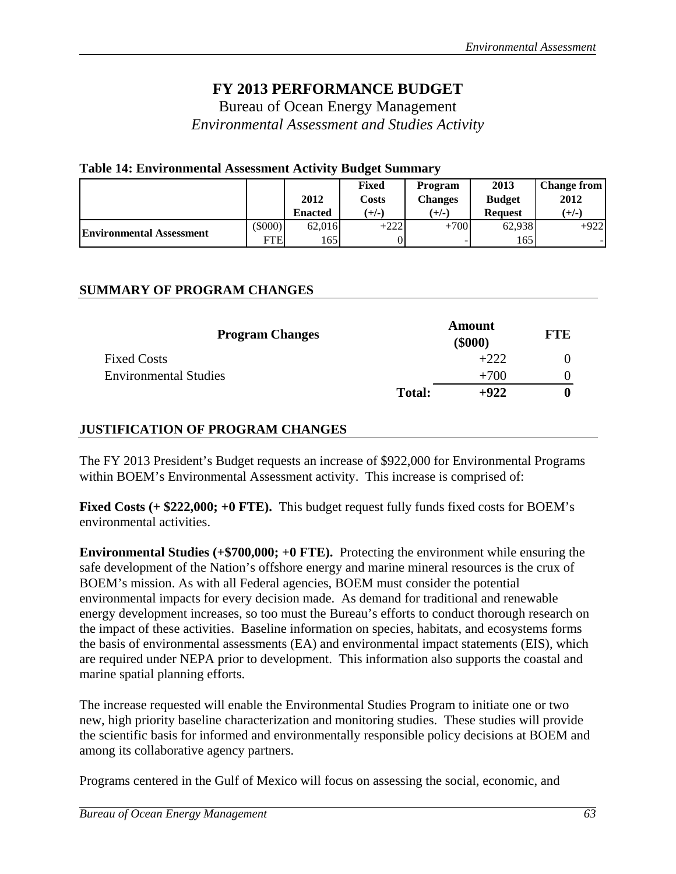# **FY 2013 PERFORMANCE BUDGET**

Bureau of Ocean Energy Management *Environmental Assessment and Studies Activity* 

|                                 |            | 2012           | . .<br><b>Fixed</b><br>Costs | Program<br>Changes | 2013<br><b>Budget</b> | <b>Change from</b><br>2012 |
|---------------------------------|------------|----------------|------------------------------|--------------------|-----------------------|----------------------------|
|                                 |            | <b>Enacted</b> | $(+/-)$                      | (+/-)              | <b>Request</b>        | $(+/-)$                    |
| <b>Environmental Assessment</b> | (5000)     | 62.016         | $+222$                       | $+700$             | 62.938                | $+922$                     |
|                                 | <b>FTE</b> | 1651           |                              |                    | 1651                  |                            |

#### **Table 14: Environmental Assessment Activity Budget Summary**

#### **SUMMARY OF PROGRAM CHANGES**

| <b>Program Changes</b>       |        | Amount<br>$(\$000)$ | <b>FTE</b> |
|------------------------------|--------|---------------------|------------|
| <b>Fixed Costs</b>           |        | $+222$              |            |
| <b>Environmental Studies</b> |        | $+700$              |            |
|                              | Total: | $+922$              |            |

#### **JUSTIFICATION OF PROGRAM CHANGES**

The FY 2013 President's Budget requests an increase of \$922,000 for Environmental Programs within BOEM's Environmental Assessment activity. This increase is comprised of:

**Fixed Costs (+ \$222,000; +0 FTE).** This budget request fully funds fixed costs for BOEM's environmental activities.

**Environmental Studies (+\$700,000; +0 FTE).** Protecting the environment while ensuring the safe development of the Nation's offshore energy and marine mineral resources is the crux of BOEM's mission. As with all Federal agencies, BOEM must consider the potential environmental impacts for every decision made. As demand for traditional and renewable energy development increases, so too must the Bureau's efforts to conduct thorough research on the impact of these activities. Baseline information on species, habitats, and ecosystems forms the basis of environmental assessments (EA) and environmental impact statements (EIS), which are required under NEPA prior to development. This information also supports the coastal and marine spatial planning efforts.

The increase requested will enable the Environmental Studies Program to initiate one or two new, high priority baseline characterization and monitoring studies. These studies will provide the scientific basis for informed and environmentally responsible policy decisions at BOEM and among its collaborative agency partners.

Programs centered in the Gulf of Mexico will focus on assessing the social, economic, and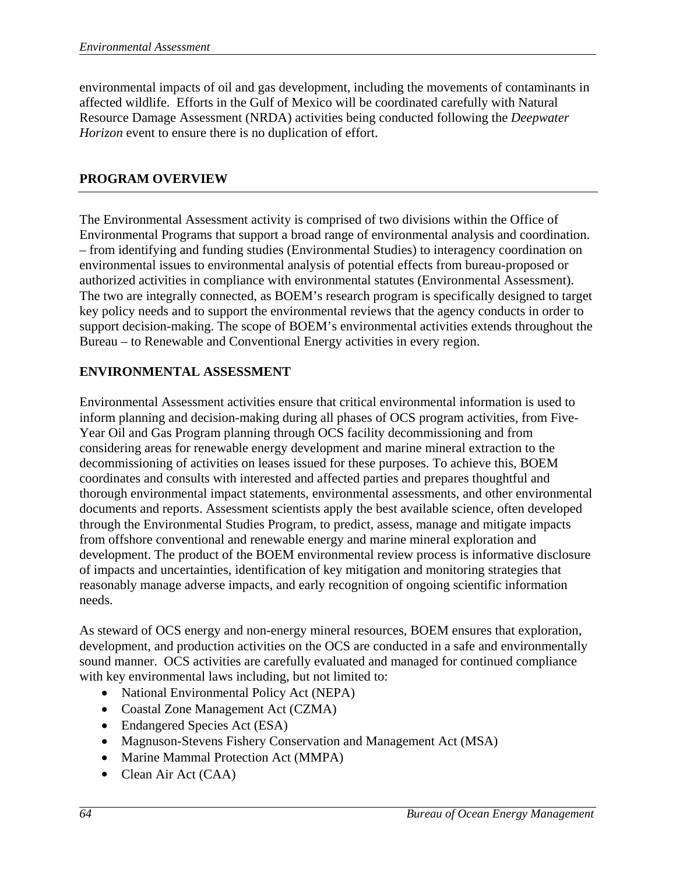environmental impacts of oil and gas development, including the movements of contaminants in affected wildlife. Efforts in the Gulf of Mexico will be coordinated carefully with Natural Resource Damage Assessment (NRDA) activities being conducted following the *Deepwater Horizon* event to ensure there is no duplication of effort.

#### **PROGRAM OVERVIEW**

The Environmental Assessment activity is comprised of two divisions within the Office of Environmental Programs that support a broad range of environmental analysis and coordination. – from identifying and funding studies (Environmental Studies) to interagency coordination on environmental issues to environmental analysis of potential effects from bureau-proposed or authorized activities in compliance with environmental statutes (Environmental Assessment). The two are integrally connected, as BOEM's research program is specifically designed to target key policy needs and to support the environmental reviews that the agency conducts in order to support decision-making. The scope of BOEM's environmental activities extends throughout the Bureau – to Renewable and Conventional Energy activities in every region.

#### **ENVIRONMENTAL ASSESSMENT**

Environmental Assessment activities ensure that critical environmental information is used to inform planning and decision-making during all phases of OCS program activities, from Five-Year Oil and Gas Program planning through OCS facility decommissioning and from considering areas for renewable energy development and marine mineral extraction to the decommissioning of activities on leases issued for these purposes. To achieve this, BOEM coordinates and consults with interested and affected parties and prepares thoughtful and thorough environmental impact statements, environmental assessments, and other environmental documents and reports. Assessment scientists apply the best available science, often developed through the Environmental Studies Program, to predict, assess, manage and mitigate impacts from offshore conventional and renewable energy and marine mineral exploration and development. The product of the BOEM environmental review process is informative disclosure of impacts and uncertainties, identification of key mitigation and monitoring strategies that reasonably manage adverse impacts, and early recognition of ongoing scientific information needs.

As steward of OCS energy and non-energy mineral resources, BOEM ensures that exploration, development, and production activities on the OCS are conducted in a safe and environmentally sound manner. OCS activities are carefully evaluated and managed for continued compliance with key environmental laws including, but not limited to:

- National Environmental Policy Act (NEPA)
- Coastal Zone Management Act (CZMA)
- Endangered Species Act (ESA)
- Magnuson-Stevens Fishery Conservation and Management Act (MSA)
- Marine Mammal Protection Act (MMPA)
- Clean Air Act (CAA)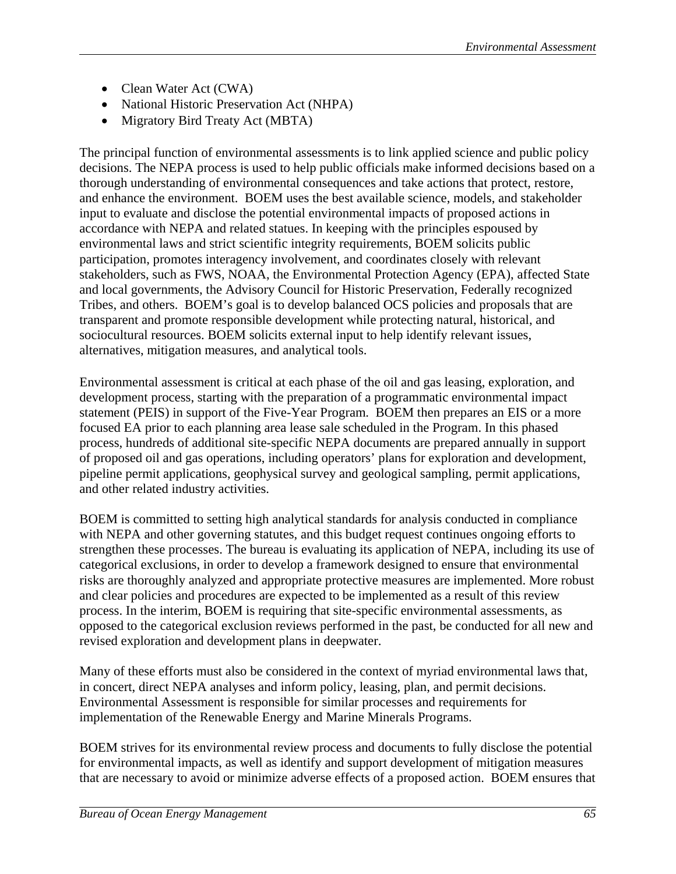- Clean Water Act (CWA)
- National Historic Preservation Act (NHPA)
- Migratory Bird Treaty Act (MBTA)

The principal function of environmental assessments is to link applied science and public policy decisions. The NEPA process is used to help public officials make informed decisions based on a thorough understanding of environmental consequences and take actions that protect, restore, and enhance the environment. BOEM uses the best available science, models, and stakeholder input to evaluate and disclose the potential environmental impacts of proposed actions in accordance with NEPA and related statues. In keeping with the principles espoused by environmental laws and strict scientific integrity requirements, BOEM solicits public participation, promotes interagency involvement, and coordinates closely with relevant stakeholders, such as FWS, NOAA, the Environmental Protection Agency (EPA), affected State and local governments, the Advisory Council for Historic Preservation, Federally recognized Tribes, and others. BOEM's goal is to develop balanced OCS policies and proposals that are transparent and promote responsible development while protecting natural, historical, and sociocultural resources. BOEM solicits external input to help identify relevant issues, alternatives, mitigation measures, and analytical tools.

Environmental assessment is critical at each phase of the oil and gas leasing, exploration, and development process, starting with the preparation of a programmatic environmental impact statement (PEIS) in support of the Five-Year Program. BOEM then prepares an EIS or a more focused EA prior to each planning area lease sale scheduled in the Program. In this phased process, hundreds of additional site-specific NEPA documents are prepared annually in support of proposed oil and gas operations, including operators' plans for exploration and development, pipeline permit applications, geophysical survey and geological sampling, permit applications, and other related industry activities.

BOEM is committed to setting high analytical standards for analysis conducted in compliance with NEPA and other governing statutes, and this budget request continues ongoing efforts to strengthen these processes. The bureau is evaluating its application of NEPA, including its use of categorical exclusions, in order to develop a framework designed to ensure that environmental risks are thoroughly analyzed and appropriate protective measures are implemented. More robust and clear policies and procedures are expected to be implemented as a result of this review process. In the interim, BOEM is requiring that site-specific environmental assessments, as opposed to the categorical exclusion reviews performed in the past, be conducted for all new and revised exploration and development plans in deepwater.

Many of these efforts must also be considered in the context of myriad environmental laws that, in concert, direct NEPA analyses and inform policy, leasing, plan, and permit decisions. Environmental Assessment is responsible for similar processes and requirements for implementation of the Renewable Energy and Marine Minerals Programs.

BOEM strives for its environmental review process and documents to fully disclose the potential for environmental impacts, as well as identify and support development of mitigation measures that are necessary to avoid or minimize adverse effects of a proposed action. BOEM ensures that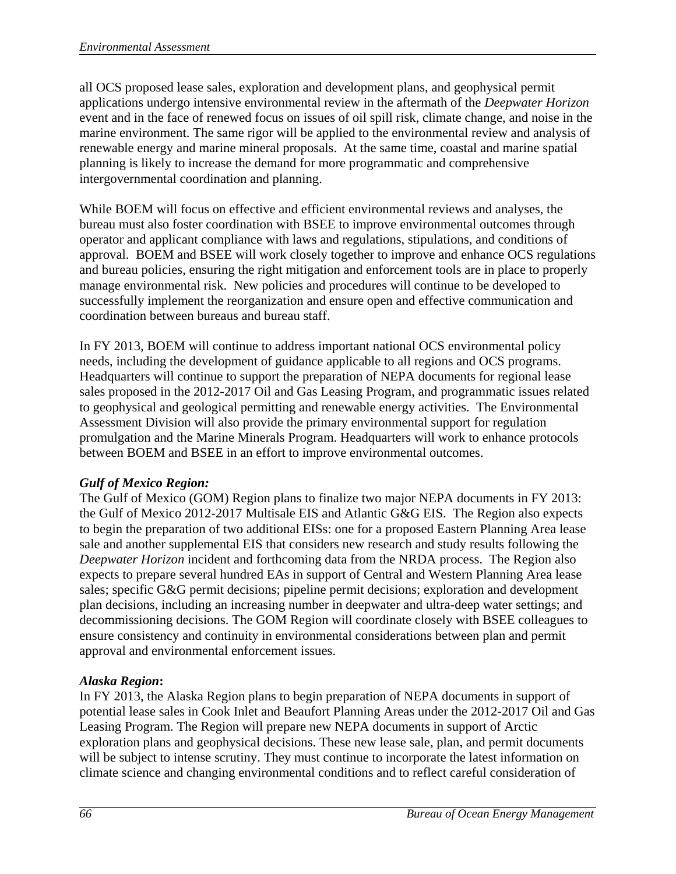all OCS proposed lease sales, exploration and development plans, and geophysical permit applications undergo intensive environmental review in the aftermath of the *Deepwater Horizon* event and in the face of renewed focus on issues of oil spill risk, climate change, and noise in the marine environment. The same rigor will be applied to the environmental review and analysis of renewable energy and marine mineral proposals. At the same time, coastal and marine spatial planning is likely to increase the demand for more programmatic and comprehensive intergovernmental coordination and planning.

While BOEM will focus on effective and efficient environmental reviews and analyses, the bureau must also foster coordination with BSEE to improve environmental outcomes through operator and applicant compliance with laws and regulations, stipulations, and conditions of approval. BOEM and BSEE will work closely together to improve and enhance OCS regulations and bureau policies, ensuring the right mitigation and enforcement tools are in place to properly manage environmental risk. New policies and procedures will continue to be developed to successfully implement the reorganization and ensure open and effective communication and coordination between bureaus and bureau staff.

In FY 2013, BOEM will continue to address important national OCS environmental policy needs, including the development of guidance applicable to all regions and OCS programs. Headquarters will continue to support the preparation of NEPA documents for regional lease sales proposed in the 2012-2017 Oil and Gas Leasing Program, and programmatic issues related to geophysical and geological permitting and renewable energy activities. The Environmental Assessment Division will also provide the primary environmental support for regulation promulgation and the Marine Minerals Program. Headquarters will work to enhance protocols between BOEM and BSEE in an effort to improve environmental outcomes.

## *Gulf of Mexico Region:*

The Gulf of Mexico (GOM) Region plans to finalize two major NEPA documents in FY 2013: the Gulf of Mexico 2012-2017 Multisale EIS and Atlantic G&G EIS. The Region also expects to begin the preparation of two additional EISs: one for a proposed Eastern Planning Area lease sale and another supplemental EIS that considers new research and study results following the *Deepwater Horizon* incident and forthcoming data from the NRDA process. The Region also expects to prepare several hundred EAs in support of Central and Western Planning Area lease sales; specific G&G permit decisions; pipeline permit decisions; exploration and development plan decisions, including an increasing number in deepwater and ultra-deep water settings; and decommissioning decisions. The GOM Region will coordinate closely with BSEE colleagues to ensure consistency and continuity in environmental considerations between plan and permit approval and environmental enforcement issues.

## *Alaska Region***:**

In FY 2013, the Alaska Region plans to begin preparation of NEPA documents in support of potential lease sales in Cook Inlet and Beaufort Planning Areas under the 2012-2017 Oil and Gas Leasing Program. The Region will prepare new NEPA documents in support of Arctic exploration plans and geophysical decisions. These new lease sale, plan, and permit documents will be subject to intense scrutiny. They must continue to incorporate the latest information on climate science and changing environmental conditions and to reflect careful consideration of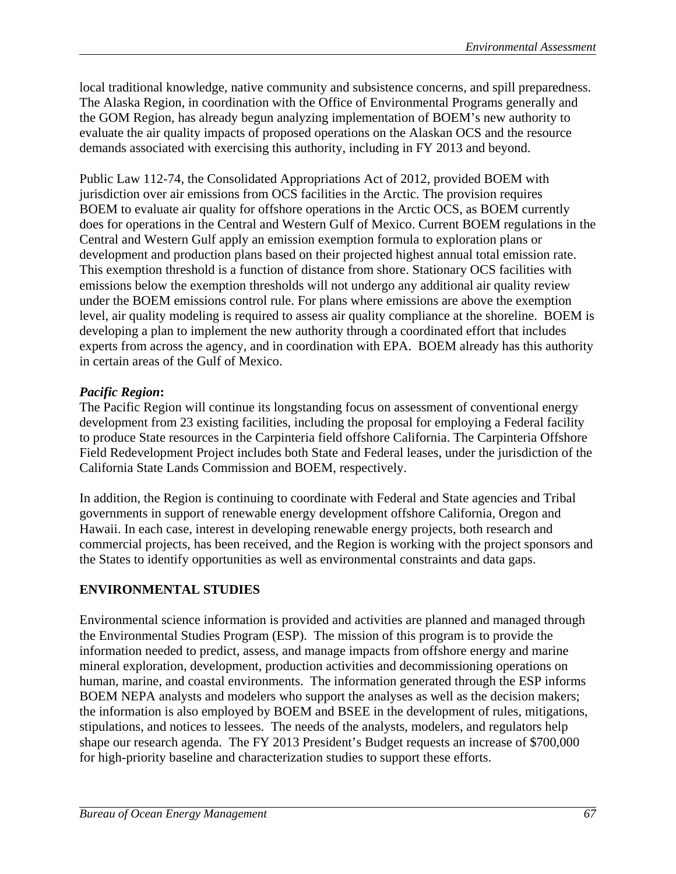local traditional knowledge, native community and subsistence concerns, and spill preparedness. The Alaska Region, in coordination with the Office of Environmental Programs generally and the GOM Region, has already begun analyzing implementation of BOEM's new authority to evaluate the air quality impacts of proposed operations on the Alaskan OCS and the resource demands associated with exercising this authority, including in FY 2013 and beyond.

Public Law 112-74, the Consolidated Appropriations Act of 2012, provided BOEM with jurisdiction over air emissions from OCS facilities in the Arctic. The provision requires BOEM to evaluate air quality for offshore operations in the Arctic OCS, as BOEM currently does for operations in the Central and Western Gulf of Mexico. Current BOEM regulations in the Central and Western Gulf apply an emission exemption formula to exploration plans or development and production plans based on their projected highest annual total emission rate. This exemption threshold is a function of distance from shore. Stationary OCS facilities with emissions below the exemption thresholds will not undergo any additional air quality review under the BOEM emissions control rule. For plans where emissions are above the exemption level, air quality modeling is required to assess air quality compliance at the shoreline. BOEM is developing a plan to implement the new authority through a coordinated effort that includes experts from across the agency, and in coordination with EPA. BOEM already has this authority in certain areas of the Gulf of Mexico.

## *Pacific Region***:**

The Pacific Region will continue its longstanding focus on assessment of conventional energy development from 23 existing facilities, including the proposal for employing a Federal facility to produce State resources in the Carpinteria field offshore California. The Carpinteria Offshore Field Redevelopment Project includes both State and Federal leases, under the jurisdiction of the California State Lands Commission and BOEM, respectively.

In addition, the Region is continuing to coordinate with Federal and State agencies and Tribal governments in support of renewable energy development offshore California, Oregon and Hawaii. In each case, interest in developing renewable energy projects, both research and commercial projects, has been received, and the Region is working with the project sponsors and the States to identify opportunities as well as environmental constraints and data gaps.

## **ENVIRONMENTAL STUDIES**

Environmental science information is provided and activities are planned and managed through the Environmental Studies Program (ESP). The mission of this program is to provide the information needed to predict, assess, and manage impacts from offshore energy and marine mineral exploration, development, production activities and decommissioning operations on human, marine, and coastal environments. The information generated through the ESP informs BOEM NEPA analysts and modelers who support the analyses as well as the decision makers; the information is also employed by BOEM and BSEE in the development of rules, mitigations, stipulations, and notices to lessees. The needs of the analysts, modelers, and regulators help shape our research agenda. The FY 2013 President's Budget requests an increase of \$700,000 for high-priority baseline and characterization studies to support these efforts.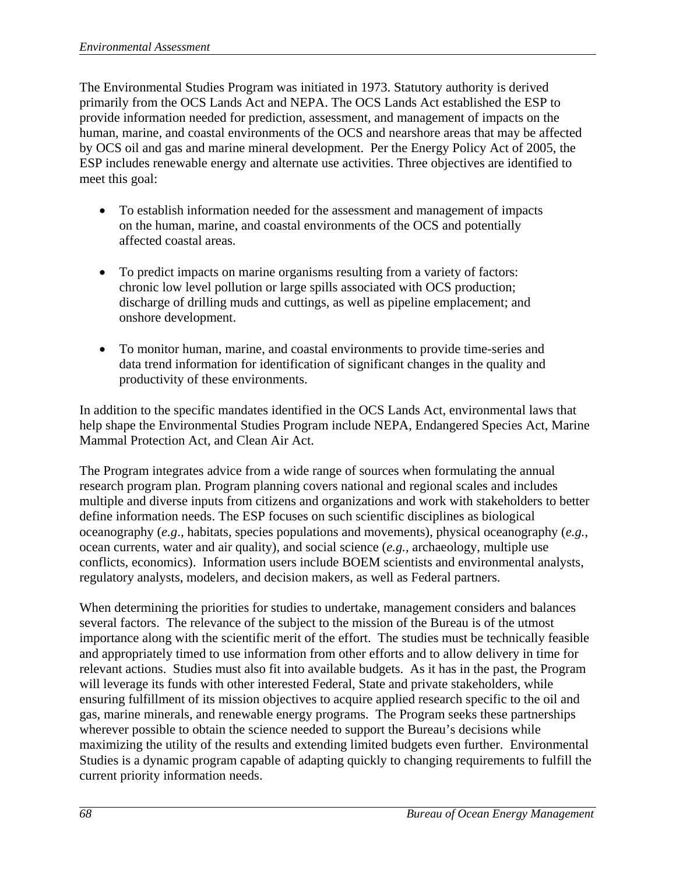The Environmental Studies Program was initiated in 1973. Statutory authority is derived primarily from the OCS Lands Act and NEPA. The OCS Lands Act established the ESP to provide information needed for prediction, assessment, and management of impacts on the human, marine, and coastal environments of the OCS and nearshore areas that may be affected by OCS oil and gas and marine mineral development. Per the Energy Policy Act of 2005, the ESP includes renewable energy and alternate use activities. Three objectives are identified to meet this goal:

- To establish information needed for the assessment and management of impacts on the human, marine, and coastal environments of the OCS and potentially affected coastal areas.
- To predict impacts on marine organisms resulting from a variety of factors: chronic low level pollution or large spills associated with OCS production; discharge of drilling muds and cuttings, as well as pipeline emplacement; and onshore development.
- To monitor human, marine, and coastal environments to provide time-series and data trend information for identification of significant changes in the quality and productivity of these environments.

In addition to the specific mandates identified in the OCS Lands Act, environmental laws that help shape the Environmental Studies Program include NEPA, Endangered Species Act, Marine Mammal Protection Act, and Clean Air Act.

The Program integrates advice from a wide range of sources when formulating the annual research program plan. Program planning covers national and regional scales and includes multiple and diverse inputs from citizens and organizations and work with stakeholders to better define information needs. The ESP focuses on such scientific disciplines as biological oceanography (*e.g*., habitats, species populations and movements), physical oceanography (*e.g.*, ocean currents, water and air quality), and social science (*e.g.,* archaeology, multiple use conflicts, economics). Information users include BOEM scientists and environmental analysts, regulatory analysts, modelers, and decision makers, as well as Federal partners.

When determining the priorities for studies to undertake, management considers and balances several factors. The relevance of the subject to the mission of the Bureau is of the utmost importance along with the scientific merit of the effort. The studies must be technically feasible and appropriately timed to use information from other efforts and to allow delivery in time for relevant actions. Studies must also fit into available budgets. As it has in the past, the Program will leverage its funds with other interested Federal, State and private stakeholders, while ensuring fulfillment of its mission objectives to acquire applied research specific to the oil and gas, marine minerals, and renewable energy programs. The Program seeks these partnerships wherever possible to obtain the science needed to support the Bureau's decisions while maximizing the utility of the results and extending limited budgets even further. Environmental Studies is a dynamic program capable of adapting quickly to changing requirements to fulfill the current priority information needs.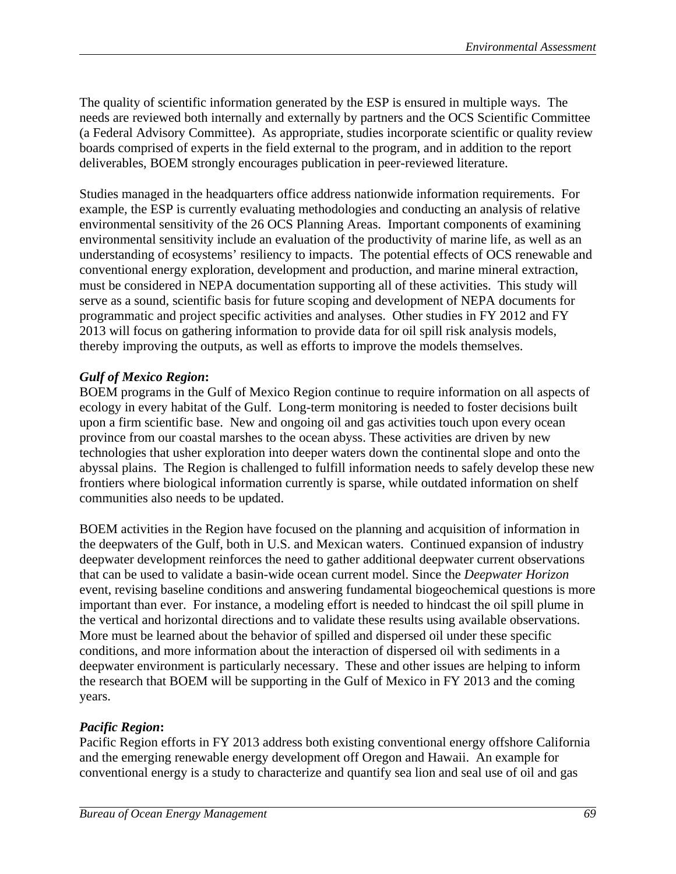The quality of scientific information generated by the ESP is ensured in multiple ways. The needs are reviewed both internally and externally by partners and the OCS Scientific Committee (a Federal Advisory Committee). As appropriate, studies incorporate scientific or quality review boards comprised of experts in the field external to the program, and in addition to the report deliverables, BOEM strongly encourages publication in peer-reviewed literature.

Studies managed in the headquarters office address nationwide information requirements. For example, the ESP is currently evaluating methodologies and conducting an analysis of relative environmental sensitivity of the 26 OCS Planning Areas. Important components of examining environmental sensitivity include an evaluation of the productivity of marine life, as well as an understanding of ecosystems' resiliency to impacts. The potential effects of OCS renewable and conventional energy exploration, development and production, and marine mineral extraction, must be considered in NEPA documentation supporting all of these activities. This study will serve as a sound, scientific basis for future scoping and development of NEPA documents for programmatic and project specific activities and analyses. Other studies in FY 2012 and FY 2013 will focus on gathering information to provide data for oil spill risk analysis models, thereby improving the outputs, as well as efforts to improve the models themselves.

#### *Gulf of Mexico Region***:**

BOEM programs in the Gulf of Mexico Region continue to require information on all aspects of ecology in every habitat of the Gulf. Long-term monitoring is needed to foster decisions built upon a firm scientific base. New and ongoing oil and gas activities touch upon every ocean province from our coastal marshes to the ocean abyss. These activities are driven by new technologies that usher exploration into deeper waters down the continental slope and onto the abyssal plains. The Region is challenged to fulfill information needs to safely develop these new frontiers where biological information currently is sparse, while outdated information on shelf communities also needs to be updated.

BOEM activities in the Region have focused on the planning and acquisition of information in the deepwaters of the Gulf, both in U.S. and Mexican waters. Continued expansion of industry deepwater development reinforces the need to gather additional deepwater current observations that can be used to validate a basin-wide ocean current model. Since the *Deepwater Horizon* event, revising baseline conditions and answering fundamental biogeochemical questions is more important than ever. For instance, a modeling effort is needed to hindcast the oil spill plume in the vertical and horizontal directions and to validate these results using available observations. More must be learned about the behavior of spilled and dispersed oil under these specific conditions, and more information about the interaction of dispersed oil with sediments in a deepwater environment is particularly necessary. These and other issues are helping to inform the research that BOEM will be supporting in the Gulf of Mexico in FY 2013 and the coming years.

#### *Pacific Region***:**

Pacific Region efforts in FY 2013 address both existing conventional energy offshore California and the emerging renewable energy development off Oregon and Hawaii. An example for conventional energy is a study to characterize and quantify sea lion and seal use of oil and gas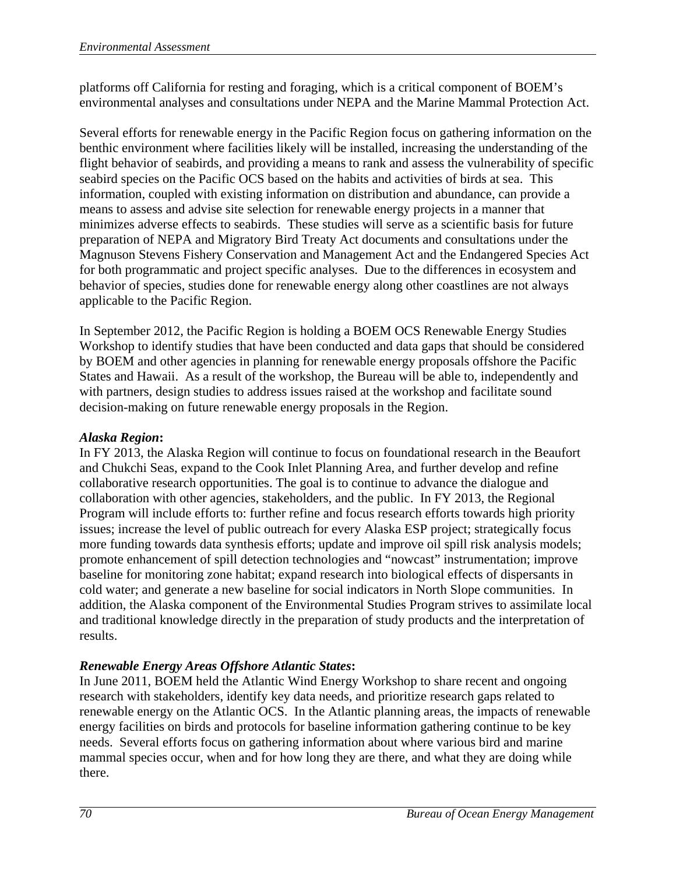platforms off California for resting and foraging, which is a critical component of BOEM's environmental analyses and consultations under NEPA and the Marine Mammal Protection Act.

Several efforts for renewable energy in the Pacific Region focus on gathering information on the benthic environment where facilities likely will be installed, increasing the understanding of the flight behavior of seabirds, and providing a means to rank and assess the vulnerability of specific seabird species on the Pacific OCS based on the habits and activities of birds at sea. This information, coupled with existing information on distribution and abundance, can provide a means to assess and advise site selection for renewable energy projects in a manner that minimizes adverse effects to seabirds. These studies will serve as a scientific basis for future preparation of NEPA and Migratory Bird Treaty Act documents and consultations under the Magnuson Stevens Fishery Conservation and Management Act and the Endangered Species Act for both programmatic and project specific analyses. Due to the differences in ecosystem and behavior of species, studies done for renewable energy along other coastlines are not always applicable to the Pacific Region.

In September 2012, the Pacific Region is holding a BOEM OCS Renewable Energy Studies Workshop to identify studies that have been conducted and data gaps that should be considered by BOEM and other agencies in planning for renewable energy proposals offshore the Pacific States and Hawaii. As a result of the workshop, the Bureau will be able to, independently and with partners, design studies to address issues raised at the workshop and facilitate sound decision-making on future renewable energy proposals in the Region.

### *Alaska Region***:**

In FY 2013, the Alaska Region will continue to focus on foundational research in the Beaufort and Chukchi Seas, expand to the Cook Inlet Planning Area, and further develop and refine collaborative research opportunities. The goal is to continue to advance the dialogue and collaboration with other agencies, stakeholders, and the public. In FY 2013, the Regional Program will include efforts to: further refine and focus research efforts towards high priority issues; increase the level of public outreach for every Alaska ESP project; strategically focus more funding towards data synthesis efforts; update and improve oil spill risk analysis models; promote enhancement of spill detection technologies and "nowcast" instrumentation; improve baseline for monitoring zone habitat; expand research into biological effects of dispersants in cold water; and generate a new baseline for social indicators in North Slope communities. In addition, the Alaska component of the Environmental Studies Program strives to assimilate local and traditional knowledge directly in the preparation of study products and the interpretation of results.

### *Renewable Energy Areas Offshore Atlantic States***:**

In June 2011, BOEM held the Atlantic Wind Energy Workshop to share recent and ongoing research with stakeholders, identify key data needs, and prioritize research gaps related to renewable energy on the Atlantic OCS. In the Atlantic planning areas, the impacts of renewable energy facilities on birds and protocols for baseline information gathering continue to be key needs. Several efforts focus on gathering information about where various bird and marine mammal species occur, when and for how long they are there, and what they are doing while there.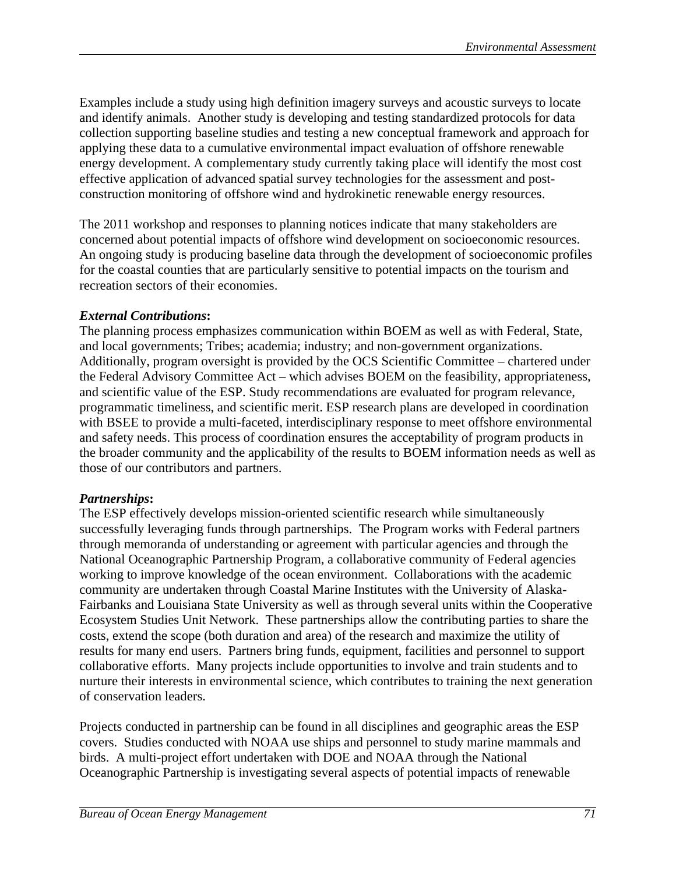Examples include a study using high definition imagery surveys and acoustic surveys to locate and identify animals. Another study is developing and testing standardized protocols for data collection supporting baseline studies and testing a new conceptual framework and approach for applying these data to a cumulative environmental impact evaluation of offshore renewable energy development. A complementary study currently taking place will identify the most cost effective application of advanced spatial survey technologies for the assessment and postconstruction monitoring of offshore wind and hydrokinetic renewable energy resources.

The 2011 workshop and responses to planning notices indicate that many stakeholders are concerned about potential impacts of offshore wind development on socioeconomic resources. An ongoing study is producing baseline data through the development of socioeconomic profiles for the coastal counties that are particularly sensitive to potential impacts on the tourism and recreation sectors of their economies.

#### *External Contributions***:**

The planning process emphasizes communication within BOEM as well as with Federal, State, and local governments; Tribes; academia; industry; and non-government organizations. Additionally, program oversight is provided by the OCS Scientific Committee – chartered under the Federal Advisory Committee Act – which advises BOEM on the feasibility, appropriateness, and scientific value of the ESP. Study recommendations are evaluated for program relevance, programmatic timeliness, and scientific merit. ESP research plans are developed in coordination with BSEE to provide a multi-faceted, interdisciplinary response to meet offshore environmental and safety needs. This process of coordination ensures the acceptability of program products in the broader community and the applicability of the results to BOEM information needs as well as those of our contributors and partners.

#### *Partnerships***:**

The ESP effectively develops mission-oriented scientific research while simultaneously successfully leveraging funds through partnerships. The Program works with Federal partners through memoranda of understanding or agreement with particular agencies and through the National Oceanographic Partnership Program, a collaborative community of Federal agencies working to improve knowledge of the ocean environment. Collaborations with the academic community are undertaken through Coastal Marine Institutes with the University of Alaska-Fairbanks and Louisiana State University as well as through several units within the Cooperative Ecosystem Studies Unit Network. These partnerships allow the contributing parties to share the costs, extend the scope (both duration and area) of the research and maximize the utility of results for many end users. Partners bring funds, equipment, facilities and personnel to support collaborative efforts. Many projects include opportunities to involve and train students and to nurture their interests in environmental science, which contributes to training the next generation of conservation leaders.

Projects conducted in partnership can be found in all disciplines and geographic areas the ESP covers. Studies conducted with NOAA use ships and personnel to study marine mammals and birds. A multi-project effort undertaken with DOE and NOAA through the National Oceanographic Partnership is investigating several aspects of potential impacts of renewable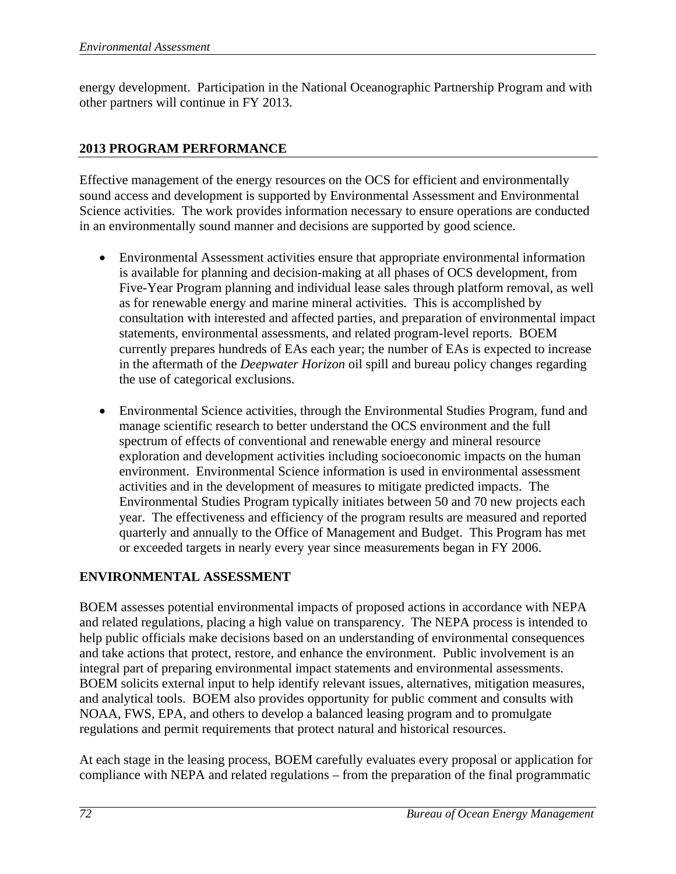energy development. Participation in the National Oceanographic Partnership Program and with other partners will continue in FY 2013.

# **2013 PROGRAM PERFORMANCE**

Effective management of the energy resources on the OCS for efficient and environmentally sound access and development is supported by Environmental Assessment and Environmental Science activities. The work provides information necessary to ensure operations are conducted in an environmentally sound manner and decisions are supported by good science.

- Environmental Assessment activities ensure that appropriate environmental information is available for planning and decision-making at all phases of OCS development, from Five-Year Program planning and individual lease sales through platform removal, as well as for renewable energy and marine mineral activities. This is accomplished by consultation with interested and affected parties, and preparation of environmental impact statements, environmental assessments, and related program-level reports. BOEM currently prepares hundreds of EAs each year; the number of EAs is expected to increase in the aftermath of the *Deepwater Horizon* oil spill and bureau policy changes regarding the use of categorical exclusions.
- Environmental Science activities, through the Environmental Studies Program, fund and manage scientific research to better understand the OCS environment and the full spectrum of effects of conventional and renewable energy and mineral resource exploration and development activities including socioeconomic impacts on the human environment. Environmental Science information is used in environmental assessment activities and in the development of measures to mitigate predicted impacts. The Environmental Studies Program typically initiates between 50 and 70 new projects each year. The effectiveness and efficiency of the program results are measured and reported quarterly and annually to the Office of Management and Budget. This Program has met or exceeded targets in nearly every year since measurements began in FY 2006.

# **ENVIRONMENTAL ASSESSMENT**

BOEM assesses potential environmental impacts of proposed actions in accordance with NEPA and related regulations, placing a high value on transparency. The NEPA process is intended to help public officials make decisions based on an understanding of environmental consequences and take actions that protect, restore, and enhance the environment. Public involvement is an integral part of preparing environmental impact statements and environmental assessments. BOEM solicits external input to help identify relevant issues, alternatives, mitigation measures, and analytical tools. BOEM also provides opportunity for public comment and consults with NOAA, FWS, EPA, and others to develop a balanced leasing program and to promulgate regulations and permit requirements that protect natural and historical resources.

At each stage in the leasing process, BOEM carefully evaluates every proposal or application for compliance with NEPA and related regulations – from the preparation of the final programmatic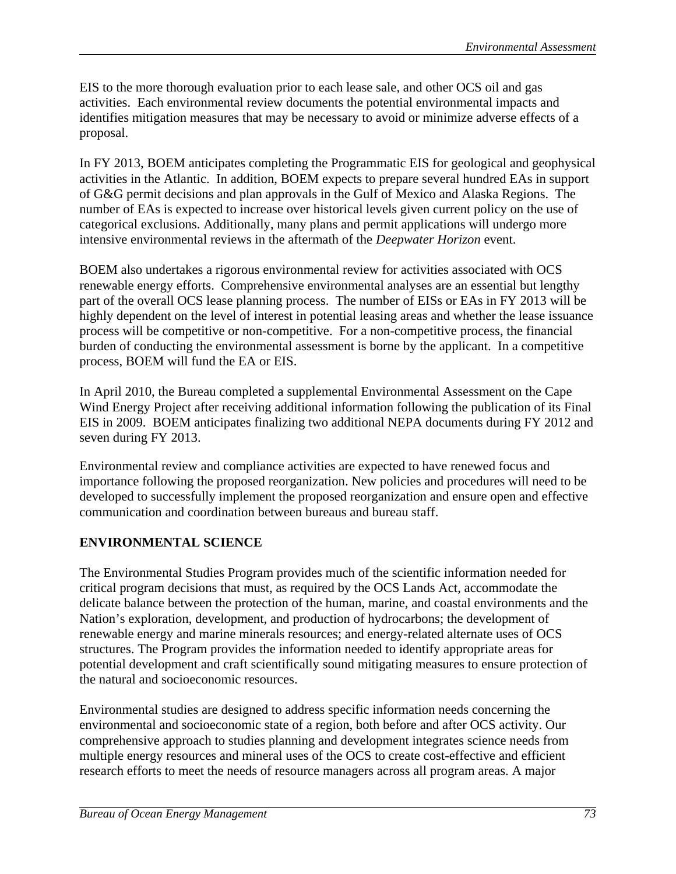EIS to the more thorough evaluation prior to each lease sale, and other OCS oil and gas activities. Each environmental review documents the potential environmental impacts and identifies mitigation measures that may be necessary to avoid or minimize adverse effects of a proposal.

In FY 2013, BOEM anticipates completing the Programmatic EIS for geological and geophysical activities in the Atlantic. In addition, BOEM expects to prepare several hundred EAs in support of G&G permit decisions and plan approvals in the Gulf of Mexico and Alaska Regions. The number of EAs is expected to increase over historical levels given current policy on the use of categorical exclusions. Additionally, many plans and permit applications will undergo more intensive environmental reviews in the aftermath of the *Deepwater Horizon* event.

BOEM also undertakes a rigorous environmental review for activities associated with OCS renewable energy efforts. Comprehensive environmental analyses are an essential but lengthy part of the overall OCS lease planning process. The number of EISs or EAs in FY 2013 will be highly dependent on the level of interest in potential leasing areas and whether the lease issuance process will be competitive or non-competitive. For a non-competitive process, the financial burden of conducting the environmental assessment is borne by the applicant. In a competitive process, BOEM will fund the EA or EIS.

In April 2010, the Bureau completed a supplemental Environmental Assessment on the Cape Wind Energy Project after receiving additional information following the publication of its Final EIS in 2009. BOEM anticipates finalizing two additional NEPA documents during FY 2012 and seven during FY 2013.

Environmental review and compliance activities are expected to have renewed focus and importance following the proposed reorganization. New policies and procedures will need to be developed to successfully implement the proposed reorganization and ensure open and effective communication and coordination between bureaus and bureau staff.

### **ENVIRONMENTAL SCIENCE**

The Environmental Studies Program provides much of the scientific information needed for critical program decisions that must, as required by the OCS Lands Act, accommodate the delicate balance between the protection of the human, marine, and coastal environments and the Nation's exploration, development, and production of hydrocarbons; the development of renewable energy and marine minerals resources; and energy-related alternate uses of OCS structures. The Program provides the information needed to identify appropriate areas for potential development and craft scientifically sound mitigating measures to ensure protection of the natural and socioeconomic resources.

Environmental studies are designed to address specific information needs concerning the environmental and socioeconomic state of a region, both before and after OCS activity. Our comprehensive approach to studies planning and development integrates science needs from multiple energy resources and mineral uses of the OCS to create cost-effective and efficient research efforts to meet the needs of resource managers across all program areas. A major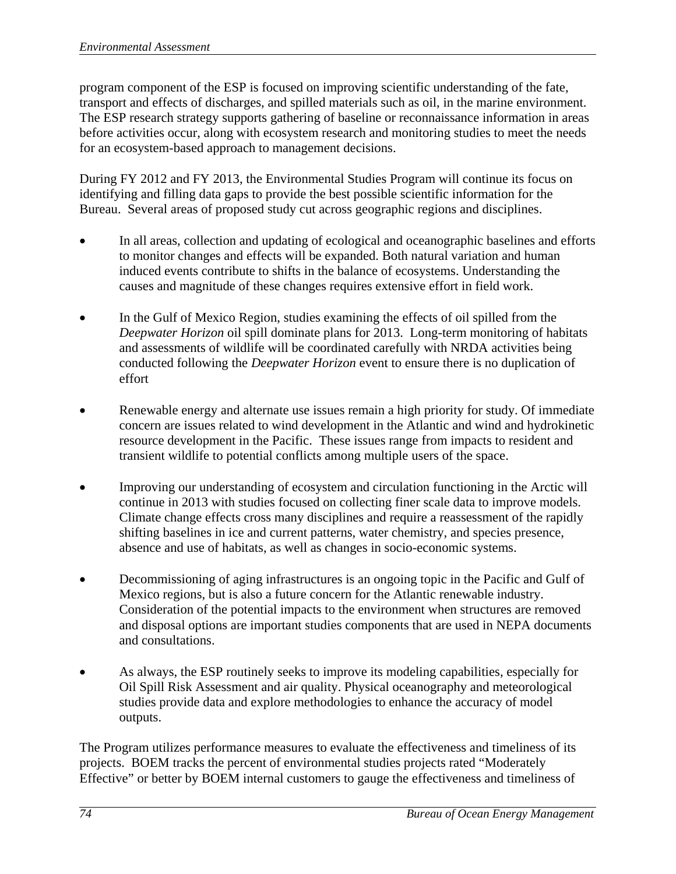program component of the ESP is focused on improving scientific understanding of the fate, transport and effects of discharges, and spilled materials such as oil, in the marine environment. The ESP research strategy supports gathering of baseline or reconnaissance information in areas before activities occur, along with ecosystem research and monitoring studies to meet the needs for an ecosystem-based approach to management decisions.

During FY 2012 and FY 2013, the Environmental Studies Program will continue its focus on identifying and filling data gaps to provide the best possible scientific information for the Bureau. Several areas of proposed study cut across geographic regions and disciplines.

- In all areas, collection and updating of ecological and oceanographic baselines and efforts to monitor changes and effects will be expanded. Both natural variation and human induced events contribute to shifts in the balance of ecosystems. Understanding the causes and magnitude of these changes requires extensive effort in field work.
- In the Gulf of Mexico Region, studies examining the effects of oil spilled from the *Deepwater Horizon* oil spill dominate plans for 2013. Long-term monitoring of habitats and assessments of wildlife will be coordinated carefully with NRDA activities being conducted following the *Deepwater Horizon* event to ensure there is no duplication of effort
- Renewable energy and alternate use issues remain a high priority for study. Of immediate concern are issues related to wind development in the Atlantic and wind and hydrokinetic resource development in the Pacific. These issues range from impacts to resident and transient wildlife to potential conflicts among multiple users of the space.
- Improving our understanding of ecosystem and circulation functioning in the Arctic will continue in 2013 with studies focused on collecting finer scale data to improve models. Climate change effects cross many disciplines and require a reassessment of the rapidly shifting baselines in ice and current patterns, water chemistry, and species presence, absence and use of habitats, as well as changes in socio-economic systems.
- Decommissioning of aging infrastructures is an ongoing topic in the Pacific and Gulf of Mexico regions, but is also a future concern for the Atlantic renewable industry. Consideration of the potential impacts to the environment when structures are removed and disposal options are important studies components that are used in NEPA documents and consultations.
- As always, the ESP routinely seeks to improve its modeling capabilities, especially for Oil Spill Risk Assessment and air quality. Physical oceanography and meteorological studies provide data and explore methodologies to enhance the accuracy of model outputs.

The Program utilizes performance measures to evaluate the effectiveness and timeliness of its projects. BOEM tracks the percent of environmental studies projects rated "Moderately Effective" or better by BOEM internal customers to gauge the effectiveness and timeliness of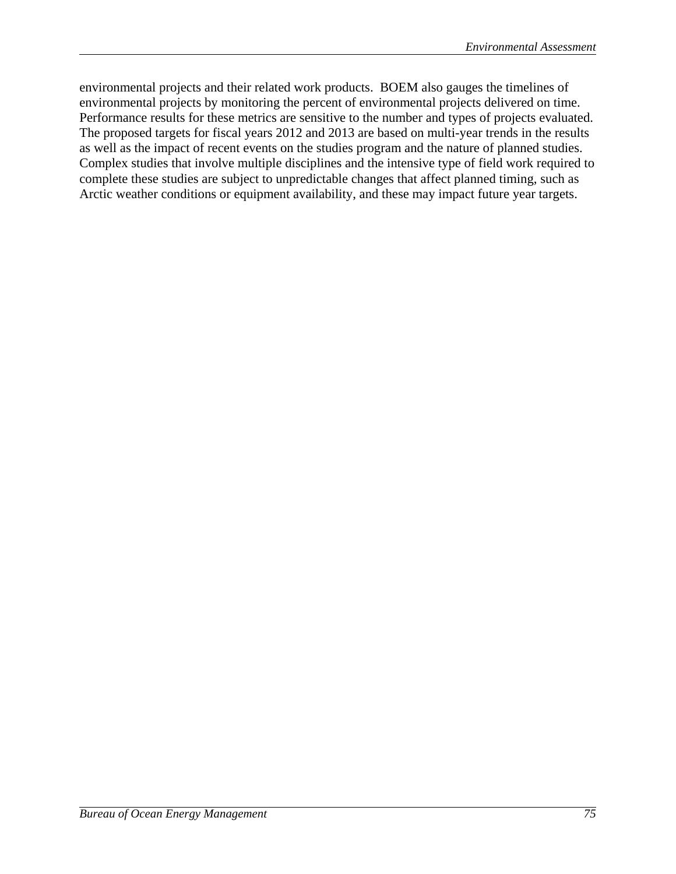environmental projects and their related work products. BOEM also gauges the timelines of environmental projects by monitoring the percent of environmental projects delivered on time. Performance results for these metrics are sensitive to the number and types of projects evaluated. The proposed targets for fiscal years 2012 and 2013 are based on multi-year trends in the results as well as the impact of recent events on the studies program and the nature of planned studies. Complex studies that involve multiple disciplines and the intensive type of field work required to complete these studies are subject to unpredictable changes that affect planned timing, such as Arctic weather conditions or equipment availability, and these may impact future year targets.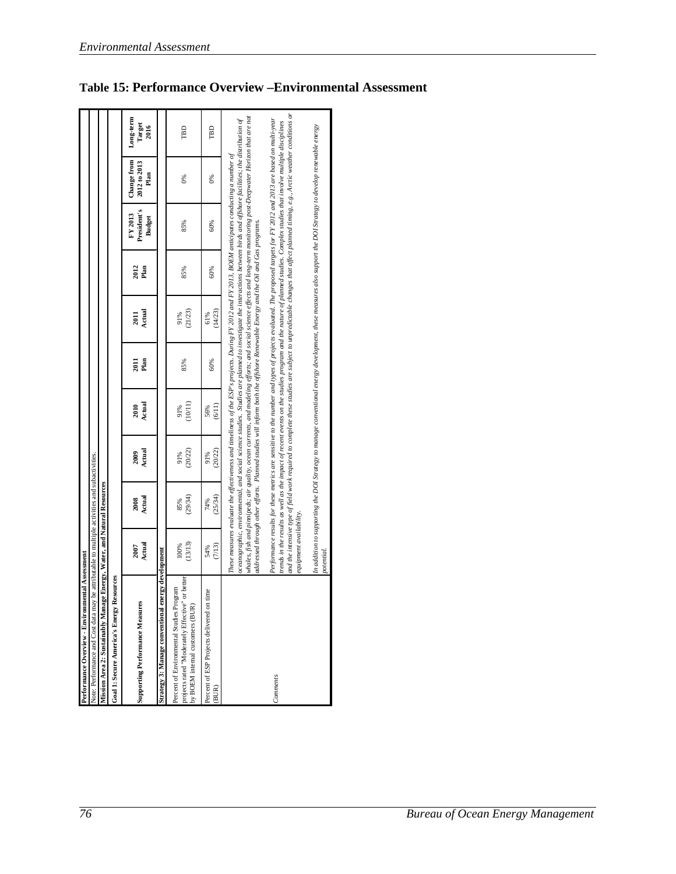| unental Assessment<br>Performance Overview - Environ                                                                                 |                                           |                                                                                                                                                                                                                                                                                                                                                                                                                                                                                                                                                                                                                                                                                                                                                                                                                                                                                                                                                                                                                                                                                                                                                                                                                                                                                                                                                 |                |                |              |                |              |                                  |                                     |                             |
|--------------------------------------------------------------------------------------------------------------------------------------|-------------------------------------------|-------------------------------------------------------------------------------------------------------------------------------------------------------------------------------------------------------------------------------------------------------------------------------------------------------------------------------------------------------------------------------------------------------------------------------------------------------------------------------------------------------------------------------------------------------------------------------------------------------------------------------------------------------------------------------------------------------------------------------------------------------------------------------------------------------------------------------------------------------------------------------------------------------------------------------------------------------------------------------------------------------------------------------------------------------------------------------------------------------------------------------------------------------------------------------------------------------------------------------------------------------------------------------------------------------------------------------------------------|----------------|----------------|--------------|----------------|--------------|----------------------------------|-------------------------------------|-----------------------------|
| Note: Performance and Cost data may be attributable to multiple activities and subactivities.                                        |                                           |                                                                                                                                                                                                                                                                                                                                                                                                                                                                                                                                                                                                                                                                                                                                                                                                                                                                                                                                                                                                                                                                                                                                                                                                                                                                                                                                                 |                |                |              |                |              |                                  |                                     |                             |
| Mission Area 2: Sustainably Man                                                                                                      | nage Energy, Water, and Natural Resources |                                                                                                                                                                                                                                                                                                                                                                                                                                                                                                                                                                                                                                                                                                                                                                                                                                                                                                                                                                                                                                                                                                                                                                                                                                                                                                                                                 |                |                |              |                |              |                                  |                                     |                             |
| <b>Resources</b><br>Goal 1: Secure America's Energy                                                                                  |                                           |                                                                                                                                                                                                                                                                                                                                                                                                                                                                                                                                                                                                                                                                                                                                                                                                                                                                                                                                                                                                                                                                                                                                                                                                                                                                                                                                                 |                |                |              |                |              |                                  |                                     |                             |
| res<br><b>Supporting Performance Measur</b>                                                                                          | Actual<br>2007                            | Actual<br>2008                                                                                                                                                                                                                                                                                                                                                                                                                                                                                                                                                                                                                                                                                                                                                                                                                                                                                                                                                                                                                                                                                                                                                                                                                                                                                                                                  | Actual<br>2009 | Actual<br>2010 | Plan<br>2011 | Actual<br>2011 | 2012<br>Plan | President's<br>FY 2013<br>Budget | Change from<br>2012 to 2013<br>Plan | Long-term<br>Target<br>2016 |
| energy development<br>Strategy 3: Manage conventional                                                                                |                                           |                                                                                                                                                                                                                                                                                                                                                                                                                                                                                                                                                                                                                                                                                                                                                                                                                                                                                                                                                                                                                                                                                                                                                                                                                                                                                                                                                 |                |                |              |                |              |                                  |                                     |                             |
| projects rated "Moderately Effective" or better<br>Program<br>by BOEM internal customers (BUR)<br>Percent of Environmental Studies I | (13/13)<br>100%                           | (29/34)<br>85%                                                                                                                                                                                                                                                                                                                                                                                                                                                                                                                                                                                                                                                                                                                                                                                                                                                                                                                                                                                                                                                                                                                                                                                                                                                                                                                                  | (20/22)<br>91% | (10/11)<br>91% | 85%          | (21/23)<br>91% | 85%          | 85%                              | $\frac{6}{2}$                       | TBD                         |
| Percent of ESP Projects delivered on time<br>BUR)                                                                                    | (7/13)<br>54%                             | (25/34)<br>74%                                                                                                                                                                                                                                                                                                                                                                                                                                                                                                                                                                                                                                                                                                                                                                                                                                                                                                                                                                                                                                                                                                                                                                                                                                                                                                                                  | (20/22)<br>91% | (6/11)<br>56%  | 60%          | (14/23)<br>61% | 60%          | 60%                              | $\frac{6}{20}$                      | TBD                         |
| Comments                                                                                                                             | equipment availability.<br>potential.     | and the intensive type of field work required to complete these studies are subject to unpredictable changes that affect planned timing, e.g., Arcite weather conditions or<br>whales, fish and pinnipeds; air quality, ocean currents, and modeling efforts; and social science effects and long-term monitoring post-Deepwater Horizon that are not<br>oceanographic, environmental, and social science studies. Studies are planned to investigate the interactions between birds and offshore facilities; the distribution of<br>Performance results for these metrics are sensitive to the number and types of projects evaluated. The proposed targets for FY 2012 and 2013 are based on multi-year<br>trends in the results as well as the impact of recent events on the studies program and the nature of planned studies. Complex studies that involve multiple disciplines<br>In addition to supporting the DOI Strategy to manage conventional energy development, these measures also support the DOI Strategy to develop renewable energy<br>These measures evaluate the effectiveness and timeliness of the ESP's projects. During FY 2012 and FY 2013, BOEM anticipates conducting a number of<br>addressed through other efforts. Planned studies will inform both the offshore Renewable Energy and the Oil and Gas programs. |                |                |              |                |              |                                  |                                     |                             |
|                                                                                                                                      |                                           |                                                                                                                                                                                                                                                                                                                                                                                                                                                                                                                                                                                                                                                                                                                                                                                                                                                                                                                                                                                                                                                                                                                                                                                                                                                                                                                                                 |                |                |              |                |              |                                  |                                     |                             |

# **Table 15: Performance Overview –Environmental Assessment**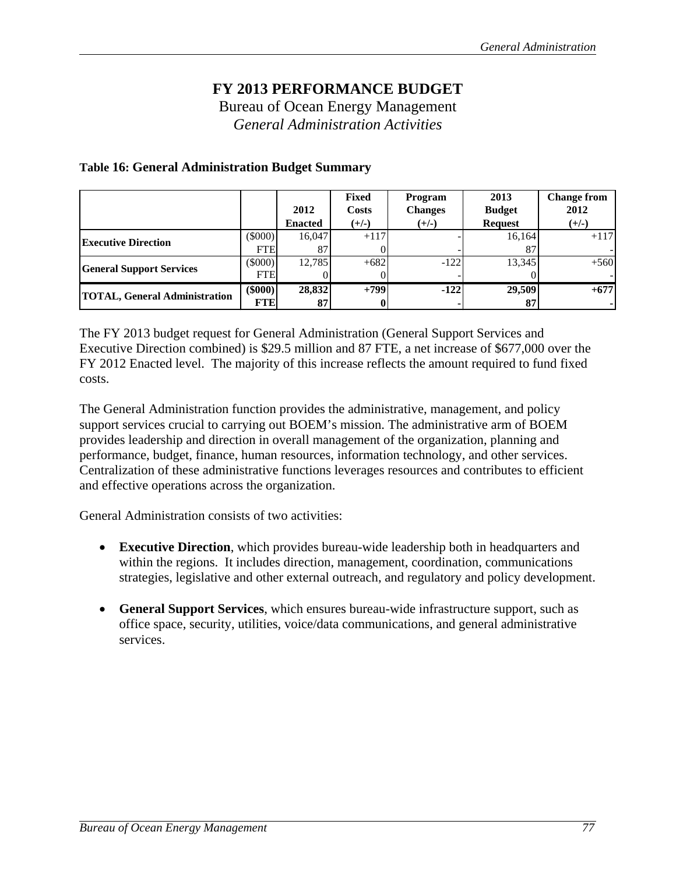# **FY 2013 PERFORMANCE BUDGET**

# Bureau of Ocean Energy Management *General Administration Activities*

|                                      |            |                | <b>Fixed</b> | <b>Program</b> | 2013           | <b>Change from</b> |
|--------------------------------------|------------|----------------|--------------|----------------|----------------|--------------------|
|                                      |            | 2012           | <b>Costs</b> | <b>Changes</b> | <b>Budget</b>  | 2012               |
|                                      |            | <b>Enacted</b> | $(+/-)$      | $(+/-)$        | <b>Request</b> | $(+/-)$            |
| <b>Executive Direction</b>           | (5000)     | 16.047         | $+117$       |                | 16,164         | $+117$             |
|                                      | <b>FTE</b> | 87             |              |                |                |                    |
|                                      | (S000)     | 12.785         | $+682$       | $-122$         | 13.345         | $+560$             |
| <b>General Support Services</b>      | <b>FTE</b> |                |              |                |                |                    |
| <b>TOTAL, General Administration</b> | (\$000)    | 28,832         | $+799$       | $-122$         | 29,509         | $+677$             |
|                                      | <b>FTE</b> | 87             |              |                |                |                    |

#### **Table 16: General Administration Budget Summary**

The FY 2013 budget request for General Administration (General Support Services and Executive Direction combined) is \$29.5 million and 87 FTE, a net increase of \$677,000 over the FY 2012 Enacted level. The majority of this increase reflects the amount required to fund fixed costs.

The General Administration function provides the administrative, management, and policy support services crucial to carrying out BOEM's mission. The administrative arm of BOEM provides leadership and direction in overall management of the organization, planning and performance, budget, finance, human resources, information technology, and other services. Centralization of these administrative functions leverages resources and contributes to efficient and effective operations across the organization.

General Administration consists of two activities:

- **Executive Direction**, which provides bureau-wide leadership both in headquarters and within the regions. It includes direction, management, coordination, communications strategies, legislative and other external outreach, and regulatory and policy development.
- **General Support Services**, which ensures bureau-wide infrastructure support, such as office space, security, utilities, voice/data communications, and general administrative services.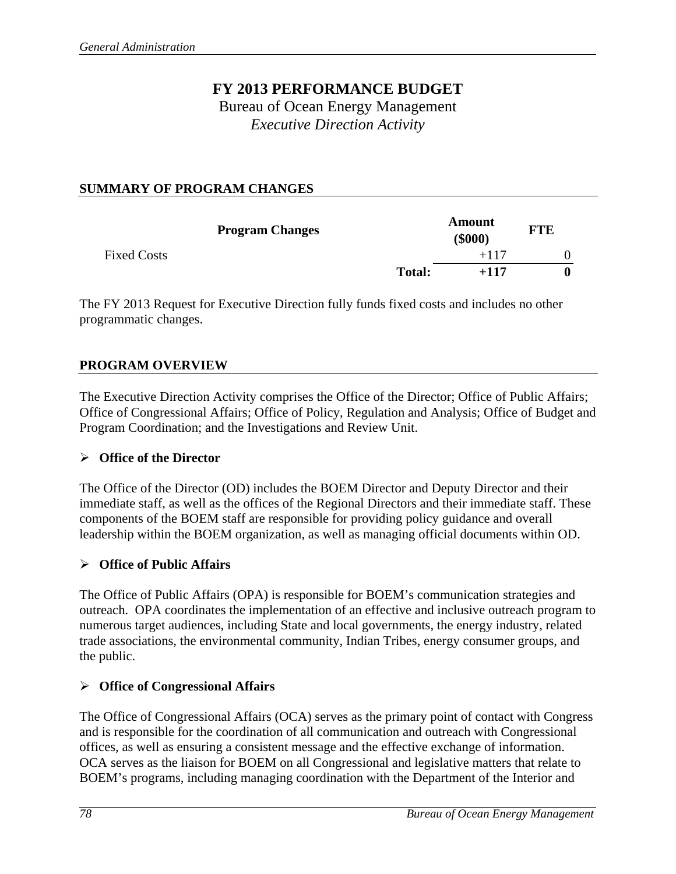# **FY 2013 PERFORMANCE BUDGET**

# Bureau of Ocean Energy Management *Executive Direction Activity*

# **SUMMARY OF PROGRAM CHANGES**

|                    | <b>Program Changes</b> |        | Amount<br>$($ \$000 $)$ | <b>FTE</b> |
|--------------------|------------------------|--------|-------------------------|------------|
| <b>Fixed Costs</b> |                        |        | $+117$                  |            |
|                    |                        | Total: | $+117$                  | 0          |

The FY 2013 Request for Executive Direction fully funds fixed costs and includes no other programmatic changes.

# **PROGRAM OVERVIEW**

The Executive Direction Activity comprises the Office of the Director; Office of Public Affairs; Office of Congressional Affairs; Office of Policy, Regulation and Analysis; Office of Budget and Program Coordination; and the Investigations and Review Unit.

### **Office of the Director**

The Office of the Director (OD) includes the BOEM Director and Deputy Director and their immediate staff, as well as the offices of the Regional Directors and their immediate staff. These components of the BOEM staff are responsible for providing policy guidance and overall leadership within the BOEM organization, as well as managing official documents within OD.

### **Office of Public Affairs**

The Office of Public Affairs (OPA) is responsible for BOEM's communication strategies and outreach. OPA coordinates the implementation of an effective and inclusive outreach program to numerous target audiences, including State and local governments, the energy industry, related trade associations, the environmental community, Indian Tribes, energy consumer groups, and the public.

#### **Office of Congressional Affairs**

The Office of Congressional Affairs (OCA) serves as the primary point of contact with Congress and is responsible for the coordination of all communication and outreach with Congressional offices, as well as ensuring a consistent message and the effective exchange of information. OCA serves as the liaison for BOEM on all Congressional and legislative matters that relate to BOEM's programs, including managing coordination with the Department of the Interior and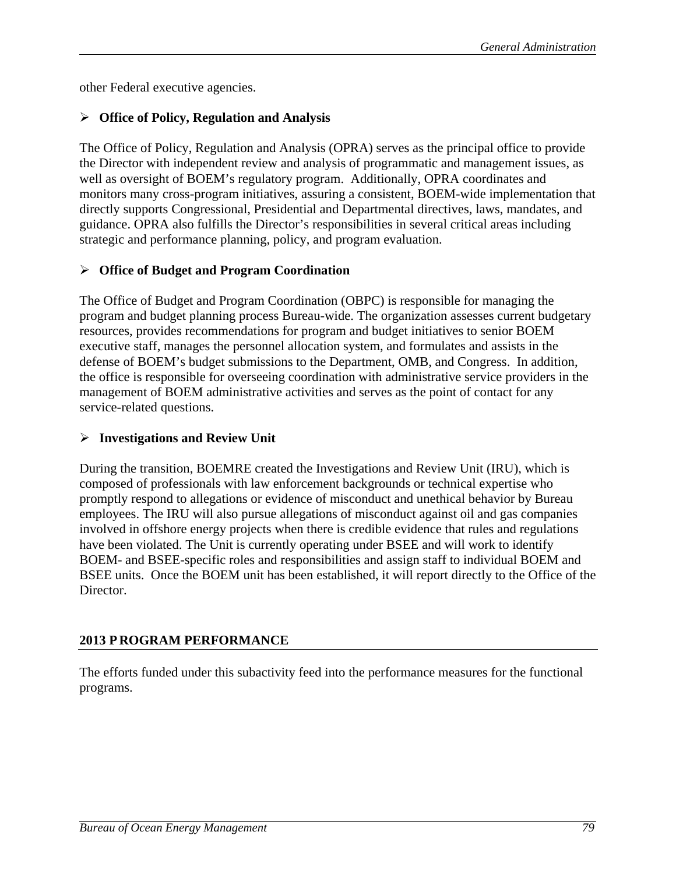other Federal executive agencies.

# **Office of Policy, Regulation and Analysis**

The Office of Policy, Regulation and Analysis (OPRA) serves as the principal office to provide the Director with independent review and analysis of programmatic and management issues, as well as oversight of BOEM's regulatory program. Additionally, OPRA coordinates and monitors many cross-program initiatives, assuring a consistent, BOEM-wide implementation that directly supports Congressional, Presidential and Departmental directives, laws, mandates, and guidance. OPRA also fulfills the Director's responsibilities in several critical areas including strategic and performance planning, policy, and program evaluation.

# **Office of Budget and Program Coordination**

The Office of Budget and Program Coordination (OBPC) is responsible for managing the program and budget planning process Bureau-wide. The organization assesses current budgetary resources, provides recommendations for program and budget initiatives to senior BOEM executive staff, manages the personnel allocation system, and formulates and assists in the defense of BOEM's budget submissions to the Department, OMB, and Congress. In addition, the office is responsible for overseeing coordination with administrative service providers in the management of BOEM administrative activities and serves as the point of contact for any service-related questions.

# **Investigations and Review Unit**

During the transition, BOEMRE created the Investigations and Review Unit (IRU), which is composed of professionals with law enforcement backgrounds or technical expertise who promptly respond to allegations or evidence of misconduct and unethical behavior by Bureau employees. The IRU will also pursue allegations of misconduct against oil and gas companies involved in offshore energy projects when there is credible evidence that rules and regulations have been violated. The Unit is currently operating under BSEE and will work to identify BOEM- and BSEE-specific roles and responsibilities and assign staff to individual BOEM and BSEE units. Once the BOEM unit has been established, it will report directly to the Office of the Director.

# **2013 P ROGRAM PERFORMANCE**

The efforts funded under this subactivity feed into the performance measures for the functional programs.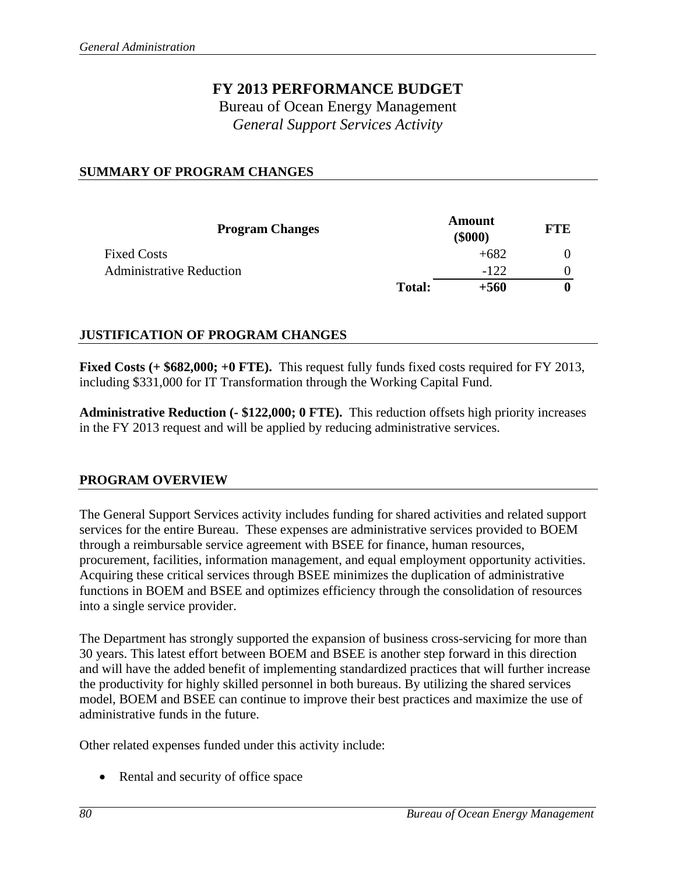# **FY 2013 PERFORMANCE BUDGET**

Bureau of Ocean Energy Management *General Support Services Activity* 

#### **SUMMARY OF PROGRAM CHANGES**

| <b>Program Changes</b>          |        | <b>Amount</b><br>$(\$000)$ | <b>FTE</b> |
|---------------------------------|--------|----------------------------|------------|
| <b>Fixed Costs</b>              |        | $+682$                     |            |
| <b>Administrative Reduction</b> |        | $-122$                     |            |
|                                 | Total: | $+560$                     |            |

#### **JUSTIFICATION OF PROGRAM CHANGES**

**Fixed Costs (+ \$682,000; +0 FTE).** This request fully funds fixed costs required for FY 2013, including \$331,000 for IT Transformation through the Working Capital Fund.

**Administrative Reduction (- \$122,000; 0 FTE).** This reduction offsets high priority increases in the FY 2013 request and will be applied by reducing administrative services.

#### **PROGRAM OVERVIEW**

The General Support Services activity includes funding for shared activities and related support services for the entire Bureau. These expenses are administrative services provided to BOEM through a reimbursable service agreement with BSEE for finance, human resources, procurement, facilities, information management, and equal employment opportunity activities. Acquiring these critical services through BSEE minimizes the duplication of administrative functions in BOEM and BSEE and optimizes efficiency through the consolidation of resources into a single service provider.

The Department has strongly supported the expansion of business cross-servicing for more than 30 years. This latest effort between BOEM and BSEE is another step forward in this direction and will have the added benefit of implementing standardized practices that will further increase the productivity for highly skilled personnel in both bureaus. By utilizing the shared services model, BOEM and BSEE can continue to improve their best practices and maximize the use of administrative funds in the future.

Other related expenses funded under this activity include:

• Rental and security of office space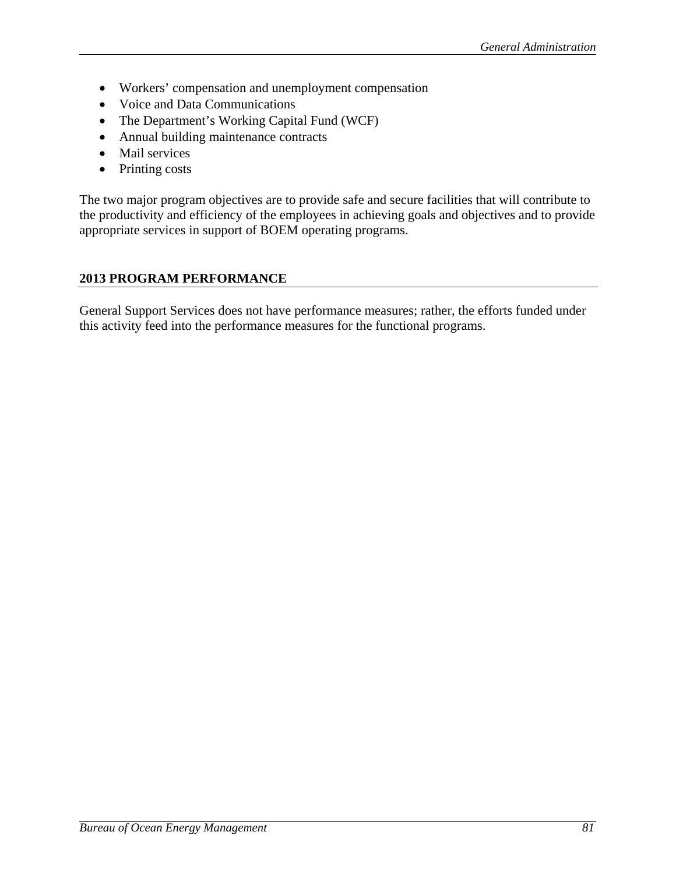- Workers' compensation and unemployment compensation
- Voice and Data Communications
- The Department's Working Capital Fund (WCF)
- Annual building maintenance contracts
- Mail services
- Printing costs

The two major program objectives are to provide safe and secure facilities that will contribute to the productivity and efficiency of the employees in achieving goals and objectives and to provide appropriate services in support of BOEM operating programs.

#### **2013 PROGRAM PERFORMANCE**

General Support Services does not have performance measures; rather, the efforts funded under this activity feed into the performance measures for the functional programs.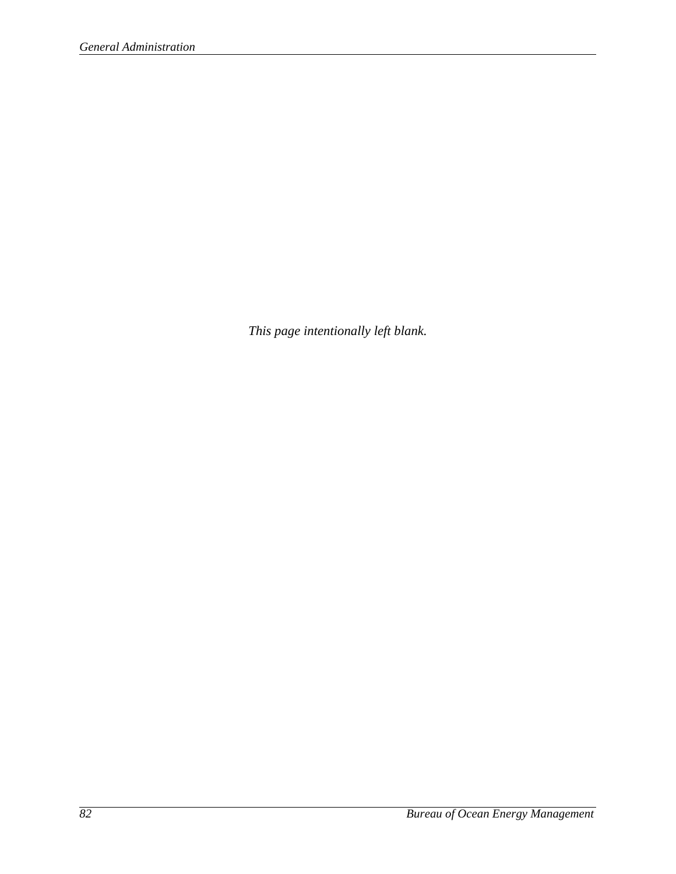*This page intentionally left blank.*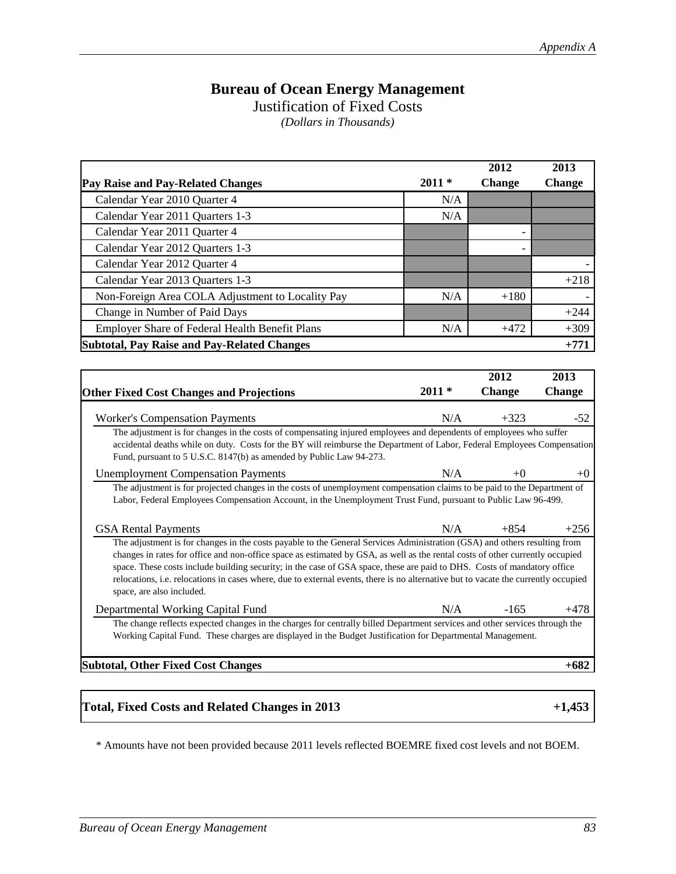Justification of Fixed Costs *(Dollars in Thousands)* 

|                                                    |         | 2012                         | 2013          |
|----------------------------------------------------|---------|------------------------------|---------------|
| Pay Raise and Pay-Related Changes                  | $2011*$ | <b>Change</b>                | <b>Change</b> |
| Calendar Year 2010 Quarter 4                       | N/A     |                              |               |
| Calendar Year 2011 Quarters 1-3                    | N/A     |                              |               |
| Calendar Year 2011 Quarter 4                       |         |                              |               |
| Calendar Year 2012 Quarters 1-3                    |         | $\qquad \qquad \blacksquare$ |               |
| Calendar Year 2012 Quarter 4                       |         |                              |               |
| Calendar Year 2013 Quarters 1-3                    |         |                              | $+218$        |
| Non-Foreign Area COLA Adjustment to Locality Pay   | N/A     | $+180$                       |               |
| Change in Number of Paid Days                      |         |                              | $+244$        |
| Employer Share of Federal Health Benefit Plans     | N/A     | $+472$                       | $+309$        |
| <b>Subtotal, Pay Raise and Pay-Related Changes</b> |         |                              | $+771$        |

|                                                                                                                                                                                                                                                                                                                                                                                                                                                                                                                                                           |         | 2012          | 2013          |
|-----------------------------------------------------------------------------------------------------------------------------------------------------------------------------------------------------------------------------------------------------------------------------------------------------------------------------------------------------------------------------------------------------------------------------------------------------------------------------------------------------------------------------------------------------------|---------|---------------|---------------|
| <b>Other Fixed Cost Changes and Projections</b>                                                                                                                                                                                                                                                                                                                                                                                                                                                                                                           | $2011*$ | <b>Change</b> | <b>Change</b> |
| <b>Worker's Compensation Payments</b>                                                                                                                                                                                                                                                                                                                                                                                                                                                                                                                     | N/A     | $+323$        | $-52$         |
| The adjustment is for changes in the costs of compensating injured employees and dependents of employees who suffer<br>accidental deaths while on duty. Costs for the BY will reimburse the Department of Labor, Federal Employees Compensation<br>Fund, pursuant to 5 U.S.C. 8147(b) as amended by Public Law 94-273.                                                                                                                                                                                                                                    |         |               |               |
| <b>Unemployment Compensation Payments</b>                                                                                                                                                                                                                                                                                                                                                                                                                                                                                                                 | N/A     | $+0$          | $+()$         |
| The adjustment is for projected changes in the costs of unemployment compensation claims to be paid to the Department of<br>Labor, Federal Employees Compensation Account, in the Unemployment Trust Fund, pursuant to Public Law 96-499.                                                                                                                                                                                                                                                                                                                 |         |               |               |
| <b>GSA Rental Payments</b>                                                                                                                                                                                                                                                                                                                                                                                                                                                                                                                                | N/A     | $+854$        | $+256$        |
| The adjustment is for changes in the costs payable to the General Services Administration (GSA) and others resulting from<br>changes in rates for office and non-office space as estimated by GSA, as well as the rental costs of other currently occupied<br>space. These costs include building security; in the case of GSA space, these are paid to DHS. Costs of mandatory office<br>relocations, i.e. relocations in cases where, due to external events, there is no alternative but to vacate the currently occupied<br>space, are also included. |         |               |               |
| Departmental Working Capital Fund                                                                                                                                                                                                                                                                                                                                                                                                                                                                                                                         | N/A     | $-165$        | $+478$        |
| The change reflects expected changes in the charges for centrally billed Department services and other services through the<br>Working Capital Fund. These charges are displayed in the Budget Justification for Departmental Management.                                                                                                                                                                                                                                                                                                                 |         |               |               |
| <b>Subtotal, Other Fixed Cost Changes</b>                                                                                                                                                                                                                                                                                                                                                                                                                                                                                                                 |         |               | $+682$        |

### **Total, Fixed Costs and Related Changes in 2013 +1,453**

\* Amounts have not been provided because 2011 levels reflected BOEMRE fixed cost levels and not BOEM.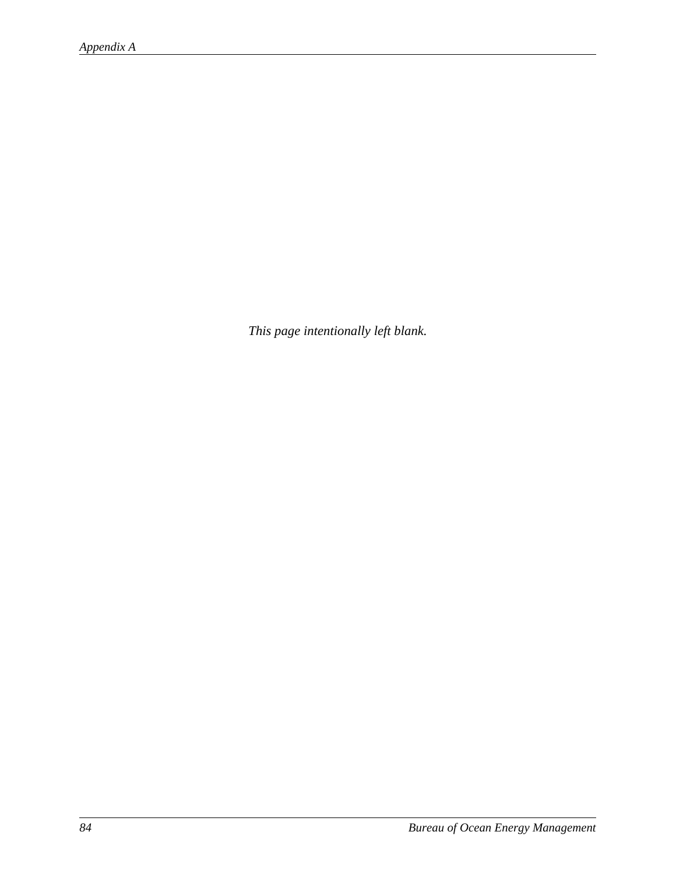*This page intentionally left blank.*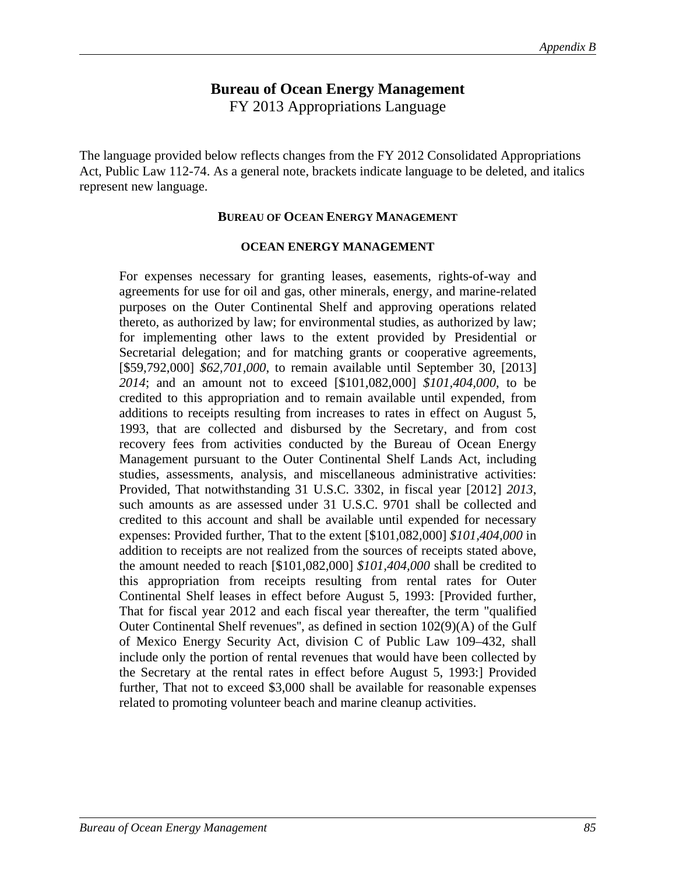FY 2013 Appropriations Language

The language provided below reflects changes from the FY 2012 Consolidated Appropriations Act, Public Law 112-74. As a general note, brackets indicate language to be deleted, and italics represent new language.

#### **BUREAU OF OCEAN ENERGY MANAGEMENT**

#### **OCEAN ENERGY MANAGEMENT**

For expenses necessary for granting leases, easements, rights-of-way and agreements for use for oil and gas, other minerals, energy, and marine-related purposes on the Outer Continental Shelf and approving operations related thereto, as authorized by law; for environmental studies, as authorized by law; for implementing other laws to the extent provided by Presidential or Secretarial delegation; and for matching grants or cooperative agreements, [\$59,792,000] *\$62,701,000*, to remain available until September 30, [2013] *2014*; and an amount not to exceed [\$101,082,000] *\$101,404,000*, to be credited to this appropriation and to remain available until expended, from additions to receipts resulting from increases to rates in effect on August 5, 1993, that are collected and disbursed by the Secretary, and from cost recovery fees from activities conducted by the Bureau of Ocean Energy Management pursuant to the Outer Continental Shelf Lands Act, including studies, assessments, analysis, and miscellaneous administrative activities: Provided, That notwithstanding 31 U.S.C. 3302, in fiscal year [2012] *2013*, such amounts as are assessed under 31 U.S.C. 9701 shall be collected and credited to this account and shall be available until expended for necessary expenses: Provided further, That to the extent [\$101,082,000] *\$101,404,000* in addition to receipts are not realized from the sources of receipts stated above, the amount needed to reach [\$101,082,000] *\$101,404,000* shall be credited to this appropriation from receipts resulting from rental rates for Outer Continental Shelf leases in effect before August 5, 1993: [Provided further, That for fiscal year 2012 and each fiscal year thereafter, the term "qualified Outer Continental Shelf revenues'', as defined in section 102(9)(A) of the Gulf of Mexico Energy Security Act, division C of Public Law 109–432, shall include only the portion of rental revenues that would have been collected by the Secretary at the rental rates in effect before August 5, 1993:] Provided further, That not to exceed \$3,000 shall be available for reasonable expenses related to promoting volunteer beach and marine cleanup activities.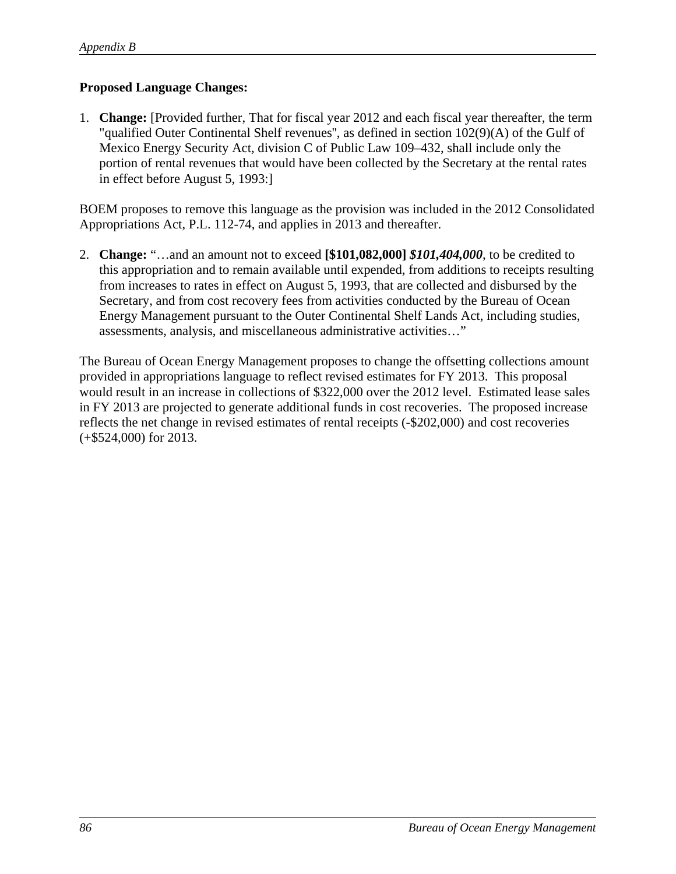# **Proposed Language Changes:**

1. **Change:** [Provided further, That for fiscal year 2012 and each fiscal year thereafter, the term "qualified Outer Continental Shelf revenues'', as defined in section 102(9)(A) of the Gulf of Mexico Energy Security Act, division C of Public Law 109–432, shall include only the portion of rental revenues that would have been collected by the Secretary at the rental rates in effect before August 5, 1993:]

BOEM proposes to remove this language as the provision was included in the 2012 Consolidated Appropriations Act, P.L. 112-74, and applies in 2013 and thereafter.

2. **Change:** "…and an amount not to exceed **[\$101,082,000]** *\$101,404,000*, to be credited to this appropriation and to remain available until expended, from additions to receipts resulting from increases to rates in effect on August 5, 1993, that are collected and disbursed by the Secretary, and from cost recovery fees from activities conducted by the Bureau of Ocean Energy Management pursuant to the Outer Continental Shelf Lands Act, including studies, assessments, analysis, and miscellaneous administrative activities…"

The Bureau of Ocean Energy Management proposes to change the offsetting collections amount provided in appropriations language to reflect revised estimates for FY 2013. This proposal would result in an increase in collections of \$322,000 over the 2012 level. Estimated lease sales in FY 2013 are projected to generate additional funds in cost recoveries. The proposed increase reflects the net change in revised estimates of rental receipts (-\$202,000) and cost recoveries (+\$524,000) for 2013.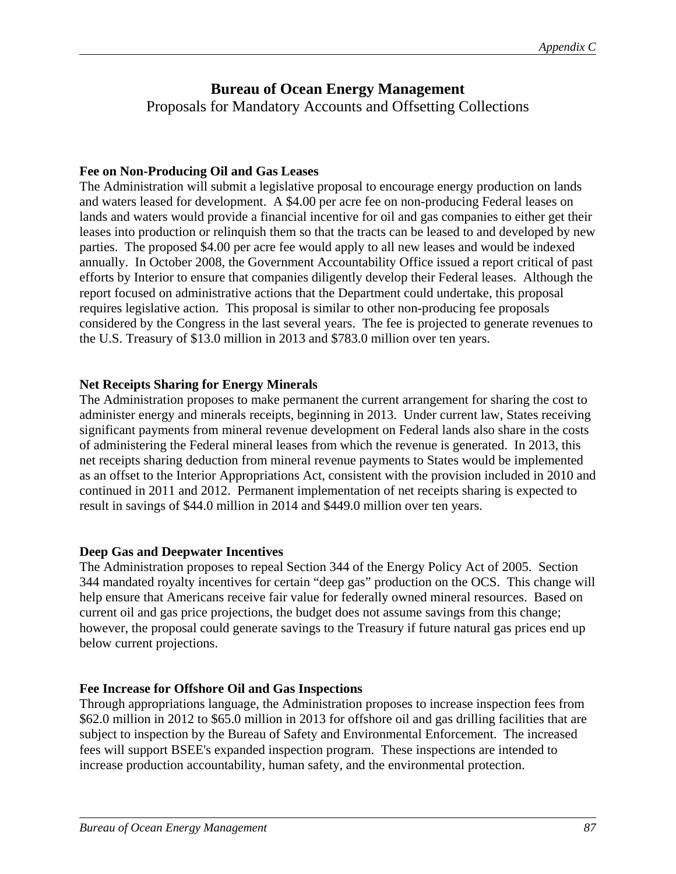Proposals for Mandatory Accounts and Offsetting Collections

#### **Fee on Non-Producing Oil and Gas Leases**

The Administration will submit a legislative proposal to encourage energy production on lands and waters leased for development. A \$4.00 per acre fee on non-producing Federal leases on lands and waters would provide a financial incentive for oil and gas companies to either get their leases into production or relinquish them so that the tracts can be leased to and developed by new parties. The proposed \$4.00 per acre fee would apply to all new leases and would be indexed annually. In October 2008, the Government Accountability Office issued a report critical of past efforts by Interior to ensure that companies diligently develop their Federal leases. Although the report focused on administrative actions that the Department could undertake, this proposal requires legislative action. This proposal is similar to other non-producing fee proposals considered by the Congress in the last several years. The fee is projected to generate revenues to the U.S. Treasury of \$13.0 million in 2013 and \$783.0 million over ten years.

#### **Net Receipts Sharing for Energy Minerals**

The Administration proposes to make permanent the current arrangement for sharing the cost to administer energy and minerals receipts, beginning in 2013. Under current law, States receiving significant payments from mineral revenue development on Federal lands also share in the costs of administering the Federal mineral leases from which the revenue is generated. In 2013, this net receipts sharing deduction from mineral revenue payments to States would be implemented as an offset to the Interior Appropriations Act, consistent with the provision included in 2010 and continued in 2011 and 2012. Permanent implementation of net receipts sharing is expected to result in savings of \$44.0 million in 2014 and \$449.0 million over ten years.

#### **Deep Gas and Deepwater Incentives**

The Administration proposes to repeal Section 344 of the Energy Policy Act of 2005. Section 344 mandated royalty incentives for certain "deep gas" production on the OCS. This change will help ensure that Americans receive fair value for federally owned mineral resources. Based on current oil and gas price projections, the budget does not assume savings from this change; however, the proposal could generate savings to the Treasury if future natural gas prices end up below current projections.

### **Fee Increase for Offshore Oil and Gas Inspections**

Through appropriations language, the Administration proposes to increase inspection fees from \$62.0 million in 2012 to \$65.0 million in 2013 for offshore oil and gas drilling facilities that are subject to inspection by the Bureau of Safety and Environmental Enforcement. The increased fees will support BSEE's expanded inspection program. These inspections are intended to increase production accountability, human safety, and the environmental protection.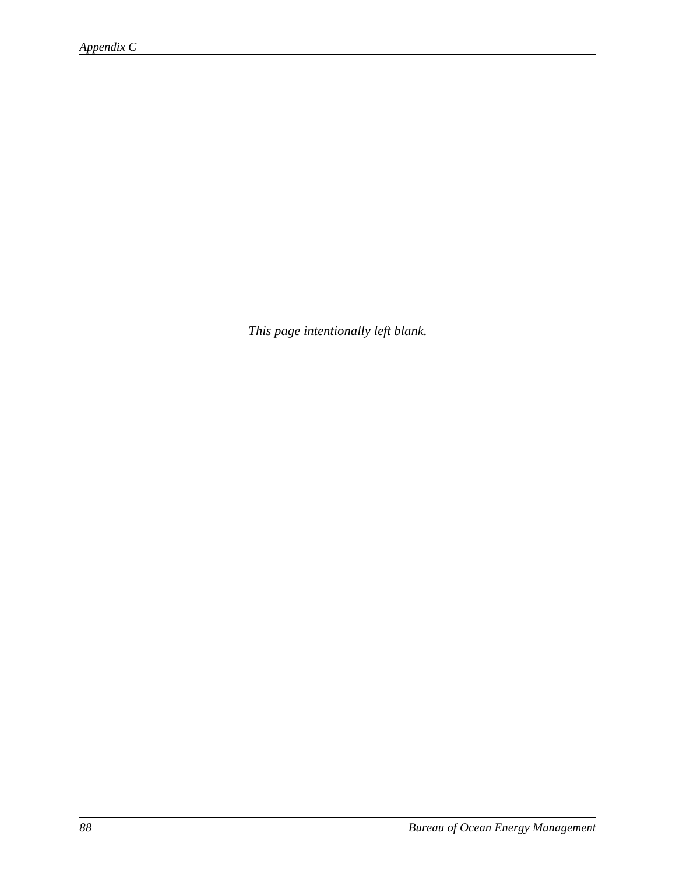*This page intentionally left blank.*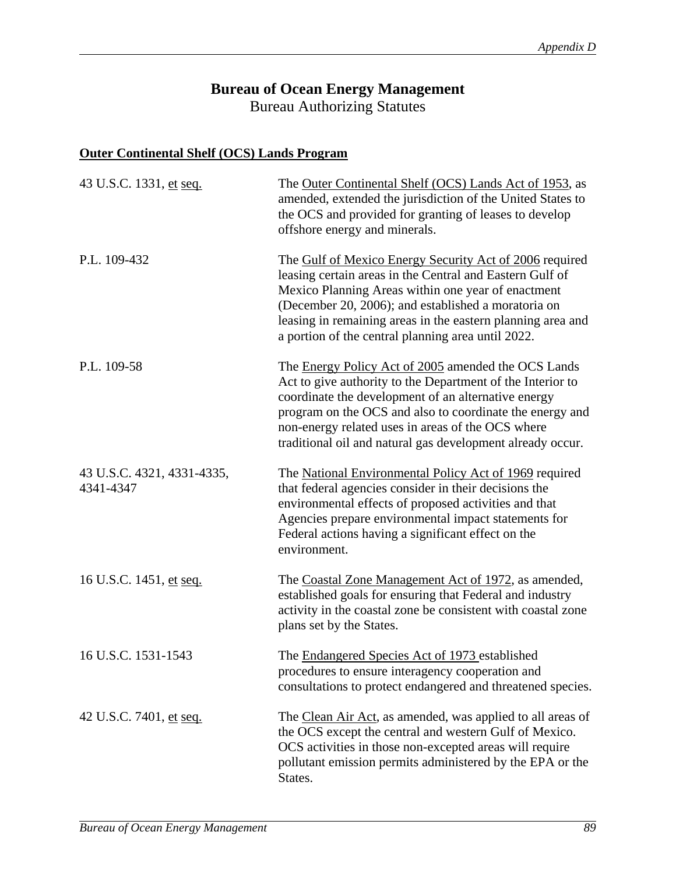Bureau Authorizing Statutes

# **Outer Continental Shelf (OCS) Lands Program**

| 43 U.S.C. 1331, et seq.                 | The Outer Continental Shelf (OCS) Lands Act of 1953, as<br>amended, extended the jurisdiction of the United States to<br>the OCS and provided for granting of leases to develop<br>offshore energy and minerals.                                                                                                                                        |
|-----------------------------------------|---------------------------------------------------------------------------------------------------------------------------------------------------------------------------------------------------------------------------------------------------------------------------------------------------------------------------------------------------------|
| P.L. 109-432                            | The Gulf of Mexico Energy Security Act of 2006 required<br>leasing certain areas in the Central and Eastern Gulf of<br>Mexico Planning Areas within one year of enactment<br>(December 20, 2006); and established a moratoria on<br>leasing in remaining areas in the eastern planning area and<br>a portion of the central planning area until 2022.   |
| P.L. 109-58                             | The Energy Policy Act of 2005 amended the OCS Lands<br>Act to give authority to the Department of the Interior to<br>coordinate the development of an alternative energy<br>program on the OCS and also to coordinate the energy and<br>non-energy related uses in areas of the OCS where<br>traditional oil and natural gas development already occur. |
| 43 U.S.C. 4321, 4331-4335,<br>4341-4347 | The National Environmental Policy Act of 1969 required<br>that federal agencies consider in their decisions the<br>environmental effects of proposed activities and that<br>Agencies prepare environmental impact statements for<br>Federal actions having a significant effect on the<br>environment.                                                  |
| 16 U.S.C. 1451, et seq.                 | The Coastal Zone Management Act of 1972, as amended,<br>established goals for ensuring that Federal and industry<br>activity in the coastal zone be consistent with coastal zone<br>plans set by the States.                                                                                                                                            |
| 16 U.S.C. 1531-1543                     | The Endangered Species Act of 1973 established<br>procedures to ensure interagency cooperation and<br>consultations to protect endangered and threatened species.                                                                                                                                                                                       |
| 42 U.S.C. 7401, et seq.                 | The Clean Air Act, as amended, was applied to all areas of<br>the OCS except the central and western Gulf of Mexico.<br>OCS activities in those non-excepted areas will require<br>pollutant emission permits administered by the EPA or the<br>States.                                                                                                 |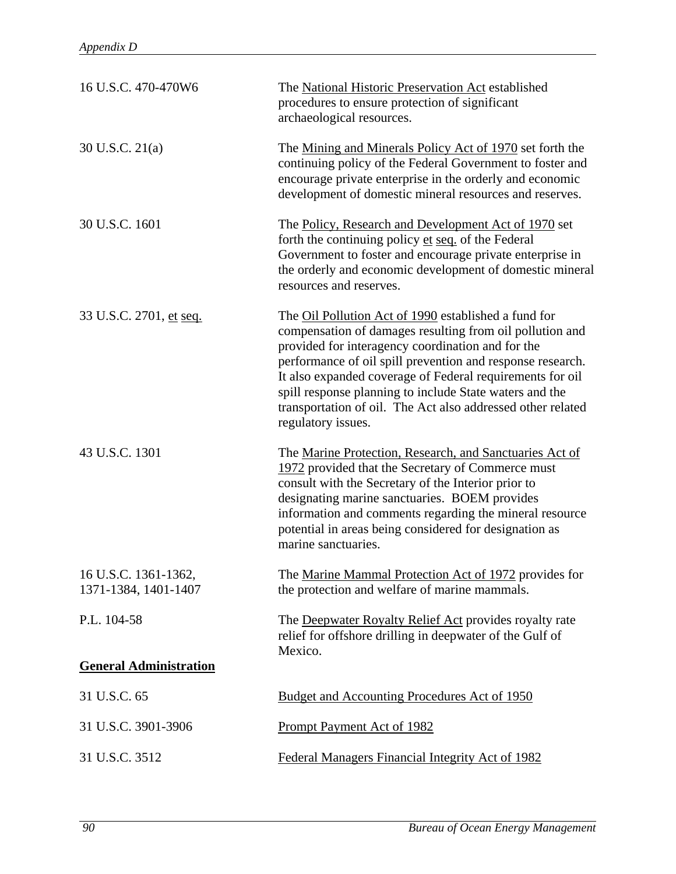| 16 U.S.C. 470-470W6                          | The National Historic Preservation Act established<br>procedures to ensure protection of significant<br>archaeological resources.                                                                                                                                                                                                                                                                                                                |
|----------------------------------------------|--------------------------------------------------------------------------------------------------------------------------------------------------------------------------------------------------------------------------------------------------------------------------------------------------------------------------------------------------------------------------------------------------------------------------------------------------|
| 30 U.S.C. $21(a)$                            | The <u>Mining and Minerals Policy Act of 1970</u> set forth the<br>continuing policy of the Federal Government to foster and<br>encourage private enterprise in the orderly and economic<br>development of domestic mineral resources and reserves.                                                                                                                                                                                              |
| 30 U.S.C. 1601                               | The Policy, Research and Development Act of 1970 set<br>forth the continuing policy et seq. of the Federal<br>Government to foster and encourage private enterprise in<br>the orderly and economic development of domestic mineral<br>resources and reserves.                                                                                                                                                                                    |
| 33 U.S.C. 2701, et seq.                      | The Oil Pollution Act of 1990 established a fund for<br>compensation of damages resulting from oil pollution and<br>provided for interagency coordination and for the<br>performance of oil spill prevention and response research.<br>It also expanded coverage of Federal requirements for oil<br>spill response planning to include State waters and the<br>transportation of oil. The Act also addressed other related<br>regulatory issues. |
| 43 U.S.C. 1301                               | The Marine Protection, Research, and Sanctuaries Act of<br>1972 provided that the Secretary of Commerce must<br>consult with the Secretary of the Interior prior to<br>designating marine sanctuaries. BOEM provides<br>information and comments regarding the mineral resource<br>potential in areas being considered for designation as<br>marine sanctuaries.                                                                                 |
| 16 U.S.C. 1361-1362,<br>1371-1384, 1401-1407 | The Marine Mammal Protection Act of 1972 provides for<br>the protection and welfare of marine mammals.                                                                                                                                                                                                                                                                                                                                           |
| P.L. 104-58                                  | The Deepwater Royalty Relief Act provides royalty rate<br>relief for offshore drilling in deepwater of the Gulf of<br>Mexico.                                                                                                                                                                                                                                                                                                                    |
| <b>General Administration</b>                |                                                                                                                                                                                                                                                                                                                                                                                                                                                  |
| 31 U.S.C. 65                                 | <b>Budget and Accounting Procedures Act of 1950</b>                                                                                                                                                                                                                                                                                                                                                                                              |
| 31 U.S.C. 3901-3906                          | <b>Prompt Payment Act of 1982</b>                                                                                                                                                                                                                                                                                                                                                                                                                |
| 31 U.S.C. 3512                               | Federal Managers Financial Integrity Act of 1982                                                                                                                                                                                                                                                                                                                                                                                                 |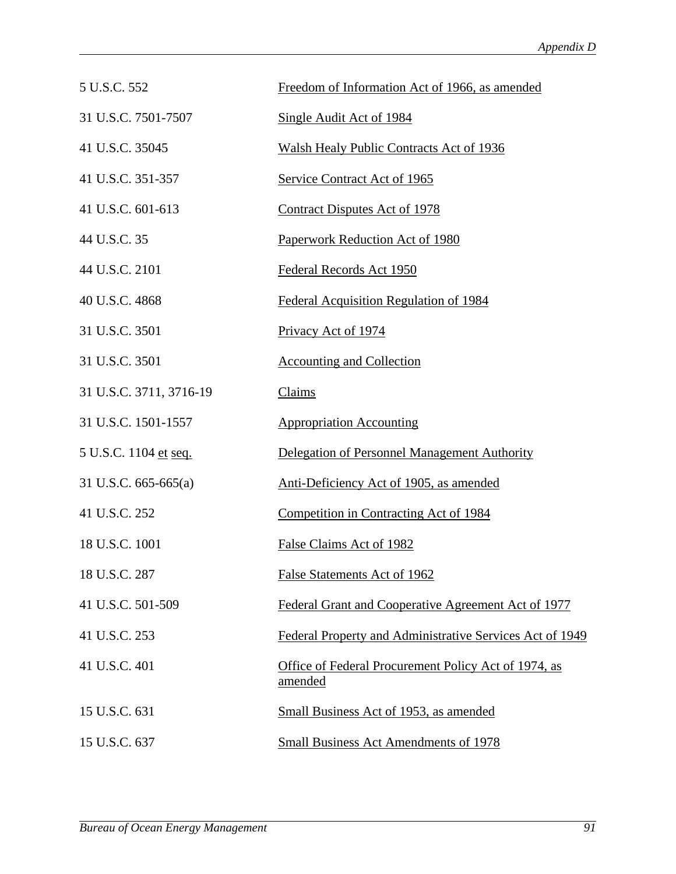| 5 U.S.C. 552            | Freedom of Information Act of 1966, as amended                  |
|-------------------------|-----------------------------------------------------------------|
| 31 U.S.C. 7501-7507     | Single Audit Act of 1984                                        |
| 41 U.S.C. 35045         | <b>Walsh Healy Public Contracts Act of 1936</b>                 |
| 41 U.S.C. 351-357       | Service Contract Act of 1965                                    |
| 41 U.S.C. 601-613       | <b>Contract Disputes Act of 1978</b>                            |
| 44 U.S.C. 35            | Paperwork Reduction Act of 1980                                 |
| 44 U.S.C. 2101          | Federal Records Act 1950                                        |
| 40 U.S.C. 4868          | Federal Acquisition Regulation of 1984                          |
| 31 U.S.C. 3501          | Privacy Act of 1974                                             |
| 31 U.S.C. 3501          | <b>Accounting and Collection</b>                                |
| 31 U.S.C. 3711, 3716-19 | Claims                                                          |
| 31 U.S.C. 1501-1557     | <b>Appropriation Accounting</b>                                 |
| 5 U.S.C. 1104 et seq.   | Delegation of Personnel Management Authority                    |
| 31 U.S.C. 665-665(a)    | Anti-Deficiency Act of 1905, as amended                         |
| 41 U.S.C. 252           | Competition in Contracting Act of 1984                          |
| 18 U.S.C. 1001          | False Claims Act of 1982                                        |
| 18 U.S.C. 287           | False Statements Act of 1962                                    |
| 41 U.S.C. 501-509       | Federal Grant and Cooperative Agreement Act of 1977             |
| 41 U.S.C. 253           | Federal Property and Administrative Services Act of 1949        |
| 41 U.S.C. 401           | Office of Federal Procurement Policy Act of 1974, as<br>amended |
| 15 U.S.C. 631           | Small Business Act of 1953, as amended                          |
| 15 U.S.C. 637           | <b>Small Business Act Amendments of 1978</b>                    |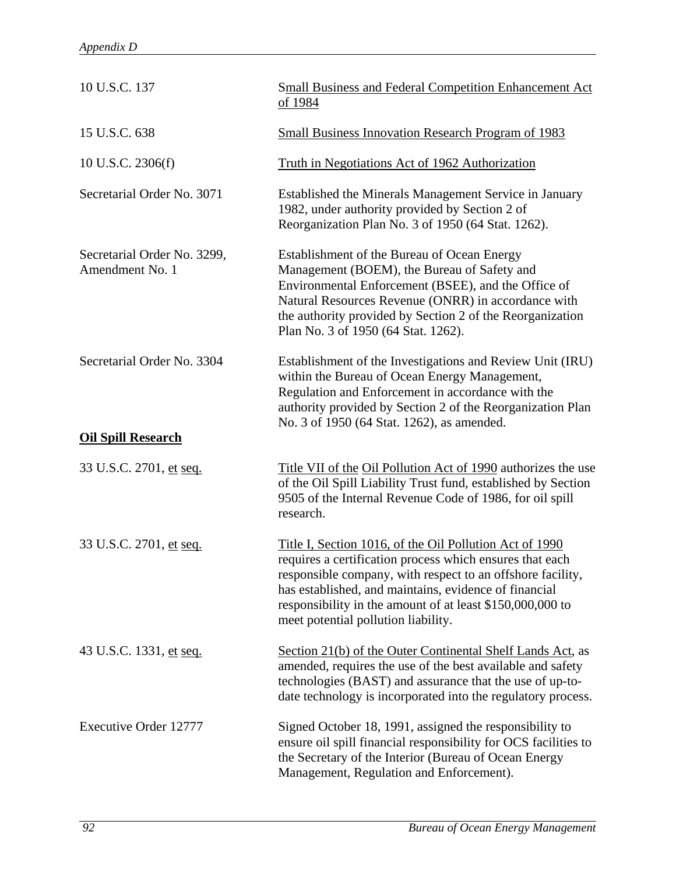| 10 U.S.C. 137                                  | <b>Small Business and Federal Competition Enhancement Act</b><br>of 1984                                                                                                                                                                                                                                                                       |
|------------------------------------------------|------------------------------------------------------------------------------------------------------------------------------------------------------------------------------------------------------------------------------------------------------------------------------------------------------------------------------------------------|
| 15 U.S.C. 638                                  | <b>Small Business Innovation Research Program of 1983</b>                                                                                                                                                                                                                                                                                      |
| 10 U.S.C. 2306(f)                              | <b>Truth in Negotiations Act of 1962 Authorization</b>                                                                                                                                                                                                                                                                                         |
| Secretarial Order No. 3071                     | Established the Minerals Management Service in January<br>1982, under authority provided by Section 2 of<br>Reorganization Plan No. 3 of 1950 (64 Stat. 1262).                                                                                                                                                                                 |
| Secretarial Order No. 3299,<br>Amendment No. 1 | Establishment of the Bureau of Ocean Energy<br>Management (BOEM), the Bureau of Safety and<br>Environmental Enforcement (BSEE), and the Office of<br>Natural Resources Revenue (ONRR) in accordance with<br>the authority provided by Section 2 of the Reorganization<br>Plan No. 3 of 1950 (64 Stat. 1262).                                   |
| Secretarial Order No. 3304                     | Establishment of the Investigations and Review Unit (IRU)<br>within the Bureau of Ocean Energy Management,<br>Regulation and Enforcement in accordance with the<br>authority provided by Section 2 of the Reorganization Plan<br>No. 3 of 1950 (64 Stat. 1262), as amended.                                                                    |
| <b>Oil Spill Research</b>                      |                                                                                                                                                                                                                                                                                                                                                |
| 33 U.S.C. 2701, et seq.                        | Title VII of the Oil Pollution Act of 1990 authorizes the use<br>of the Oil Spill Liability Trust fund, established by Section<br>9505 of the Internal Revenue Code of 1986, for oil spill<br>research.                                                                                                                                        |
| 33 U.S.C. 2701, et seq.                        | Title I, Section 1016, of the Oil Pollution Act of 1990<br>requires a certification process which ensures that each<br>responsible company, with respect to an offshore facility,<br>has established, and maintains, evidence of financial<br>responsibility in the amount of at least \$150,000,000 to<br>meet potential pollution liability. |
| 43 U.S.C. 1331, et seq.                        | Section 21(b) of the Outer Continental Shelf Lands Act, as<br>amended, requires the use of the best available and safety<br>technologies (BAST) and assurance that the use of up-to-<br>date technology is incorporated into the regulatory process.                                                                                           |
| Executive Order 12777                          | Signed October 18, 1991, assigned the responsibility to<br>ensure oil spill financial responsibility for OCS facilities to<br>the Secretary of the Interior (Bureau of Ocean Energy<br>Management, Regulation and Enforcement).                                                                                                                |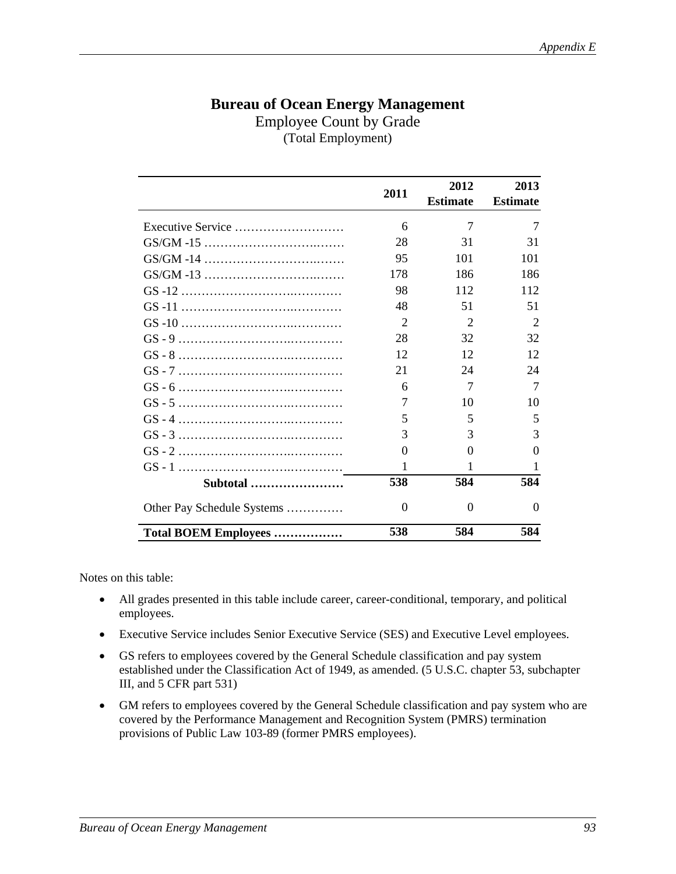Employee Count by Grade (Total Employment)

|                              | 2011     | 2012<br><b>Estimate</b> | 2013<br><b>Estimate</b> |
|------------------------------|----------|-------------------------|-------------------------|
| Executive Service            | 6        | $\overline{7}$          | $\overline{7}$          |
|                              | 28       | 31                      | 31                      |
|                              | 95       | 101                     | 101                     |
|                              | 178      | 186                     | 186                     |
|                              | 98       | 112                     | 112                     |
|                              | 48       | 51                      | 51                      |
|                              | 2        | 2                       | 2                       |
|                              | 28       | 32                      | 32                      |
|                              | 12       | 12                      | 12                      |
|                              | 21       | 24                      | 24                      |
|                              | 6        | $\overline{7}$          | 7                       |
|                              | 7        | 10                      | 10                      |
|                              | 5        | 5                       | 5                       |
|                              | 3        | 3                       | 3                       |
|                              | 0        | $\Omega$                | 0                       |
|                              | 1        | 1                       | 1                       |
| Subtotal                     | 538      | 584                     | 584                     |
| Other Pay Schedule Systems   | $\theta$ | $\Omega$                | $\Omega$                |
| <b>Total BOEM Employees </b> | 538      | 584                     | 584                     |

Notes on this table:

- All grades presented in this table include career, career-conditional, temporary, and political employees.
- Executive Service includes Senior Executive Service (SES) and Executive Level employees.
- GS refers to employees covered by the General Schedule classification and pay system established under the Classification Act of 1949, as amended. (5 U.S.C. chapter 53, subchapter III, and 5 CFR part 531)
- GM refers to employees covered by the General Schedule classification and pay system who are covered by the Performance Management and Recognition System (PMRS) termination provisions of Public Law 103-89 (former PMRS employees).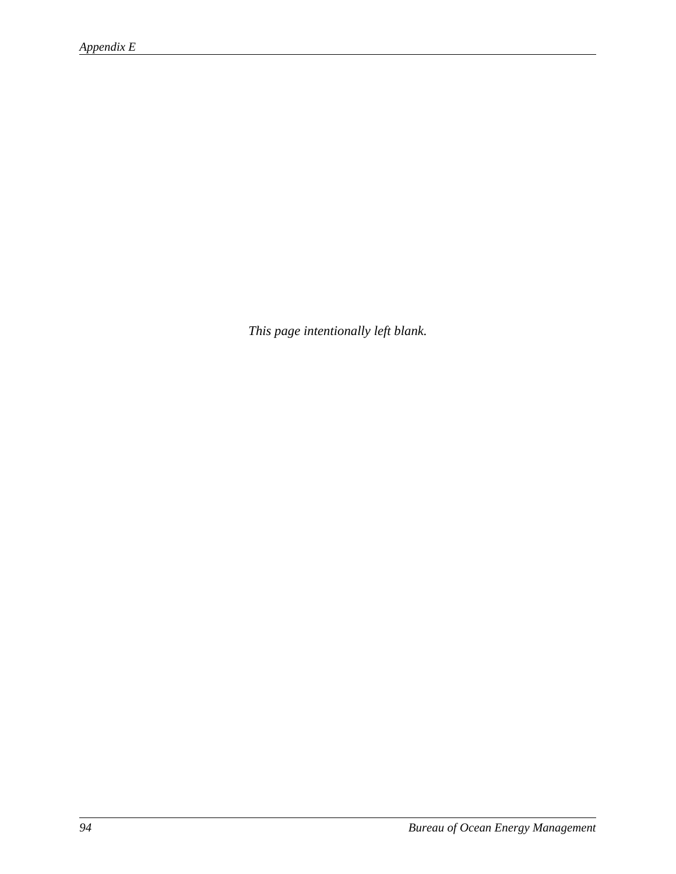*This page intentionally left blank.*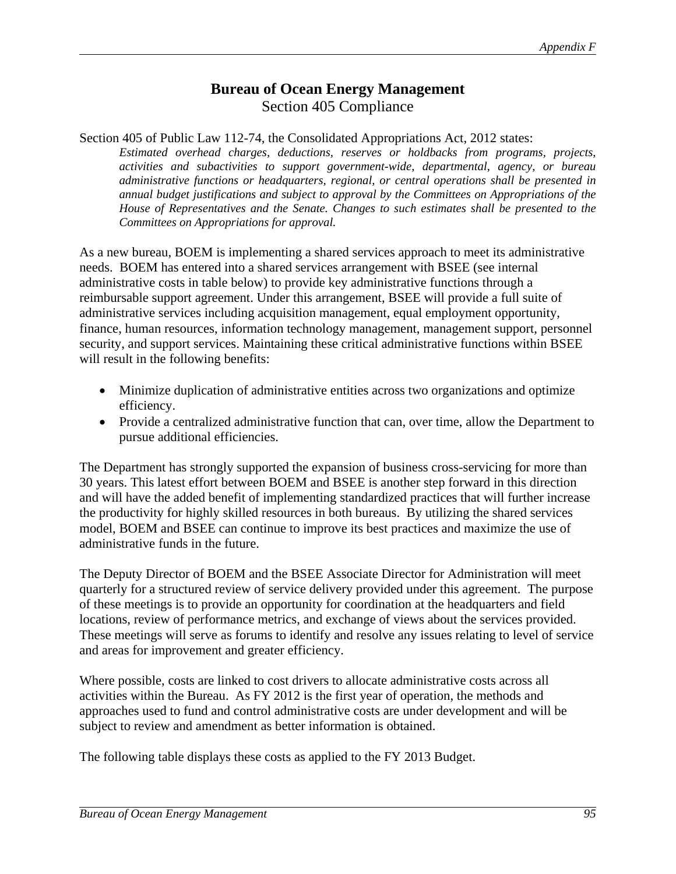# **Bureau of Ocean Energy Management**  Section 405 Compliance

Section 405 of Public Law 112-74, the Consolidated Appropriations Act, 2012 states:

*Estimated overhead charges, deductions, reserves or holdbacks from programs, projects, activities and subactivities to support government-wide, departmental, agency, or bureau administrative functions or headquarters, regional, or central operations shall be presented in annual budget justifications and subject to approval by the Committees on Appropriations of the House of Representatives and the Senate. Changes to such estimates shall be presented to the Committees on Appropriations for approval.* 

As a new bureau, BOEM is implementing a shared services approach to meet its administrative needs. BOEM has entered into a shared services arrangement with BSEE (see internal administrative costs in table below) to provide key administrative functions through a reimbursable support agreement. Under this arrangement, BSEE will provide a full suite of administrative services including acquisition management, equal employment opportunity, finance, human resources, information technology management, management support, personnel security, and support services. Maintaining these critical administrative functions within BSEE will result in the following benefits:

- Minimize duplication of administrative entities across two organizations and optimize efficiency.
- Provide a centralized administrative function that can, over time, allow the Department to pursue additional efficiencies.

The Department has strongly supported the expansion of business cross-servicing for more than 30 years. This latest effort between BOEM and BSEE is another step forward in this direction and will have the added benefit of implementing standardized practices that will further increase the productivity for highly skilled resources in both bureaus. By utilizing the shared services model, BOEM and BSEE can continue to improve its best practices and maximize the use of administrative funds in the future.

The Deputy Director of BOEM and the BSEE Associate Director for Administration will meet quarterly for a structured review of service delivery provided under this agreement. The purpose of these meetings is to provide an opportunity for coordination at the headquarters and field locations, review of performance metrics, and exchange of views about the services provided. These meetings will serve as forums to identify and resolve any issues relating to level of service and areas for improvement and greater efficiency.

Where possible, costs are linked to cost drivers to allocate administrative costs across all activities within the Bureau. As FY 2012 is the first year of operation, the methods and approaches used to fund and control administrative costs are under development and will be subject to review and amendment as better information is obtained.

The following table displays these costs as applied to the FY 2013 Budget.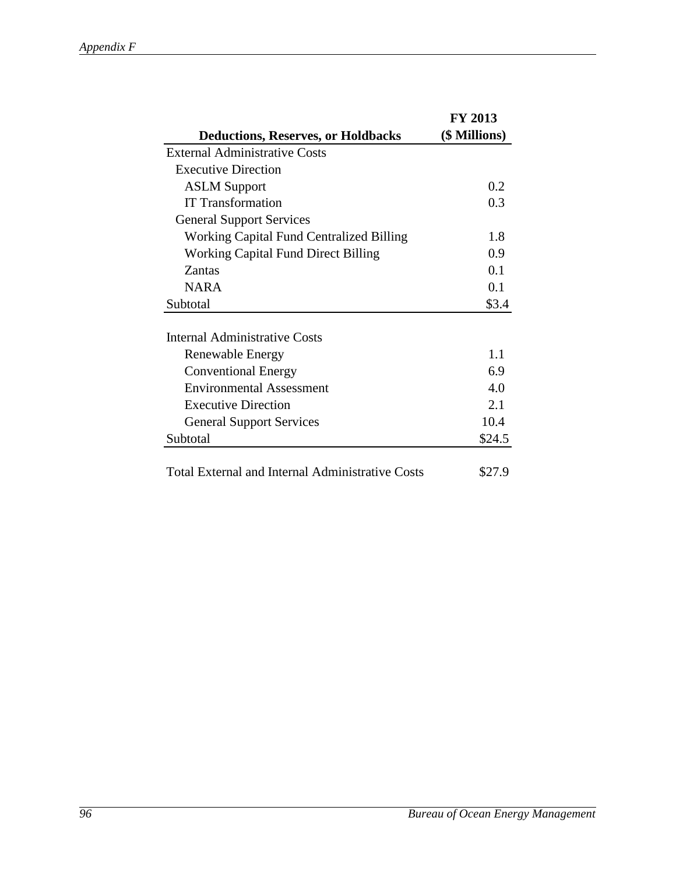|                                                         | FY 2013        |
|---------------------------------------------------------|----------------|
| <b>Deductions, Reserves, or Holdbacks</b>               | (\$ Millions)  |
| External Administrative Costs                           |                |
| <b>Executive Direction</b>                              |                |
| <b>ASLM Support</b>                                     | 0.2            |
| <b>IT Transformation</b>                                | 0.3            |
| <b>General Support Services</b>                         |                |
| <b>Working Capital Fund Centralized Billing</b>         | 1.8            |
| <b>Working Capital Fund Direct Billing</b>              | 0.9            |
| <b>Zantas</b>                                           | 0.1            |
| <b>NARA</b>                                             | 0.1            |
| Subtotal                                                | \$3.4          |
|                                                         |                |
| <b>Internal Administrative Costs</b>                    |                |
| Renewable Energy                                        | 1.1            |
| <b>Conventional Energy</b>                              | 6.9            |
| <b>Environmental Assessment</b>                         | 4.0            |
| <b>Executive Direction</b>                              | 2 <sub>1</sub> |
| <b>General Support Services</b>                         | 10.4           |
| Subtotal                                                | \$24.5         |
|                                                         |                |
| <b>Total External and Internal Administrative Costs</b> | \$27.9         |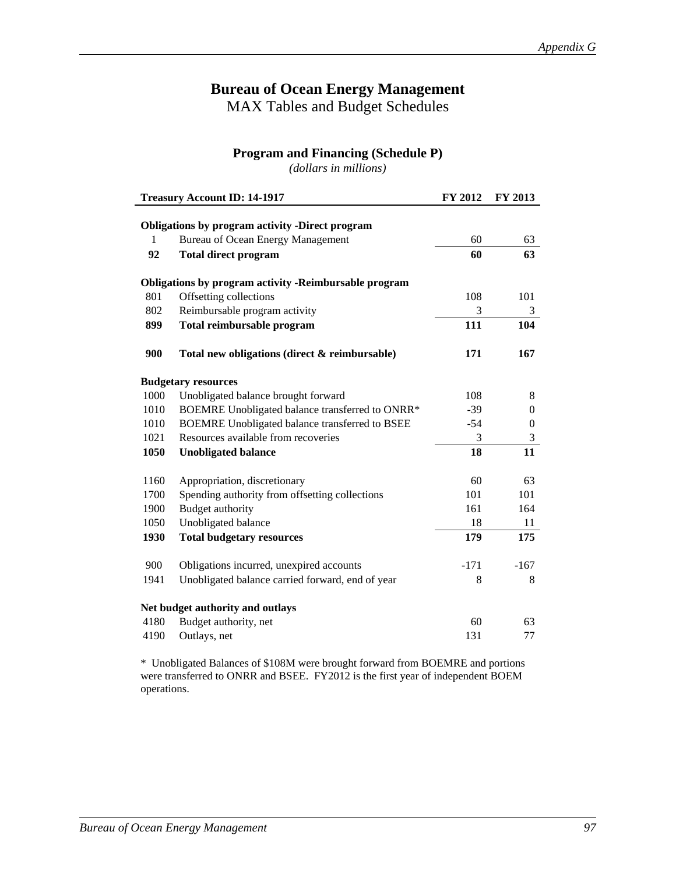MAX Tables and Budget Schedules

#### **Program and Financing (Schedule P)**

*(dollars in millions)*

| <b>Treasury Account ID: 14-1917</b>                   |                                                        | FY 2012 | FY 2013          |
|-------------------------------------------------------|--------------------------------------------------------|---------|------------------|
|                                                       |                                                        |         |                  |
|                                                       | <b>Obligations by program activity -Direct program</b> |         |                  |
| 1                                                     | Bureau of Ocean Energy Management                      | 60      | 63               |
| 92                                                    | <b>Total direct program</b>                            | 60      | 63               |
| Obligations by program activity -Reimbursable program |                                                        |         |                  |
| 801                                                   | Offsetting collections                                 | 108     | 101              |
| 802                                                   | Reimbursable program activity                          | 3       | 3                |
| 899                                                   | Total reimbursable program                             | 111     | 104              |
| 900                                                   | Total new obligations (direct & reimbursable)          | 171     | 167              |
|                                                       | <b>Budgetary resources</b>                             |         |                  |
| 1000                                                  | Unobligated balance brought forward                    | 108     | 8                |
| 1010                                                  | BOEMRE Unobligated balance transferred to ONRR*        | $-39$   | $\theta$         |
| 1010                                                  | BOEMRE Unobligated balance transferred to BSEE         | $-54$   | $\boldsymbol{0}$ |
| 1021                                                  | Resources available from recoveries                    | 3       | 3                |
| 1050                                                  | <b>Unobligated balance</b>                             | 18      | 11               |
| 1160                                                  | Appropriation, discretionary                           | 60      | 63               |
| 1700                                                  | Spending authority from offsetting collections         | 101     | 101              |
| 1900                                                  | Budget authority                                       | 161     | 164              |
| 1050                                                  | Unobligated balance                                    | 18      | 11               |
| 1930                                                  | <b>Total budgetary resources</b>                       | 179     | 175              |
| 900                                                   | Obligations incurred, unexpired accounts               | $-171$  | $-167$           |
| 1941                                                  | Unobligated balance carried forward, end of year       | 8       | 8                |
|                                                       |                                                        |         |                  |
|                                                       | Net budget authority and outlays                       |         |                  |
| 4180                                                  | Budget authority, net                                  | 60      | 63               |
| 4190                                                  | Outlays, net                                           | 131     | 77               |
|                                                       |                                                        |         |                  |

\* Unobligated Balances of \$108M were brought forward from BOEMRE and portions were transferred to ONRR and BSEE. FY2012 is the first year of independent BOEM operations.